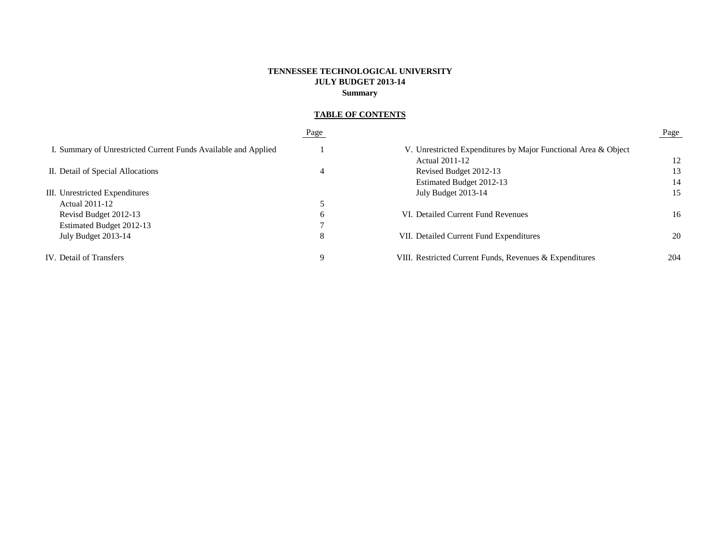# **TENNESSEE TECHNOLOGICAL UNIVERSITY JULY BUDGET 2013-14 Summary**

# **TABLE OF CONTENTS**

|                                                                | Page          |                                                                | Page |
|----------------------------------------------------------------|---------------|----------------------------------------------------------------|------|
| I. Summary of Unrestricted Current Funds Available and Applied |               | V. Unrestricted Expenditures by Major Functional Area & Object |      |
|                                                                |               | <b>Actual 2011-12</b>                                          | 12   |
| II. Detail of Special Allocations                              | 4             | Revised Budget 2012-13                                         | 13   |
|                                                                |               | Estimated Budget 2012-13                                       | 14   |
| III. Unrestricted Expenditures                                 |               | July Budget 2013-14                                            | 15   |
| Actual 2011-12                                                 |               |                                                                |      |
| Revisd Budget 2012-13                                          | $\mathfrak b$ | VI. Detailed Current Fund Revenues                             | 16   |
| Estimated Budget 2012-13                                       |               |                                                                |      |
| July Budget 2013-14                                            | 8             | VII. Detailed Current Fund Expenditures                        | 20   |
| IV. Detail of Transfers                                        | q             | VIII. Restricted Current Funds, Revenues & Expenditures        | 204  |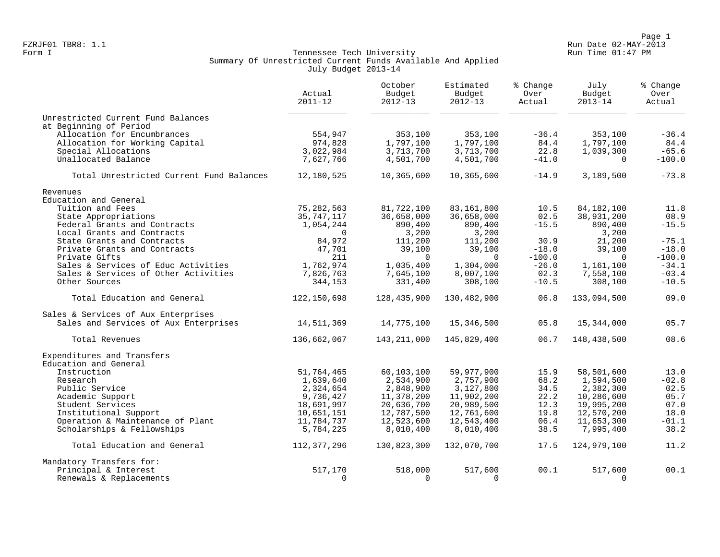Page 1<br>Run Date 02-MAY-2013 Run Date 02-MAY-2013 FZRJF01 TBR8: 1.1 Run Date 02-MAY-2013

# Form I Georgian Communication of the Communication of Tennessee Tech University Communication Run Time 01:47 PM Summary Of Unrestricted Current Funds Available And Applied July Budget 2013-14

|                                          | Actual<br>$2011 - 12$ | October<br>Budget<br>$2012 - 13$ | Estimated<br>Budget<br>$2012 - 13$ | % Change<br>Over<br>Actual | July<br>Budget<br>$2013 - 14$ | % Change<br>Over<br>Actual |
|------------------------------------------|-----------------------|----------------------------------|------------------------------------|----------------------------|-------------------------------|----------------------------|
| Unrestricted Current Fund Balances       |                       |                                  |                                    |                            |                               |                            |
| at Beginning of Period                   |                       |                                  |                                    |                            |                               |                            |
| Allocation for Encumbrances              | 554,947               | 353,100                          | 353,100                            | $-36.4$                    | 353,100                       | $-36.4$                    |
| Allocation for Working Capital           | 974,828               | 1,797,100                        | 1,797,100                          | 84.4                       | 1,797,100                     | 84.4                       |
| Special Allocations                      | 3,022,984             | 3,713,700                        | 3,713,700                          | 22.8                       | 1,039,300                     | $-65.6$                    |
| Unallocated Balance                      | 7,627,766             | 4,501,700                        | 4,501,700                          | $-41.0$                    | $\Omega$                      | $-100.0$                   |
| Total Unrestricted Current Fund Balances | 12,180,525            | 10,365,600                       | 10,365,600                         | $-14.9$                    | 3,189,500                     | $-73.8$                    |
| Revenues                                 |                       |                                  |                                    |                            |                               |                            |
| Education and General                    |                       |                                  |                                    |                            |                               |                            |
| Tuition and Fees                         | 75, 282, 563          | 81,722,100                       | 83,161,800                         | 10.5                       | 84, 182, 100                  | 11.8                       |
| State Appropriations                     | 35,747,117            | 36,658,000                       | 36,658,000                         | 02.5                       | 38,931,200                    | 08.9                       |
| Federal Grants and Contracts             | 1,054,244             | 890,400                          | 890,400                            | $-15.5$                    | 890,400                       | $-15.5$                    |
| Local Grants and Contracts               | $\Omega$              | 3,200                            | 3,200                              |                            | 3,200                         |                            |
| State Grants and Contracts               | 84,972                | 111,200                          | 111,200                            | 30.9                       | 21,200                        | $-75.1$                    |
| Private Grants and Contracts             | 47,701                | 39,100                           | 39,100                             | $-18.0$                    | 39,100                        | $-18.0$                    |
| Private Gifts                            | 211                   | $\Omega$                         | $\Omega$                           | $-100.0$                   | $\Omega$                      | $-100.0$                   |
| Sales & Services of Educ Activities      | 1,762,974             | 1,035,400                        | 1,304,000                          | $-26.0$                    | 1,161,100                     | $-34.1$                    |
| Sales & Services of Other Activities     | 7,826,763             | 7,645,100                        | 8,007,100                          | 02.3                       | 7,558,100                     | $-03.4$                    |
| Other Sources                            | 344,153               | 331,400                          | 308,100                            | $-10.5$                    | 308,100                       | $-10.5$                    |
| Total Education and General              | 122,150,698           | 128,435,900                      | 130,482,900                        | 06.8                       | 133,094,500                   | 09.0                       |
| Sales & Services of Aux Enterprises      |                       |                                  |                                    |                            |                               |                            |
| Sales and Services of Aux Enterprises    | 14,511,369            | 14,775,100                       | 15,346,500                         | 05.8                       | 15,344,000                    | 05.7                       |
| Total Revenues                           | 136,662,067           | 143, 211, 000                    | 145,829,400                        | 06.7                       | 148,438,500                   | 08.6                       |
| Expenditures and Transfers               |                       |                                  |                                    |                            |                               |                            |
| Education and General                    |                       |                                  |                                    |                            |                               |                            |
| Instruction                              | 51,764,465            | 60,103,100                       | 59,977,900                         | 15.9                       | 58,501,600                    | 13.0                       |
| Research                                 | 1,639,640             | 2,534,900                        | 2,757,900                          | 68.2                       | 1,594,500                     | $-02.8$                    |
| Public Service                           | 2,324,654             | 2,848,900                        | 3,127,800                          | 34.5                       | 2,382,300                     | 02.5                       |
| Academic Support                         | 9,736,427             | 11,378,200                       | 11,902,200                         | 22.2                       | 10,286,600                    | 05.7                       |
| Student Services                         | 18,691,997            | 20,636,700                       | 20,989,500                         | 12.3                       | 19,995,200                    | 07.0                       |
| Institutional Support                    | 10,651,151            | 12,787,500                       | 12,761,600                         | 19.8                       | 12,570,200                    | 18.0                       |
| Operation & Maintenance of Plant         | 11,784,737            | 12,523,600                       | 12,543,400                         | 06.4                       | 11,653,300                    | $-01.1$                    |
| Scholarships & Fellowships               | 5,784,225             | 8,010,400                        | 8,010,400                          | 38.5                       | 7,995,400                     | 38.2                       |
| Total Education and General              | 112,377,296           | 130,823,300                      | 132,070,700                        | 17.5                       | 124,979,100                   | 11.2                       |
| Mandatory Transfers for:                 |                       |                                  |                                    |                            |                               |                            |
| Principal & Interest                     | 517,170               | 518,000                          | 517,600                            | 00.1                       | 517,600                       | 00.1                       |
| Renewals & Replacements                  | $\Omega$              | $\Omega$                         | $\Omega$                           |                            | $\Omega$                      |                            |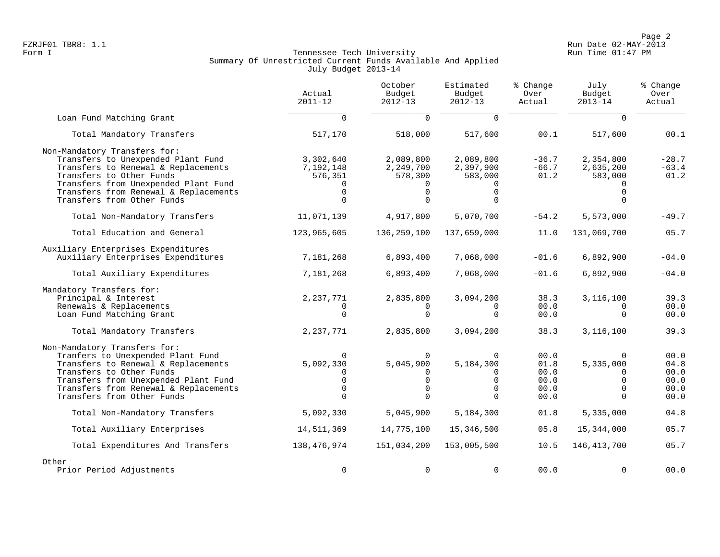Page 2<br>Run Date 02-MAY-2013 Run Date 02-MAY-2013 FZRJF01 TBR8: 1.1 Run Date 02-MAY-2013

# Form I Georgian Communication of the Communication of Tennessee Tech University Communication Run Time 01:47 PM Summary Of Unrestricted Current Funds Available And Applied July Budget 2013-14

|                                                                                                                                                                                                                                                      | Actual<br>$2011 - 12$                         | October<br>Budget<br>$2012 - 13$                                | Estimated<br>Budget<br>$2012 - 13$                           | % Change<br>Over<br>Actual                   | July<br>Budget<br>$2013 - 14$                                         | % Change<br>Over<br>Actual                   |
|------------------------------------------------------------------------------------------------------------------------------------------------------------------------------------------------------------------------------------------------------|-----------------------------------------------|-----------------------------------------------------------------|--------------------------------------------------------------|----------------------------------------------|-----------------------------------------------------------------------|----------------------------------------------|
| Loan Fund Matching Grant                                                                                                                                                                                                                             | $\Omega$                                      | $\Omega$                                                        | $\Omega$                                                     |                                              | $\Omega$                                                              |                                              |
| Total Mandatory Transfers                                                                                                                                                                                                                            | 517,170                                       | 518,000                                                         | 517,600                                                      | 00.1                                         | 517,600                                                               | 00.1                                         |
| Non-Mandatory Transfers for:<br>Transfers to Unexpended Plant Fund<br>Transfers to Renewal & Replacements<br>Transfers to Other Funds<br>Transfers from Unexpended Plant Fund<br>Transfers from Renewal & Replacements<br>Transfers from Other Funds | 3,302,640<br>7,192,148<br>576,351<br>$\Omega$ | 2,089,800<br>2,249,700<br>578,300<br>$\Omega$<br>$\cap$         | 2,089,800<br>2,397,900<br>583,000<br>$\mathbf 0$<br>$\Omega$ | $-36.7$<br>$-66.7$<br>01.2                   | 2,354,800<br>2,635,200<br>583,000<br>$\Omega$<br>$\Omega$             | $-28.7$<br>$-63.4$<br>01.2                   |
| Total Non-Mandatory Transfers                                                                                                                                                                                                                        | 11,071,139                                    | 4,917,800                                                       | 5,070,700                                                    | $-54.2$                                      | 5,573,000                                                             | $-49.7$                                      |
| Total Education and General                                                                                                                                                                                                                          | 123,965,605                                   | 136,259,100                                                     | 137,659,000                                                  | 11.0                                         | 131,069,700                                                           | 05.7                                         |
| Auxiliary Enterprises Expenditures<br>Auxiliary Enterprises Expenditures                                                                                                                                                                             | 7,181,268                                     | 6,893,400                                                       | 7,068,000                                                    | $-01.6$                                      | 6,892,900                                                             | $-04.0$                                      |
| Total Auxiliary Expenditures                                                                                                                                                                                                                         | 7,181,268                                     | 6,893,400                                                       | 7,068,000                                                    | $-01.6$                                      | 6,892,900                                                             | $-04.0$                                      |
| Mandatory Transfers for:<br>Principal & Interest<br>Renewals & Replacements<br>Loan Fund Matching Grant                                                                                                                                              | 2, 237, 771<br>$\Omega$                       | 2,835,800<br>$\Omega$                                           | 3,094,200<br>0<br>$\Omega$                                   | 38.3<br>00.0<br>00.0                         | 3,116,100<br>$\Omega$<br>$\Omega$                                     | 39.3<br>00.0<br>00.0                         |
| Total Mandatory Transfers                                                                                                                                                                                                                            | 2, 237, 771                                   | 2,835,800                                                       | 3,094,200                                                    | 38.3                                         | 3,116,100                                                             | 39.3                                         |
| Non-Mandatory Transfers for:<br>Tranfers to Unexpended Plant Fund<br>Transfers to Renewal & Replacements<br>Transfers to Other Funds<br>Transfers from Unexpended Plant Fund<br>Transfers from Renewal & Replacements<br>Transfers from Other Funds  | 5,092,330<br>n<br>$\Omega$<br>$\Omega$        | $\Omega$<br>5,045,900<br>U<br>$\mathbf 0$<br>$\Omega$<br>$\cap$ | $\Omega$<br>5,184,300<br>0<br>$\mathbf 0$<br>$\Omega$        | 00.0<br>01.8<br>00.0<br>00.0<br>00.0<br>00.0 | $\Omega$<br>5,335,000<br>$\Omega$<br>$\Omega$<br>$\Omega$<br>$\Omega$ | 00.0<br>04.8<br>00.0<br>00.0<br>00.0<br>00.0 |
| Total Non-Mandatory Transfers                                                                                                                                                                                                                        | 5,092,330                                     | 5,045,900                                                       | 5,184,300                                                    | 01.8                                         | 5,335,000                                                             | 04.8                                         |
| Total Auxiliary Enterprises                                                                                                                                                                                                                          | 14,511,369                                    | 14,775,100                                                      | 15,346,500                                                   | 05.8                                         | 15,344,000                                                            | 05.7                                         |
| Total Expenditures And Transfers                                                                                                                                                                                                                     | 138,476,974                                   | 151,034,200                                                     | 153,005,500                                                  | 10.5                                         | 146, 413, 700                                                         | 05.7                                         |
| Other<br>Prior Period Adjustments                                                                                                                                                                                                                    | $\mathbf 0$                                   | $\mathbf 0$                                                     | $\mathbf 0$                                                  | 00.0                                         | $\Omega$                                                              | 00.0                                         |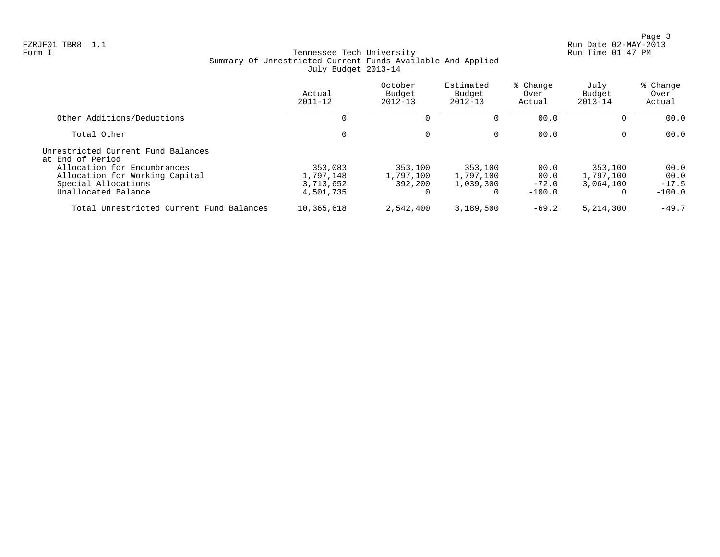Page 3<br>Run Date 02-MAY-2013 Run Date 02-MAY-2013

# Form I Georgian Communication of the Communication of Tennessee Tech University Communication Run Time 01:47 PM Summary Of Unrestricted Current Funds Available And Applied July Budget 2013-14

|                                                                                      | Actual<br>$2011 - 12$             | October<br>Budget<br>$2012 - 13$ | Estimated<br>Budget<br>$2012 - 13$ | % Change<br>Over<br>Actual | July<br>Budget<br>$2013 - 14$     | % Change<br>Over<br>Actual |
|--------------------------------------------------------------------------------------|-----------------------------------|----------------------------------|------------------------------------|----------------------------|-----------------------------------|----------------------------|
| Other Additions/Deductions                                                           | 0                                 |                                  | 0                                  | 00.0                       | 0                                 | 00.0                       |
| Total Other                                                                          | 0                                 | $\Omega$                         | $\Omega$                           | 00.0                       | $\overline{0}$                    | 00.0                       |
| Unrestricted Current Fund Balances<br>at End of Period                               |                                   |                                  |                                    |                            |                                   |                            |
| Allocation for Encumbrances<br>Allocation for Working Capital<br>Special Allocations | 353,083<br>1,797,148<br>3,713,652 | 353,100<br>1,797,100<br>392,200  | 353,100<br>1,797,100<br>1,039,300  | 00.0<br>00.0<br>$-72.0$    | 353,100<br>1,797,100<br>3,064,100 | 00.0<br>00.0<br>$-17.5$    |
| Unallocated Balance                                                                  | 4,501,735                         |                                  | 0                                  | $-100.0$                   | $\Omega$                          | $-100.0$                   |
| Total Unrestricted Current Fund Balances                                             | 10,365,618                        | 2,542,400                        | 3,189,500                          | $-69.2$                    | 5,214,300                         | $-49.7$                    |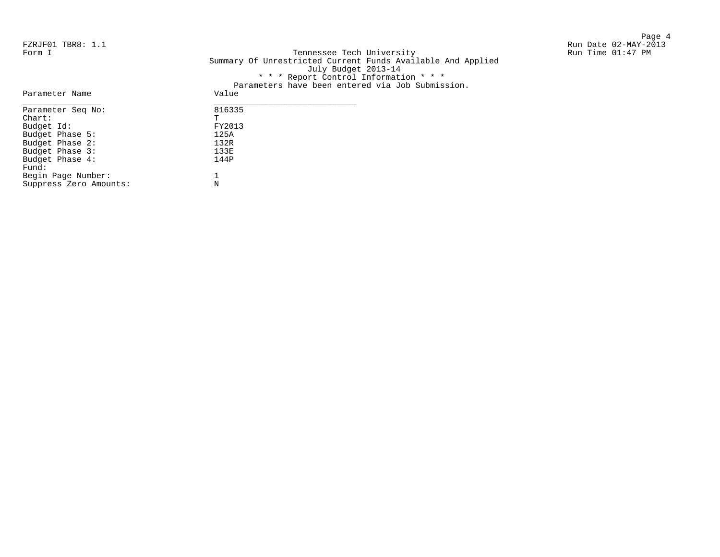Page 4 FZRJF01 TBR8: 1.1 Run Date 02-MAY-2013

Form I Georgian Communication of the Communication of Tennessee Tech University Communication Run Time 01:47 PM Summary Of Unrestricted Current Funds Available And Applied July Budget 2013-14 \* \* \* Report Control Information \* \* \* Parameters have been entered via Job Submission.

| Parameter Name         | Value  |
|------------------------|--------|
| Parameter Seq No:      | 816335 |
| $chart$ :              | т      |
| Budget Id:             | FY2013 |
| Budget Phase 5:        | 125A   |
| Budget Phase 2:        | 132R   |
| Budget Phase 3:        | 133E   |
| Budget Phase 4:        | 144P   |
| Fund:                  |        |
| Begin Page Number:     |        |
| Suppress Zero Amounts: | N      |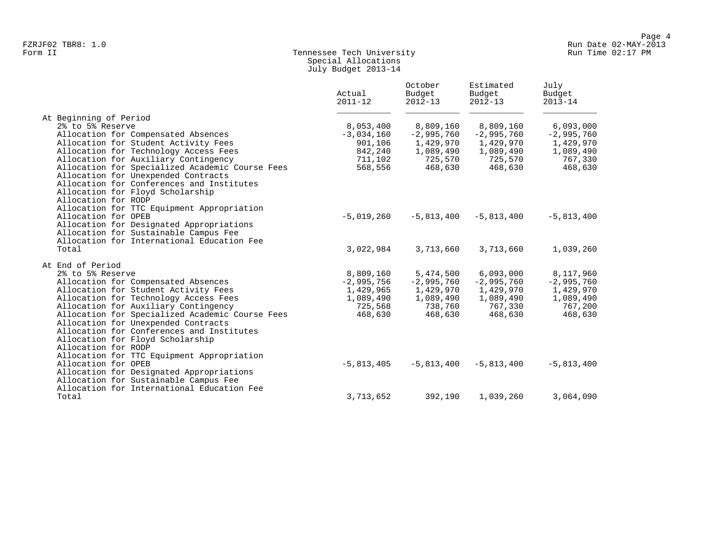# Form II Tennessee Tech University Run Time 02:17 PM Special Allocations July Budget 2013-14

|                                                 | Actual<br>$2011 - 12$ | October<br>Budget<br>$2012 - 13$ | Estimated<br>Budget<br>$2012 - 13$ | July<br>Budget<br>$2013 - 14$ |
|-------------------------------------------------|-----------------------|----------------------------------|------------------------------------|-------------------------------|
| At Beginning of Period                          |                       |                                  |                                    |                               |
| 2% to 5% Reserve                                | 8,053,400             | 8,809,160                        | 8,809,160                          | 6,093,000                     |
| Allocation for Compensated Absences             | $-3,034,160$          | $-2,995,760$                     | $-2,995,760$                       | $-2,995,760$                  |
| Allocation for Student Activity Fees            | 901,106               | 1,429,970                        | 1,429,970                          | 1,429,970                     |
| Allocation for Technology Access Fees           | 842,240               | 1,089,490                        | 1,089,490                          | 1,089,490                     |
| Allocation for Auxiliary Contingency            | 711,102               | 725,570                          | 725,570                            | 767,330                       |
| Allocation for Specialized Academic Course Fees | 568,556               | 468,630                          | 468,630                            | 468,630                       |
| Allocation for Unexpended Contracts             |                       |                                  |                                    |                               |
| Allocation for Conferences and Institutes       |                       |                                  |                                    |                               |
| Allocation for Floyd Scholarship                |                       |                                  |                                    |                               |
| Allocation for RODP                             |                       |                                  |                                    |                               |
| Allocation for TTC Equipment Appropriation      |                       |                                  |                                    |                               |
| Allocation for OPEB                             | $-5,019,260$          | $-5,813,400$                     | $-5,813,400$                       | $-5,813,400$                  |
| Allocation for Designated Appropriations        |                       |                                  |                                    |                               |
| Allocation for Sustainable Campus Fee           |                       |                                  |                                    |                               |
| Allocation for International Education Fee      |                       |                                  |                                    |                               |
| Total                                           | 3,022,984             | 3,713,660                        | 3,713,660                          | 1,039,260                     |
| At End of Period                                |                       |                                  |                                    |                               |
| 2% to 5% Reserve                                | 8,809,160             | 5,474,500                        | 6,093,000                          | 8,117,960                     |
| Allocation for Compensated Absences             | $-2,995,756$          | $-2,995,760$                     | $-2,995,760$                       | $-2,995,760$                  |
| Allocation for Student Activity Fees            | 1,429,965             | 1,429,970                        | 1,429,970                          | 1,429,970                     |
| Allocation for Technology Access Fees           | 1,089,490             | 1,089,490                        | 1,089,490                          | 1,089,490                     |
| Allocation for Auxiliary Contingency            | 725,568               | 738,760                          | 767,330                            | 767,200                       |
| Allocation for Specialized Academic Course Fees | 468,630               | 468,630                          | 468,630                            | 468,630                       |
| Allocation for Unexpended Contracts             |                       |                                  |                                    |                               |
| Allocation for Conferences and Institutes       |                       |                                  |                                    |                               |
| Allocation for Floyd Scholarship                |                       |                                  |                                    |                               |
| Allocation for RODP                             |                       |                                  |                                    |                               |
| Allocation for TTC Equipment Appropriation      |                       |                                  |                                    |                               |
| Allocation for OPEB                             | $-5,813,405$          | $-5,813,400$                     | $-5,813,400$                       | $-5,813,400$                  |
| Allocation for Designated Appropriations        |                       |                                  |                                    |                               |
| Allocation for Sustainable Campus Fee           |                       |                                  |                                    |                               |
| Allocation for International Education Fee      |                       |                                  |                                    |                               |
| Total                                           | 3,713,652             | 392,190                          | 1,039,260                          | 3,064,090                     |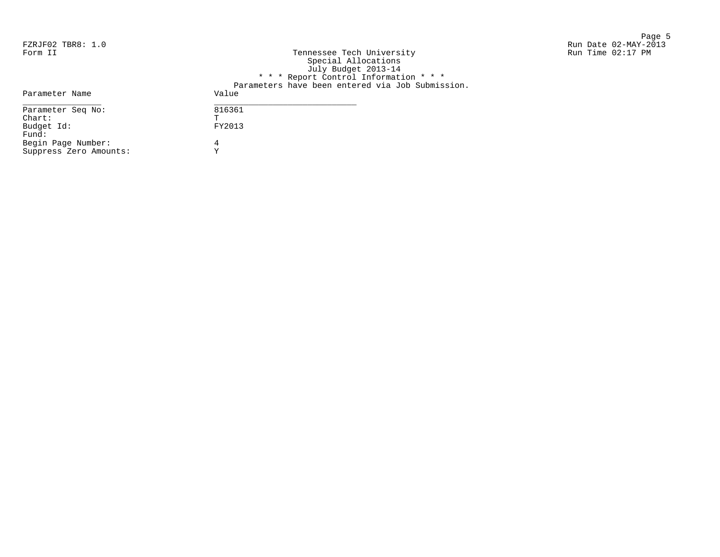en de la provincia de la provincia de la provincia de la provincia de la provincia de la provincia de la provi<br>Page 5 FZRJF02 TBR8: 1.0 Run Date 02-MAY-2013 Form II Tennessee Tech University Run Time 02:17 PM

| Tennessee Tech University                        |
|--------------------------------------------------|
| Special Allocations                              |
| July Budget 2013-14                              |
| * * * Report Control Information * * *           |
| Parameters have been entered via Job Submission. |
| Value                                            |
| 816361                                           |
| Ͳ                                                |
| FY2013                                           |
|                                                  |
| 4                                                |
| $\tau$                                           |
|                                                  |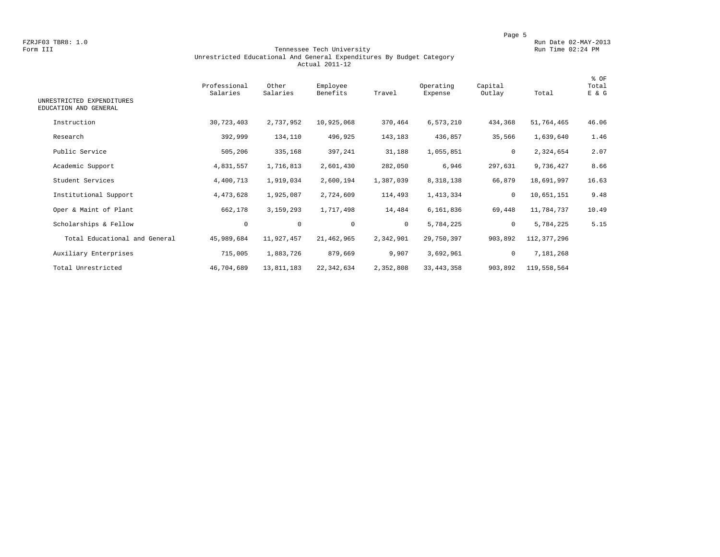#### Form III Tennessee Tech University Run Time 02:24 PM Unrestricted Educational And General Expenditures By Budget Category Actual 2011-12

| UNRESTRICTED EXPENDITURES     | Professional<br>Salaries | Other<br>Salaries | Employee<br>Benefits | Travel    | Operating<br>Expense | Capital<br>Outlay | Total       | % OF<br>Total<br>E & G |
|-------------------------------|--------------------------|-------------------|----------------------|-----------|----------------------|-------------------|-------------|------------------------|
| EDUCATION AND GENERAL         |                          |                   |                      |           |                      |                   |             |                        |
| Instruction                   | 30,723,403               | 2,737,952         | 10,925,068           | 370,464   | 6,573,210            | 434,368           | 51,764,465  | 46.06                  |
| Research                      | 392,999                  | 134,110           | 496,925              | 143,183   | 436,857              | 35,566            | 1,639,640   | 1.46                   |
| Public Service                | 505,206                  | 335,168           | 397,241              | 31,188    | 1,055,851            | $\mathbf 0$       | 2,324,654   | 2.07                   |
| Academic Support              | 4,831,557                | 1,716,813         | 2,601,430            | 282,050   | 6,946                | 297,631           | 9,736,427   | 8.66                   |
| Student Services              | 4,400,713                | 1,919,034         | 2,600,194            | 1,387,039 | 8,318,138            | 66,879            | 18,691,997  | 16.63                  |
| Institutional Support         | 4,473,628                | 1,925,087         | 2,724,609            | 114,493   | 1,413,334            | $\mathbf{0}$      | 10,651,151  | 9.48                   |
| Oper & Maint of Plant         | 662,178                  | 3,159,293         | 1,717,498            | 14,484    | 6,161,836            | 69,448            | 11,784,737  | 10.49                  |
| Scholarships & Fellow         | $\circ$                  | $\circ$           | $\mathbf 0$          | $\circ$   | 5,784,225            | $\circ$           | 5,784,225   | 5.15                   |
| Total Educational and General | 45,989,684               | 11,927,457        | 21, 462, 965         | 2,342,901 | 29,750,397           | 903,892           | 112,377,296 |                        |
| Auxiliary Enterprises         | 715,005                  | 1,883,726         | 879,669              | 9,907     | 3,692,961            | $\circ$           | 7,181,268   |                        |
| Total Unrestricted            | 46,704,689               | 13,811,183        | 22, 342, 634         | 2,352,808 | 33, 443, 358         | 903,892           | 119,558,564 |                        |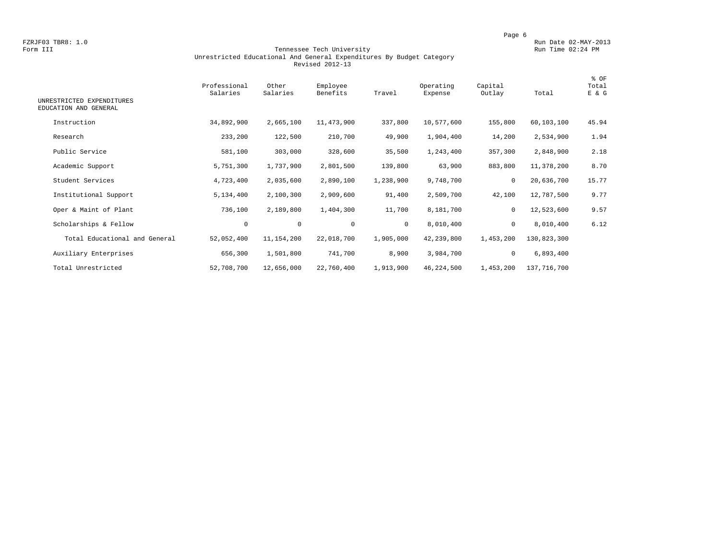#### Form III Tennessee Tech University Run Time 02:24 PM Unrestricted Educational And General Expenditures By Budget Category Revised 2012-13

| UNRESTRICTED EXPENDITURES<br>EDUCATION AND GENERAL | Professional<br>Salaries | Other<br>Salaries | Employee<br>Benefits | Travel       | Operating<br>Expense | Capital<br>Outlay | Total       | % OF<br>Total<br>E & G |
|----------------------------------------------------|--------------------------|-------------------|----------------------|--------------|----------------------|-------------------|-------------|------------------------|
|                                                    |                          |                   |                      |              |                      |                   |             |                        |
| Instruction                                        | 34,892,900               | 2,665,100         | 11,473,900           | 337,800      | 10,577,600           | 155,800           | 60,103,100  | 45.94                  |
| Research                                           | 233,200                  | 122,500           | 210,700              | 49,900       | 1,904,400            | 14,200            | 2,534,900   | 1.94                   |
| Public Service                                     | 581,100                  | 303,000           | 328,600              | 35,500       | 1,243,400            | 357,300           | 2,848,900   | 2.18                   |
| Academic Support                                   | 5,751,300                | 1,737,900         | 2,801,500            | 139,800      | 63,900               | 883,800           | 11,378,200  | 8.70                   |
| Student Services                                   | 4,723,400                | 2,035,600         | 2,890,100            | 1,238,900    | 9,748,700            | $\mathbf 0$       | 20,636,700  | 15.77                  |
| Institutional Support                              | 5,134,400                | 2,100,300         | 2,909,600            | 91,400       | 2,509,700            | 42,100            | 12,787,500  | 9.77                   |
| Oper & Maint of Plant                              | 736,100                  | 2,189,800         | 1,404,300            | 11,700       | 8,181,700            | $\mathbf 0$       | 12,523,600  | 9.57                   |
| Scholarships & Fellow                              | $\circ$                  | $\mathbf 0$       | $\mathbf 0$          | $\mathbf{0}$ | 8,010,400            | $\mathbf 0$       | 8,010,400   | 6.12                   |
| Total Educational and General                      | 52,052,400               | 11,154,200        | 22,018,700           | 1,905,000    | 42,239,800           | 1,453,200         | 130,823,300 |                        |
| Auxiliary Enterprises                              | 656,300                  | 1,501,800         | 741,700              | 8,900        | 3,984,700            | 0                 | 6,893,400   |                        |
| Total Unrestricted                                 | 52,708,700               | 12,656,000        | 22,760,400           | 1,913,900    | 46,224,500           | 1,453,200         | 137,716,700 |                        |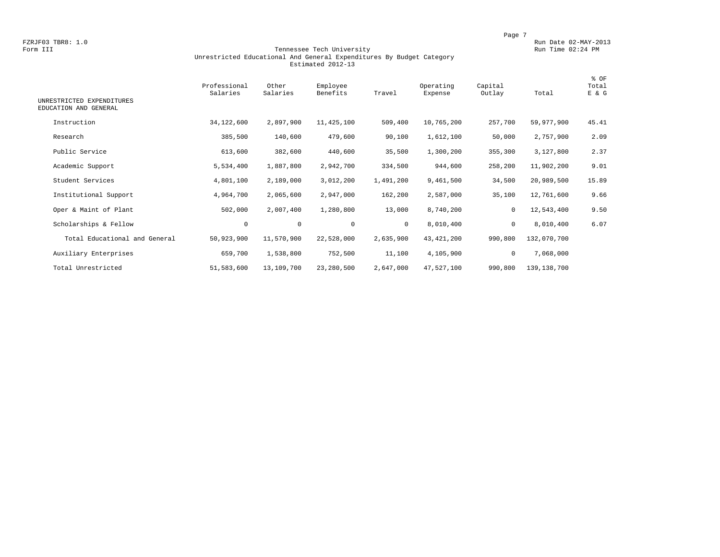#### Form III Tennessee Tech University Run Time 02:24 PM Unrestricted Educational And General Expenditures By Budget Category Estimated 2012-13

| UNRESTRICTED EXPENDITURES<br>EDUCATION AND GENERAL | Professional<br>Salaries | Other<br>Salaries | Employee<br>Benefits | Travel       | Operating<br>Expense | Capital<br>Outlay | Total       | % OF<br>Total<br>E & G |
|----------------------------------------------------|--------------------------|-------------------|----------------------|--------------|----------------------|-------------------|-------------|------------------------|
| Instruction                                        | 34,122,600               | 2,897,900         | 11,425,100           | 509,400      | 10,765,200           | 257,700           | 59,977,900  | 45.41                  |
| Research                                           | 385,500                  | 140,600           | 479,600              | 90,100       | 1,612,100            | 50,000            | 2,757,900   | 2.09                   |
| Public Service                                     | 613,600                  | 382,600           | 440,600              | 35,500       | 1,300,200            | 355,300           | 3,127,800   | 2.37                   |
| Academic Support                                   | 5,534,400                | 1,887,800         | 2,942,700            | 334,500      | 944,600              | 258,200           | 11,902,200  | 9.01                   |
| Student Services                                   | 4,801,100                | 2,189,000         | 3,012,200            | 1,491,200    | 9,461,500            | 34,500            | 20,989,500  | 15.89                  |
| Institutional Support                              | 4,964,700                | 2,065,600         | 2,947,000            | 162,200      | 2,587,000            | 35,100            | 12,761,600  | 9.66                   |
| Oper & Maint of Plant                              | 502,000                  | 2,007,400         | 1,280,800            | 13,000       | 8,740,200            | $\mathbf 0$       | 12,543,400  | 9.50                   |
| Scholarships & Fellow                              | $\mathbf 0$              | $\mathbf 0$       | $\mathbf 0$          | $\mathbf{0}$ | 8,010,400            | $\mathbf 0$       | 8,010,400   | 6.07                   |
| Total Educational and General                      | 50,923,900               | 11,570,900        | 22,528,000           | 2,635,900    | 43, 421, 200         | 990,800           | 132,070,700 |                        |
| Auxiliary Enterprises                              | 659,700                  | 1,538,800         | 752,500              | 11,100       | 4,105,900            | 0                 | 7,068,000   |                        |
| Total Unrestricted                                 | 51,583,600               | 13,109,700        | 23,280,500           | 2,647,000    | 47,527,100           | 990,800           | 139,138,700 |                        |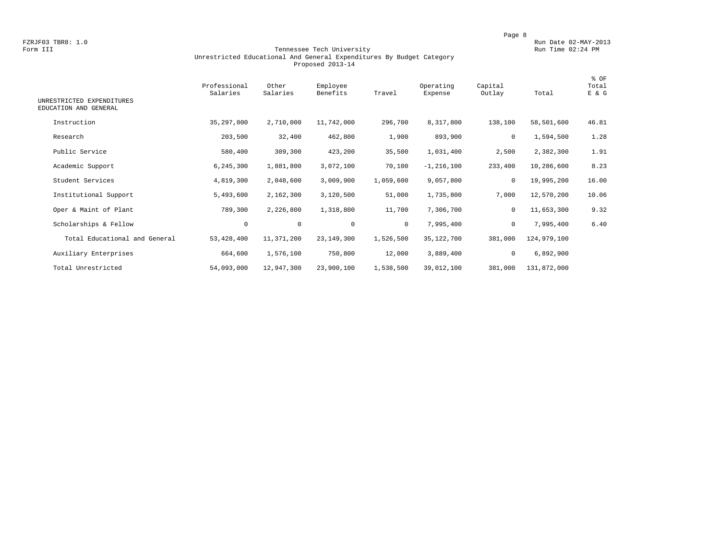#### Form III Tennessee Tech University Run Time 02:24 PM Unrestricted Educational And General Expenditures By Budget Category Proposed 2013-14

| UNRESTRICTED EXPENDITURES<br>EDUCATION AND GENERAL | Professional<br>Salaries | Other<br>Salaries | Employee<br>Benefits | Travel    | Operating<br>Expense | Capital<br>Outlay | Total       | % OF<br>Total<br>E & G |
|----------------------------------------------------|--------------------------|-------------------|----------------------|-----------|----------------------|-------------------|-------------|------------------------|
| Instruction                                        | 35, 297, 000             | 2,710,000         | 11,742,000           | 296,700   | 8,317,800            | 138,100           | 58,501,600  | 46.81                  |
| Research                                           | 203,500                  | 32,400            | 462,800              | 1,900     | 893,900              | $\mathbf{0}$      | 1,594,500   | 1.28                   |
| Public Service                                     | 580,400                  | 309,300           | 423,200              | 35,500    | 1,031,400            | 2,500             | 2,382,300   | 1.91                   |
| Academic Support                                   | 6, 245, 300              | 1,881,800         | 3,072,100            | 70,100    | $-1, 216, 100$       | 233,400           | 10,286,600  | 8.23                   |
| Student Services                                   | 4,819,300                | 2,048,600         | 3,009,900            | 1,059,600 | 9,057,800            | $\mathbf 0$       | 19,995,200  | 16.00                  |
| Institutional Support                              | 5,493,600                | 2,162,300         | 3,120,500            | 51,000    | 1,735,800            | 7,000             | 12,570,200  | 10.06                  |
| Oper & Maint of Plant                              | 789,300                  | 2,226,800         | 1,318,800            | 11,700    | 7,306,700            | 0                 | 11,653,300  | 9.32                   |
| Scholarships & Fellow                              | $\mathbf 0$              | $\mathbf 0$       | $\mathbf 0$          | $\circ$   | 7,995,400            | $\mathbf 0$       | 7,995,400   | 6.40                   |
| Total Educational and General                      | 53, 428, 400             | 11,371,200        | 23, 149, 300         | 1,526,500 | 35,122,700           | 381,000           | 124,979,100 |                        |
| Auxiliary Enterprises                              | 664,600                  | 1,576,100         | 750,800              | 12,000    | 3,889,400            | 0                 | 6,892,900   |                        |
| Total Unrestricted                                 | 54,093,000               | 12,947,300        | 23,900,100           | 1,538,500 | 39,012,100           | 381,000           | 131,872,000 |                        |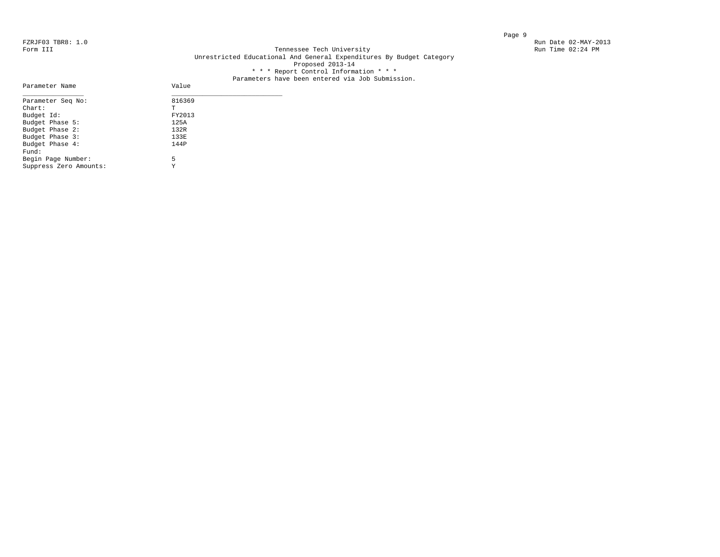Parameter Name

### FZRJF03 TBR8: 1.0<br>Form III Run Date 02-MAY-2013<br>Form III Run Time 02:24 PM Tennessee Tech University Unrestricted Educational And General Expenditures By Budget Category Proposed 2013-14 \* \* \* Report Control Information \* \* \*

# Parameters have been entered via Job Submission.<br>Value

| Parameter Seq No:      | 816369 |
|------------------------|--------|
| $Chart$ :              | T      |
| Budget Id:             | FY2013 |
| Budget Phase 5:        | 125A   |
| Budget Phase 2:        | 132R   |
| Budget Phase 3:        | 133E   |
| Budget Phase 4:        | 144P   |
| Fund:                  |        |
| Begin Page Number:     | 5      |
| Suppress Zero Amounts: | Y      |
|                        |        |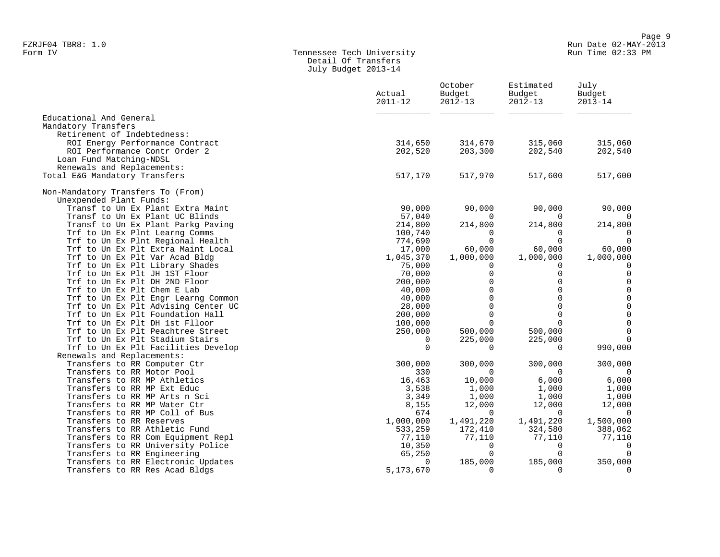# Form IV Tennessee Tech University Run Time 02:33 PM Detail Of Transfers July Budget 2013-14

|                                                                      | Actual<br>$2011 - 12$ | October<br>Budget<br>$2012 - 13$ | Estimated<br>Budget<br>$2012 - 13$ | July<br>Budget<br>$2013 - 14$ |
|----------------------------------------------------------------------|-----------------------|----------------------------------|------------------------------------|-------------------------------|
| Educational And General<br>Mandatory Transfers                       |                       |                                  |                                    |                               |
| Retirement of Indebtedness:                                          |                       |                                  |                                    |                               |
| ROI Energy Performance Contract                                      | 314,650               | 314,670                          | 315,060                            | 315,060                       |
| ROI Performance Contr Order 2                                        | 202,520               | 203,300                          | 202,540                            | 202,540                       |
| Loan Fund Matching-NDSL                                              |                       |                                  |                                    |                               |
| Renewals and Replacements:                                           |                       |                                  |                                    |                               |
| Total E&G Mandatory Transfers                                        | 517,170               | 517,970                          | 517,600                            | 517,600                       |
| Non-Mandatory Transfers To (From)                                    |                       |                                  |                                    |                               |
| Unexpended Plant Funds:                                              |                       |                                  |                                    |                               |
| Transf to Un Ex Plant Extra Maint                                    | 90,000                | 90,000                           | 90,000                             | 90,000                        |
| Transf to Un Ex Plant UC Blinds                                      | 57,040                | $\Omega$                         | $\Omega$                           | 0                             |
| Transf to Un Ex Plant Parkg Paving                                   | 214,800               | 214,800                          | 214,800                            | 214,800                       |
| Trf to Un Ex Plnt Learng Comms                                       | 100,740               | $\Omega$                         | 0                                  | $\Omega$                      |
| Trf to Un Ex Plnt Regional Health                                    | 774,690               | $\Omega$                         | $\Omega$                           | $\Omega$                      |
| Trf to Un Ex Plt Extra Maint Local<br>Trf to Un Ex Plt Var Acad Bldg | 17,000                | 60,000                           | 60,000<br>1,000,000                | 60,000<br>1,000,000           |
| Trf to Un Ex Plt Library Shades                                      | 1,045,370<br>75,000   | 1,000,000<br>0                   | 0                                  | $\mathbf 0$                   |
| Trf to Un Ex Plt JH 1ST Floor                                        | 70,000                | $\mathbf 0$                      | $\Omega$                           | $\mathbf 0$                   |
| Trf to Un Ex Plt DH 2ND Floor                                        | 200,000               | $\mathbf 0$                      | $\mathbf 0$                        | $\mathsf{O}$                  |
| Trf to Un Ex Plt Chem E Lab                                          | 40,000                | $\overline{0}$                   | 0                                  | $\mathsf 0$                   |
| Trf to Un Ex Plt Engr Learng Common                                  | 40,000                | $\Omega$                         | $\Omega$                           | $\mathsf{O}\xspace$           |
| Trf to Un Ex Plt Advising Center UC                                  | 28,000                | $\overline{0}$                   | $\Omega$                           | $\mathsf{O}\xspace$           |
| Trf to Un Ex Plt Foundation Hall                                     | 200,000               | $\Omega$                         | $\Omega$                           | $\mathsf{O}\xspace$           |
| Trf to Un Ex Plt DH 1st Flloor                                       | 100,000               | $\mathbf 0$                      | $\Omega$                           | $\mathsf{O}\xspace$           |
| Trf to Un Ex Plt Peachtree Street                                    | 250,000               | 500,000                          | 500,000                            | $\mathbf 0$                   |
| Trf to Un Ex Plt Stadium Stairs                                      | 0                     | 225,000                          | 225,000                            | $\Omega$                      |
| Trf to Un Ex Plt Facilities Develop                                  | $\Omega$              | $\Omega$                         | $\Omega$                           | 990,000                       |
| Renewals and Replacements:                                           |                       |                                  |                                    |                               |
| Transfers to RR Computer Ctr                                         | 300,000               | 300,000                          | 300,000                            | 300,000                       |
| Transfers to RR Motor Pool                                           | 330                   | $\Omega$                         | $\Omega$                           |                               |
| Transfers to RR MP Athletics                                         | 16,463                | 10,000                           | 6,000                              | 6,000                         |
| Transfers to RR MP Ext Educ                                          | 3,538                 | 1,000                            | 1,000                              | 1,000                         |
| Transfers to RR MP Arts n Sci                                        | 3,349                 | 1,000                            | 1,000                              | 1,000                         |
| Transfers to RR MP Water Ctr<br>Transfers to RR MP Coll of Bus       | 8,155<br>674          | 12,000<br>0                      | 12,000<br>$\Omega$                 | 12,000<br>$\overline{0}$      |
| Transfers to RR Reserves                                             | 1,000,000             | 1,491,220                        | 1,491,220                          | 1,500,000                     |
| Transfers to RR Athletic Fund                                        | 533,259               | 172,410                          | 324,580                            | 388,062                       |
| Transfers to RR Com Equipment Repl                                   | 77,110                | 77,110                           | 77,110                             | 77,110                        |
| Transfers to RR University Police                                    | 10,350                | 0                                | 0                                  | $\overline{0}$                |
| Transfers to RR Engineering                                          | 65,250                | 0                                | $\Omega$                           | $\Omega$                      |
| Transfers to RR Electronic Updates                                   | 0                     | 185,000                          | 185,000                            | 350,000                       |
| Transfers to RR Res Acad Bldgs                                       | 5,173,670             | $\Omega$                         | $\Omega$                           | $\Omega$                      |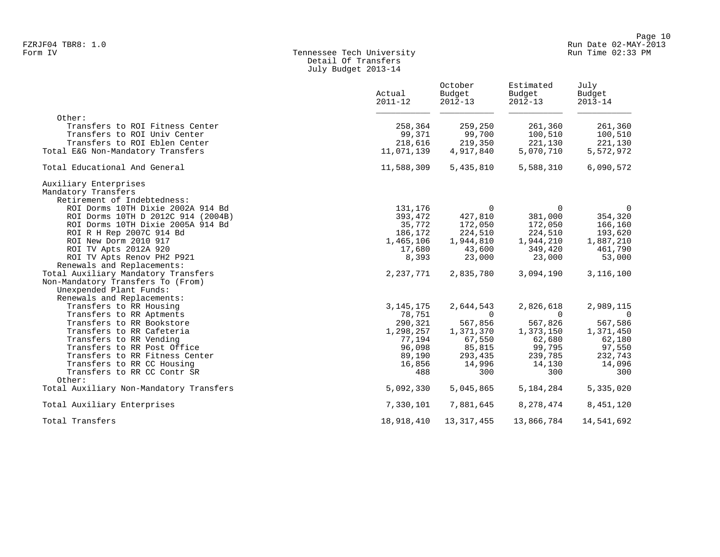# Form IV Tennessee Tech University Run Time 02:33 PM Detail Of Transfers July Budget 2013-14

|                                         | Actual<br>$2011 - 12$ | October<br>Budget<br>$2012 - 13$ | Estimated<br>Budget<br>$2012 - 13$ | July<br>Budget<br>$2013 - 14$ |
|-----------------------------------------|-----------------------|----------------------------------|------------------------------------|-------------------------------|
| Other:                                  |                       |                                  |                                    |                               |
| Transfers to ROI Fitness Center         | 258,364               | 259,250                          | 261,360                            | 261,360                       |
| Transfers to ROI Univ Center            | 99,371                | 99,700                           | 100,510                            | 100,510                       |
| Transfers to ROI Eblen Center           | 218,616               | 219,350                          | 221,130                            | 221,130                       |
| Total E&G Non-Mandatory Transfers       | 11,071,139            | 4,917,840                        | 5,070,710                          | 5,572,972                     |
| Total Educational And General           | 11,588,309            | 5,435,810                        | 5,588,310                          | 6,090,572                     |
| Auxiliary Enterprises                   |                       |                                  |                                    |                               |
| Mandatory Transfers                     |                       |                                  |                                    |                               |
| Retirement of Indebtedness:             |                       |                                  |                                    |                               |
| ROI Dorms 10TH Dixie 2002A 914 Bd       | 131,176               | $\Omega$                         | $\Omega$                           | 0                             |
| ROI Dorms 10TH D 2012C 914 (2004B)      | 393,472               | 427,810                          | 381,000                            | 354,320                       |
| ROI Dorms 10TH Dixie 2005A 914 Bd       | 35,772                | 172,050                          | 172,050                            | 166,160                       |
| ROI R H Rep 2007C 914 Bd                | 186,172               | 224,510                          | 224,510                            | 193,620                       |
| ROI New Dorm 2010 917                   | 1,465,106             | 1,944,810                        | 1,944,210                          | 1,887,210                     |
| ROI TV Apts 2012A 920                   | 17,680                | 43,600                           | 349,420                            | 461,790                       |
| ROI TV Apts Renov PH2 P921              | 8,393                 | 23,000                           | 23,000                             | 53,000                        |
| Renewals and Replacements:              |                       |                                  |                                    |                               |
| Total Auxiliary Mandatory Transfers     | 2,237,771             | 2,835,780                        | 3,094,190                          | 3,116,100                     |
| Non-Mandatory Transfers To (From)       |                       |                                  |                                    |                               |
| Unexpended Plant Funds:                 |                       |                                  |                                    |                               |
| Renewals and Replacements:              |                       |                                  |                                    |                               |
| Transfers to RR Housing                 | 3, 145, 175           | 2,644,543                        | 2,826,618                          | 2,989,115                     |
| Transfers to RR Aptments                | 78,751                | $\Omega$                         | $\Omega$                           | $\Omega$                      |
| Transfers to RR Bookstore               | 290,321               | 567,856                          | 567,826                            | 567,586                       |
| Transfers to RR Cafeteria               | 1,298,257             | 1,371,370                        | 1,373,150                          | 1,371,450                     |
| Transfers to RR Vending                 | 77,194                | 67,550                           | 62,680                             | 62,180                        |
| Transfers to RR Post Office             | 96,098                | 85,815                           | 99,795                             | 97,550                        |
| Transfers to RR Fitness Center          | 89,190                | 293,435                          | 239,785                            | 232,743                       |
| Transfers to RR CC Housing              | 16,856                | 14,996                           | 14,130                             | 14,096                        |
| Transfers to RR CC Contr SR             | 488                   | 300                              | 300                                | 300                           |
| Other:                                  |                       |                                  |                                    |                               |
| Total Auxiliary Non-Mandatory Transfers | 5,092,330             | 5,045,865                        | 5,184,284                          | 5,335,020                     |
| Total Auxiliary Enterprises             | 7,330,101             | 7,881,645                        | 8,278,474                          | 8,451,120                     |
| Total Transfers                         | 18,918,410            | 13, 317, 455                     | 13,866,784                         | 14,541,692                    |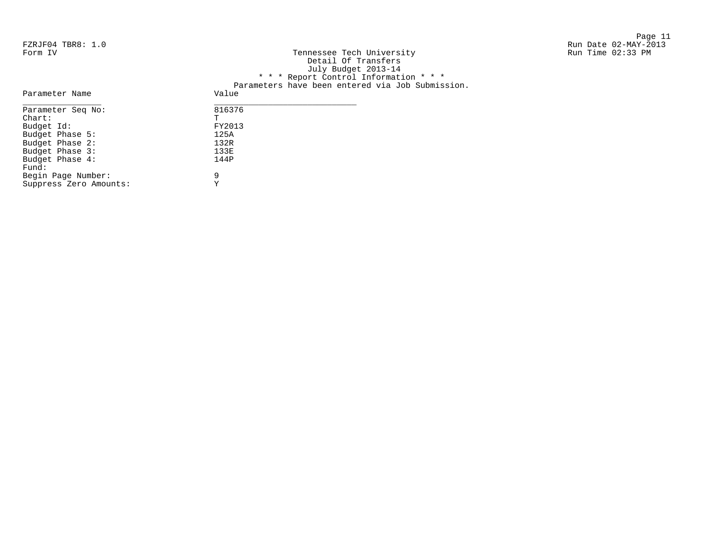| FZRJF04 TBR8: 1.0<br>Form IV | Tennessee Tech University<br>Detail Of Transfers              | Run Date 02-MAY-2013<br>Run Time $02:33$ PM |
|------------------------------|---------------------------------------------------------------|---------------------------------------------|
|                              | July Budget 2013-14<br>* * * Report Control Information * * * |                                             |
|                              | Parameters have been entered via Job Submission.              |                                             |
| Parameter Name               | Value                                                         |                                             |
| Parameter Seq No:            | 816376                                                        |                                             |
| Chart:                       | Ţ                                                             |                                             |
| Budget Id:                   | FY2013                                                        |                                             |
| Budget Phase 5:              | 125A                                                          |                                             |
| Budget Phase 2:              | 132R                                                          |                                             |

Budget Phase 3: 133E Budget Phase 4: 144P Fund:

Begin Page Number: 9 Suppress Zero Amounts: Y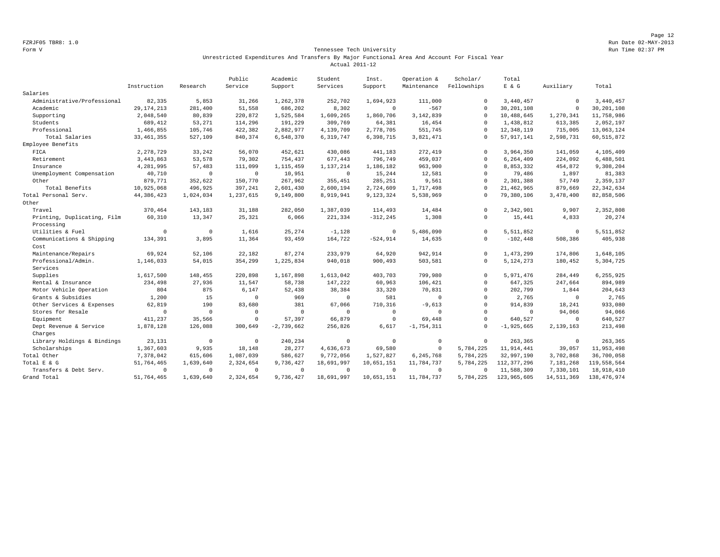#### Form V Tennessee Tech University Run Time 02:37 PM Unrestricted Expenditures And Transfers By Major Functional Area And Account For Fiscal Year Actual 2011-12

|                             |              |             | Public       | Academic     | Student     | Inst.          | Operation &  | Scholar/    | Total          |                     |               |
|-----------------------------|--------------|-------------|--------------|--------------|-------------|----------------|--------------|-------------|----------------|---------------------|---------------|
|                             | Instruction  | Research    | Service      | Support      | Services    | Support        | Maintenance  | Fellowships | $E$ & $G$      | Auxiliary           | Total         |
| Salaries                    |              |             |              |              |             |                |              |             |                |                     |               |
| Administrative/Professional | 82,335       | 5,853       | 31,266       | 1,262,378    | 252,702     | 1,694,923      | 111,000      | $^{\circ}$  | 3,440,457      | $\mathbf{0}$        | 3,440,457     |
| Academic                    | 29, 174, 213 | 281,400     | 51,558       | 686,202      | 8,302       | $\circ$        | $-567$       | $\Omega$    | 30, 201, 108   | $\mathsf{O}\xspace$ | 30, 201, 108  |
| Supporting                  | 2,048,540    | 80,839      | 220,872      | 1,525,584    | 1,609,265   | 1,860,706      | 3,142,839    | $\Omega$    | 10,488,645     | 1,270,341           | 11,758,986    |
| Students                    | 689,412      | 53,271      | 114,296      | 191,229      | 309,769     | 64,381         | 16,454       | $\Omega$    | 1,438,812      | 613,385             | 2,052,197     |
| Professional                | 1,466,855    | 105,746     | 422,382      | 2,882,977    | 4,139,709   | 2,778,705      | 551,745      | $\Omega$    | 12, 348, 119   | 715,005             | 13,063,124    |
| Total Salaries              | 33, 461, 355 | 527,109     | 840,374      | 6,548,370    | 6, 319, 747 | 6,398,715      | 3,821,471    | $\Omega$    | 57, 917, 141   | 2,598,731           | 60, 515, 872  |
| Employee Benefits           |              |             |              |              |             |                |              |             |                |                     |               |
| FICA                        | 2, 278, 729  | 33,242      | 56,070       | 452.621      | 430,086     | 441,183        | 272,419      | $\Omega$    | 3,964,350      | 141.059             | 4,105,409     |
| Retirement                  | 3, 443, 863  | 53,578      | 79,302       | 754,437      | 677,443     | 796,749        | 459,037      | $\Omega$    | 6,264,409      | 224,092             | 6,488,501     |
| Insurance                   | 4,281,995    | 57,483      | 111,099      | 1, 115, 459  | 1,137,214   | 1,186,182      | 963,900      | $\mathbf 0$ | 8,853,332      | 454,872             | 9,308,204     |
| Unemployment Compensation   | 40,710       | $^{\circ}$  | $\mathbf{0}$ | 10,951       | $\mathbf 0$ | 15,244         | 12,581       | $\mathbf 0$ | 79,486         | 1,897               | 81,383        |
| Other                       | 879,771      | 352,622     | 150,770      | 267,962      | 355,451     | 285,251        | 9,561        | $\Omega$    | 2,301,388      | 57,749              | 2,359,137     |
| Total Benefits              | 10,925,068   | 496,925     | 397,241      | 2,601,430    | 2,600,194   | 2,724,609      | 1,717,498    | $\Omega$    | 21, 462, 965   | 879,669             | 22, 342, 634  |
| Total Personal Serv.        | 44, 386, 423 | 1,024,034   | 1,237,615    | 9,149,800    | 8,919,941   | 9,123,324      | 5,538,969    | $\Omega$    | 79,380,106     | 3,478,400           | 82,858,506    |
| Other                       |              |             |              |              |             |                |              |             |                |                     |               |
| Travel                      | 370,464      | 143,183     | 31,188       | 282,050      | 1,387,039   | 114,493        | 14,484       | $\Omega$    | 2,342,901      | 9,907               | 2,352,808     |
| Printing, Duplicating, Film | 60,310       | 13,347      | 25,321       | 6,066        | 221,334     | $-312, 245$    | 1,308        | $\Omega$    | 15,441         | 4,833               | 20,274        |
| Processing                  |              |             |              |              |             |                |              |             |                |                     |               |
| Utilities & Fuel            | $\mathbf{0}$ | $\mathbf 0$ | 1,616        | 25, 274      | $-1,128$    | $^{\circ}$     | 5,486,090    | $\Omega$    | 5,511,852      | $\circ$             | 5,511,852     |
| Communications & Shipping   | 134,391      | 3,895       | 11,364       | 93,459       | 164.722     | $-524.914$     | 14,635       | $^{\circ}$  | $-102, 448$    | 508,386             | 405,938       |
| Cost                        |              |             |              |              |             |                |              |             |                |                     |               |
| Maintenance/Repairs         | 69,924       | 52,106      | 22,182       | 87,274       | 233,979     | 64,920         | 942,914      | $\Omega$    | 1,473,299      | 174,806             | 1,648,105     |
| Professional/Admin.         | 1,146,033    | 54,015      | 354,299      | 1,225,834    | 940,018     | 900,493        | 503,581      | $\mathbf 0$ | 5, 124, 273    | 180,452             | 5,304,725     |
| Services                    |              |             |              |              |             |                |              |             |                |                     |               |
| Supplies                    | 1,617,500    | 148,455     | 220,898      | 1,167,898    | 1,613,042   | 403,703        | 799,980      | $\mathbf 0$ | 5,971,476      | 284,449             | 6,255,925     |
| Rental & Insurance          | 234,498      | 27,936      | 11,547       | 58,738       | 147,222     | 60,963         | 106,421      | $\Omega$    | 647,325        | 247,664             | 894,989       |
| Motor Vehicle Operation     | 804          | 875         | 6,147        | 52,438       | 38,384      | 33,320         | 70,831       | $^{\circ}$  | 202,799        | 1.844               | 204,643       |
| Grants & Subsidies          | 1,200        | 15          | $\mathbf{0}$ | 969          | $\mathbf 0$ | 581            | $\mathbf{0}$ | $\mathbf 0$ | 2,765          | $\circ$             | 2,765         |
| Other Services & Expenses   | 62,819       | 190         | 83,680       | 381          | 67,066      | 710,316        | $-9,613$     | $^{\circ}$  | 914,839        | 18,241              | 933,080       |
| Stores for Resale           | $\mathbf{0}$ | $\mathbf 0$ | $\mathbf{0}$ | $\mathbb O$  | $\Omega$    | $^{\circ}$     | $\mathbf{0}$ | $\mathbf 0$ | $^{\circ}$     | 94,066              | 94,066        |
| Equipment                   | 411,237      | 35,566      | $\Omega$     | 57,397       | 66,879      | $\circ$        | 69,448       | $^{\circ}$  | 640,527        | $\mathbf{0}$        | 640,527       |
| Dept Revenue & Service      | 1,878,128    | 126,088     | 300,649      | $-2,739,662$ | 256,826     | 6,617          | $-1,754,311$ | $\Omega$    | $-1, 925, 665$ | 2,139,163           | 213,498       |
| Charges                     |              |             |              |              |             |                |              |             |                |                     |               |
| Library Holdings & Bindings | 23,131       | $^{\circ}$  | $\circ$      | 240,234      | $^{\circ}$  | $^{\circ}$     | $^{\circ}$   | $^{\circ}$  | 263,365        | $\mathbf{0}$        | 263,365       |
| Scholarships                | 1,367,603    | 9,935       | 18,148       | 28,277       | 4,636,673   | 69,580         | $\mathbf{0}$ | 5,784,225   | 11,914,441     | 39,057              | 11,953,498    |
| Total Other                 | 7,378,042    | 615,606     | 1,087,039    | 586,627      | 9,772,056   | 1,527,827      | 6,245,768    | 5,784,225   | 32,997,190     | 3,702,868           | 36,700,058    |
| Total E & G                 | 51,764,465   | 1,639,640   | 2,324,654    | 9,736,427    | 18,691,997  | 10,651,151     | 11,784,737   | 5,784,225   | 112, 377, 296  | 7,181,268           | 119,558,564   |
| Transfers & Debt Serv.      | $\Omega$     | $\mathbf 0$ | $\Omega$     | $^{\circ}$   | $\Omega$    | $\overline{0}$ | $^{\circ}$   | $\Omega$    | 11,588,309     | 7,330,101           | 18,918,410    |
| Grand Total                 | 51,764,465   | 1,639,640   | 2,324,654    | 9,736,427    | 18,691,997  | 10,651,151     | 11,784,737   | 5,784,225   | 123,965,605    | 14,511,369          | 138, 476, 974 |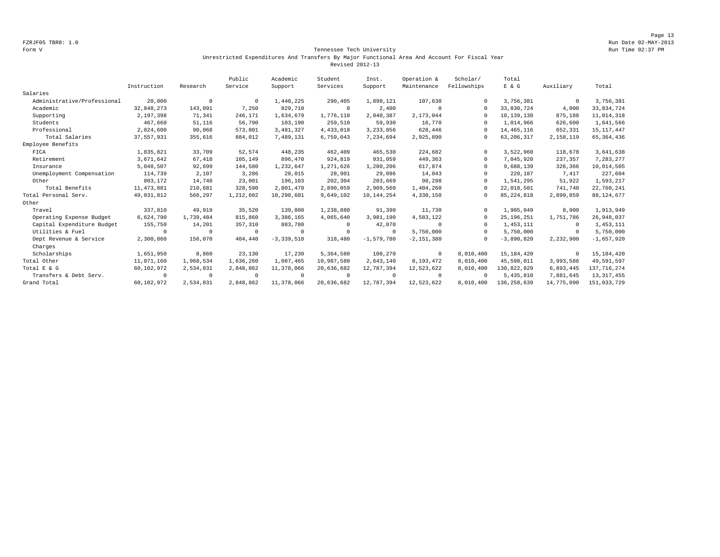Page 13 FZRJF05 TBR8: 1.0 Run Date 02-MAY-2013

#### Form V Tennessee Tech University Run Time 02:37 PM Unrestricted Expenditures And Transfers By Major Functional Area And Account For Fiscal Year Revised 2012-13

|                             |              |            | Public     | Academic     | Student    | Inst.        | Operation &  | Scholar/    | Total         |             |               |
|-----------------------------|--------------|------------|------------|--------------|------------|--------------|--------------|-------------|---------------|-------------|---------------|
|                             | Instruction  | Research   | Service    | Support      | Services   | Support      | Maintenance  | Fellowships | E & G         | Auxiliary   | Total         |
| Salaries                    |              |            |            |              |            |              |              |             |               |             |               |
| Administrative/Professional | 20,000       | $^{\circ}$ | $^{\circ}$ | 1,440,225    | 290,405    | 1,898,121    | 107,630      | $\Omega$    | 3,756,381     | $\mathbf 0$ | 3,756,381     |
| Academic                    | 32,848,273   | 143,091    | 7,250      | 829,710      | $\circ$    | 2,400        | $\Omega$     | $\Omega$    | 33,830,724    | 4,000       | 33,834,724    |
| Supporting                  | 2,197,398    | 71,341     | 246,171    | 1,634,679    | 1,776,110  | 2,040,387    | 2,173,044    | $\Omega$    | 10,139,130    | 875,188     | 11,014,318    |
| Students                    | 467,660      | 51,116     | 56,790     | 103,190      | 259,510    | 59,930       | 16,770       | $\Omega$    | 1,014,966     | 626,600     | 1,641,566     |
| Professional                | 2,024,600    | 90,068     | 573,801    | 3,481,327    | 4,433,018  | 3, 233, 856  | 628,446      | $\cap$      | 14, 465, 116  | 652,331     | 15, 117, 447  |
| Total Salaries              | 37,557,931   | 355,616    | 884,012    | 7,489,131    | 6,759,043  | 7,234,694    | 2,925,890    | $\Omega$    | 63, 206, 317  | 2,158,119   | 65, 364, 436  |
| Employee Benefits           |              |            |            |              |            |              |              |             |               |             |               |
| FICA                        | 1,835,821    | 33,709     | 52,574     | 448.235      | 462,409    | 465,530      | 224,682      | $\Omega$    | 3,522,960     | 118,678     | 3,641,638     |
| Retirement                  | 3,671,642    | 67,418     | 105,149    | 896,470      | 924,819    | 931,059      | 449,363      | $\Omega$    | 7,045,920     | 237,357     | 7,283,277     |
| Insurance                   | 5,048,507    | 92,699     | 144,580    | 1,232,647    | 1,271,626  | 1,280,206    | 617,874      | $\Omega$    | 9,688,139     | 326,366     | 10,014,505    |
| Unemployment Compensation   | 114,739      | 2,107      | 3,286      | 28,015       | 28,901     | 29,096       | 14,043       | $\cap$      | 220,187       | 7,417       | 227,604       |
| Other                       | 803,172      | 14,748     | 23,001     | 196,103      | 202,304    | 203,669      | 98,298       | $\Omega$    | 1,541,295     | 51,922      | 1,593,217     |
| Total Benefits              | 11, 473, 881 | 210,681    | 328,590    | 2,801,470    | 2,890,059  | 2,909,560    | 1,404,260    | $\Omega$    | 22,018,501    | 741,740     | 22,760,241    |
| Total Personal Serv.        | 49,031,812   | 566,297    | 1,212,602  | 10,290,601   | 9,649,102  | 10, 144, 254 | 4,330,150    | $\Omega$    | 85, 224, 818  | 2,899,859   | 88, 124, 677  |
| Other                       |              |            |            |              |            |              |              |             |               |             |               |
| Travel                      | 337,810      | 49,919     | 35,520     | 139,800      | 1,238,880  | 91,390       | 11,730       | $\Omega$    | 1,905,049     | 8,900       | 1,913,949     |
| Operating Expense Budget    | 6,624,790    | 1,739,484  | 815,860    | 3,386,165    | 4,065,640  | 3,981,190    | 4,583,122    | $\Omega$    | 25, 196, 251  | 1,751,786   | 26,948,037    |
| Capital Expenditure Budget  | 155,750      | 14,201     | 357,310    | 883,780      | 0          | 42,070       | $^{\circ}$   | $\Omega$    | 1,453,111     | $^{\circ}$  | 1,453,111     |
| Utilities & Fuel            | $\cap$       | $^{\circ}$ | $\Omega$   | $^{\circ}$   | $\Omega$   | $\Omega$     | 5,750,000    | $\Omega$    | 5,750,000     | 0           | 5,750,000     |
| Dept Revenue & Service      | 2,300,860    | 156,070    | 404,440    | $-3,339,510$ | 318,480    | $-1,579,780$ | $-2,151,380$ | $\Omega$    | $-3,890,820$  | 2,232,900   | $-1,657,920$  |
| Charges                     |              |            |            |              |            |              |              |             |               |             |               |
| Scholarships                | 1,651,950    | 8,860      | 23,130     | 17,230       | 5,364,580  | 108,270      | $^{\circ}$   | 8,010,400   | 15, 184, 420  | $^{\circ}$  | 15, 184, 420  |
| Total Other                 | 11,071,160   | 1,968,534  | 1,636,260  | 1,087,465    | 10,987,580 | 2,643,140    | 8,193,472    | 8,010,400   | 45,598,011    | 3,993,586   | 49,591,597    |
| Total E & G                 | 60,102,972   | 2,534,831  | 2,848,862  | 11,378,066   | 20,636,682 | 12,787,394   | 12,523,622   | 8,010,400   | 130,822,829   | 6,893,445   | 137, 716, 274 |
| Transfers & Debt Serv.      | $\Omega$     | $^{\circ}$ |            | $^{\circ}$   | $\Omega$   | $\Omega$     | $^{\circ}$   | $\Omega$    | 5,435,810     | 7,881,645   | 13, 317, 455  |
| Grand Total                 | 60,102,972   | 2,534,831  | 2,848,862  | 11,378,066   | 20,636,682 | 12,787,394   | 12,523,622   | 8,010,400   | 136, 258, 639 | 14,775,090  | 151,033,729   |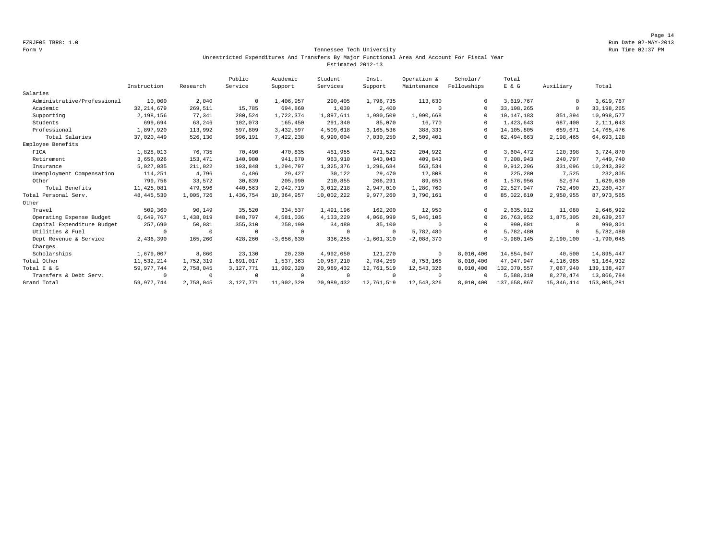Page 14 FZRJF05 TBR8: 1.0 Run Date 02-MAY-2013

#### Form V Tennessee Tech University **Form Constant Constant Constant Constant Constant Constant Constant Constant Constant Constant Constant Constant Public Constant Constant Public Constant Constant Public Constant Public Co**  Unrestricted Expenditures And Transfers By Major Functional Area And Account For Fiscal Year Estimated 2012-13

|                             |              |            | Public    | Academic     | Student     | Inst.        | Operation &  | Scholar/    | Total        |              |               |
|-----------------------------|--------------|------------|-----------|--------------|-------------|--------------|--------------|-------------|--------------|--------------|---------------|
|                             | Instruction  | Research   | Service   | Support      | Services    | Support      | Maintenance  | Fellowships | E & G        | Auxiliary    | Total         |
| Salaries                    |              |            |           |              |             |              |              |             |              |              |               |
| Administrative/Professional | 10,000       | 2,040      | $\Omega$  | 1,406,957    | 290,405     | 1,796,735    | 113,630      | $\Omega$    | 3,619,767    | $^{\circ}$   | 3,619,767     |
| Academic                    | 32, 214, 679 | 269,511    | 15,785    | 694,860      | 1,030       | 2,400        | $^{\circ}$   | $\Omega$    | 33, 198, 265 | $\mathbf{0}$ | 33, 198, 265  |
| Supporting                  | 2,198,156    | 77,341     | 280,524   | 1,722,374    | 1,897,611   | 1,980,509    | 1,990,668    | $\Omega$    | 10, 147, 183 | 851,394      | 10,998,577    |
| Students                    | 699,694      | 63,246     | 102,073   | 165,450      | 291,340     | 85,070       | 16,770       | $\Omega$    | 1,423,643    | 687,400      | 2, 111, 043   |
| Professional                | 1,897,920    | 113,992    | 597,809   | 3,432,597    | 4,509,618   | 3,165,536    | 388,333      | $\Omega$    | 14,105,805   | 659,671      | 14,765,476    |
| Total Salaries              | 37,020,449   | 526,130    | 996,191   | 7,422,238    | 6,990,004   | 7,030,250    | 2,509,401    | $\Omega$    | 62, 494, 663 | 2,198,465    | 64,693,128    |
| Employee Benefits           |              |            |           |              |             |              |              |             |              |              |               |
| FICA                        | 1,828,013    | 76,735     | 70,490    | 470,835      | 481,955     | 471,522      | 204,922      | $\Omega$    | 3,604,472    | 120,398      | 3,724,870     |
| Retirement                  | 3,656,026    | 153,471    | 140,980   | 941,670      | 963,910     | 943,043      | 409,843      | $\Omega$    | 7,208,943    | 240,797      | 7,449,740     |
| Insurance                   | 5,027,035    | 211,022    | 193,848   | 1,294,797    | 1,325,376   | 1,296,684    | 563,534      | $\Omega$    | 9,912,296    | 331,096      | 10,243,392    |
| Unemployment Compensation   | 114,251      | 4,796      | 4,406     | 29,427       | 30,122      | 29,470       | 12,808       |             | 225,280      | 7,525        | 232,805       |
| Other                       | 799,756      | 33,572     | 30,839    | 205,990      | 210,855     | 206,291      | 89,653       | $\Omega$    | 1,576,956    | 52,674       | 1,629,630     |
| Total Benefits              | 11, 425, 081 | 479,596    | 440,563   | 2,942,719    | 3,012,218   | 2,947,010    | 1,280,760    | $\Omega$    | 22,527,947   | 752,490      | 23, 280, 437  |
| Total Personal Serv.        | 48, 445, 530 | 1,005,726  | 1,436,754 | 10,364,957   | 10,002,222  | 9,977,260    | 3,790,161    | $\Omega$    | 85,022,610   | 2,950,955    | 87,973,565    |
| Other                       |              |            |           |              |             |              |              |             |              |              |               |
| Travel                      | 509,360      | 90,149     | 35,520    | 334,537      | 1,491,196   | 162,200      | 12,950       | $\Omega$    | 2,635,912    | 11,080       | 2,646,992     |
| Operating Expense Budget    | 6,649,767    | 1,438,019  | 848,797   | 4,581,036    | 4, 133, 229 | 4,066,999    | 5,046,105    | $\Omega$    | 26.763.952   | 1,875,305    | 28,639,257    |
| Capital Expenditure Budget  | 257,690      | 50,031     | 355,310   | 258,190      | 34,480      | 35,100       | $^{\circ}$   | $\Omega$    | 990,801      | $\mathbf{0}$ | 990,801       |
| Utilities & Fuel            | $\Omega$     | $\circ$    | $\Omega$  | $^{\circ}$   | $\mathbf 0$ | $^{\circ}$   | 5,782,480    | $\Omega$    | 5,782,480    | $\mathbf{0}$ | 5,782,480     |
| Dept Revenue & Service      | 2,436,390    | 165,260    | 428,260   | $-3,656,630$ | 336,255     | $-1,601,310$ | $-2,088,370$ | $\Omega$    | $-3,980,145$ | 2,190,100    | $-1,790,045$  |
| Charges                     |              |            |           |              |             |              |              |             |              |              |               |
| Scholarships                | 1,679,007    | 8,860      | 23,130    | 20,230       | 4,992,050   | 121,270      | $^{\circ}$   | 8,010,400   | 14,854,947   | 40,500       | 14,895,447    |
| Total Other                 | 11,532,214   | 1,752,319  | 1,691,017 | 1,537,363    | 10,987,210  | 2,784,259    | 8,753,165    | 8,010,400   | 47.047.947   | 4,116,985    | 51, 164, 932  |
| Total E & G                 | 59,977,744   | 2,758,045  | 3,127,771 | 11,902,320   | 20,989,432  | 12,761,519   | 12,543,326   | 8,010,400   | 132,070,557  | 7,067,940    | 139, 138, 497 |
| Transfers & Debt Serv.      | $\Omega$     | $^{\circ}$ | $\Omega$  | $^{\circ}$   | $\circ$     | $\Omega$     | $^{\circ}$   | $\Omega$    | 5,588,310    | 8,278,474    | 13,866,784    |
| Grand Total                 | 59,977,744   | 2,758,045  | 3,127,771 | 11,902,320   | 20,989,432  | 12,761,519   | 12,543,326   | 8,010,400   | 137,658,867  | 15, 346, 414 | 153,005,281   |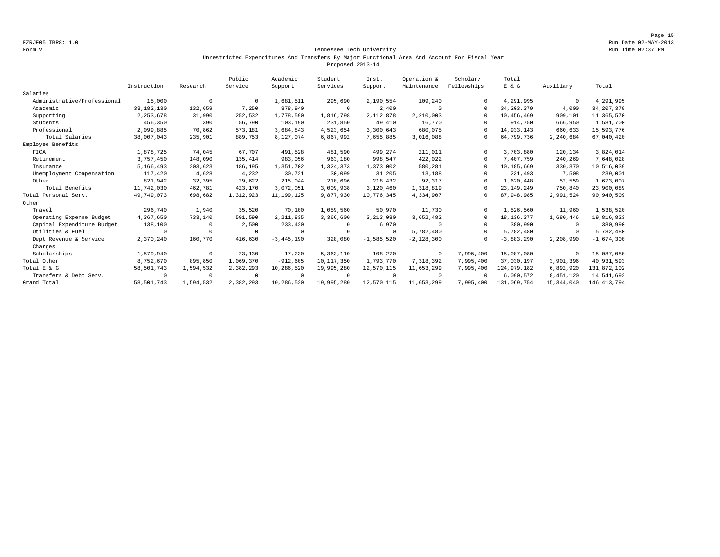Page 15 FZRJF05 TBR8: 1.0 Run Date 02-MAY-2013

#### Form V Tennessee Tech University Run Time 02:37 PM Unrestricted Expenditures And Transfers By Major Functional Area And Account For Fiscal Year Proposed 2013-14

|                             |              |            | Public    | Academic     | Student      | Inst.        | Operation &  | Scholar/    | Total        |              |               |
|-----------------------------|--------------|------------|-----------|--------------|--------------|--------------|--------------|-------------|--------------|--------------|---------------|
|                             | Instruction  | Research   | Service   | Support      | Services     | Support      | Maintenance  | Fellowships | $E$ & $G$    | Auxiliary    | Total         |
| Salaries                    |              |            |           |              |              |              |              |             |              |              |               |
| Administrative/Professional | 15,000       | $^{\circ}$ | $\Omega$  | 1,681,511    | 295,690      | 2,190,554    | 109,240      | $\Omega$    | 4,291,995    | $\mathbf 0$  | 4,291,995     |
| Academic                    | 33, 182, 130 | 132,659    | 7,250     | 878,940      | $\mathbf 0$  | 2,400        | $\Omega$     | $\cap$      | 34, 203, 379 | 4,000        | 34, 207, 379  |
| Supporting                  | 2, 253, 678  | 31,990     | 252,532   | 1,778,590    | 1,816,798    | 2,112,878    | 2,210,003    |             | 10,456,469   | 909,101      | 11,365,570    |
| Students                    | 456,350      | 390        | 56,790    | 103,190      | 231,850      | 49,410       | 16,770       |             | 914,750      | 666,950      | 1,581,700     |
| Professional                | 2,099,885    | 70,862     | 573,181   | 3,684,843    | 4,523,654    | 3,300,643    | 680,075      | $\Omega$    | 14,933,143   | 660,633      | 15,593,776    |
| Total Salaries              | 38,007,043   | 235,901    | 889,753   | 8,127,074    | 6,867,992    | 7,655,885    | 3,016,088    | $\Omega$    | 64,799,736   | 2,240,684    | 67,040,420    |
| Employee Benefits           |              |            |           |              |              |              |              |             |              |              |               |
| FICA                        | 1,878,725    | 74,045     | 67.707    | 491,528      | 481,590      | 499,274      | 211,011      | $\Omega$    | 3,703,880    | 120,134      | 3,824,014     |
| Retirement                  | 3,757,450    | 148,090    | 135,414   | 983,056      | 963,180      | 998,547      | 422,022      | $\Omega$    | 7,407,759    | 240,269      | 7,648,028     |
| Insurance                   | 5,166,493    | 203,623    | 186,195   | 1,351,702    | 1,324,373    | 1,373,002    | 580,281      | $\Omega$    | 10,185,669   | 330,370      | 10,516,039    |
| Unemployment Compensation   | 117,420      | 4,628      | 4,232     | 30,721       | 30,099       | 31,205       | 13,188       | $\Omega$    | 231,493      | 7,508        | 239,001       |
| Other                       | 821,942      | 32,395     | 29,622    | 215,044      | 210,696      | 218,432      | 92,317       | $\Omega$    | 1,620,448    | 52,559       | 1,673,007     |
| Total Benefits              | 11,742,030   | 462,781    | 423,170   | 3,072,051    | 3,009,938    | 3,120,460    | 1,318,819    | $\Omega$    | 23, 149, 249 | 750,840      | 23,900,089    |
| Total Personal Serv.        | 49,749,073   | 698,682    | 1,312,923 | 11, 199, 125 | 9,877,930    | 10,776,345   | 4,334,907    | 0           | 87,948,985   | 2,991,524    | 90,940,509    |
| Other                       |              |            |           |              |              |              |              |             |              |              |               |
| Travel                      | 296,740      | 1,940      | 35,520    | 70,100       | 1,059,560    | 50,970       | 11,730       | $\Omega$    | 1,526,560    | 11,960       | 1,538,520     |
| Operating Expense Budget    | 4,367,650    | 733,140    | 591,590   | 2, 211, 835  | 3,366,600    | 3, 213, 080  | 3,652,482    | $\Omega$    | 18, 136, 377 | 1,680,446    | 19,816,823    |
| Capital Expenditure Budget  | 138,100      | 0          | 2,500     | 233,420      | 0            | 6,970        | $\Omega$     | $\Omega$    | 380,990      | $^{\circ}$   | 380,990       |
| Utilities & Fuel            | $\Omega$     | $\Omega$   | $\cap$    | 0            | $\Omega$     | $\Omega$     | 5,782,480    | $\cap$      | 5,782,480    | 0            | 5,782,480     |
| Dept Revenue & Service      | 2,370,240    | 160,770    | 416,630   | $-3,445,190$ | 328,080      | $-1,585,520$ | $-2,128,300$ | $\Omega$    | $-3,883,290$ | 2,208,990    | $-1,674,300$  |
| Charges                     |              |            |           |              |              |              |              |             |              |              |               |
| Scholarships                | 1,579,940    | $\circ$    | 23,130    | 17,230       | 5, 363, 110  | 108,270      | $\circ$      | 7,995,400   | 15,087,080   | 0            | 15,087,080    |
| Total Other                 | 8,752,670    | 895,850    | 1,069,370 | $-912,605$   | 10, 117, 350 | 1,793,770    | 7,318,392    | 7,995,400   | 37,030,197   | 3,901,396    | 40,931,593    |
| Total E & G                 | 58,501,743   | 1,594,532  | 2,382,293 | 10,286,520   | 19,995,280   | 12,570,115   | 11,653,299   | 7,995,400   | 124,979,182  | 6,892,920    | 131,872,102   |
| Transfers & Debt Serv.      | $\Omega$     | $^{\circ}$ |           | $^{\circ}$   | $\Omega$     | $^{\circ}$   | $^{\circ}$   | $\Omega$    | 6,090,572    | 8,451,120    | 14,541,692    |
| Grand Total                 | 58, 501, 743 | 1,594,532  | 2,382,293 | 10,286,520   | 19,995,280   | 12,570,115   | 11,653,299   | 7,995,400   | 131,069,754  | 15, 344, 040 | 146, 413, 794 |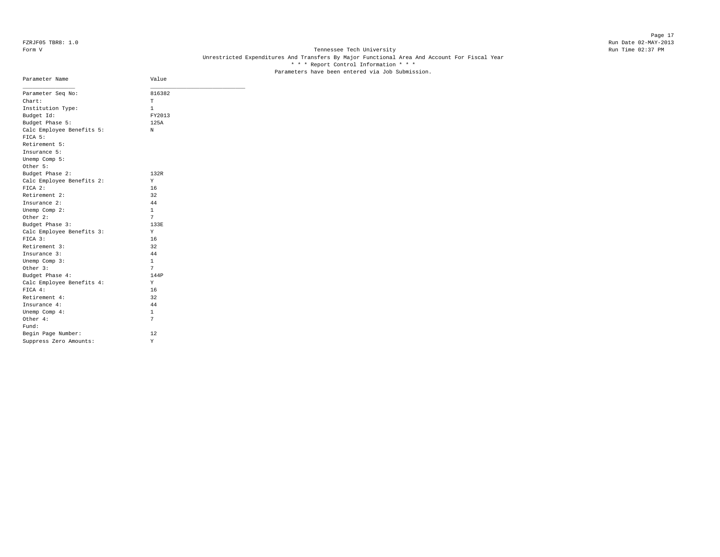# Form V Tennessee Tech University **Tennessee Tech University** Run Time 02:37 PM Unrestricted Expenditures And Transfers By Major Functional Area And Account For Fiscal Year \* \* \* Report Control Information \* \* \* Parameters have been entered via Job Submission.

| Parameter Name            | Value  |
|---------------------------|--------|
| Parameter Seq No:         | 816382 |
| Chart:                    | т      |
| Institution Type:         | 1      |
| Budget Id:                | FY2013 |
| Budget Phase 5:           | 125A   |
| Calc Employee Benefits 5: | N      |
| FICA 5:                   |        |
| Retirement 5:             |        |
| Insurance 5:              |        |
| Unemp Comp 5:             |        |
| Other 5:                  |        |
| Budget Phase 2:           | 132R   |
| Calc Employee Benefits 2: | Y      |
| FICA 2:                   | 16     |
| Retirement 2:             | 32     |
| Insurance 2:              | 44     |
| Unemp Comp 2:             | 1      |
| Other 2:                  | 7      |
| Budget Phase 3:           | 133E   |
| Calc Employee Benefits 3: | Y      |
| FICA 3:                   | 16     |
| Retirement 3:             | 32     |
| Insurance 3:              | 44     |
| Unemp Comp 3:             | 1      |
| Other 3:                  | 7      |
| Budget Phase 4:           | 144P   |
| Calc Employee Benefits 4: | Υ      |
| FICA 4:                   | 16     |
| Retirement 4:             | 32     |
| Insurance 4:              | 44     |
| Unemp Comp 4:             | 1      |
| Other 4:                  | 7      |
| Fund:                     |        |
| Begin Page Number:        | 12     |
| Suppress Zero Amounts:    | Υ      |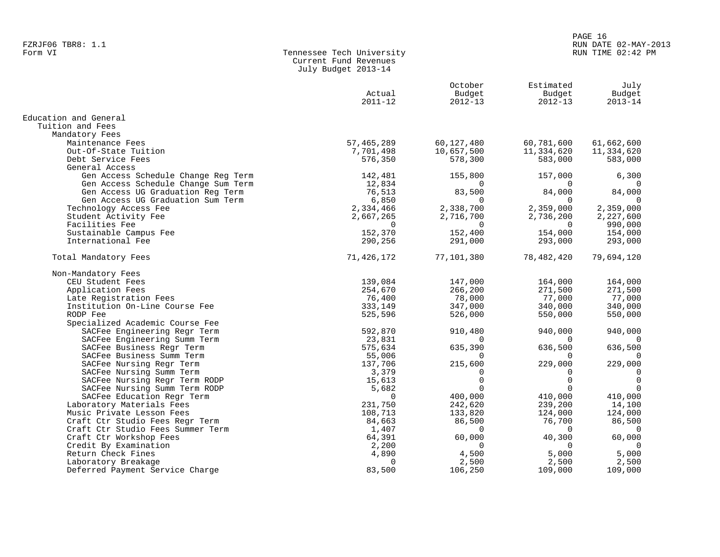### PAGE 16 FZRJF06 TBR8: 1.1 RUN DATE 02-MAY-2013 RUN TIME 02:42 PM

| Form VI | Tennessee Tech University |
|---------|---------------------------|
|         | Current Fund Revenues     |
|         | July Budget 2013-14       |

|                                     | Actual<br>$2011 - 12$ | October<br>Budget<br>$2012 - 13$ | Estimated<br>Budget<br>$2012 - 13$ | July<br>Budget<br>$2013 - 14$ |
|-------------------------------------|-----------------------|----------------------------------|------------------------------------|-------------------------------|
| Education and General               |                       |                                  |                                    |                               |
| Tuition and Fees                    |                       |                                  |                                    |                               |
| Mandatory Fees                      |                       |                                  |                                    |                               |
| Maintenance Fees                    | 57,465,289            | 60,127,480                       | 60,781,600                         | 61,662,600                    |
| Out-Of-State Tuition                | 7,701,498             | 10,657,500                       | 11,334,620                         | 11,334,620                    |
| Debt Service Fees                   | 576,350               | 578,300                          | 583,000                            | 583,000                       |
| General Access                      |                       |                                  |                                    |                               |
| Gen Access Schedule Change Reg Term | 142,481               | 155,800                          | 157,000                            | 6,300                         |
| Gen Access Schedule Change Sum Term | 12,834                | 0                                | $\Omega$                           | 0                             |
| Gen Access UG Graduation Reg Term   | 76,513                | 83,500                           | 84,000                             | 84,000                        |
| Gen Access UG Graduation Sum Term   | 6,850                 | $\Omega$                         | $\Omega$                           | $\Omega$                      |
| Technology Access Fee               | 2,334,466             | 2,338,700                        | 2,359,000                          | 2,359,000                     |
| Student Activity Fee                | 2,667,265             | 2,716,700                        | 2,736,200                          | 2,227,600                     |
| Facilities Fee                      | $\Omega$              | $\Omega$                         | $\Omega$                           | 990,000                       |
| Sustainable Campus Fee              | 152,370               | 152,400                          | 154,000                            | 154,000                       |
| International Fee                   | 290,256               | 291,000                          | 293,000                            | 293,000                       |
| Total Mandatory Fees                | 71,426,172            | 77,101,380                       | 78,482,420                         | 79,694,120                    |
| Non-Mandatory Fees                  |                       |                                  |                                    |                               |
| CEU Student Fees                    | 139,084               | 147,000                          | 164,000                            | 164,000                       |
| Application Fees                    | 254,670               | 266,200                          | 271,500                            | 271,500                       |
| Late Registration Fees              | 76,400                | 78,000                           | 77,000                             | 77,000                        |
| Institution On-Line Course Fee      | 333,149               | 347,000                          | 340,000                            | 340,000                       |
| RODP Fee                            | 525,596               | 526,000                          | 550,000                            | 550,000                       |
| Specialized Academic Course Fee     |                       |                                  |                                    |                               |
| SACFee Engineering Regr Term        | 592,870               | 910,480                          | 940,000                            | 940,000                       |
| SACFee Engineering Summ Term        | 23,831                | U                                |                                    |                               |
| SACFee Business Regr Term           | 575,634               | 635,390                          | 636,500                            | 636,500                       |
| SACFee Business Summ Term           | 55,006                | 0                                | $\Omega$                           | $\Omega$                      |
| SACFee Nursing Regr Term            | 137,706               | 215,600                          | 229,000                            | 229,000                       |
| SACFee Nursing Summ Term            | 3,379                 | $\Omega$                         | $\Omega$                           | 0                             |
| SACFee Nursing Regr Term RODP       | 15,613                | $\Omega$                         | $\Omega$                           | $\Omega$                      |
| SACFee Nursing Summ Term RODP       | 5,682                 | 0                                | $\mathbf 0$                        | $\mathbf 0$                   |
| SACFee Education Regr Term          | $\Omega$              | 400,000                          | 410,000                            | 410,000                       |
| Laboratory Materials Fees           | 231,750               | 242,620                          | 239,200                            | 14,100                        |
| Music Private Lesson Fees           | 108,713               | 133,820                          | 124,000                            | 124,000                       |
| Craft Ctr Studio Fees Regr Term     | 84,663                | 86,500                           | 76,700                             | 86,500                        |
| Craft Ctr Studio Fees Summer Term   | 1,407                 | 0                                | $\Omega$                           | $\Omega$                      |
| Craft Ctr Workshop Fees             | 64,391                | 60,000                           | 40,300                             | 60,000                        |
| Credit By Examination               | 2,200                 | $\Omega$                         | $\Omega$                           | $\Omega$                      |
| Return Check Fines                  | 4,890                 | 4,500                            | 5,000                              | 5,000                         |
| Laboratory Breakage                 | 0                     | 2,500                            | 2,500                              | 2,500                         |
| Deferred Payment Service Charge     | 83,500                | 106,250                          | 109,000                            | 109,000                       |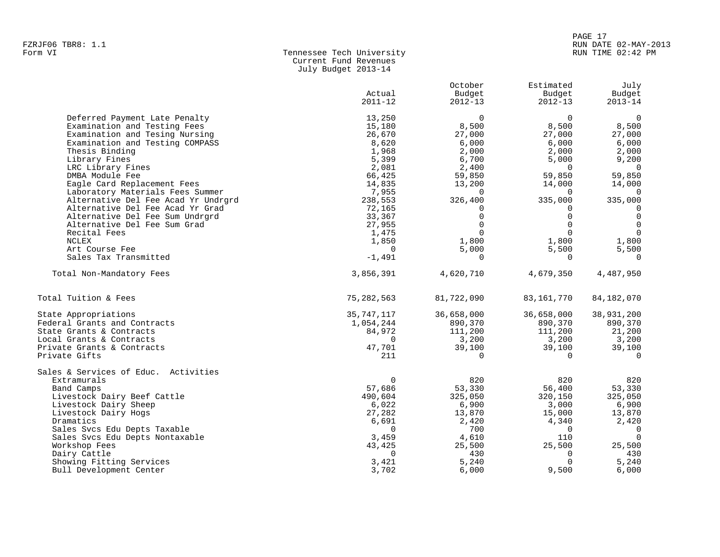| Form VI | Tennessee Tech University |
|---------|---------------------------|
|         | Current Fund Revenues     |
|         | July Budget 2013-14       |

|                                      | Actual<br>$2011 - 12$ | October<br>Budget<br>$2012 - 13$ | Estimated<br>Budget<br>$2012 - 13$ | July<br>Budget<br>$2013 - 14$ |
|--------------------------------------|-----------------------|----------------------------------|------------------------------------|-------------------------------|
| Deferred Payment Late Penalty        | 13,250                | $\Omega$                         | $\Omega$                           | $\overline{0}$                |
| Examination and Testing Fees         | 15,180                | 8,500                            | 8,500                              | 8,500                         |
| Examination and Tesing Nursing       | 26,670                | 27,000                           | 27,000                             | 27,000                        |
| Examination and Testing COMPASS      | 8,620                 | 6,000                            | 6,000                              | 6,000                         |
| Thesis Binding                       | 1,968                 | 2,000                            | 2,000                              | 2,000                         |
| Library Fines                        | 5,399                 | 6,700                            | 5,000                              | 9,200                         |
| LRC Library Fines                    | 2,081                 | 2,400                            | $\Omega$                           | $\overline{0}$                |
| DMBA Module Fee                      | 66,425                | 59,850                           | 59,850                             | 59,850                        |
| Eagle Card Replacement Fees          | 14,835                | 13,200                           | 14,000                             | 14,000                        |
| Laboratory Materials Fees Summer     | 7,955                 | $\Omega$                         | $\Omega$                           | 0                             |
| Alternative Del Fee Acad Yr Undrgrd  | 238,553               | 326,400                          | 335,000                            | 335,000                       |
| Alternative Del Fee Acad Yr Grad     | 72,165                | $\Omega$                         | $\Omega$                           | $\Omega$                      |
| Alternative Del Fee Sum Undrgrd      | 33,367                | $\Omega$                         | $\Omega$                           | $\Omega$                      |
| Alternative Del Fee Sum Grad         | 27,955                | $\Omega$                         | $\Omega$                           | $\Omega$                      |
| Recital Fees                         | 1,475                 | $\Omega$                         | $\Omega$                           | $\Omega$                      |
| NCLEX                                | 1,850                 | 1,800                            | 1,800                              | 1,800                         |
| Art Course Fee                       | $\Omega$              | 5,000                            | 5,500                              | 5,500                         |
| Sales Tax Transmitted                | $-1,491$              | $\Omega$                         | $\Omega$                           | $\mathbf 0$                   |
| Total Non-Mandatory Fees             | 3,856,391             | 4,620,710                        | 4,679,350                          | 4,487,950                     |
| Total Tuition & Fees                 | 75, 282, 563          | 81,722,090                       | 83, 161, 770                       | 84,182,070                    |
| State Appropriations                 | 35,747,117            | 36,658,000                       | 36,658,000                         | 38,931,200                    |
| Federal Grants and Contracts         | 1,054,244             | 890,370                          | 890,370                            | 890,370                       |
| State Grants & Contracts             | 84,972                | 111,200                          | 111,200                            | 21,200                        |
| Local Grants & Contracts             | $\Omega$              | 3,200                            | 3,200                              | 3,200                         |
| Private Grants & Contracts           | 47,701                | 39,100                           | 39,100                             | 39,100                        |
| Private Gifts                        | 211                   | $\Omega$                         | $\Omega$                           | $\Omega$                      |
| Sales & Services of Educ. Activities |                       |                                  |                                    |                               |
| Extramurals                          | $\Omega$              | 820                              | 820                                | 820                           |
| Band Camps                           | 57,686                | 53,330                           | 56,400                             | 53,330                        |
| Livestock Dairy Beef Cattle          | 490,604               | 325,050                          | 320,150                            | 325,050                       |
| Livestock Dairy Sheep                | 6,022                 | 6,900                            | 3,000                              | 6,900                         |
| Livestock Dairy Hogs                 | 27,282                | 13,870                           | 15,000                             | 13,870                        |
| Dramatics                            | 6,691                 | 2,420                            | 4,340                              | 2,420                         |
| Sales Svcs Edu Depts Taxable         | $\mathbf 0$           | 700                              | $\mathbf 0$                        | $\overline{0}$                |
| Sales Svcs Edu Depts Nontaxable      | 3,459                 | 4,610                            | 110                                | $\overline{0}$                |
| Workshop Fees                        | 43,425                | 25,500                           | 25,500                             | 25,500                        |
| Dairy Cattle                         | $\Omega$              | 430                              | $\Omega$                           | 430                           |
| Showing Fitting Services             | 3,421                 | 5,240                            | $\Omega$                           | 5,240                         |
| Bull Development Center              | 3,702                 | 6,000                            | 9,500                              | 6,000                         |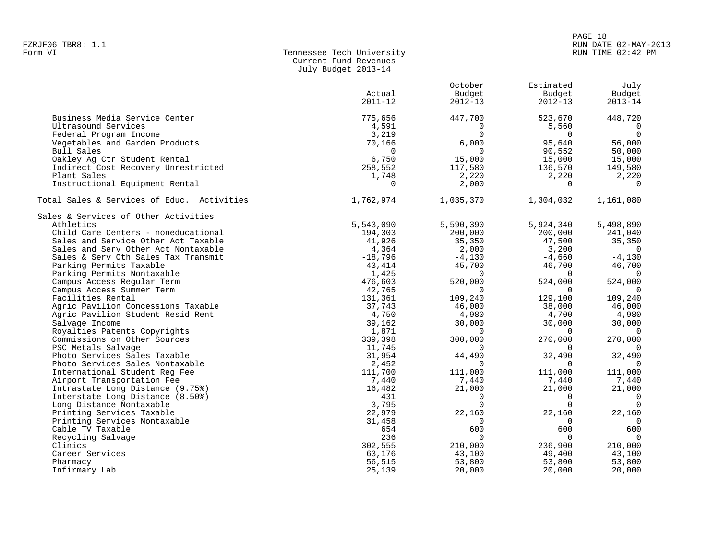### PAGE 18 FZRJF06 TBR8: 1.1 RUN DATE 02-MAY-2013 RUN TIME 02:42 PM

| Form VI | Tennessee Tech University |
|---------|---------------------------|
|         | Current Fund Revenues     |
|         | July Budget 2013-14       |

|                                                              | Actual<br>$2011 - 12$ | October<br>Budget<br>$2012 - 13$ | Estimated<br>Budget<br>$2012 - 13$ | July<br>Budget<br>$2013 - 14$ |
|--------------------------------------------------------------|-----------------------|----------------------------------|------------------------------------|-------------------------------|
| Business Media Service Center                                | 775,656               | 447,700                          | 523,670                            | 448,720                       |
| Ultrasound Services                                          | 4,591                 | $\Omega$                         | 5,560                              | $\overline{0}$                |
| Federal Program Income                                       | 3,219                 | $\Omega$                         | $\Omega$                           | $\Omega$                      |
| Vegetables and Garden Products                               | 70,166                | 6,000                            | 95,640                             | 56,000                        |
| Bull Sales                                                   | $\Omega$              | $\Omega$                         | 90,552                             | 50,000                        |
| Oakley Ag Ctr Student Rental                                 | 6,750                 | 15,000                           | 15,000                             | 15,000                        |
| Indirect Cost Recovery Unrestricted                          | 258,552               | 117,580                          | 136,570                            | 149,580                       |
| Plant Sales                                                  | 1,748                 | 2,220                            | 2,220                              | 2,220                         |
| Instructional Equipment Rental                               | $\Omega$              | 2,000                            | $\Omega$                           | $\Omega$                      |
| Total Sales & Services of Educ. Activities                   | 1,762,974             | 1,035,370                        | 1,304,032                          | 1,161,080                     |
| Sales & Services of Other Activities                         |                       |                                  |                                    |                               |
| Athletics                                                    | 5,543,090             | 5,590,390                        | 5,924,340                          | 5,498,890                     |
| Child Care Centers - noneducational                          | 194,303               | 200,000                          | 200,000                            | 241,040                       |
| Sales and Service Other Act Taxable                          | 41,926                | 35,350                           | 47,500                             | 35,350                        |
| Sales and Serv Other Act Nontaxable                          | 4,364                 | 2,000                            | 3,200                              | $\overline{0}$                |
| Sales & Serv Oth Sales Tax Transmit                          | $-18,796$             | $-4,130$                         | $-4,660$                           | $-4,130$                      |
| Parking Permits Taxable                                      | 43,414                | 45,700                           | 46,700                             | 46,700                        |
| Parking Permits Nontaxable                                   | 1,425                 | $\Omega$                         | $\Omega$                           | $\overline{0}$                |
| Campus Access Regular Term                                   | 476,603               | 520,000                          | 524,000                            | 524,000                       |
| Campus Access Summer Term                                    | 42,765                | $\Omega$                         | $\Omega$                           | $\overline{0}$                |
| Facilities Rental                                            | 131,361               | 109,240                          | 129,100                            | 109,240                       |
| Agric Pavilion Concessions Taxable                           | 37,743                | 46,000                           | 38,000                             | 46,000                        |
| Agric Pavilion Student Resid Rent                            | 4,750                 | 4,980                            | 4,700                              | 4,980                         |
| Salvage Income                                               | 39,162                | 30,000                           | 30,000                             | 30,000                        |
| Royalties Patents Copyrights                                 | 1,871                 | $\Omega$                         | $\Omega$                           | 0                             |
| Commissions on Other Sources                                 | 339,398               | 300,000                          | 270,000                            | 270,000                       |
| PSC Metals Salvage                                           | 11,745                | $\Omega$                         | $\Omega$                           | $\Omega$                      |
| Photo Services Sales Taxable                                 | 31,954                | 44,490                           | 32,490                             | 32,490                        |
| Photo Services Sales Nontaxable                              | 2,452                 | $\Omega$                         | $\Omega$                           | $\overline{0}$                |
| International Student Req Fee                                | 111,700               | 111,000                          | 111,000                            | 111,000                       |
| Airport Transportation Fee                                   | 7,440                 | 7,440                            | 7,440                              | 7,440                         |
| Intrastate Long Distance (9.75%)                             | 16,482<br>431         | 21,000<br>$\Omega$               | 21,000<br>$\Omega$                 | 21,000<br>$\Omega$            |
| Interstate Long Distance (8.50%)<br>Long Distance Nontaxable | 3,795                 | $\cap$                           |                                    | $\Omega$                      |
| Printing Services Taxable                                    |                       |                                  |                                    |                               |
| Printing Services Nontaxable                                 | 22,979<br>31,458      | 22,160<br>$\Omega$               | 22,160<br>$\Omega$                 | 22,160<br>$\Omega$            |
| Cable TV Taxable                                             | 654                   | 600                              | 600                                | 600                           |
| Recycling Salvage                                            | 236                   | $\Omega$                         | $\Omega$                           | $\Omega$                      |
| Clinics                                                      | 302,555               | 210,000                          | 236,900                            | 210,000                       |
| Career Services                                              | 63,176                | 43,100                           | 49,400                             | 43,100                        |
| Pharmacy                                                     | 56,515                | 53,800                           | 53,800                             | 53,800                        |
| Infirmary Lab                                                | 25,139                | 20,000                           | 20,000                             | 20,000                        |
|                                                              |                       |                                  |                                    |                               |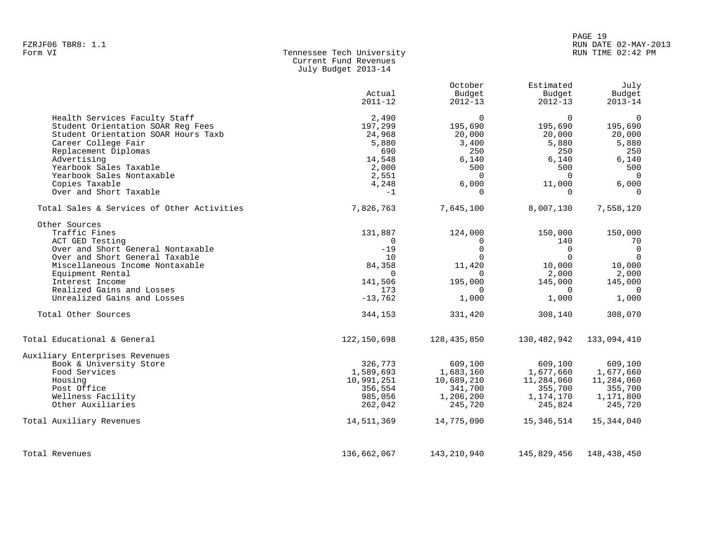| Form VI | Tennessee Tech University |
|---------|---------------------------|
|         | Current Fund Revenues     |
|         | July Budget 2013-14       |

|                                            | Actual<br>$2011 - 12$ | October<br>Budget<br>$2012 - 13$ | Estimated<br>Budget<br>$2012 - 13$ | July<br>Budget<br>$2013 - 14$ |
|--------------------------------------------|-----------------------|----------------------------------|------------------------------------|-------------------------------|
| Health Services Faculty Staff              | 2,490                 | $\Omega$                         | $\Omega$                           | $\Omega$                      |
| Student Orientation SOAR Req Fees          | 197,299               | 195,690                          | 195,690                            | 195,690                       |
| Student Orientation SOAR Hours Taxb        | 24,968                | 20,000                           | 20,000                             | 20,000                        |
| Career College Fair                        | 5,880                 | 3,400                            | 5,880                              | 5,880                         |
| Replacement Diplomas                       | 690                   | 250                              | 250                                | 250                           |
| Advertising                                | 14,548                | 6,140                            | 6,140                              | 6,140                         |
| Yearbook Sales Taxable                     | 2,000                 | 500                              | 500                                | 500                           |
| Yearbook Sales Nontaxable                  | 2,551                 | $\mathbf 0$                      | $\Omega$                           | $\Omega$                      |
| Copies Taxable                             | 4,248                 | 6,000                            | 11,000                             | 6,000                         |
| Over and Short Taxable                     | $-1$                  | $\Omega$                         | $\Omega$                           | $\Omega$                      |
| Total Sales & Services of Other Activities | 7,826,763             | 7,645,100                        | 8,007,130                          | 7,558,120                     |
| Other Sources                              |                       |                                  |                                    |                               |
| Traffic Fines                              | 131,887               | 124,000                          | 150,000                            | 150,000                       |
| ACT GED Testing                            | $\Omega$              | 0                                | 140                                | 70                            |
| Over and Short General Nontaxable          | $-19$                 | $\mathbf 0$                      | $\Omega$                           | $\overline{0}$                |
| Over and Short General Taxable             | 10                    | $\Omega$                         | $\Omega$                           | $\Omega$                      |
| Miscellaneous Income Nontaxable            | 84,358                | 11,420                           | 10,000                             | 10,000                        |
| Equipment Rental                           | $\Omega$              | $\Omega$                         | 2,000                              | 2,000                         |
| Interest Income                            | 141,506               | 195,000                          | 145,000                            | 145,000                       |
| Realized Gains and Losses                  | 173                   | $\Omega$                         | $\Omega$                           | $\Omega$                      |
| Unrealized Gains and Losses                | $-13,762$             | 1,000                            | 1,000                              | 1,000                         |
| Total Other Sources                        | 344,153               | 331,420                          | 308,140                            | 308,070                       |
| Total Educational & General                | 122, 150, 698         | 128,435,850                      | 130,482,942                        | 133,094,410                   |
| Auxiliary Enterprises Revenues             |                       |                                  |                                    |                               |
| Book & University Store                    | 326,773               | 609,100                          | 609,100                            | 609,100                       |
| Food Services                              | 1,589,693             | 1,683,160                        | 1,677,660                          | 1,677,660                     |
| Housing                                    | 10,991,251            | 10,689,210                       | 11,284,060                         | 11,284,060                    |
| Post Office                                | 356,554               | 341,700                          | 355,700                            | 355,700                       |
| Wellness Facility                          | 985,056               | 1,206,200                        | 1,174,170                          | 1,171,800                     |
| Other Auxiliaries                          | 262,042               | 245,720                          | 245,824                            | 245,720                       |
| Total Auxiliary Revenues                   | 14,511,369            | 14,775,090                       | 15,346,514                         | 15,344,040                    |
| Total Revenues                             | 136,662,067           | 143,210,940                      | 145,829,456                        | 148,438,450                   |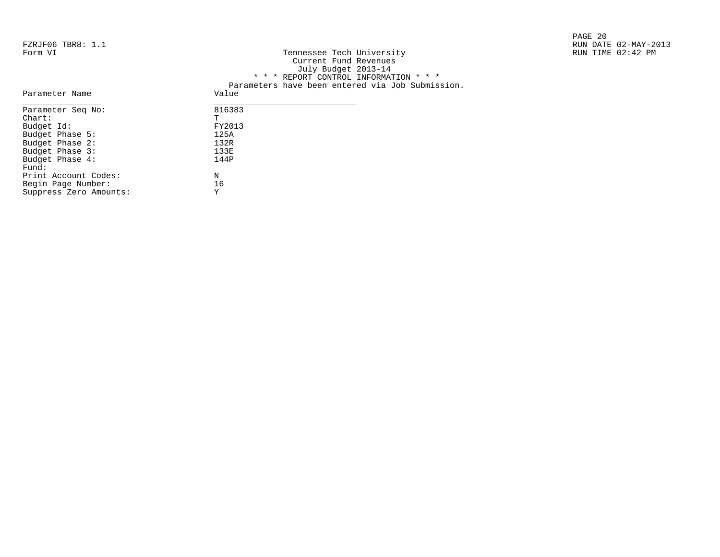PAGE 20 RUN TIME 02:42 PM

| FZRJF06 TBR8: 1.1 |                                                  | RUN DATE 02-MAY-2013 |
|-------------------|--------------------------------------------------|----------------------|
| Form VI           | Tennessee Tech University                        | RUN TIME 02:42 PM    |
|                   | Current Fund Revenues                            |                      |
|                   | July Budget 2013-14                              |                      |
|                   | * * * REPORT CONTROL INFORMATION * * *           |                      |
|                   | Parameters have been entered via Job Submission. |                      |
| Parameter Name    | Value                                            |                      |
| Parameter Seq No: | 816383                                           |                      |
| $char:$           | т                                                |                      |
| Budget Id:        | FY2013                                           |                      |
| Budget Phase 5:   | 125A                                             |                      |
| Budget Phase 2:   | 132R                                             |                      |
| Budget Phase 3:   | 133E                                             |                      |
| Budget Phase 4:   | 144P                                             |                      |

| Parameter seg no.      | 810383 |
|------------------------|--------|
| $chart$ :              | Ͳ      |
| Budget Id:             | FY2013 |
| Budget Phase 5:        | 125A   |
| Budget Phase 2:        | 132R   |
| Budget Phase 3:        | 133E   |
| Budget Phase 4:        | 144P   |
| Fund:                  |        |
| Print Account Codes:   | N      |
| Begin Page Number:     | 16     |
| Suppress Zero Amounts: | Y      |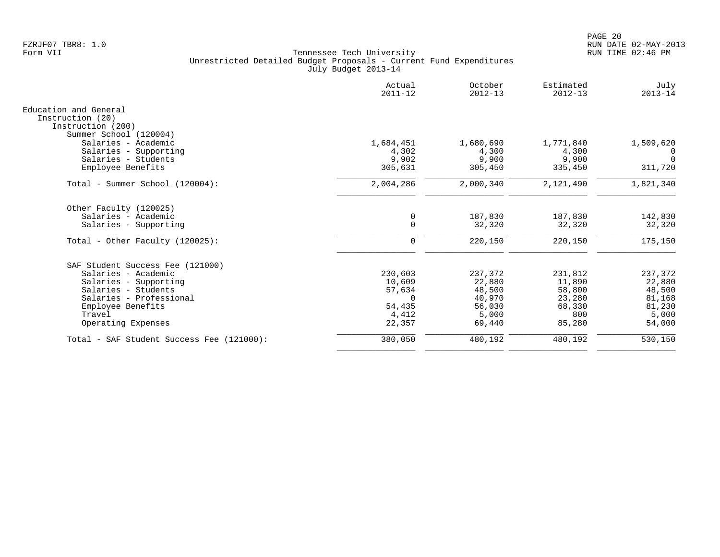|                                               | Actual<br>$2011 - 12$ | October<br>$2012 - 13$ | Estimated<br>$2012 - 13$ | July<br>$2013 - 14$ |
|-----------------------------------------------|-----------------------|------------------------|--------------------------|---------------------|
| Education and General                         |                       |                        |                          |                     |
| Instruction (20)                              |                       |                        |                          |                     |
| Instruction (200)                             |                       |                        |                          |                     |
| Summer School (120004)<br>Salaries - Academic | 1,684,451             | 1,680,690              | 1,771,840                | 1,509,620           |
| Salaries - Supporting                         | 4,302                 | 4,300                  | 4,300                    | 0                   |
| Salaries - Students                           | 9,902                 | 9,900                  | 9,900                    | $\Omega$            |
| Employee Benefits                             | 305,631               | 305,450                | 335,450                  | 311,720             |
| Total - Summer School (120004):               | 2,004,286             | 2,000,340              | 2,121,490                | 1,821,340           |
| Other Faculty (120025)                        |                       |                        |                          |                     |
| Salaries - Academic                           | 0                     | 187,830                | 187,830                  | 142,830             |
| Salaries - Supporting                         | $\mathbf 0$           | 32,320                 | 32,320                   | 32,320              |
| Total - Other Faculty $(120025)$ :            | 0                     | 220,150                | 220,150                  | 175,150             |
| SAF Student Success Fee (121000)              |                       |                        |                          |                     |
| Salaries - Academic                           | 230,603               | 237,372                | 231,812                  | 237,372             |
| Salaries - Supporting                         | 10,609                | 22,880                 | 11,890                   | 22,880              |
| Salaries - Students                           | 57,634                | 48,500                 | 58,800                   | 48,500              |
| Salaries - Professional                       | $\Omega$              | 40,970                 | 23,280                   | 81,168              |
| Employee Benefits                             | 54,435                | 56,030                 | 68,330                   | 81,230              |
| Travel                                        | 4,412                 | 5,000                  | 800                      | 5,000               |
| Operating Expenses                            | 22,357                | 69,440                 | 85,280                   | 54,000              |
| Total - SAF Student Success Fee (121000):     | 380,050               | 480,192                | 480,192                  | 530,150             |
|                                               |                       |                        |                          |                     |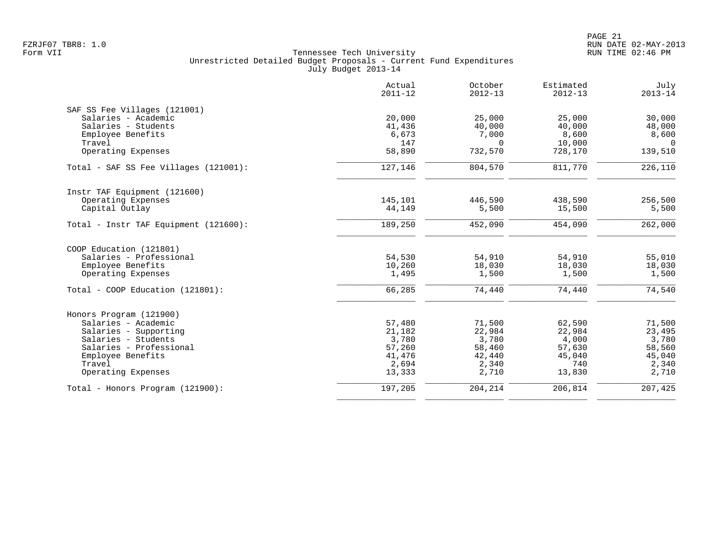|                                       | Actual<br>$2011 - 12$ | October<br>$2012 - 13$ | Estimated<br>$2012 - 13$ | July<br>$2013 - 14$ |
|---------------------------------------|-----------------------|------------------------|--------------------------|---------------------|
| SAF SS Fee Villages (121001)          |                       |                        |                          |                     |
| Salaries - Academic                   | 20,000                | 25,000                 | 25,000                   | 30,000              |
| Salaries - Students                   | 41,436                | 40,000                 | 40,000                   | 48,000              |
| Employee Benefits                     | 6,673                 | 7,000                  | 8,600                    | 8,600               |
| Travel                                | 147                   | $\Omega$               | 10,000                   | $\Omega$            |
| Operating Expenses                    | 58,890                | 732,570                | 728,170                  | 139,510             |
| Total - SAF SS Fee Villages (121001): | 127, 146              | 804,570                | 811,770                  | 226,110             |
| Instr TAF Equipment (121600)          |                       |                        |                          |                     |
| Operating Expenses                    | 145,101               | 446,590                | 438,590                  | 256,500             |
| Capital Outlay                        | 44,149                | 5,500                  | 15,500                   | 5,500               |
| Total - Instr TAF Equipment (121600): | 189,250               | 452,090                | 454,090                  | 262,000             |
| COOP Education (121801)               |                       |                        |                          |                     |
| Salaries - Professional               | 54,530                | 54,910                 | 54,910                   | 55,010              |
| Employee Benefits                     | 10,260                | 18,030                 | 18,030                   | 18,030              |
| Operating Expenses                    | 1,495                 | 1,500                  | 1,500                    | 1,500               |
| Total - COOP Education (121801):      | 66,285                | 74,440                 | 74,440                   | 74,540              |
| Honors Program (121900)               |                       |                        |                          |                     |
| Salaries - Academic                   | 57,480                | 71,500                 | 62,590                   | 71,500              |
| Salaries - Supporting                 | 21,182                | 22,984                 | 22,984                   | 23,495              |
| Salaries - Students                   | 3,780                 | 3,780                  | 4,000                    | 3,780               |
| Salaries - Professional               | 57,260                | 58,460                 | 57,630                   | 58,560              |
| Employee Benefits                     | 41,476                | 42,440                 | 45,040                   | 45,040              |
| Travel                                | 2,694                 | 2,340                  | 740                      | 2,340               |
| Operating Expenses                    | 13,333                | 2,710                  | 13,830                   | 2,710               |
| Total - Honors Program (121900):      | 197,205               | 204,214                | 206,814                  | 207,425             |
|                                       |                       |                        |                          |                     |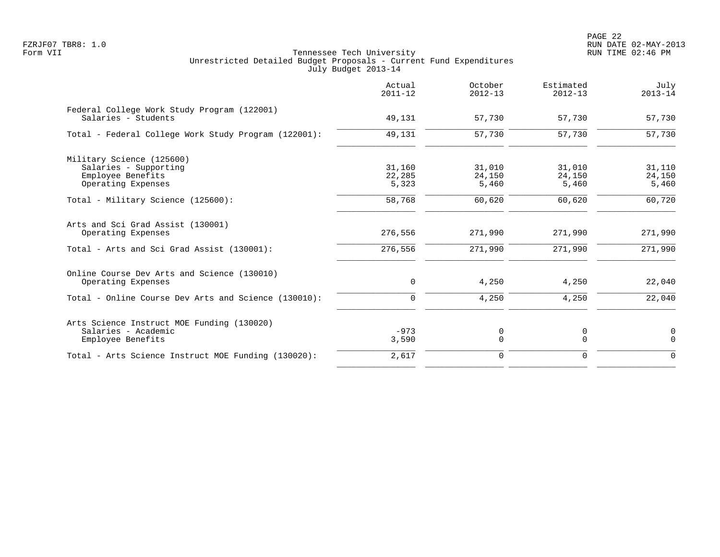|                                                                                        | Actual<br>$2011 - 12$     | October<br>$2012 - 13$    | Estimated<br>$2012 - 13$  | July<br>$2013 - 14$       |
|----------------------------------------------------------------------------------------|---------------------------|---------------------------|---------------------------|---------------------------|
| Federal College Work Study Program (122001)<br>Salaries - Students                     | 49,131                    | 57,730                    | 57,730                    | 57,730                    |
| Total - Federal College Work Study Program (122001):                                   | 49,131                    | 57,730                    | 57,730                    | 57,730                    |
| Military Science (125600)                                                              |                           |                           |                           |                           |
| Salaries - Supporting<br>Employee Benefits<br>Operating Expenses                       | 31,160<br>22,285<br>5,323 | 31,010<br>24,150<br>5,460 | 31,010<br>24,150<br>5,460 | 31,110<br>24,150<br>5,460 |
| Total - Military Science (125600):                                                     | 58,768                    | 60,620                    | 60,620                    | 60,720                    |
| Arts and Sci Grad Assist (130001)<br>Operating Expenses                                | 276,556                   | 271,990                   | 271,990                   | 271,990                   |
| Total - Arts and Sci Grad Assist (130001):                                             | 276,556                   | 271,990                   | 271,990                   | 271,990                   |
| Online Course Dev Arts and Science (130010)<br>Operating Expenses                      | 0                         | 4,250                     | 4,250                     | 22,040                    |
| Total - Online Course Dev Arts and Science (130010):                                   | $\mathbf 0$               | 4,250                     | 4,250                     | 22,040                    |
| Arts Science Instruct MOE Funding (130020)<br>Salaries - Academic<br>Employee Benefits | $-973$<br>3,590           | 0<br>$\Omega$             | 0<br>$\Omega$             | $\mathbf 0$<br>$\Omega$   |
| Total - Arts Science Instruct MOE Funding (130020):                                    | 2,617                     | 0                         | $\Omega$                  | $\Omega$                  |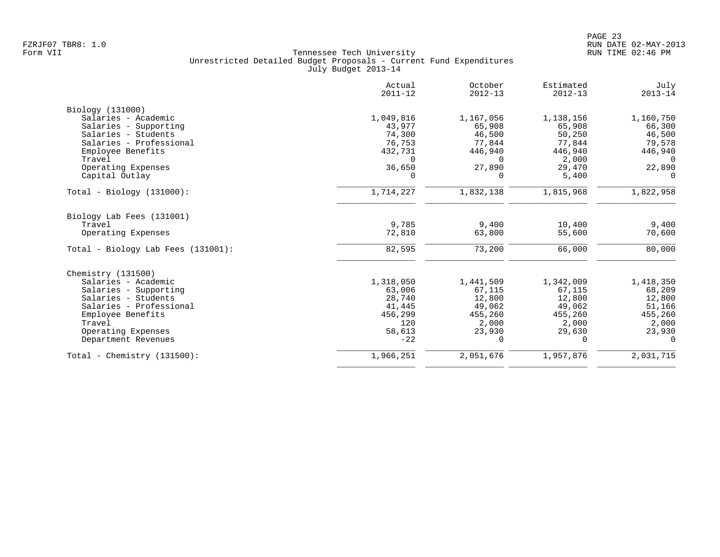|                                    | Actual<br>$2011 - 12$ | October<br>$2012 - 13$ | Estimated<br>$2012 - 13$ | July<br>$2013 - 14$ |
|------------------------------------|-----------------------|------------------------|--------------------------|---------------------|
| Biology (131000)                   |                       |                        |                          |                     |
| Salaries - Academic                | 1,049,816             | 1,167,056              | 1,138,156                | 1,160,750           |
| Salaries - Supporting              | 43,977                | 65,908                 | 65,908                   | 66,300              |
| Salaries - Students                | 74,300                | 46,500                 | 50,250                   | 46,500              |
| Salaries - Professional            | 76,753                | 77,844                 | 77,844                   | 79,578              |
| Employee Benefits                  | 432,731               | 446,940                | 446,940                  | 446,940             |
| Travel                             | $\Omega$              | $\Omega$               | 2,000                    | $\Omega$            |
| Operating Expenses                 | 36,650                | 27,890                 | 29,470                   | 22,890              |
| Capital Outlay                     | $\Omega$              | $\Omega$               | 5,400                    | $\Omega$            |
| $Total - Biology (131000):$        | 1,714,227             | 1,832,138              | 1,815,968                | 1,822,958           |
| Biology Lab Fees (131001)          |                       |                        |                          |                     |
| Travel                             | 9,785                 | 9,400                  | 10,400                   | 9,400               |
| Operating Expenses                 | 72,810                | 63,800                 | 55,600                   | 70,600              |
| Total - Biology Lab Fees (131001): | 82,595                | 73,200                 | 66,000                   | 80,000              |
| Chemistry (131500)                 |                       |                        |                          |                     |
| Salaries - Academic                | 1,318,050             | 1,441,509              | 1,342,009                | 1,418,350           |
| Salaries - Supporting              | 63,006                | 67,115                 | 67,115                   | 68,209              |
| Salaries - Students                | 28,740                | 12,800                 | 12,800                   | 12,800              |
| Salaries - Professional            | 41,445                | 49,062                 | 49,062                   | 51,166              |
| Employee Benefits                  | 456,299               | 455,260                | 455,260                  | 455,260             |
| Travel                             | 120                   | 2,000                  | 2,000                    | 2,000               |
| Operating Expenses                 | 58,613                | 23,930                 | 29,630                   | 23,930              |
| Department Revenues                | $-22$                 | 0                      | 0                        | $\Omega$            |
| Total - Chemistry $(131500)$ :     | 1,966,251             | 2,051,676              | 1,957,876                | 2,031,715           |
|                                    |                       |                        |                          |                     |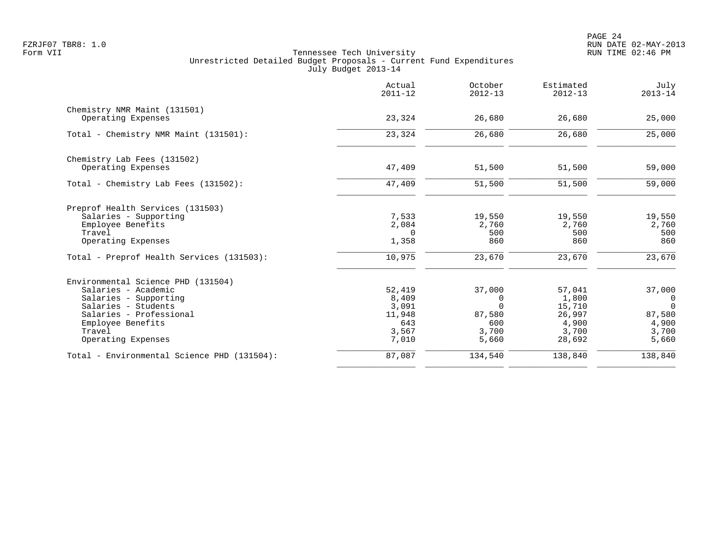|                                             | Actual<br>$2011 - 12$ | October<br>$2012 - 13$ | Estimated<br>$2012 - 13$ | July<br>$2013 - 14$ |
|---------------------------------------------|-----------------------|------------------------|--------------------------|---------------------|
| Chemistry NMR Maint (131501)                |                       |                        |                          |                     |
| Operating Expenses                          | 23,324                | 26,680                 | 26,680                   | 25,000              |
| Total - Chemistry NMR Maint (131501):       | 23,324                | 26,680                 | 26,680                   | 25,000              |
| Chemistry Lab Fees (131502)                 |                       |                        |                          |                     |
| Operating Expenses                          | 47,409                | 51,500                 | 51,500                   | 59,000              |
| Total - Chemistry Lab Fees (131502):        | 47,409                | 51,500                 | 51,500                   | 59,000              |
| Preprof Health Services (131503)            |                       |                        |                          |                     |
| Salaries - Supporting                       | 7,533                 | 19,550                 | 19,550                   | 19,550              |
| Employee Benefits                           | 2,084                 | 2,760                  | 2,760                    | 2,760               |
| Travel<br>Operating Expenses                | $\Omega$<br>1,358     | 500<br>860             | 500<br>860               | 500<br>860          |
| Total - Preprof Health Services (131503):   | 10,975                | 23,670                 | 23,670                   | 23,670              |
| Environmental Science PHD (131504)          |                       |                        |                          |                     |
| Salaries - Academic                         | 52,419                | 37,000                 | 57,041                   | 37,000              |
| Salaries - Supporting                       | 8,409                 | 0                      | 1,800                    | $\overline{0}$      |
| Salaries - Students                         | 3,091                 | $\Omega$               | 15,710                   | $\Omega$            |
| Salaries - Professional                     | 11,948                | 87,580                 | 26,997                   | 87,580              |
| Employee Benefits                           | 643                   | 600                    | 4,900                    | 4,900               |
| Travel<br>Operating Expenses                | 3,567<br>7,010        | 3,700<br>5,660         | 3,700<br>28,692          | 3,700<br>5,660      |
| Total - Environmental Science PHD (131504): | 87,087                | 134,540                | 138,840                  | 138,840             |
|                                             |                       |                        |                          |                     |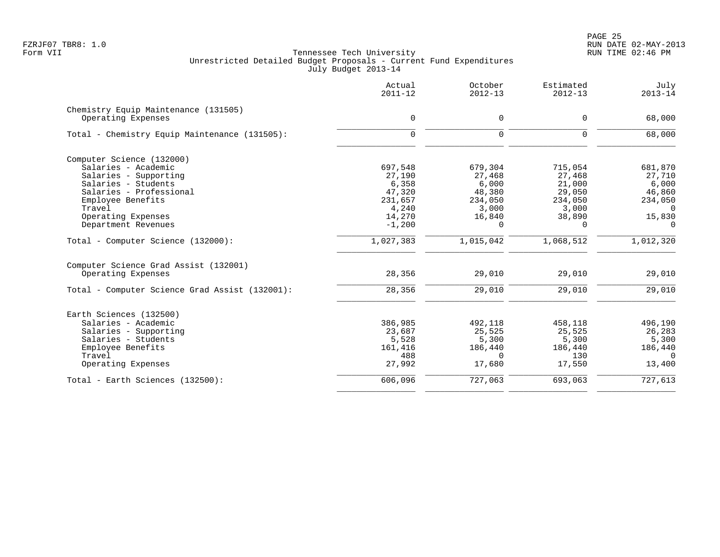PAGE 25 FZRJF07 TBR8: 1.0 RUN DATE 02-MAY-2013

|                                                | Actual<br>$2011 - 12$ | October<br>$2012 - 13$ | Estimated<br>$2012 - 13$ | July<br>$2013 - 14$ |
|------------------------------------------------|-----------------------|------------------------|--------------------------|---------------------|
| Chemistry Equip Maintenance (131505)           |                       |                        |                          |                     |
| Operating Expenses                             | $\mathbf 0$           | 0                      | $\mathbf 0$              | 68,000              |
| Total - Chemistry Equip Maintenance (131505):  | $\mathbf 0$           | $\Omega$               | $\Omega$                 | 68,000              |
| Computer Science (132000)                      |                       |                        |                          |                     |
| Salaries - Academic                            | 697,548               | 679,304                | 715,054                  | 681,870             |
| Salaries - Supporting                          | 27,190                | 27,468                 | 27,468                   | 27,710              |
| Salaries - Students                            | 6,358                 | 6,000                  | 21,000                   | 6,000               |
| Salaries - Professional                        | 47,320                | 48,380                 | 29,050                   | 46,860              |
| Employee Benefits                              | 231,657               | 234,050                | 234,050                  | 234,050             |
| Travel                                         | 4,240                 | 3,000                  | 3,000                    | $\Omega$            |
| Operating Expenses                             | 14,270                | 16,840                 | 38,890                   | 15,830              |
| Department Revenues                            | $-1,200$              | $\Omega$               | $\Omega$                 | $\Omega$            |
| Total - Computer Science (132000):             | 1,027,383             | 1,015,042              | 1,068,512                | 1,012,320           |
| Computer Science Grad Assist (132001)          |                       |                        |                          |                     |
| Operating Expenses                             | 28,356                | 29,010                 | 29,010                   | 29,010              |
| Total - Computer Science Grad Assist (132001): | 28,356                | 29,010                 | 29,010                   | 29,010              |
| Earth Sciences (132500)                        |                       |                        |                          |                     |
| Salaries - Academic                            | 386,985               | 492,118                | 458,118                  | 496,190             |
| Salaries - Supporting                          | 23,687                | 25,525                 | 25,525                   | 26,283              |
| Salaries - Students                            | 5,528                 | 5,300                  | 5,300                    | 5,300               |
| Employee Benefits                              | 161,416               | 186,440                | 186,440                  | 186,440             |
| Travel                                         | 488                   | $\Omega$               | 130                      | $\Omega$            |
| Operating Expenses                             | 27,992                | 17,680                 | 17,550                   | 13,400              |
| Total - Earth Sciences (132500):               | 606,096               | 727,063                | 693,063                  | 727,613             |
|                                                |                       |                        |                          |                     |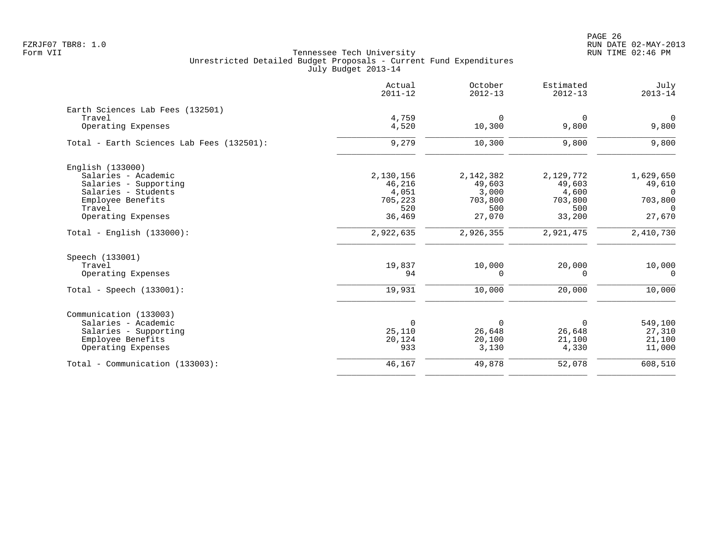|                                           | Actual<br>$2011 - 12$ | October<br>$2012 - 13$ | Estimated<br>$2012 - 13$ | July<br>$2013 - 14$ |
|-------------------------------------------|-----------------------|------------------------|--------------------------|---------------------|
| Earth Sciences Lab Fees (132501)          |                       |                        |                          |                     |
| Travel                                    | 4,759                 | $\Omega$               | $\mathbf 0$              | $\mathbf 0$         |
| Operating Expenses                        | 4,520                 | 10,300                 | 9,800                    | 9,800               |
| Total - Earth Sciences Lab Fees (132501): | 9,279                 | 10,300                 | 9,800                    | 9,800               |
| English (133000)                          |                       |                        |                          |                     |
| Salaries - Academic                       | 2,130,156             | 2,142,382              | 2,129,772                | 1,629,650           |
| Salaries - Supporting                     | 46,216                | 49,603                 | 49,603                   | 49,610              |
| Salaries - Students                       | 4,051                 | 3,000                  | 4,600                    | $\Omega$            |
| Employee Benefits                         | 705,223               | 703,800                | 703,800                  | 703,800             |
| Travel                                    | 520                   | 500                    | 500                      | $\Omega$            |
| Operating Expenses                        | 36,469                | 27,070                 | 33,200                   | 27,670              |
| Total - English $(133000)$ :              | 2,922,635             | 2,926,355              | 2,921,475                | 2,410,730           |
| Speech (133001)                           |                       |                        |                          |                     |
| Travel                                    | 19,837                | 10,000                 | 20,000                   | 10,000              |
| Operating Expenses                        | 94                    | $\Omega$               | $\Omega$                 | $\Omega$            |
| Total - Speech $(133001)$ :               | 19,931                | 10,000                 | 20,000                   | 10,000              |
| Communication (133003)                    |                       |                        |                          |                     |
| Salaries - Academic                       | $\mathbf 0$           | $\overline{0}$         | $\Omega$                 | 549,100             |
| Salaries - Supporting                     | 25,110                | 26,648                 | 26,648                   | 27,310              |
| Employee Benefits                         | 20,124                | 20,100                 | 21,100                   | 21,100              |
| Operating Expenses                        | 933                   | 3,130                  | 4,330                    | 11,000              |
| Total - Communication (133003):           | 46,167                | 49,878                 | 52,078                   | 608,510             |
|                                           |                       |                        |                          |                     |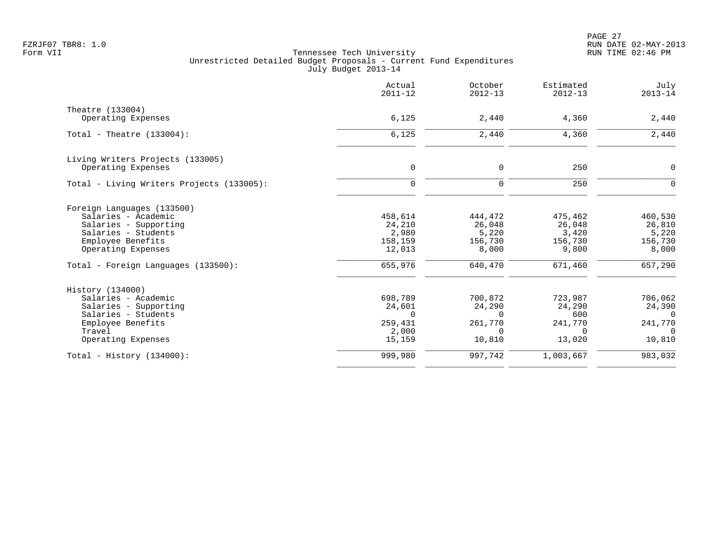|                                           | Actual<br>$2011 - 12$ | October<br>$2012 - 13$ | Estimated<br>$2012 - 13$ | July<br>$2013 - 14$ |
|-------------------------------------------|-----------------------|------------------------|--------------------------|---------------------|
| Theatre (133004)                          |                       |                        |                          |                     |
| Operating Expenses                        | 6,125                 | 2,440                  | 4,360                    | 2,440               |
| Total - Theatre $(133004)$ :              | 6,125                 | 2,440                  | 4,360                    | 2,440               |
| Living Writers Projects (133005)          |                       |                        |                          |                     |
| Operating Expenses                        | $\mathbf 0$           | $\mathsf{O}$           | 250                      | 0                   |
| Total - Living Writers Projects (133005): | $\Omega$              | $\mathbf 0$            | 250                      | $\Omega$            |
| Foreign Languages (133500)                |                       |                        |                          |                     |
| Salaries - Academic                       | 458,614               | 444,472                | 475,462                  | 460,530             |
| Salaries - Supporting                     | 24,210                | 26,048                 | 26,048                   | 26,810              |
| Salaries - Students                       | 2,980<br>158,159      | 5,220<br>156,730       | 3,420<br>156,730         | 5,220<br>156,730    |
| Employee Benefits<br>Operating Expenses   | 12,013                | 8,000                  | 9,800                    | 8,000               |
| Total - Foreign Languages (133500):       | 655,976               | 640,470                | 671,460                  | 657,290             |
| History (134000)                          |                       |                        |                          |                     |
| Salaries - Academic                       | 698,789               | 700,872                | 723,987                  | 706,062             |
| Salaries - Supporting                     | 24,601                | 24,290                 | 24,290                   | 24,390              |
| Salaries - Students                       | $\Omega$              | $\Omega$               | 600                      | $\Omega$            |
| Employee Benefits<br>Travel               | 259,431<br>2,000      | 261,770<br>$\Omega$    | 241,770<br>$\Omega$      | 241,770<br>$\Omega$ |
| Operating Expenses                        | 15,159                | 10,810                 | 13,020                   | 10,810              |
| Total - History $(134000)$ :              | 999,980               | 997,742                | 1,003,667                | 983,032             |
|                                           |                       |                        |                          |                     |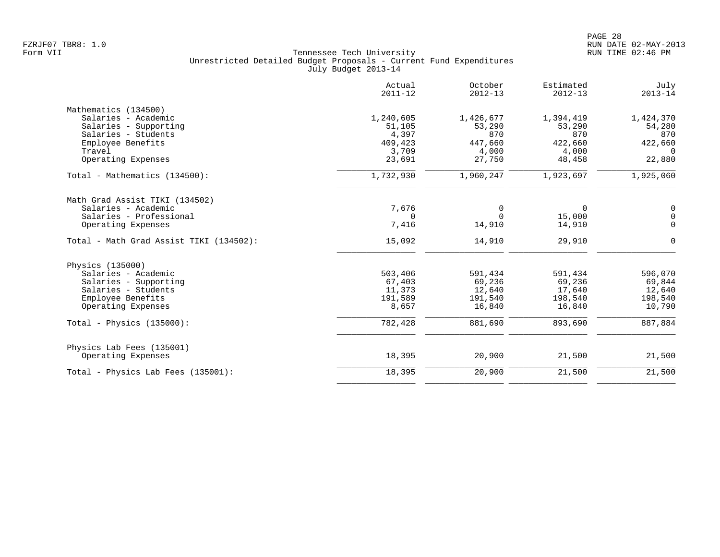|                                         | Actual<br>$2011 - 12$ | October<br>$2012 - 13$ | Estimated<br>$2012 - 13$ | July<br>$2013 - 14$ |
|-----------------------------------------|-----------------------|------------------------|--------------------------|---------------------|
| Mathematics (134500)                    |                       |                        |                          |                     |
| Salaries - Academic                     | 1,240,605             | 1,426,677              | 1,394,419                | 1,424,370           |
| Salaries - Supporting                   | 51,105                | 53,290                 | 53,290                   | 54,280              |
| Salaries - Students                     | 4,397                 | 870                    | 870                      | 870                 |
| Employee Benefits                       | 409,423               | 447,660                | 422,660                  | 422,660             |
| Travel                                  | 3,709                 | 4,000                  | 4,000                    | $\Omega$            |
| Operating Expenses                      | 23,691                | 27,750                 | 48,458                   | 22,880              |
| Total - Mathematics (134500):           | 1,732,930             | 1,960,247              | 1,923,697                | 1,925,060           |
| Math Grad Assist TIKI (134502)          |                       |                        |                          |                     |
| Salaries - Academic                     | 7,676                 | 0                      | 0                        | 0                   |
| Salaries - Professional                 | $\Omega$              | $\Omega$               | 15,000                   | $\mathbf 0$         |
| Operating Expenses                      | 7,416                 | 14,910                 | 14,910                   | $\mathbf 0$         |
| Total - Math Grad Assist TIKI (134502): | 15,092                | 14,910                 | 29,910                   | $\mathbf 0$         |
|                                         |                       |                        |                          |                     |
| Physics (135000)                        |                       |                        |                          |                     |
| Salaries - Academic                     | 503,406               | 591,434                | 591,434                  | 596,070             |
| Salaries - Supporting                   | 67,403                | 69,236                 | 69,236                   | 69,844              |
| Salaries - Students                     | 11,373                | 12,640                 | 17,640                   | 12,640              |
| Employee Benefits                       | 191,589               | 191,540                | 198,540                  | 198,540             |
| Operating Expenses                      | 8,657                 | 16,840                 | 16,840                   | 10,790              |
| Total - Physics $(135000)$ :            | 782,428               | 881,690                | 893,690                  | 887,884             |
| Physics Lab Fees (135001)               |                       |                        |                          |                     |
| Operating Expenses                      | 18,395                | 20,900                 | 21,500                   | 21,500              |
| Total - Physics Lab Fees (135001):      | 18,395                | 20,900                 | 21,500                   | 21,500              |
|                                         |                       |                        |                          |                     |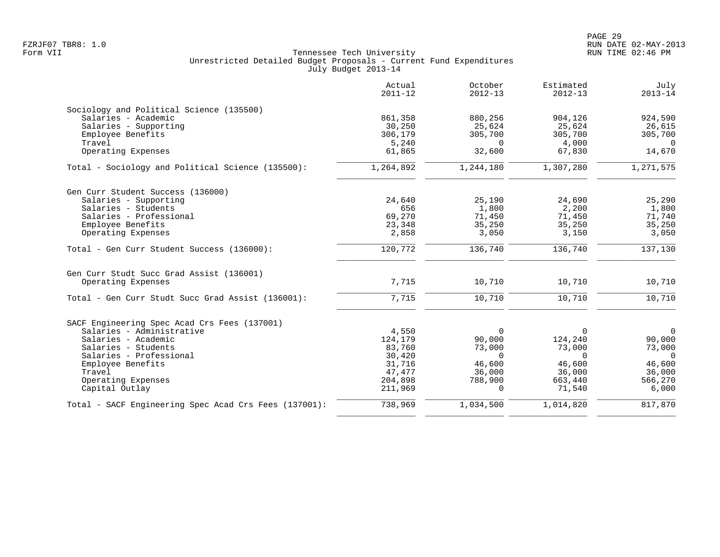|                                                       | Actual<br>$2011 - 12$ | October<br>$2012 - 13$ | Estimated<br>$2012 - 13$ | July<br>$2013 - 14$ |
|-------------------------------------------------------|-----------------------|------------------------|--------------------------|---------------------|
| Sociology and Political Science (135500)              |                       |                        |                          |                     |
| Salaries - Academic                                   | 861,358               | 880,256                | 904,126                  | 924,590             |
| Salaries - Supporting                                 | 30,250                | 25,624                 | 25,624                   | 26,615              |
| Employee Benefits                                     | 306,179               | 305,700                | 305,700                  | 305,700             |
| Travel                                                | 5,240                 | $\Omega$               | 4,000                    | $\Omega$            |
| Operating Expenses                                    | 61,865                | 32,600                 | 67,830                   | 14,670              |
| Total - Sociology and Political Science (135500):     | 1,264,892             | 1,244,180              | 1,307,280                | 1,271,575           |
| Gen Curr Student Success (136000)                     |                       |                        |                          |                     |
| Salaries - Supporting                                 | 24,640                | 25,190                 | 24,690                   | 25,290              |
| Salaries - Students                                   | 656                   | 1,800                  | 2,200                    | 1,800               |
| Salaries - Professional                               | 69,270                | 71,450                 | 71,450                   | 71,740              |
| Employee Benefits                                     | 23,348                | 35,250                 | 35,250                   | 35,250              |
| Operating Expenses                                    | 2,858                 | 3,050                  | 3,150                    | 3,050               |
| Total - Gen Curr Student Success (136000):            | 120,772               | 136,740                | 136,740                  | 137,130             |
| Gen Curr Studt Succ Grad Assist (136001)              |                       |                        |                          |                     |
| Operating Expenses                                    | 7,715                 | 10,710                 | 10,710                   | 10,710              |
| Total - Gen Curr Studt Succ Grad Assist (136001):     | 7,715                 | 10,710                 | 10,710                   | 10,710              |
| SACF Engineering Spec Acad Crs Fees (137001)          |                       |                        |                          |                     |
| Salaries - Administrative                             | 4,550                 | $\Omega$               | $\Omega$                 | $\overline{0}$      |
| Salaries - Academic                                   | 124,179               | 90,000                 | 124,240                  | 90,000              |
| Salaries - Students                                   | 83,760                | 73,000                 | 73,000                   | 73,000              |
| Salaries - Professional                               | 30,420                | $\Omega$               | $\Omega$                 | $\Omega$            |
| Employee Benefits                                     | 31,716                | 46,600                 | 46,600                   | 46,600              |
| Travel                                                | 47,477                | 36,000                 | 36,000                   | 36,000              |
| Operating Expenses                                    | 204,898               | 788,900                | 663,440                  | 566,270             |
| Capital Outlay                                        | 211,969               | $\Omega$               | 71,540                   | 6,000               |
| Total - SACF Engineering Spec Acad Crs Fees (137001): | 738,969               | 1,034,500              | 1,014,820                | 817,870             |
|                                                       |                       |                        |                          |                     |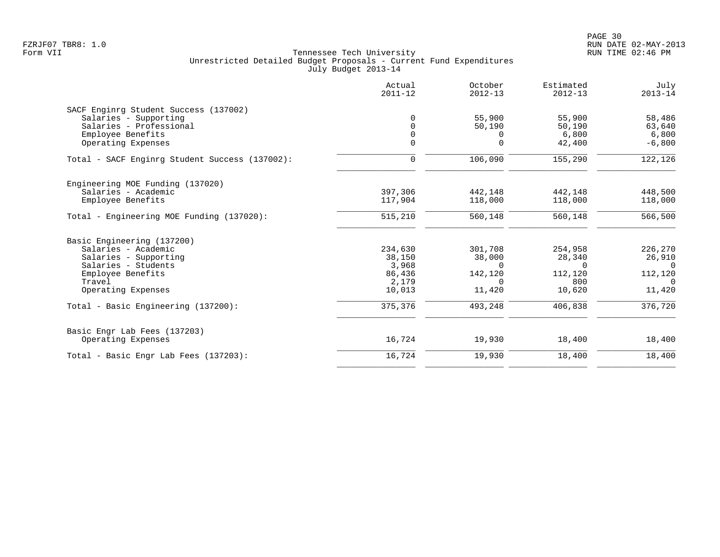|                                                | Actual<br>$2011 - 12$ | October<br>$2012 - 13$ | Estimated<br>$2012 - 13$ | July<br>$2013 - 14$ |
|------------------------------------------------|-----------------------|------------------------|--------------------------|---------------------|
| SACF Enginrg Student Success (137002)          |                       |                        |                          |                     |
| Salaries - Supporting                          | $\Omega$              | 55,900                 | 55,900                   | 58,486              |
| Salaries - Professional                        | $\Omega$              | 50,190                 | 50,190                   | 63,640              |
| Employee Benefits                              |                       | 0                      | 6,800                    | 6,800               |
| Operating Expenses                             | $\Omega$              | $\Omega$               | 42,400                   | $-6,800$            |
| Total - SACF Enginrg Student Success (137002): | $\mathbf 0$           | 106,090                | 155,290                  | 122, 126            |
| Engineering MOE Funding (137020)               |                       |                        |                          |                     |
| Salaries - Academic                            | 397,306               | 442,148                | 442,148                  | 448,500             |
| Employee Benefits                              | 117,904               | 118,000                | 118,000                  | 118,000             |
| Total - Engineering MOE Funding (137020):      | 515,210               | 560,148                | 560,148                  | 566,500             |
| Basic Engineering (137200)                     |                       |                        |                          |                     |
| Salaries - Academic                            | 234,630               | 301,708                | 254,958                  | 226,270             |
| Salaries - Supporting                          | 38,150                | 38,000                 | 28,340                   | 26,910              |
| Salaries - Students                            | 3,968                 | $\Omega$               | $\Omega$                 | $\Omega$            |
| Employee Benefits                              | 86,436                | 142,120                | 112,120                  | 112,120             |
| Travel                                         | 2,179                 | $\Omega$               | 800                      | $\Omega$            |
| Operating Expenses                             | 10,013                | 11,420                 | 10,620                   | 11,420              |
| Total - Basic Engineering (137200):            | 375,376               | 493,248                | 406,838                  | 376,720             |
| Basic Engr Lab Fees (137203)                   |                       |                        |                          |                     |
| Operating Expenses                             | 16,724                | 19,930                 | 18,400                   | 18,400              |
| Total - Basic Engr Lab Fees (137203):          | 16,724                | 19,930                 | 18,400                   | 18,400              |
|                                                |                       |                        |                          |                     |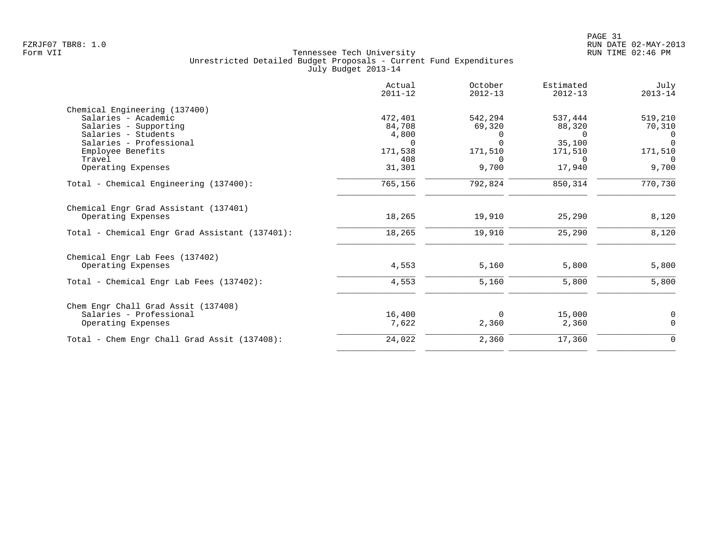|                                                | Actual<br>$2011 - 12$ | October<br>$2012 - 13$ | Estimated<br>$2012 - 13$ | July<br>$2013 - 14$ |
|------------------------------------------------|-----------------------|------------------------|--------------------------|---------------------|
| Chemical Engineering (137400)                  |                       |                        |                          |                     |
| Salaries - Academic                            | 472,401               | 542,294                | 537,444                  | 519,210             |
| Salaries - Supporting                          | 84,708                | 69,320                 | 88,320                   | 70,310              |
| Salaries - Students                            | 4,800                 | $\Omega$               | $\cap$                   | $\Omega$            |
| Salaries - Professional                        |                       | $\Omega$               | 35,100                   | $\Omega$            |
| Employee Benefits                              | 171,538               | 171,510                | 171,510                  | 171,510             |
| Travel                                         | 408                   | $\Omega$               | $\Omega$                 | $\Omega$            |
| Operating Expenses                             | 31,301                | 9,700                  | 17,940                   | 9,700               |
| Total - Chemical Engineering (137400):         | 765,156               | 792,824                | 850,314                  | 770,730             |
| Chemical Engr Grad Assistant (137401)          |                       |                        |                          |                     |
| Operating Expenses                             | 18,265                | 19,910                 | 25,290                   | 8,120               |
| Total - Chemical Engr Grad Assistant (137401): | 18,265                | 19,910                 | 25,290                   | 8,120               |
| Chemical Engr Lab Fees (137402)                |                       |                        |                          |                     |
| Operating Expenses                             | 4,553                 | 5,160                  | 5,800                    | 5,800               |
| Total - Chemical Engr Lab Fees (137402):       | 4,553                 | 5,160                  | 5,800                    | 5,800               |
| Chem Engr Chall Grad Assit (137408)            |                       |                        |                          |                     |
| Salaries - Professional                        | 16,400                | $\Omega$               | 15,000                   | 0                   |
| Operating Expenses                             | 7,622                 | 2,360                  | 2,360                    | $\Omega$            |
| Total - Chem Engr Chall Grad Assit (137408):   | 24,022                | 2,360                  | 17,360                   | 0                   |
|                                                |                       |                        |                          |                     |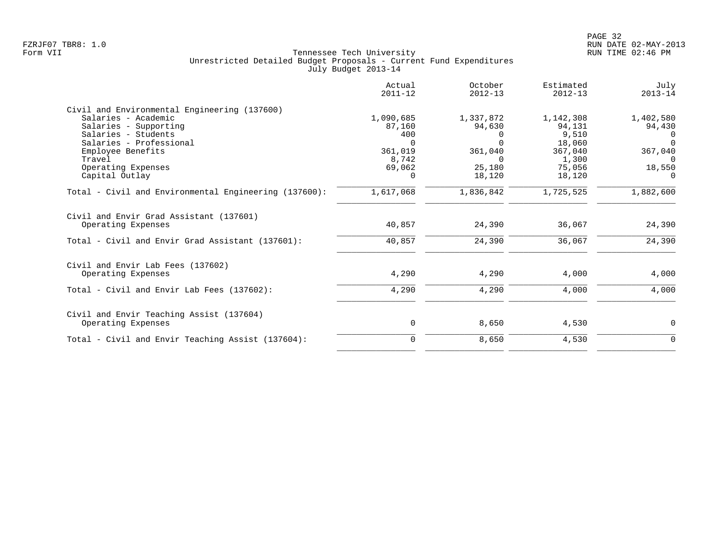|                                                       | Actual<br>$2011 - 12$ | October<br>$2012 - 13$ | Estimated<br>$2012 - 13$ | July<br>$2013 - 14$ |
|-------------------------------------------------------|-----------------------|------------------------|--------------------------|---------------------|
| Civil and Environmental Engineering (137600)          |                       |                        |                          |                     |
| Salaries - Academic                                   | 1,090,685             | 1,337,872              | 1,142,308                | 1,402,580           |
| Salaries - Supporting                                 | 87,160                | 94,630                 | 94,131                   | 94,430              |
| Salaries - Students                                   | 400                   | $\Omega$               | 9,510                    | $\Omega$            |
| Salaries - Professional                               |                       | $\Omega$               | 18,060                   | $\Omega$            |
| Employee Benefits                                     | 361,019               | 361,040                | 367,040                  | 367,040             |
| Travel                                                | 8,742                 | $\Omega$               | 1,300                    | $\Omega$            |
| Operating Expenses                                    | 69,062                | 25,180                 | 75,056                   | 18,550              |
| Capital Outlay                                        | $\Omega$              | 18,120                 | 18,120                   | $\Omega$            |
| Total - Civil and Environmental Engineering (137600): | 1,617,068             | 1,836,842              | 1,725,525                | 1,882,600           |
| Civil and Envir Grad Assistant (137601)               |                       |                        |                          |                     |
| Operating Expenses                                    | 40,857                | 24,390                 | 36,067                   | 24,390              |
| Total - Civil and Envir Grad Assistant (137601):      | 40,857                | 24,390                 | 36,067                   | 24,390              |
| Civil and Envir Lab Fees (137602)                     |                       |                        |                          |                     |
| Operating Expenses                                    | 4,290                 | 4,290                  | 4,000                    | 4,000               |
| Total - Civil and Envir Lab Fees (137602):            | 4,290                 | 4,290                  | 4,000                    | 4,000               |
| Civil and Envir Teaching Assist (137604)              |                       |                        |                          |                     |
| Operating Expenses                                    | 0                     | 8,650                  | 4,530                    | 0                   |
| Total - Civil and Envir Teaching Assist (137604):     | 0                     | 8,650                  | 4,530                    | $\mathbf 0$         |
|                                                       |                       |                        |                          |                     |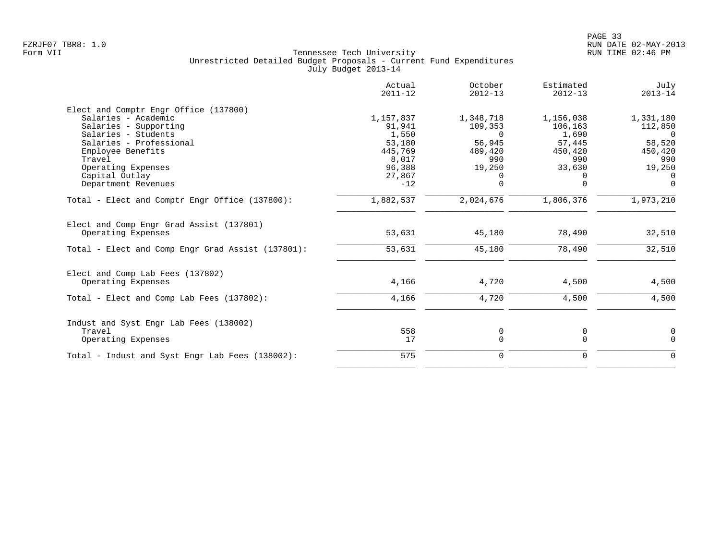|                                                                | Actual<br>$2011 - 12$ | October<br>$2012 - 13$ | Estimated<br>$2012 - 13$ | July<br>$2013 - 14$ |
|----------------------------------------------------------------|-----------------------|------------------------|--------------------------|---------------------|
| Elect and Comptr Engr Office (137800)                          |                       |                        |                          |                     |
| Salaries - Academic                                            | 1,157,837             | 1,348,718              | 1,156,038                | 1,331,180           |
| Salaries - Supporting                                          | 91,941                | 109,353                | 106,163                  | 112,850             |
| Salaries - Students                                            | 1,550                 | $\Omega$               | 1,690                    | $\bigcirc$          |
| Salaries - Professional                                        | 53,180                | 56,945                 | 57,445                   | 58,520              |
| Employee Benefits                                              | 445,769               | 489,420                | 450,420                  | 450,420             |
| Travel                                                         | 8,017                 | 990                    | 990                      | 990                 |
| Operating Expenses                                             | 96,388                | 19,250                 | 33,630                   | 19,250              |
| Capital Outlay                                                 | 27,867                | 0                      |                          | $\Omega$            |
| Department Revenues                                            | $-12$                 | $\mathbf 0$            | $\Omega$                 | $\Omega$            |
| Total - Elect and Comptr Engr Office (137800):                 | 1,882,537             | 2,024,676              | 1,806,376                | 1,973,210           |
| Elect and Comp Engr Grad Assist (137801)<br>Operating Expenses | 53,631                | 45,180                 | 78,490                   | 32,510              |
| Total - Elect and Comp Engr Grad Assist (137801):              | 53,631                | 45,180                 | 78,490                   | 32,510              |
| Elect and Comp Lab Fees (137802)                               |                       |                        |                          |                     |
| Operating Expenses                                             | 4,166                 | 4,720                  | 4,500                    | 4,500               |
| Total - Elect and Comp Lab Fees (137802):                      | 4,166                 | 4,720                  | 4,500                    | 4,500               |
| Indust and Syst Engr Lab Fees (138002)                         |                       |                        |                          |                     |
| Travel                                                         | 558                   | 0                      | 0                        | 0                   |
| Operating Expenses                                             | 17                    | $\mathbf 0$            | $\Omega$                 | $\Omega$            |
| Total - Indust and Syst Engr Lab Fees (138002):                | 575                   | $\mathbf 0$            | 0                        | $\overline{0}$      |
|                                                                |                       |                        |                          |                     |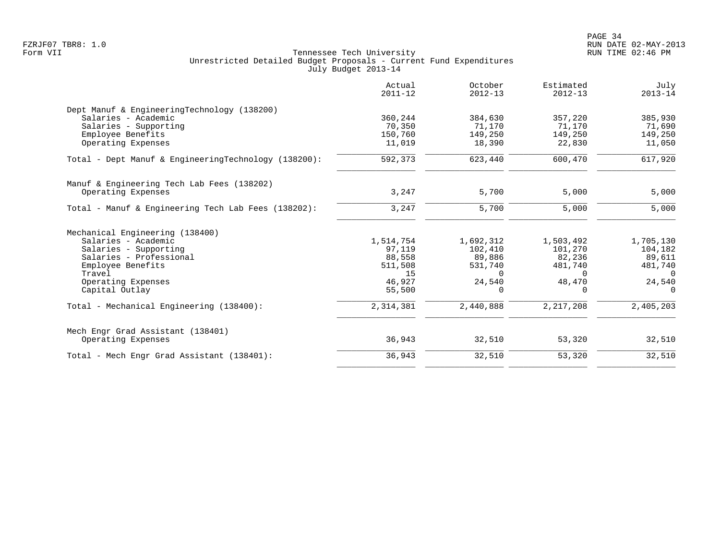| Actual<br>$2011 - 12$ | October<br>$2012 - 13$ | Estimated<br>$2012 - 13$ | July<br>$2013 - 14$  |
|-----------------------|------------------------|--------------------------|----------------------|
|                       |                        |                          |                      |
| 360,244               | 384,630                | 357,220                  | 385,930              |
| 70,350                | 71,170                 | 71,170                   | 71,690               |
| 150,760               | 149,250                | 149,250                  | 149,250              |
| 11,019                | 18,390                 | 22,830                   | 11,050               |
| 592,373               | 623,440                | 600,470                  | 617,920              |
|                       |                        |                          |                      |
| 3,247                 | 5,700                  | 5,000                    | 5,000                |
| 3,247                 | 5,700                  | 5,000                    | 5,000                |
|                       |                        |                          |                      |
|                       |                        |                          | 1,705,130            |
|                       |                        |                          | 104,182              |
| 88,558                | 89,886                 | 82,236                   | 89,611               |
| 511,508               | 531,740                | 481,740                  | 481,740              |
| 15                    | $\Omega$               | $\Omega$                 | $\Omega$             |
| 46,927                | 24,540                 | 48,470                   | 24,540               |
| 55,500                | $\Omega$               | $\Omega$                 | $\Omega$             |
| 2,314,381             | 2,440,888              | 2, 217, 208              | 2,405,203            |
|                       |                        |                          |                      |
| 36,943                | 32,510                 | 53,320                   | 32,510               |
| 36,943                | 32,510                 | 53,320                   | 32,510               |
|                       | 1,514,754<br>97,119    | 1,692,312<br>102,410     | 1,503,492<br>101,270 |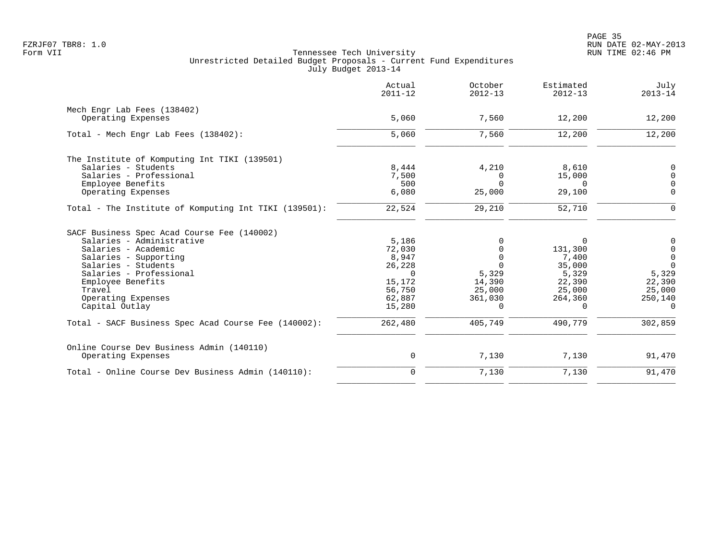|                                                       | Actual<br>$2011 - 12$ | October<br>$2012 - 13$ | Estimated<br>$2012 - 13$ | July<br>$2013 - 14$ |
|-------------------------------------------------------|-----------------------|------------------------|--------------------------|---------------------|
| Mech Engr Lab Fees (138402)<br>Operating Expenses     | 5,060                 | 7,560                  | 12,200                   | 12,200              |
| Total - Mech Engr Lab Fees (138402):                  | 5,060                 | 7,560                  | 12,200                   | 12,200              |
| The Institute of Komputing Int TIKI (139501)          |                       |                        |                          |                     |
| Salaries - Students                                   | 8,444                 | 4,210                  | 8,610                    | 0                   |
| Salaries - Professional                               | 7,500                 | 0                      | 15,000                   | $\mathbf 0$         |
| Employee Benefits                                     | 500                   | $\Omega$               | $\Omega$                 | $\mathbf 0$         |
| Operating Expenses                                    | 6,080                 | 25,000                 | 29,100                   | $\mathbf 0$         |
| Total - The Institute of Komputing Int TIKI (139501): | 22,524                | 29,210                 | 52,710                   | $\mathbf 0$         |
| SACF Business Spec Acad Course Fee (140002)           |                       |                        |                          |                     |
| Salaries - Administrative                             | 5,186                 | $\Omega$               | $\Omega$                 | 0                   |
| Salaries - Academic                                   | 72,030                | $\Omega$               | 131,300                  | $\mathbf 0$         |
| Salaries - Supporting                                 | 8,947                 | $\Omega$               | 7,400                    | $\overline{0}$      |
| Salaries - Students                                   | 26,228                | $\Omega$               | 35,000                   | $\Omega$            |
| Salaries - Professional                               | $\Omega$              | 5,329                  | 5,329                    | 5,329               |
| Employee Benefits                                     | 15,172                | 14,390                 | 22,390                   | 22,390              |
| Travel                                                | 56,750                | 25,000                 | 25,000                   | 25,000              |
| Operating Expenses                                    | 62,887                | 361,030                | 264,360                  | 250,140             |
| Capital Outlay                                        | 15,280                | $\Omega$               | $\Omega$                 | $\Omega$            |
| Total - SACF Business Spec Acad Course Fee (140002):  | 262,480               | 405,749                | 490,779                  | 302,859             |
| Online Course Dev Business Admin (140110)             |                       |                        |                          |                     |
| Operating Expenses                                    | 0                     | 7,130                  | 7,130                    | 91,470              |
| Total - Online Course Dev Business Admin (140110):    | $\mathbf 0$           | 7,130                  | 7,130                    | 91,470              |
|                                                       |                       |                        |                          |                     |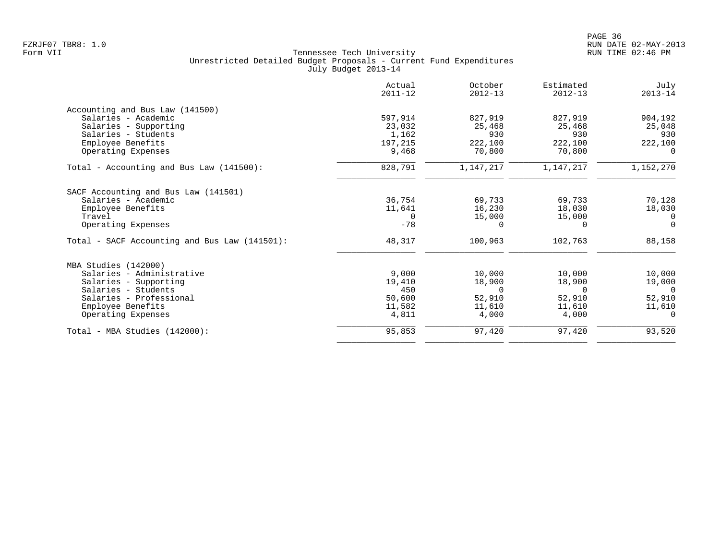|                                               | Actual<br>$2011 - 12$ | October<br>$2012 - 13$ | Estimated<br>$2012 - 13$ | July<br>$2013 - 14$ |
|-----------------------------------------------|-----------------------|------------------------|--------------------------|---------------------|
| Accounting and Bus Law (141500)               |                       |                        |                          |                     |
| Salaries - Academic                           | 597,914               | 827,919                | 827,919                  | 904,192             |
| Salaries - Supporting                         | 23,032                | 25,468                 | 25,468                   | 25,048              |
| Salaries - Students                           | 1,162                 | 930                    | 930                      | 930                 |
| Employee Benefits                             | 197,215               | 222,100                | 222,100                  | 222,100             |
| Operating Expenses                            | 9,468                 | 70,800                 | 70,800                   | $\Omega$            |
| Total - Accounting and Bus Law (141500):      | 828,791               | 1,147,217              | 1,147,217                | 1,152,270           |
| SACF Accounting and Bus Law (141501)          |                       |                        |                          |                     |
| Salaries - Academic                           | 36,754                | 69,733                 | 69,733                   | 70,128              |
| Employee Benefits                             | 11,641                | 16,230                 | 18,030                   | 18,030              |
| Travel                                        | $\Omega$              | 15,000                 | 15,000                   | $\Omega$            |
| Operating Expenses                            | $-78$                 | $\Omega$               | $\Omega$                 | $\Omega$            |
| Total - SACF Accounting and Bus Law (141501): | 48,317                | 100,963                | 102,763                  | 88,158              |
| MBA Studies (142000)                          |                       |                        |                          |                     |
| Salaries - Administrative                     | 9,000                 | 10,000                 | 10,000                   | 10,000              |
| Salaries - Supporting                         | 19,410                | 18,900                 | 18,900                   | 19,000              |
| Salaries - Students                           | 450                   | $\Omega$               | $\Omega$                 | $\overline{0}$      |
| Salaries - Professional                       | 50,600                | 52,910                 | 52,910                   | 52,910              |
| Employee Benefits                             | 11,582                | 11,610                 | 11,610                   | 11,610              |
| Operating Expenses                            | 4,811                 | 4,000                  | 4,000                    | $\Omega$            |
| Total - MBA Studies (142000):                 | 95,853                | 97,420                 | 97,420                   | 93,520              |
|                                               |                       |                        |                          |                     |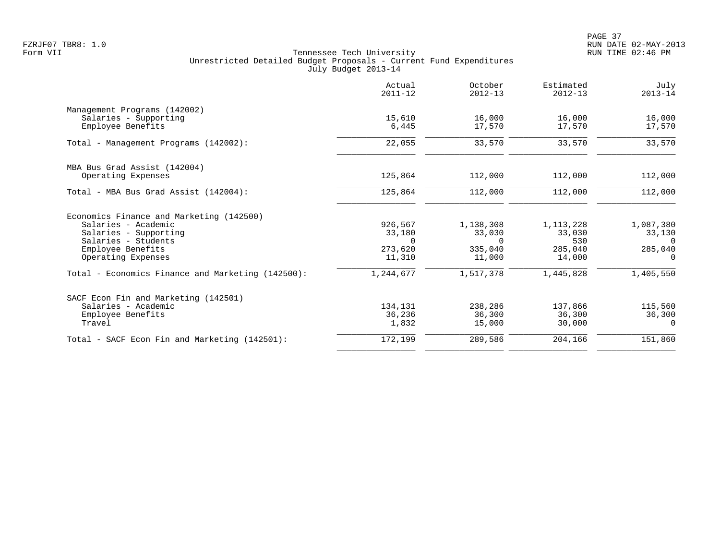PAGE 37 FZRJF07 TBR8: 1.0 RUN DATE 02-MAY-2013

|                                                   | Actual<br>$2011 - 12$ | October<br>$2012 - 13$ | Estimated<br>$2012 - 13$ | July<br>$2013 - 14$ |
|---------------------------------------------------|-----------------------|------------------------|--------------------------|---------------------|
| Management Programs (142002)                      |                       |                        |                          |                     |
| Salaries - Supporting                             | 15,610                | 16,000                 | 16,000                   | 16,000              |
| Employee Benefits                                 | 6,445                 | 17,570                 | 17,570                   | 17,570              |
| Total - Management Programs (142002):             | 22,055                | 33,570                 | 33,570                   | 33,570              |
| MBA Bus Grad Assist (142004)                      |                       |                        |                          |                     |
| Operating Expenses                                | 125,864               | 112,000                | 112,000                  | 112,000             |
| Total - MBA Bus Grad Assist (142004):             | 125,864               | 112,000                | 112,000                  | 112,000             |
| Economics Finance and Marketing (142500)          |                       |                        |                          |                     |
| Salaries - Academic                               | 926,567               | 1,138,308              | 1, 113, 228              | 1,087,380           |
| Salaries - Supporting                             | 33,180                | 33,030                 | 33,030                   | 33,130              |
| Salaries - Students                               | $\Omega$              | $\Omega$               | 530                      | $\Omega$            |
| Employee Benefits                                 | 273,620               | 335,040                | 285,040                  | 285,040             |
| Operating Expenses                                | 11,310                | 11,000                 | 14,000                   | $\Omega$            |
| Total - Economics Finance and Marketing (142500): | 1,244,677             | 1,517,378              | 1,445,828                | 1,405,550           |
| SACF Econ Fin and Marketing (142501)              |                       |                        |                          |                     |
| Salaries - Academic                               | 134,131               | 238,286                | 137,866                  | 115,560             |
| Employee Benefits                                 | 36,236                | 36,300                 | 36,300                   | 36,300              |
| Travel                                            | 1,832                 | 15,000                 | 30,000                   | $\Omega$            |
| Total - SACF Econ Fin and Marketing (142501):     | 172,199               | 289,586                | 204,166                  | 151,860             |
|                                                   |                       |                        |                          |                     |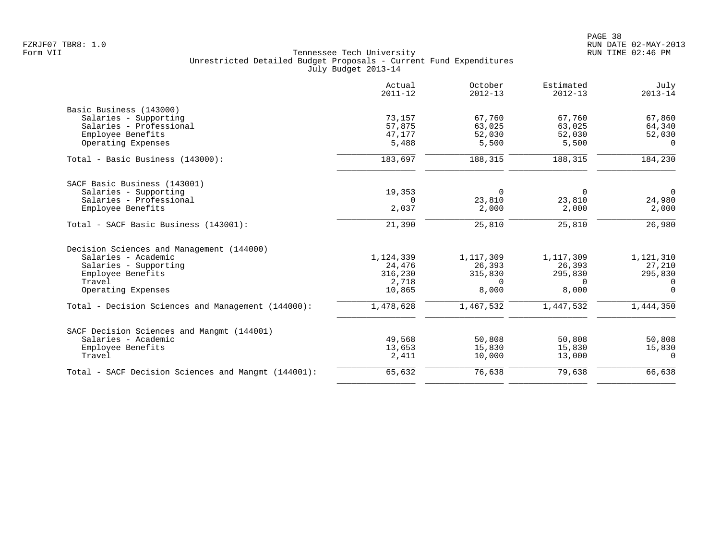|                                                     | Actual<br>$2011 - 12$ | October<br>$2012 - 13$ | Estimated<br>$2012 - 13$ | July<br>$2013 - 14$ |
|-----------------------------------------------------|-----------------------|------------------------|--------------------------|---------------------|
| Basic Business (143000)                             |                       |                        |                          |                     |
| Salaries - Supporting                               | 73,157                | 67,760                 | 67,760                   | 67,860              |
| Salaries - Professional                             | 57,875                | 63,025                 | 63,025                   | 64,340              |
| Employee Benefits                                   | 47,177                | 52,030                 | 52,030                   | 52,030              |
| Operating Expenses                                  | 5,488                 | 5,500                  | 5,500                    | $\Omega$            |
| Total - Basic Business (143000):                    | 183,697               | 188,315                | 188,315                  | 184,230             |
| SACF Basic Business (143001)                        |                       |                        |                          |                     |
| Salaries - Supporting                               | 19,353                | $\Omega$               | 0                        | $\overline{0}$      |
| Salaries - Professional                             | 0                     | 23,810                 | 23,810                   | 24,980              |
| Employee Benefits                                   | 2,037                 | 2,000                  | 2,000                    | 2,000               |
| Total - SACF Basic Business (143001):               | 21,390                | 25,810                 | 25,810                   | 26,980              |
| Decision Sciences and Management (144000)           |                       |                        |                          |                     |
| Salaries - Academic                                 | 1,124,339             | 1,117,309              | 1,117,309                | 1,121,310           |
| Salaries - Supporting                               | 24,476                | 26,393                 | 26,393                   | 27,210              |
| Employee Benefits                                   | 316,230               | 315,830                | 295,830                  | 295,830             |
| Travel                                              | 2,718                 | $\Omega$               | 0                        | 0                   |
| Operating Expenses                                  | 10,865                | 8,000                  | 8,000                    | $\overline{0}$      |
| Total - Decision Sciences and Management (144000):  | 1,478,628             | 1,467,532              | 1,447,532                | 1,444,350           |
| SACF Decision Sciences and Mangmt (144001)          |                       |                        |                          |                     |
| Salaries - Academic                                 | 49,568                | 50,808                 | 50,808                   | 50,808              |
| Employee Benefits                                   | 13,653                | 15,830                 | 15,830                   | 15,830              |
| Travel                                              | 2,411                 | 10,000                 | 13,000                   | $\Omega$            |
| Total - SACF Decision Sciences and Mangmt (144001): | 65,632                | 76,638                 | 79,638                   | 66,638              |
|                                                     |                       |                        |                          |                     |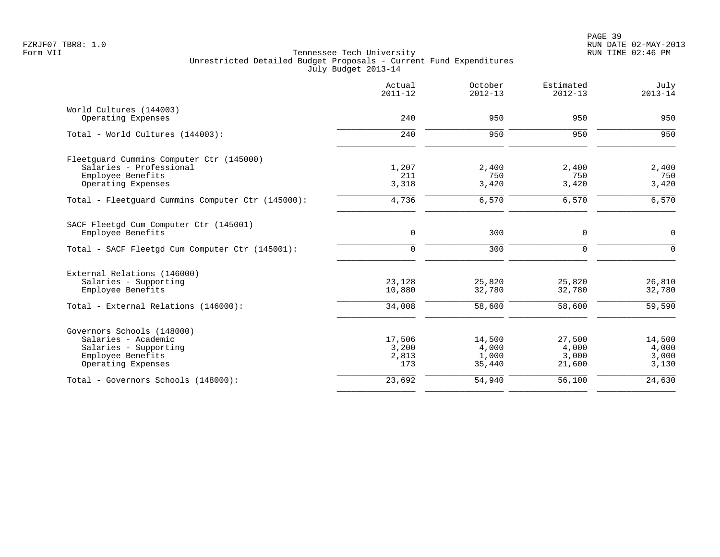|                                                   | Actual<br>$2011 - 12$ | October<br>$2012 - 13$ | Estimated<br>$2012 - 13$ | July<br>$2013 - 14$ |
|---------------------------------------------------|-----------------------|------------------------|--------------------------|---------------------|
| World Cultures (144003)                           |                       |                        |                          |                     |
| Operating Expenses                                | 240                   | 950                    | 950                      | 950                 |
| Total - World Cultures (144003):                  | 240                   | 950                    | 950                      | 950                 |
| Fleetquard Cummins Computer Ctr (145000)          |                       |                        |                          |                     |
| Salaries - Professional                           | 1,207                 | 2,400                  | 2,400                    | 2,400               |
| Employee Benefits                                 | 211                   | 750                    | 750                      | 750                 |
| Operating Expenses                                | 3,318                 | 3,420                  | 3,420                    | 3,420               |
| Total - Fleetguard Cummins Computer Ctr (145000): | 4,736                 | 6,570                  | 6,570                    | 6,570               |
| SACF Fleetgd Cum Computer Ctr (145001)            |                       |                        |                          |                     |
| Employee Benefits                                 | $\mathbf 0$           | 300                    | 0                        | $\mathbf 0$         |
| Total - SACF Fleetgd Cum Computer Ctr (145001):   | $\Omega$              | 300                    | $\mathbf 0$              | $\Omega$            |
| External Relations (146000)                       |                       |                        |                          |                     |
| Salaries - Supporting                             | 23,128                | 25,820                 | 25,820                   | 26,810              |
| Employee Benefits                                 | 10,880                | 32,780                 | 32,780                   | 32,780              |
| Total - External Relations (146000):              | 34,008                | 58,600                 | 58,600                   | 59,590              |
| Governors Schools (148000)                        |                       |                        |                          |                     |
| Salaries - Academic                               | 17,506                | 14,500                 | 27,500                   | 14,500              |
| Salaries - Supporting                             | 3,200                 | 4,000                  | 4,000                    | 4,000               |
| Employee Benefits                                 | 2,813                 | 1,000                  | 3,000                    | 3,000               |
| Operating Expenses                                | 173                   | 35,440                 | 21,600                   | 3,130               |
| Total - Governors Schools (148000):               | 23,692                | 54,940                 | 56,100                   | 24,630              |
|                                                   |                       |                        |                          |                     |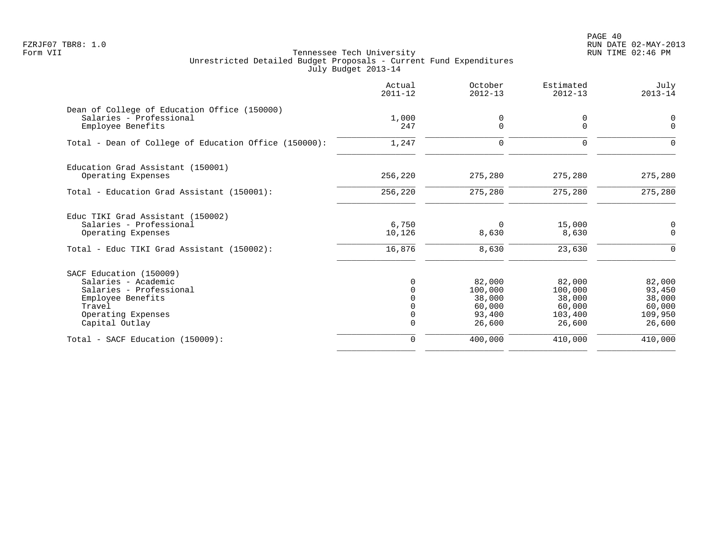PAGE 40 FZRJF07 TBR8: 1.0 RUN DATE 02-MAY-2013

|                                                                                                                                                  | Actual<br>$2011 - 12$          | October<br>$2012 - 13$                                    | Estimated<br>$2012 - 13$                                   | July<br>$2013 - 14$                                       |
|--------------------------------------------------------------------------------------------------------------------------------------------------|--------------------------------|-----------------------------------------------------------|------------------------------------------------------------|-----------------------------------------------------------|
| Dean of College of Education Office (150000)<br>Salaries - Professional<br>Employee Benefits                                                     | 1,000<br>247                   | 0<br>$\mathbf 0$                                          | 0<br>$\mathbf 0$                                           | 0<br>0                                                    |
| Total - Dean of College of Education Office (150000):                                                                                            | 1,247                          | 0                                                         | $\mathbf 0$                                                | $\Omega$                                                  |
| Education Grad Assistant (150001)<br>Operating Expenses                                                                                          | 256,220                        | 275,280                                                   | 275,280                                                    | 275,280                                                   |
| Total - Education Grad Assistant (150001):                                                                                                       | 256,220                        | 275,280                                                   | 275,280                                                    | 275,280                                                   |
| Educ TIKI Grad Assistant (150002)<br>Salaries - Professional<br>Operating Expenses                                                               | 6,750<br>10,126                | $\mathbf 0$<br>8,630                                      | 15,000<br>8,630                                            | 0<br>$\Omega$                                             |
| Total - Educ TIKI Grad Assistant (150002):                                                                                                       | 16,876                         | 8,630                                                     | 23,630                                                     | $\Omega$                                                  |
| SACF Education (150009)<br>Salaries - Academic<br>Salaries - Professional<br>Employee Benefits<br>Travel<br>Operating Expenses<br>Capital Outlay | 0<br>$\Omega$<br>0<br>$\Omega$ | 82,000<br>100,000<br>38,000<br>60,000<br>93,400<br>26,600 | 82,000<br>100,000<br>38,000<br>60,000<br>103,400<br>26,600 | 82,000<br>93,450<br>38,000<br>60,000<br>109,950<br>26,600 |
| Total - SACF Education (150009):                                                                                                                 | $\mathbf 0$                    | 400,000                                                   | 410,000                                                    | 410,000                                                   |
|                                                                                                                                                  |                                |                                                           |                                                            |                                                           |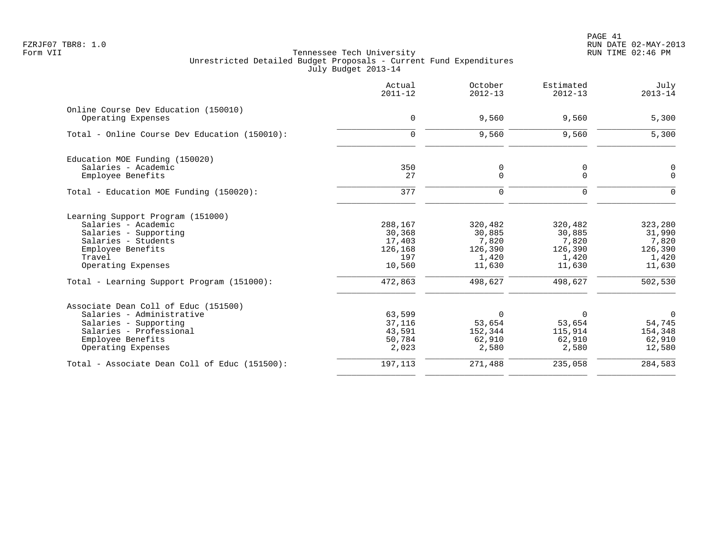PAGE 41 FZRJF07 TBR8: 1.0 RUN DATE 02-MAY-2013

|                                                                                                                                                                                                             | Actual<br>$2011 - 12$                                              | October<br>$2012 - 13$                                              | Estimated<br>$2012 - 13$                                            | July<br>$2013 - 14$                                                 |
|-------------------------------------------------------------------------------------------------------------------------------------------------------------------------------------------------------------|--------------------------------------------------------------------|---------------------------------------------------------------------|---------------------------------------------------------------------|---------------------------------------------------------------------|
| Online Course Dev Education (150010)<br>Operating Expenses                                                                                                                                                  | $\mathbf 0$                                                        | 9,560                                                               | 9,560                                                               | 5,300                                                               |
| Total - Online Course Dev Education (150010):                                                                                                                                                               | $\mathbf 0$                                                        | 9,560                                                               | 9,560                                                               | 5,300                                                               |
| Education MOE Funding (150020)<br>Salaries - Academic<br>Employee Benefits                                                                                                                                  | 350<br>27                                                          | 0<br>$\mathbf 0$                                                    | 0<br>$\mathbf 0$                                                    | 0<br>$\mathbf 0$                                                    |
| Total - Education MOE Funding (150020):                                                                                                                                                                     | 377                                                                | $\mathbf 0$                                                         | $\Omega$                                                            | $\Omega$                                                            |
| Learning Support Program (151000)<br>Salaries - Academic<br>Salaries - Supporting<br>Salaries - Students<br>Employee Benefits<br>Travel<br>Operating Expenses<br>Total - Learning Support Program (151000): | 288,167<br>30,368<br>17,403<br>126,168<br>197<br>10,560<br>472,863 | 320,482<br>30,885<br>7,820<br>126,390<br>1,420<br>11,630<br>498,627 | 320,482<br>30,885<br>7,820<br>126,390<br>1,420<br>11,630<br>498,627 | 323,280<br>31,990<br>7,820<br>126,390<br>1,420<br>11,630<br>502,530 |
| Associate Dean Coll of Educ (151500)<br>Salaries - Administrative<br>Salaries - Supporting<br>Salaries - Professional<br>Employee Benefits<br>Operating Expenses                                            | 63,599<br>37,116<br>43,591<br>50,784<br>2,023                      | $\mathbf 0$<br>53,654<br>152,344<br>62,910<br>2,580                 | $\Omega$<br>53,654<br>115,914<br>62,910<br>2,580                    | $\overline{0}$<br>54,745<br>154,348<br>62,910<br>12,580             |
| Total - Associate Dean Coll of Educ (151500):                                                                                                                                                               | 197,113                                                            | 271,488                                                             | 235,058                                                             | 284,583                                                             |
|                                                                                                                                                                                                             |                                                                    |                                                                     |                                                                     |                                                                     |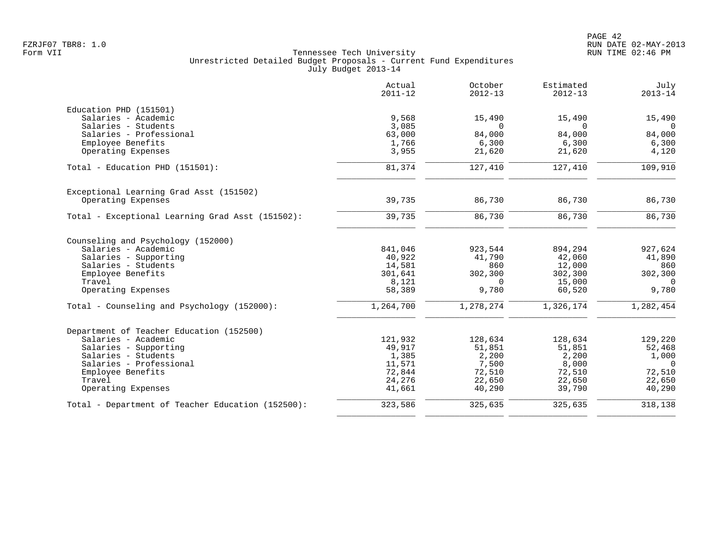|                                                   | Actual<br>$2011 - 12$ | October<br>$2012 - 13$ | Estimated<br>$2012 - 13$ | July<br>$2013 - 14$ |
|---------------------------------------------------|-----------------------|------------------------|--------------------------|---------------------|
| Education PHD (151501)                            |                       |                        |                          |                     |
| Salaries - Academic                               | 9,568                 | 15,490                 | 15,490                   | 15,490              |
| Salaries - Students                               | 3,085                 | $\Omega$               | $\Omega$                 | $\Omega$            |
| Salaries - Professional                           | 63,000                | 84,000                 | 84,000                   | 84,000              |
| Employee Benefits                                 | 1,766                 | 6,300                  | 6,300                    | 6,300               |
| Operating Expenses                                | 3,955                 | 21,620                 | 21,620                   | 4,120               |
| Total - Education PHD (151501):                   | 81,374                | 127,410                | 127,410                  | 109,910             |
| Exceptional Learning Grad Asst (151502)           |                       |                        |                          |                     |
| Operating Expenses                                | 39,735                | 86,730                 | 86,730                   | 86,730              |
| Total - Exceptional Learning Grad Asst (151502):  | 39,735                | 86,730                 | 86,730                   | 86,730              |
| Counseling and Psychology (152000)                |                       |                        |                          |                     |
| Salaries - Academic                               | 841,046               | 923,544                | 894,294                  | 927,624             |
| Salaries - Supporting                             | 40,922                | 41,790                 | 42,060                   | 41,890              |
| Salaries - Students                               | 14,581                | 860                    | 12,000                   | 860                 |
| Employee Benefits                                 | 301,641               | 302,300                | 302,300                  | 302,300             |
| Travel                                            | 8,121                 | $\Omega$               | 15,000                   | $\Omega$            |
| Operating Expenses                                | 58,389                | 9,780                  | 60,520                   | 9,780               |
| Total - Counseling and Psychology (152000):       | 1,264,700             | 1,278,274              | 1,326,174                | 1,282,454           |
| Department of Teacher Education (152500)          |                       |                        |                          |                     |
| Salaries - Academic                               | 121,932               | 128,634                | 128,634                  | 129,220             |
| Salaries - Supporting                             | 49,917                | 51,851                 | 51,851                   | 52,468              |
| Salaries - Students                               | 1,385                 | 2,200                  | 2,200                    | 1,000               |
| Salaries - Professional                           | 11,571                | 7,500                  | 8,000                    | $\Omega$            |
| Employee Benefits                                 | 72,844                | 72,510                 | 72,510                   | 72,510              |
| Travel                                            | 24,276                | 22,650                 | 22,650                   | 22,650              |
| Operating Expenses                                | 41,661                | 40,290                 | 39,790                   | 40,290              |
| Total - Department of Teacher Education (152500): | 323,586               | 325,635                | 325,635                  | 318,138             |
|                                                   |                       |                        |                          |                     |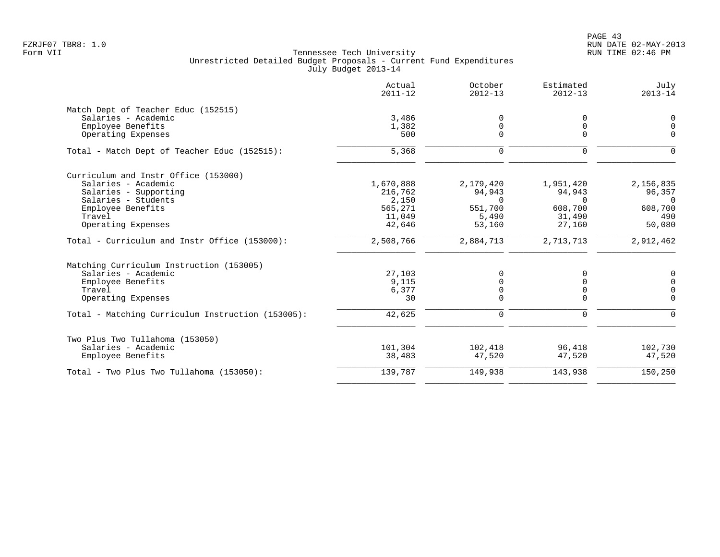|                                                   | Actual<br>$2011 - 12$ | October<br>$2012 - 13$ | Estimated<br>$2012 - 13$ | July<br>$2013 - 14$ |
|---------------------------------------------------|-----------------------|------------------------|--------------------------|---------------------|
| Match Dept of Teacher Educ (152515)               |                       |                        |                          |                     |
| Salaries - Academic                               | 3,486                 | $\Omega$               | 0                        | 0                   |
| Employee Benefits                                 | 1,382                 | $\mathbf 0$            | 0                        | $\Omega$            |
| Operating Expenses                                | 500                   | $\Omega$               | $\Omega$                 | $\Omega$            |
| Total - Match Dept of Teacher Educ (152515):      | 5,368                 | $\mathbf 0$            | 0                        | $\Omega$            |
| Curriculum and Instr Office (153000)              |                       |                        |                          |                     |
| Salaries - Academic                               | 1,670,888             | 2,179,420              | 1,951,420                | 2,156,835           |
| Salaries - Supporting                             | 216,762               | 94,943                 | 94,943                   | 96,357              |
| Salaries - Students                               | 2,150                 | $\Omega$               | $\Omega$                 | $\Omega$            |
| Employee Benefits                                 | 565,271               | 551,700                | 608,700                  | 608,700             |
| Travel                                            | 11,049                | 5,490                  | 31,490                   | 490                 |
| Operating Expenses                                | 42,646                | 53,160                 | 27,160                   | 50,080              |
| Total - Curriculum and Instr Office (153000):     | 2,508,766             | 2,884,713              | 2,713,713                | 2,912,462           |
| Matching Curriculum Instruction (153005)          |                       |                        |                          |                     |
| Salaries - Academic                               | 27,103                | 0                      | 0                        | 0                   |
| Employee Benefits                                 | 9,115                 | $\Omega$               | $\Omega$                 | $\mathbf 0$         |
| Travel                                            | 6,377                 | $\mathbf 0$            | 0                        | $\mathbf 0$         |
| Operating Expenses                                | 30                    | $\mathbf 0$            | $\Omega$                 | $\Omega$            |
| Total - Matching Curriculum Instruction (153005): | 42,625                | $\mathbf 0$            | 0                        | $\mathbf 0$         |
| Two Plus Two Tullahoma (153050)                   |                       |                        |                          |                     |
| Salaries - Academic                               | 101,304               | 102,418                | 96,418                   | 102,730             |
| Employee Benefits                                 | 38,483                | 47,520                 | 47,520                   | 47,520              |
| Total - Two Plus Two Tullahoma (153050):          | 139,787               | 149,938                | 143,938                  | 150,250             |
|                                                   |                       |                        |                          |                     |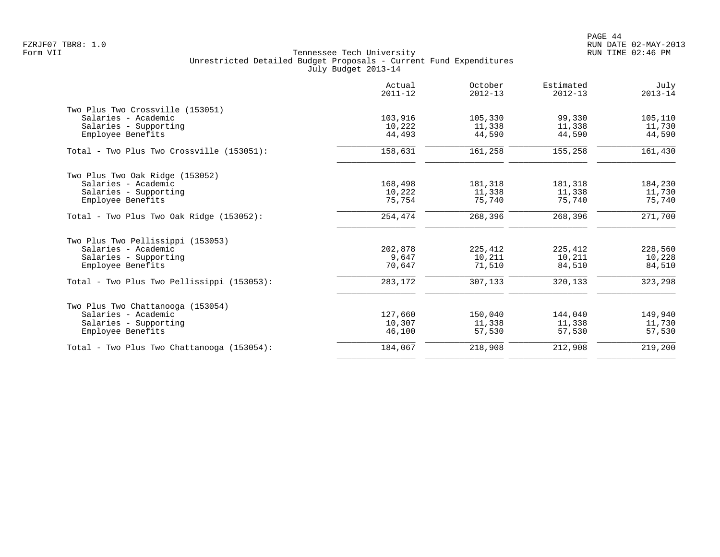|                                            | Actual<br>$2011 - 12$ | October<br>$2012 - 13$ | Estimated<br>$2012 - 13$ | July<br>$2013 - 14$ |
|--------------------------------------------|-----------------------|------------------------|--------------------------|---------------------|
| Two Plus Two Crossville (153051)           |                       |                        |                          |                     |
| Salaries - Academic                        | 103,916               | 105,330                | 99,330                   | 105,110             |
| Salaries - Supporting                      | 10,222                | 11,338                 | 11,338                   | 11,730              |
| Employee Benefits                          | 44,493                | 44,590                 | 44,590                   | 44,590              |
| Total - Two Plus Two Crossville (153051):  | 158,631               | 161,258                | 155,258                  | 161,430             |
| Two Plus Two Oak Ridge (153052)            |                       |                        |                          |                     |
| Salaries - Academic                        | 168,498               | 181,318                | 181,318                  | 184,230             |
| Salaries - Supporting                      | 10,222                | 11,338                 | 11,338                   | 11,730              |
| Employee Benefits                          | 75,754                | 75,740                 | 75,740                   | 75,740              |
| Total - Two Plus Two Oak Ridge (153052):   | 254,474               | 268,396                | 268,396                  | 271,700             |
| Two Plus Two Pellissippi (153053)          |                       |                        |                          |                     |
| Salaries - Academic                        | 202,878               | 225,412                | 225,412                  | 228,560             |
| Salaries - Supporting                      | 9,647                 | 10,211                 | 10,211                   | 10,228              |
| Employee Benefits                          | 70,647                | 71,510                 | 84,510                   | 84,510              |
| Total - Two Plus Two Pellissippi (153053): | 283,172               | 307,133                | 320,133                  | 323,298             |
| Two Plus Two Chattanooga (153054)          |                       |                        |                          |                     |
| Salaries - Academic                        | 127,660               | 150,040                | 144,040                  | 149,940             |
| Salaries - Supporting                      | 10,307                | 11,338                 | 11,338                   | 11,730              |
| Employee Benefits                          | 46,100                | 57,530                 | 57,530                   | 57,530              |
| Total - Two Plus Two Chattanooga (153054): | 184,067               | 218,908                | 212,908                  | 219,200             |
|                                            |                       |                        |                          |                     |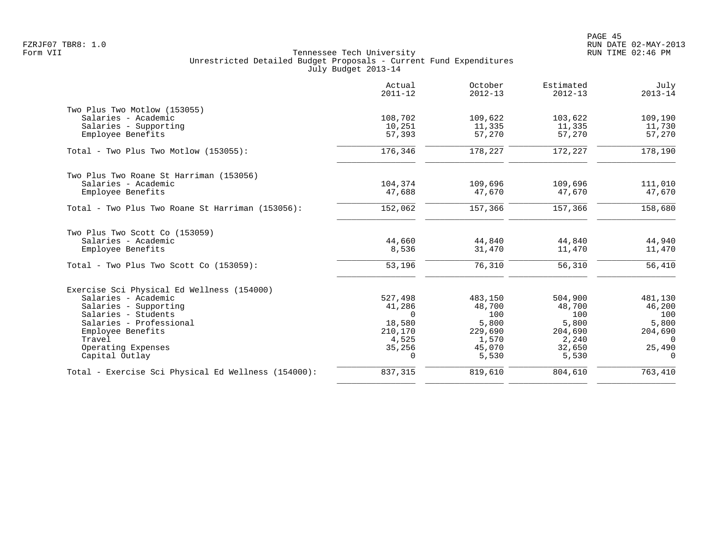|                                                     | Actual<br>$2011 - 12$ | October<br>$2012 - 13$ | Estimated<br>$2012 - 13$ | July<br>$2013 - 14$ |
|-----------------------------------------------------|-----------------------|------------------------|--------------------------|---------------------|
| Two Plus Two Motlow (153055)                        |                       |                        |                          |                     |
| Salaries - Academic                                 | 108,702               | 109,622                | 103,622                  | 109,190             |
| Salaries - Supporting                               | 10,251                | 11,335                 | 11,335                   | 11,730              |
| Employee Benefits                                   | 57,393                | 57,270                 | 57,270                   | 57,270              |
| Total - Two Plus Two Motlow (153055):               | 176,346               | 178,227                | 172,227                  | 178,190             |
| Two Plus Two Roane St Harriman (153056)             |                       |                        |                          |                     |
| Salaries - Academic                                 | 104,374               | 109,696                | 109,696                  | 111,010             |
| Employee Benefits                                   | 47,688                | 47,670                 | 47,670                   | 47,670              |
| Total - Two Plus Two Roane St Harriman (153056):    | 152,062               | 157,366                | 157,366                  | 158,680             |
| Two Plus Two Scott Co (153059)                      |                       |                        |                          |                     |
| Salaries - Academic                                 | 44,660                | 44,840                 | 44,840                   | 44,940              |
| Employee Benefits                                   | 8,536                 | 31,470                 | 11,470                   | 11,470              |
| Total - Two Plus Two Scott Co (153059):             | 53,196                | 76,310                 | 56,310                   | 56,410              |
| Exercise Sci Physical Ed Wellness (154000)          |                       |                        |                          |                     |
| Salaries - Academic                                 | 527,498               | 483,150                | 504,900                  | 481,130             |
| Salaries - Supporting                               | 41,286                | 48,700                 | 48,700                   | 46,200              |
| Salaries - Students                                 | $\Omega$              | 100                    | 100                      | 100                 |
| Salaries - Professional                             | 18,580                | 5,800                  | 5,800                    | 5,800               |
| Employee Benefits                                   | 210,170               | 229,690                | 204,690                  | 204,690             |
| Travel                                              | 4,525                 | 1,570                  | 2,240                    | $\overline{0}$      |
| Operating Expenses<br>Capital Outlay                | 35,256<br>0           | 45,070<br>5,530        | 32,650<br>5,530          | 25,490<br>$\Omega$  |
|                                                     |                       |                        |                          |                     |
| Total - Exercise Sci Physical Ed Wellness (154000): | 837,315               | 819,610                | 804,610                  | 763,410             |
|                                                     |                       |                        |                          |                     |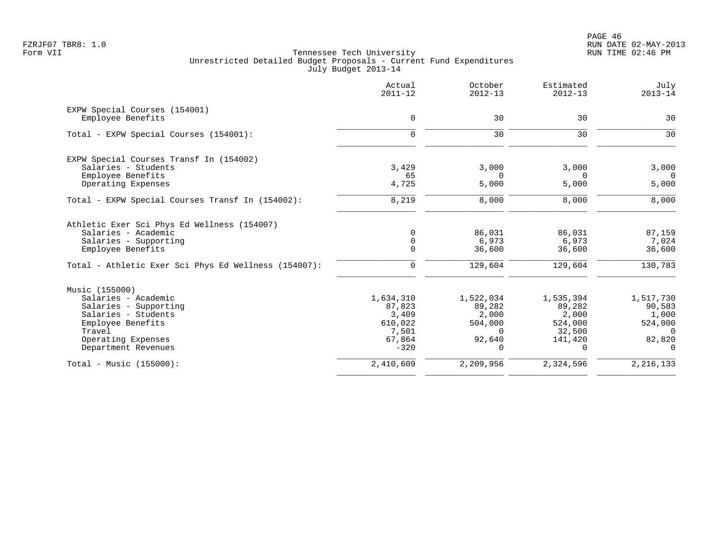|                                                      | Actual<br>$2011 - 12$ | October<br>$2012 - 13$ | Estimated<br>$2012 - 13$ | July<br>$2013 - 14$ |
|------------------------------------------------------|-----------------------|------------------------|--------------------------|---------------------|
| EXPW Special Courses (154001)                        |                       |                        |                          |                     |
| Employee Benefits                                    | $\mathbf 0$           | 30                     | 30                       | 30                  |
| Total - EXPW Special Courses (154001):               | $\mathbf 0$           | 30                     | 30                       | 30                  |
| EXPW Special Courses Transf In (154002)              |                       |                        |                          |                     |
| Salaries - Students                                  | 3,429                 | 3,000                  | 3,000                    | 3,000               |
| Employee Benefits                                    | 65                    | $\Omega$               | $\Omega$                 | $\Omega$            |
| Operating Expenses                                   | 4,725                 | 5,000                  | 5,000                    | 5,000               |
| Total - EXPW Special Courses Transf In (154002):     | 8,219                 | 8,000                  | 8,000                    | 8,000               |
| Athletic Exer Sci Phys Ed Wellness (154007)          |                       |                        |                          |                     |
| Salaries - Academic                                  | $\mathbf 0$           | 86,031                 | 86,031                   | 87,159              |
| Salaries - Supporting                                | $\mathbf 0$           | 6,973                  | 6,973                    | 7,024               |
| Employee Benefits                                    | $\mathbf 0$           | 36,600                 | 36,600                   | 36,600              |
| Total - Athletic Exer Sci Phys Ed Wellness (154007): | $\mathbf 0$           | 129,604                | 129,604                  | 130,783             |
| Music (155000)                                       |                       |                        |                          |                     |
| Salaries - Academic                                  | 1,634,310             | 1,522,034              | 1,535,394                | 1,517,730           |
| Salaries - Supporting                                | 87,823                | 89,282                 | 89,282                   | 90,583              |
| Salaries - Students                                  | 3,409                 | 2,000                  | 2,000                    | 1,000               |
| Employee Benefits                                    | 610,022               | 504,000                | 524,000                  | 524,000             |
| Travel                                               | 7,501                 | $\Omega$               | 32,500                   | $\Omega$            |
| Operating Expenses<br>Department Revenues            | 67,864<br>$-320$      | 92,640<br>0            | 141,420<br>$\Omega$      | 82,820<br>$\Omega$  |
|                                                      |                       |                        |                          |                     |
| Total - Music (155000):                              | 2,410,609             | 2,209,956              | 2,324,596                | 2, 216, 133         |
|                                                      |                       |                        |                          |                     |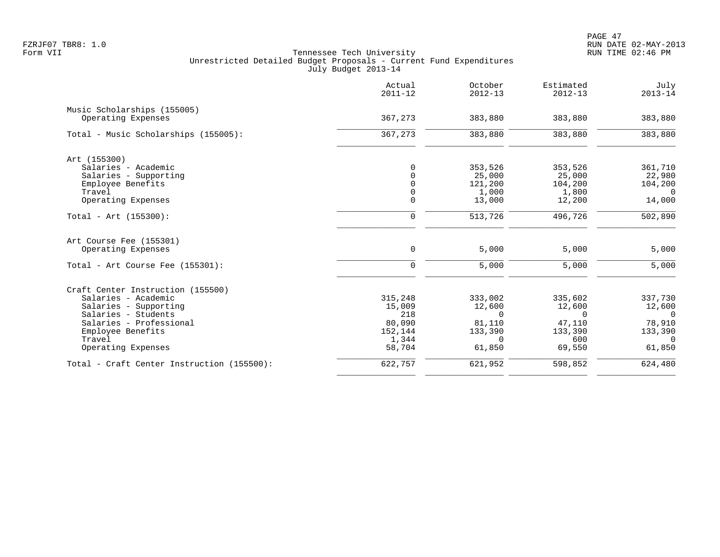|                                            | Actual<br>$2011 - 12$ | October<br>$2012 - 13$ | Estimated<br>$2012 - 13$ | July<br>$2013 - 14$ |
|--------------------------------------------|-----------------------|------------------------|--------------------------|---------------------|
| Music Scholarships (155005)                |                       |                        |                          |                     |
| Operating Expenses                         | 367,273               | 383,880                | 383,880                  | 383,880             |
| Total - Music Scholarships (155005):       | 367,273               | 383,880                | 383,880                  | 383,880             |
| Art (155300)                               |                       |                        |                          |                     |
| Salaries - Academic                        | $\Omega$              | 353,526                | 353,526                  | 361,710             |
| Salaries - Supporting                      | $\Omega$              | 25,000                 | 25,000                   | 22,980              |
| Employee Benefits                          | $\Omega$              | 121,200                | 104,200                  | 104,200             |
| Travel                                     | 0                     | 1,000                  | 1,800                    | $\Omega$            |
| Operating Expenses                         | $\mathbf 0$           | 13,000                 | 12,200                   | 14,000              |
| Total - Art $(155300)$ :                   | $\mathbf 0$           | 513,726                | 496,726                  | 502,890             |
| Art Course Fee (155301)                    |                       |                        |                          |                     |
| Operating Expenses                         | $\mathbf 0$           | 5,000                  | 5,000                    | 5,000               |
| Total - Art Course Fee (155301):           | $\mathbf 0$           | 5,000                  | 5,000                    | 5,000               |
| Craft Center Instruction (155500)          |                       |                        |                          |                     |
| Salaries - Academic                        | 315,248               | 333,002                | 335,602                  | 337,730             |
| Salaries - Supporting                      | 15,009                | 12,600                 | 12,600                   | 12,600              |
| Salaries - Students                        | 218                   | $\Omega$               | $\Omega$                 | $\Omega$            |
| Salaries - Professional                    | 80,090                | 81,110                 | 47,110                   | 78,910              |
| Employee Benefits                          | 152,144               | 133,390                | 133,390                  | 133,390             |
| Travel                                     | 1,344                 | $\Omega$               | 600                      | $\Omega$            |
| Operating Expenses                         | 58,704                | 61,850                 | 69,550                   | 61,850              |
| Total - Craft Center Instruction (155500): | 622,757               | 621,952                | 598,852                  | 624,480             |
|                                            |                       |                        |                          |                     |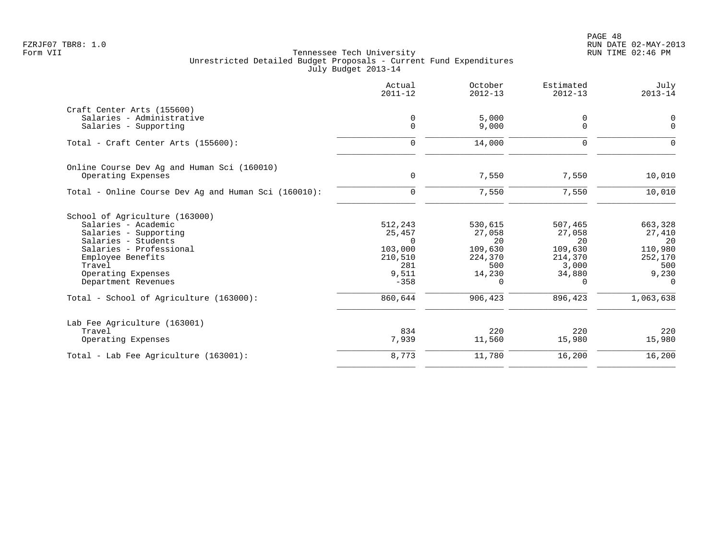|                                                      | Actual<br>$2011 - 12$ | October<br>$2012 - 13$ | Estimated<br>$2012 - 13$ | July<br>$2013 - 14$ |
|------------------------------------------------------|-----------------------|------------------------|--------------------------|---------------------|
| Craft Center Arts (155600)                           |                       |                        |                          |                     |
| Salaries - Administrative                            | 0                     | 5,000                  | 0                        | 0                   |
| Salaries - Supporting                                | $\Omega$              | 9,000                  | $\Omega$                 | $\Omega$            |
| Total - Craft Center Arts (155600):                  | $\Omega$              | 14,000                 | $\Omega$                 | $\Omega$            |
| Online Course Dev Ag and Human Sci (160010)          |                       |                        |                          |                     |
| Operating Expenses                                   | $\mathbf 0$           | 7,550                  | 7,550                    | 10,010              |
| Total - Online Course Dev Ag and Human Sci (160010): | $\mathbf 0$           | 7,550                  | 7,550                    | 10,010              |
| School of Agriculture (163000)                       |                       |                        |                          |                     |
| Salaries - Academic                                  | 512,243               | 530,615                | 507,465                  | 663,328             |
| Salaries - Supporting                                | 25,457                | 27,058                 | 27,058                   | 27,410              |
| Salaries - Students                                  | $\Omega$              | 20                     | 20                       | 20                  |
| Salaries - Professional                              | 103,000               | 109,630                | 109,630                  | 110,980             |
| Employee Benefits                                    | 210,510               | 224,370                | 214,370                  | 252,170             |
| Travel                                               | 281                   | 500                    | 3,000                    | 500                 |
| Operating Expenses                                   | 9,511                 | 14,230                 | 34,880                   | 9,230               |
| Department Revenues                                  | $-358$                | O.                     | $\Omega$                 | $\Omega$            |
| Total - School of Agriculture (163000):              | 860,644               | 906,423                | 896,423                  | 1,063,638           |
| Lab Fee Agriculture (163001)                         |                       |                        |                          |                     |
| Travel                                               | 834                   | 220                    | 220                      | 220                 |
| Operating Expenses                                   | 7,939                 | 11,560                 | 15,980                   | 15,980              |
| Total - Lab Fee Agriculture (163001):                | 8,773                 | 11,780                 | 16,200                   | 16,200              |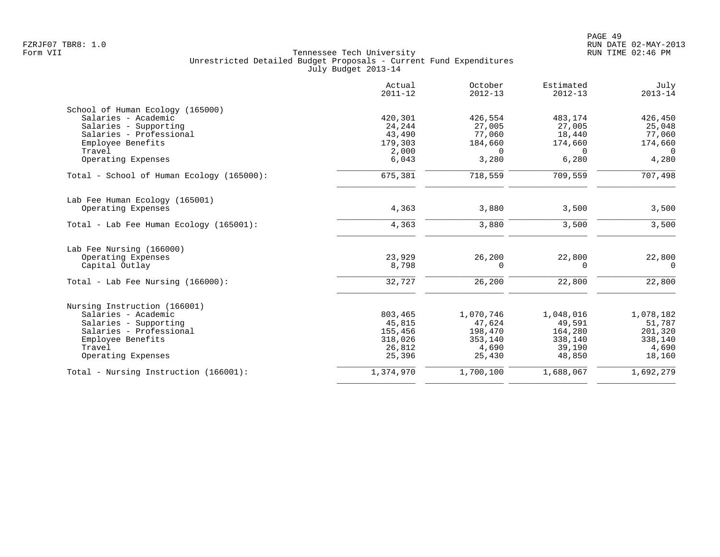|                                           | Actual<br>$2011 - 12$ | October<br>$2012 - 13$ | Estimated<br>$2012 - 13$ | July<br>$2013 - 14$ |
|-------------------------------------------|-----------------------|------------------------|--------------------------|---------------------|
| School of Human Ecology (165000)          |                       |                        |                          |                     |
| Salaries - Academic                       | 420,301               | 426,554                | 483,174                  | 426,450             |
| Salaries - Supporting                     | 24,244                | 27,005                 | 27,005                   | 25,048              |
| Salaries - Professional                   | 43,490                | 77,060                 | 18,440                   | 77,060              |
| Employee Benefits                         | 179,303               | 184,660                | 174,660                  | 174,660             |
| Travel                                    | 2,000                 | $\Omega$               | $\Omega$                 | $\Omega$            |
| Operating Expenses                        | 6,043                 | 3,280                  | 6,280                    | 4,280               |
| Total - School of Human Ecology (165000): | 675,381               | 718,559                | 709,559                  | 707,498             |
| Lab Fee Human Ecology (165001)            |                       |                        |                          |                     |
| Operating Expenses                        | 4,363                 | 3,880                  | 3,500                    | 3,500               |
| Total - Lab Fee Human Ecology (165001):   | 4,363                 | 3,880                  | 3,500                    | 3,500               |
| Lab Fee Nursing (166000)                  |                       |                        |                          |                     |
| Operating Expenses                        | 23,929                | 26,200                 | 22,800                   | 22,800              |
| Capital Outlay                            | 8,798                 | 0                      | 0                        | 0                   |
| Total - Lab Fee Nursing (166000):         | 32,727                | 26,200                 | 22,800                   | 22,800              |
| Nursing Instruction (166001)              |                       |                        |                          |                     |
| Salaries - Academic                       | 803,465               | 1,070,746              | 1,048,016                | 1,078,182           |
| Salaries - Supporting                     | 45,815                | 47,624                 | 49,591                   | 51,787              |
| Salaries - Professional                   | 155,456               | 198,470                | 164,280                  | 201,320             |
| Employee Benefits                         | 318,026               | 353,140                | 338,140                  | 338,140             |
| Travel                                    | 26,812                | 4,690                  | 39,190                   | 4,690               |
| Operating Expenses                        | 25,396                | 25,430                 | 48,850                   | 18,160              |
| Total - Nursing Instruction (166001):     | 1,374,970             | 1,700,100              | 1,688,067                | 1,692,279           |
|                                           |                       |                        |                          |                     |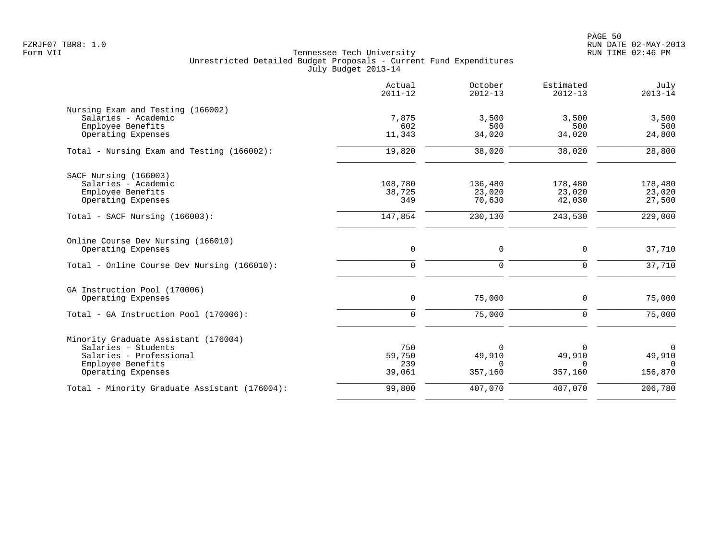|                                               | Actual<br>$2011 - 12$ | October<br>$2012 - 13$ | Estimated<br>$2012 - 13$ | July<br>$2013 - 14$ |
|-----------------------------------------------|-----------------------|------------------------|--------------------------|---------------------|
| Nursing Exam and Testing (166002)             |                       |                        |                          |                     |
| Salaries - Academic                           | 7,875                 | 3,500                  | 3,500                    | 3,500               |
| Employee Benefits                             | 602                   | 500                    | 500                      | 500                 |
| Operating Expenses                            | 11,343                | 34,020                 | 34,020                   | 24,800              |
| Total - Nursing Exam and Testing (166002):    | 19,820                | 38,020                 | 38,020                   | 28,800              |
| SACF Nursing (166003)                         |                       |                        |                          |                     |
| Salaries - Academic                           | 108,780               | 136,480                | 178,480                  | 178,480             |
| Employee Benefits                             | 38,725                | 23,020                 | 23,020                   | 23,020              |
| Operating Expenses                            | 349                   | 70,630                 | 42,030                   | 27,500              |
| Total - SACF Nursing (166003):                | 147,854               | 230,130                | 243,530                  | 229,000             |
| Online Course Dev Nursing (166010)            |                       |                        |                          |                     |
| Operating Expenses                            | $\mathbf 0$           | 0                      | $\mathbf 0$              | 37,710              |
| Total - Online Course Dev Nursing (166010):   | $\mathbf 0$           | $\mathbf 0$            | $\mathbf 0$              | 37,710              |
| GA Instruction Pool (170006)                  |                       |                        |                          |                     |
| Operating Expenses                            | $\mathsf{O}$          | 75,000                 | $\mathbf 0$              | 75,000              |
| Total - GA Instruction Pool (170006):         | $\mathbf 0$           | 75,000                 | $\Omega$                 | 75,000              |
| Minority Graduate Assistant (176004)          |                       |                        |                          |                     |
| Salaries - Students                           | 750                   | 0                      | 0                        | $\overline{0}$      |
| Salaries - Professional                       | 59,750                | 49,910                 | 49,910                   | 49,910              |
| Employee Benefits                             | 239                   | $\Omega$               | $\Omega$                 | $\Omega$            |
| Operating Expenses                            | 39,061                | 357,160                | 357,160                  | 156,870             |
| Total - Minority Graduate Assistant (176004): | 99,800                | 407,070                | 407,070                  | 206,780             |
|                                               |                       |                        |                          |                     |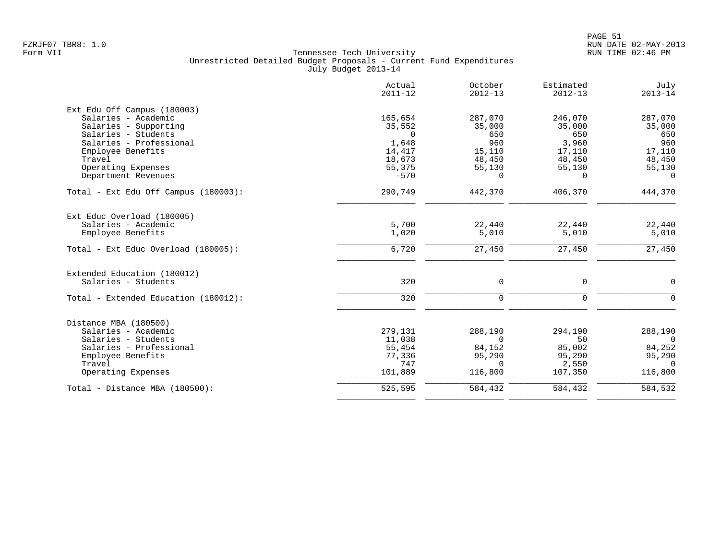|                                      | Actual<br>$2011 - 12$ | October<br>$2012 - 13$ | Estimated<br>$2012 - 13$ | July<br>$2013 - 14$ |
|--------------------------------------|-----------------------|------------------------|--------------------------|---------------------|
| Ext Edu Off Campus (180003)          |                       |                        |                          |                     |
| Salaries - Academic                  | 165,654               | 287,070                | 246,070                  | 287,070             |
| Salaries - Supporting                | 35,552                | 35,000                 | 35,000                   | 35,000              |
| Salaries - Students                  | $\Omega$              | 650                    | 650                      | 650                 |
| Salaries - Professional              | 1,648                 | 960                    | 3,960                    | 960                 |
| Employee Benefits                    | 14,417                | 15,110                 | 17,110                   | 17,110              |
| Travel                               | 18,673                | 48,450                 | 48,450                   | 48,450              |
| Operating Expenses                   | 55,375                | 55,130                 | 55,130                   | 55,130              |
| Department Revenues                  | $-570$                | $\Omega$               | $\Omega$                 | $\Omega$            |
| Total - Ext Edu Off Campus (180003): | 290,749               | 442,370                | 406,370                  | 444,370             |
| Ext Educ Overload (180005)           |                       |                        |                          |                     |
| Salaries - Academic                  | 5,700                 | 22,440                 | 22,440                   | 22,440              |
| Employee Benefits                    | 1,020                 | 5,010                  | 5,010                    | 5,010               |
| Total - Ext Educ Overload (180005):  | 6,720                 | 27,450                 | 27,450                   | 27,450              |
| Extended Education (180012)          |                       |                        |                          |                     |
| Salaries - Students                  | 320                   | 0                      | $\mathbf 0$              | $\Omega$            |
| Total - Extended Education (180012): | 320                   | 0                      | $\mathbf 0$              | $\Omega$            |
| Distance MBA (180500)                |                       |                        |                          |                     |
| Salaries - Academic                  | 279,131               | 288,190                | 294,190                  | 288,190             |
| Salaries - Students                  | 11,038                | $\Omega$               | 50                       | $\overline{0}$      |
| Salaries - Professional              | 55,454                | 84,152                 | 85,002                   | 84,252              |
| Employee Benefits                    | 77,336                | 95,290                 | 95,290                   | 95,290              |
| Travel                               | 747                   | $\Omega$               | 2,550                    | $\Omega$            |
| Operating Expenses                   | 101,889               | 116,800                | 107,350                  | 116,800             |
| Total - Distance MBA (180500):       | 525,595               | 584,432                | 584,432                  | 584,532             |
|                                      |                       |                        |                          |                     |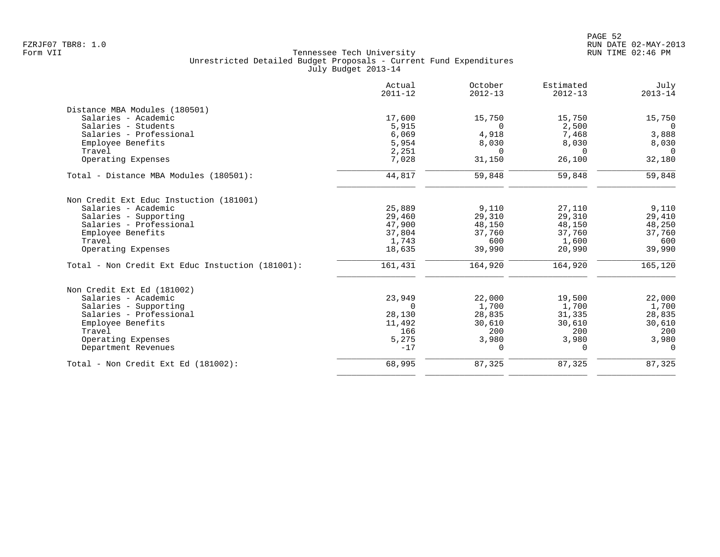|                                                  | Actual<br>$2011 - 12$ | October<br>$2012 - 13$ | Estimated<br>$2012 - 13$ | July<br>$2013 - 14$ |
|--------------------------------------------------|-----------------------|------------------------|--------------------------|---------------------|
| Distance MBA Modules (180501)                    |                       |                        |                          |                     |
| Salaries - Academic                              | 17,600                | 15,750                 | 15,750                   | 15,750              |
| Salaries - Students                              | 5,915                 | $\Omega$               | 2,500                    | $\Omega$            |
| Salaries - Professional                          | 6,069                 | 4,918                  | 7,468                    | 3,888               |
| Employee Benefits                                | 5,954                 | 8,030                  | 8,030                    | 8,030               |
| Travel                                           | 2,251                 | $\Omega$               | $\Omega$                 | $\Omega$            |
| Operating Expenses                               | 7,028                 | 31,150                 | 26,100                   | 32,180              |
| Total - Distance MBA Modules (180501):           | 44,817                | 59,848                 | 59,848                   | 59,848              |
| Non Credit Ext Educ Instuction (181001)          |                       |                        |                          |                     |
| Salaries - Academic                              | 25,889                | 9,110                  | 27,110                   | 9,110               |
| Salaries - Supporting                            | 29,460                | 29,310                 | 29,310                   | 29,410              |
| Salaries - Professional                          | 47,900                | 48,150                 | 48,150                   | 48,250              |
| Employee Benefits                                | 37,804                | 37,760                 | 37,760                   | 37,760              |
| Travel                                           | 1,743                 | 600                    | 1,600                    | 600                 |
| Operating Expenses                               | 18,635                | 39,990                 | 20,990                   | 39,990              |
| Total - Non Credit Ext Educ Instuction (181001): | 161,431               | 164,920                | 164,920                  | 165,120             |
| Non Credit Ext Ed (181002)                       |                       |                        |                          |                     |
| Salaries - Academic                              | 23,949                | 22,000                 | 19,500                   | 22,000              |
| Salaries - Supporting                            | $\Omega$              | 1,700                  | 1,700                    | 1,700               |
| Salaries - Professional                          | 28,130                | 28,835                 | 31,335                   | 28,835              |
| Employee Benefits                                | 11,492                | 30,610                 | 30,610                   | 30,610              |
| Travel                                           | 166                   | 200                    | 200                      | 200                 |
| Operating Expenses                               | 5,275                 | 3,980                  | 3,980                    | 3,980               |
| Department Revenues                              | $-17$                 | $\Omega$               | $\Omega$                 | $\Omega$            |
| Total - Non Credit Ext Ed (181002):              | 68,995                | 87,325                 | 87,325                   | 87,325              |
|                                                  |                       |                        |                          |                     |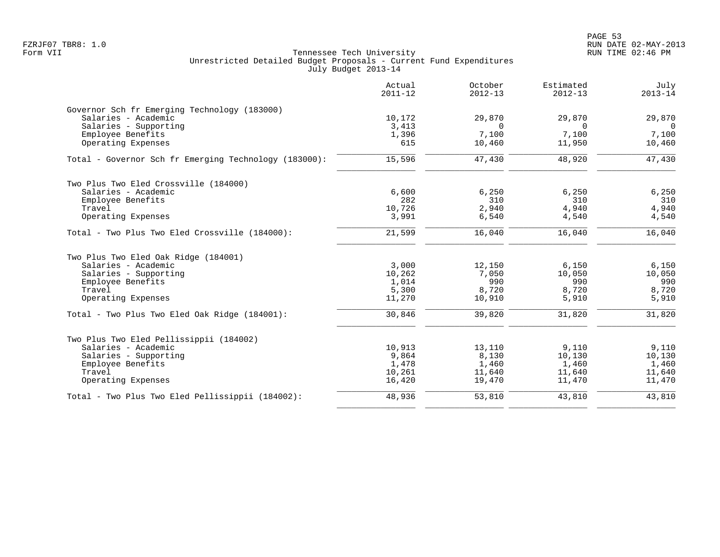|                                                       | Actual<br>$2011 - 12$ | October<br>$2012 - 13$ | Estimated<br>$2012 - 13$ | July<br>$2013 - 14$ |
|-------------------------------------------------------|-----------------------|------------------------|--------------------------|---------------------|
| Governor Sch fr Emerging Technology (183000)          |                       |                        |                          |                     |
| Salaries - Academic                                   | 10,172                | 29,870                 | 29,870                   | 29,870              |
| Salaries - Supporting                                 | 3,413                 | $\Omega$               | $\Omega$                 | $\overline{0}$      |
| Employee Benefits<br>Operating Expenses               | 1,396<br>615          | 7,100<br>10,460        | 7,100<br>11,950          | 7,100<br>10,460     |
| Total - Governor Sch fr Emerging Technology (183000): | 15,596                | 47,430                 | 48,920                   | 47,430              |
| Two Plus Two Eled Crossville (184000)                 |                       |                        |                          |                     |
| Salaries - Academic                                   | 6,600                 | 6,250                  | 6,250                    | 6,250               |
| Employee Benefits                                     | 282                   | 310                    | 310                      | 310                 |
| Travel                                                | 10,726                | 2,940                  | 4,940                    | 4,940               |
| Operating Expenses                                    | 3,991                 | 6,540                  | 4,540                    | 4,540               |
| Total - Two Plus Two Eled Crossville (184000):        | 21,599                | 16,040                 | 16,040                   | 16,040              |
| Two Plus Two Eled Oak Ridge (184001)                  |                       |                        |                          |                     |
| Salaries - Academic                                   | 3,000                 | 12,150                 | 6,150                    | 6,150               |
| Salaries - Supporting                                 | 10,262                | 7,050                  | 10,050                   | 10,050              |
| Employee Benefits                                     | 1,014                 | 990                    | 990                      | 990                 |
| Travel                                                | 5,300                 | 8,720                  | 8,720                    | 8,720               |
| Operating Expenses                                    | 11,270                | 10,910                 | 5,910                    | 5,910               |
| Total - Two Plus Two Eled Oak Ridge (184001):         | 30,846                | 39,820                 | 31,820                   | 31,820              |
| Two Plus Two Eled Pellissippii (184002)               |                       |                        |                          |                     |
| Salaries - Academic                                   | 10,913                | 13,110                 | 9,110                    | 9,110               |
| Salaries - Supporting                                 | 9,864                 | 8,130                  | 10,130                   | 10,130              |
| Employee Benefits                                     | 1,478                 | 1,460                  | 1,460                    | 1,460               |
| Travel                                                | 10,261                | 11,640                 | 11,640                   | 11,640              |
| Operating Expenses                                    | 16,420                | 19,470                 | 11,470                   | 11,470              |
| Total - Two Plus Two Eled Pellissippii (184002):      | 48,936                | 53,810                 | 43,810                   | 43,810              |
|                                                       |                       |                        |                          |                     |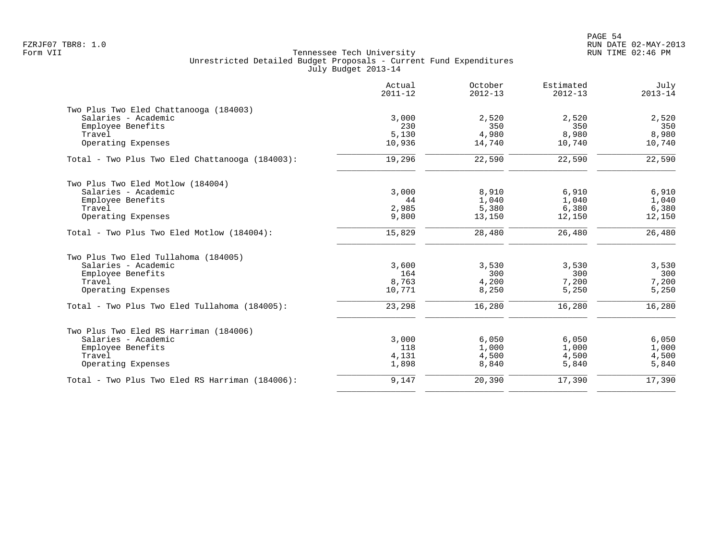|                                                 | Actual<br>$2011 - 12$ | October<br>$2012 - 13$ | Estimated<br>$2012 - 13$ | July<br>$2013 - 14$ |
|-------------------------------------------------|-----------------------|------------------------|--------------------------|---------------------|
| Two Plus Two Eled Chattanooga (184003)          |                       |                        |                          |                     |
| Salaries - Academic                             | 3,000                 | 2,520                  | 2,520                    | 2,520               |
| Employee Benefits<br>Travel                     | 230                   | 350                    | 350                      | 350                 |
| Operating Expenses                              | 5,130<br>10,936       | 4,980<br>14,740        | 8,980<br>10,740          | 8,980<br>10,740     |
| Total - Two Plus Two Eled Chattanooga (184003): | 19,296                | 22,590                 | 22,590                   | 22,590              |
| Two Plus Two Eled Motlow (184004)               |                       |                        |                          |                     |
| Salaries - Academic                             | 3,000                 | 8,910                  | 6,910                    | 6,910               |
| Employee Benefits                               | 44                    | 1,040                  | 1,040                    | 1,040               |
| Travel                                          | 2,985                 | 5,380                  | 6,380                    | 6,380               |
| Operating Expenses                              | 9,800                 | 13,150                 | 12,150                   | 12,150              |
| Total - Two Plus Two Eled Motlow (184004):      | 15,829                | 28,480                 | 26,480                   | 26,480              |
| Two Plus Two Eled Tullahoma (184005)            |                       |                        |                          |                     |
| Salaries - Academic                             | 3,600                 | 3,530                  | 3,530                    | 3,530               |
| Employee Benefits                               | 164                   | 300                    | 300                      | 300                 |
| Travel                                          | 8,763                 | 4,200                  | 7,200                    | 7,200               |
| Operating Expenses                              | 10,771                | 8,250                  | 5,250                    | 5,250               |
| Total - Two Plus Two Eled Tullahoma (184005):   | 23,298                | 16,280                 | 16,280                   | 16,280              |
| Two Plus Two Eled RS Harriman (184006)          |                       |                        |                          |                     |
| Salaries - Academic                             | 3,000                 | 6,050                  | 6,050                    | 6,050               |
| Employee Benefits                               | 118                   | 1,000                  | 1,000                    | 1,000               |
| Travel                                          | 4,131                 | 4,500                  | 4,500                    | 4,500               |
| Operating Expenses                              | 1,898                 | 8,840                  | 5,840                    | 5,840               |
| Total - Two Plus Two Eled RS Harriman (184006): | 9,147                 | 20,390                 | 17,390                   | 17,390              |
|                                                 |                       |                        |                          |                     |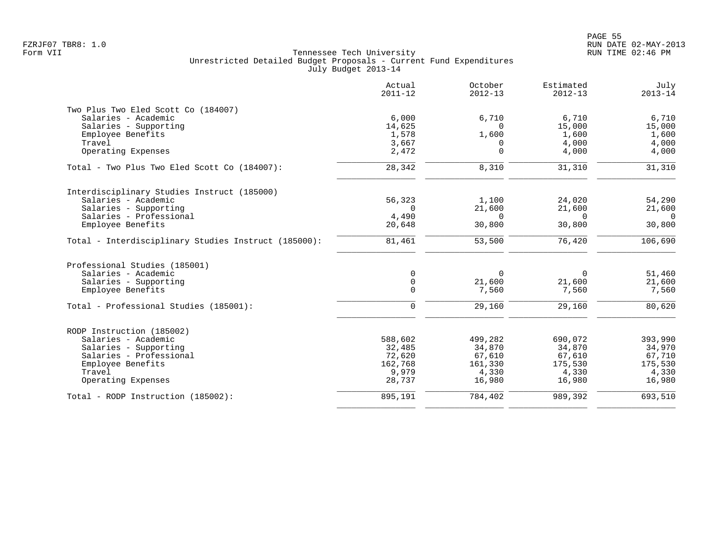|                                                      | Actual<br>$2011 - 12$ | October<br>$2012 - 13$ | Estimated<br>$2012 - 13$ | July<br>$2013 - 14$ |
|------------------------------------------------------|-----------------------|------------------------|--------------------------|---------------------|
| Two Plus Two Eled Scott Co (184007)                  |                       |                        |                          |                     |
| Salaries - Academic                                  | 6,000                 | 6,710                  | 6,710                    | 6,710               |
| Salaries - Supporting                                | 14,625                | $\Omega$               | 15,000                   | 15,000              |
| Employee Benefits                                    | 1,578                 | 1,600                  | 1,600                    | 1,600               |
| Travel                                               | 3,667                 | 0                      | 4,000                    | 4,000               |
| Operating Expenses                                   | 2,472                 | $\Omega$               | 4,000                    | 4,000               |
| Total - Two Plus Two Eled Scott Co (184007):         | 28,342                | 8,310                  | 31,310                   | 31,310              |
| Interdisciplinary Studies Instruct (185000)          |                       |                        |                          |                     |
| Salaries - Academic                                  | 56,323                | 1,100                  | 24,020                   | 54,290              |
| Salaries - Supporting                                | $\Omega$              | 21,600                 | 21,600                   | 21,600              |
| Salaries - Professional                              | 4,490                 | $\Omega$               | $\Omega$                 | $\Omega$            |
| Employee Benefits                                    | 20,648                | 30,800                 | 30,800                   | 30,800              |
| Total - Interdisciplinary Studies Instruct (185000): | 81,461                | 53,500                 | 76,420                   | 106,690             |
| Professional Studies (185001)                        |                       |                        |                          |                     |
| Salaries - Academic                                  | 0                     | $\Omega$               | 0                        | 51,460              |
| Salaries - Supporting                                | $\mathsf{O}$          | 21,600                 | 21,600                   | 21,600              |
| Employee Benefits                                    | $\mathbf 0$           | 7,560                  | 7,560                    | 7,560               |
| Total - Professional Studies (185001):               | $\mathbf 0$           | 29,160                 | 29,160                   | 80,620              |
| RODP Instruction (185002)                            |                       |                        |                          |                     |
| Salaries - Academic                                  | 588,602               | 499,282                | 690,072                  | 393,990             |
| Salaries - Supporting                                | 32,485                | 34,870                 | 34,870                   | 34,970              |
| Salaries - Professional                              | 72,620                | 67,610                 | 67,610                   | 67,710              |
| Employee Benefits                                    | 162,768               | 161,330                | 175,530                  | 175,530             |
| Travel                                               | 9,979                 | 4,330                  | 4,330                    | 4,330               |
| Operating Expenses                                   | 28,737                | 16,980                 | 16,980                   | 16,980              |
| Total - RODP Instruction (185002):                   | 895,191               | 784,402                | 989,392                  | 693,510             |
|                                                      |                       |                        |                          |                     |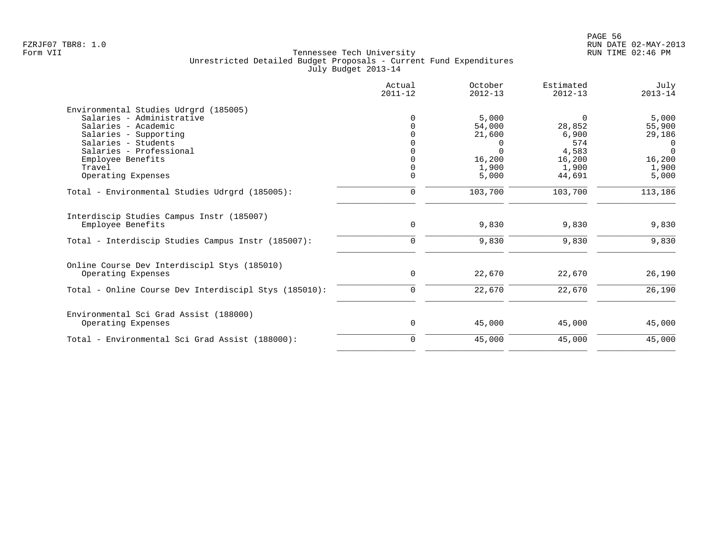|                                                                    | Actual<br>$2011 - 12$ | October<br>$2012 - 13$ | Estimated<br>$2012 - 13$ | July<br>$2013 - 14$ |
|--------------------------------------------------------------------|-----------------------|------------------------|--------------------------|---------------------|
| Environmental Studies Udrgrd (185005)                              |                       |                        |                          |                     |
| Salaries - Administrative                                          | <sup>0</sup>          | 5,000                  | $\Omega$                 | 5,000               |
| Salaries - Academic                                                |                       | 54,000                 | 28,852                   | 55,900              |
| Salaries - Supporting                                              |                       | 21,600                 | 6,900                    | 29,186              |
| Salaries - Students                                                |                       | $\Omega$               | 574                      | 0                   |
| Salaries - Professional                                            |                       | $\Omega$               | 4,583                    | $\Omega$            |
| Employee Benefits                                                  |                       | 16,200                 | 16,200                   | 16,200              |
| Travel                                                             |                       | 1,900                  | 1,900                    | 1,900               |
| Operating Expenses                                                 | $\Omega$              | 5,000                  | 44,691                   | 5,000               |
| Total - Environmental Studies Udrgrd (185005):                     | $\mathbf 0$           | 103,700                | 103,700                  | 113,186             |
| Interdiscip Studies Campus Instr (185007)<br>Employee Benefits     | $\mathbf 0$           | 9,830                  | 9,830                    | 9,830               |
| Total - Interdiscip Studies Campus Instr (185007):                 | $\Omega$              | 9,830                  | 9,830                    | 9,830               |
| Online Course Dev Interdiscipl Stys (185010)<br>Operating Expenses | 0                     | 22,670                 | 22,670                   | 26,190              |
|                                                                    |                       |                        |                          |                     |
| Total - Online Course Dev Interdiscipl Stys (185010):              | 0                     | 22,670                 | 22,670                   | 26,190              |
|                                                                    |                       |                        |                          |                     |
| Environmental Sci Grad Assist (188000)<br>Operating Expenses       | 0                     | 45,000                 | 45,000                   | 45,000              |
| Total - Environmental Sci Grad Assist (188000):                    | 0                     | 45,000                 | 45,000                   | 45,000              |
|                                                                    |                       |                        |                          |                     |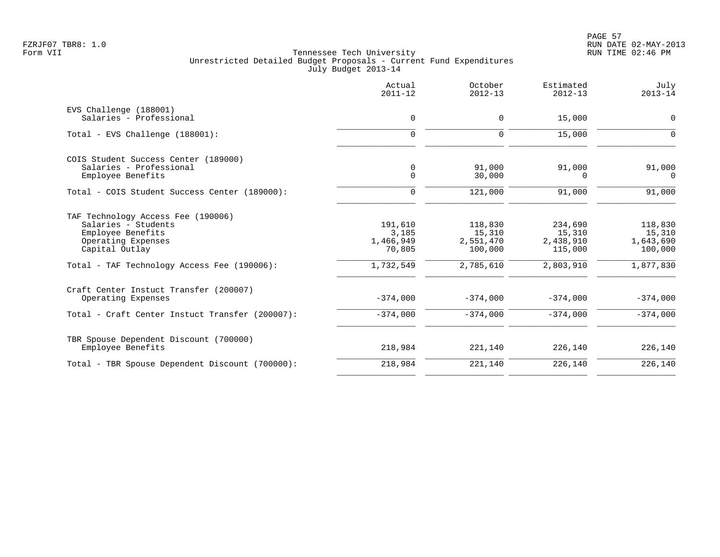|                                                                                                                                                                       | Actual<br>$2011 - 12$                                | October<br>$2012 - 13$                                 | Estimated<br>$2012 - 13$                               | July<br>$2013 - 14$                                    |
|-----------------------------------------------------------------------------------------------------------------------------------------------------------------------|------------------------------------------------------|--------------------------------------------------------|--------------------------------------------------------|--------------------------------------------------------|
| EVS Challenge (188001)<br>Salaries - Professional                                                                                                                     | $\mathbf 0$                                          | 0                                                      | 15,000                                                 | 0                                                      |
| Total - EVS Challenge (188001):                                                                                                                                       | $\mathbf 0$                                          | 0                                                      | 15,000                                                 | 0                                                      |
| COIS Student Success Center (189000)<br>Salaries - Professional<br>Employee Benefits                                                                                  | 0<br>$\Omega$                                        | 91,000<br>30,000                                       | 91,000<br>$\Omega$                                     | 91,000<br>$\Omega$                                     |
| Total - COIS Student Success Center (189000):                                                                                                                         | $\Omega$                                             | 121,000                                                | 91,000                                                 | 91,000                                                 |
| TAF Technology Access Fee (190006)<br>Salaries - Students<br>Employee Benefits<br>Operating Expenses<br>Capital Outlay<br>Total - TAF Technology Access Fee (190006): | 191,610<br>3,185<br>1,466,949<br>70,805<br>1,732,549 | 118,830<br>15,310<br>2,551,470<br>100,000<br>2,785,610 | 234,690<br>15,310<br>2,438,910<br>115,000<br>2,803,910 | 118,830<br>15,310<br>1,643,690<br>100,000<br>1,877,830 |
| Craft Center Instuct Transfer (200007)<br>Operating Expenses                                                                                                          | $-374,000$                                           | $-374,000$                                             | $-374,000$                                             | $-374,000$                                             |
| Total - Craft Center Instuct Transfer (200007):                                                                                                                       | $-374,000$                                           | $-374,000$                                             | $-374,000$                                             | $-374,000$                                             |
| TBR Spouse Dependent Discount (700000)<br>Employee Benefits                                                                                                           | 218,984                                              | 221,140                                                | 226,140                                                | 226,140                                                |
| Total - TBR Spouse Dependent Discount (700000):                                                                                                                       | 218,984                                              | 221,140                                                | 226,140                                                | 226,140                                                |
|                                                                                                                                                                       |                                                      |                                                        |                                                        |                                                        |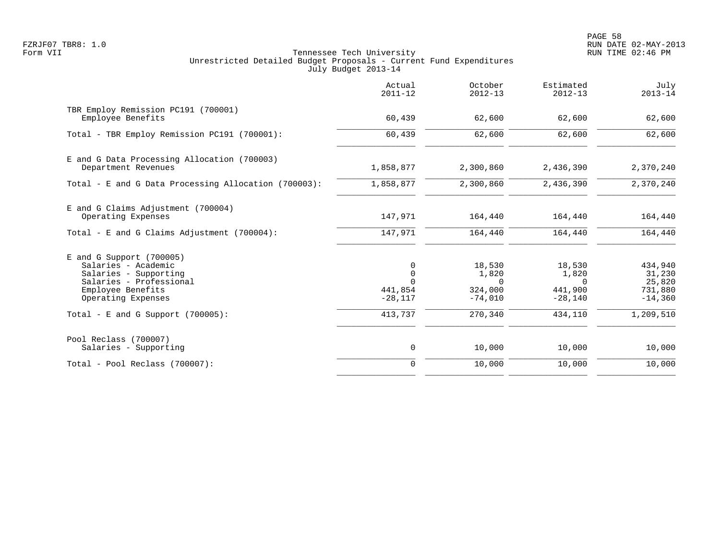PAGE 58 FZRJF07 TBR8: 1.0 RUN DATE 02-MAY-2013

|                                                                                                                                                  | Actual<br>$2011 - 12$                      | October<br>$2012 - 13$                              | Estimated<br>$2012 - 13$                            | July<br>$2013 - 14$                                 |
|--------------------------------------------------------------------------------------------------------------------------------------------------|--------------------------------------------|-----------------------------------------------------|-----------------------------------------------------|-----------------------------------------------------|
| TBR Employ Remission PC191 (700001)<br>Employee Benefits                                                                                         | 60,439                                     | 62,600                                              | 62,600                                              | 62,600                                              |
| Total - TBR Employ Remission PC191 (700001):                                                                                                     | 60,439                                     | 62,600                                              | 62,600                                              | 62,600                                              |
| E and G Data Processing Allocation (700003)<br>Department Revenues                                                                               | 1,858,877                                  | 2,300,860                                           | 2,436,390                                           | 2,370,240                                           |
| Total - E and G Data Processing Allocation (700003):                                                                                             | 1,858,877                                  | 2,300,860                                           | 2,436,390                                           | 2,370,240                                           |
| E and G Claims Adjustment (700004)<br>Operating Expenses                                                                                         | 147,971                                    | 164,440                                             | 164,440                                             | 164,440                                             |
| Total - E and G Claims Adjustment $(700004)$ :                                                                                                   | 147,971                                    | 164,440                                             | 164,440                                             | 164,440                                             |
| $E$ and G Support (700005)<br>Salaries - Academic<br>Salaries - Supporting<br>Salaries - Professional<br>Employee Benefits<br>Operating Expenses | $\Omega$<br>$\cap$<br>441,854<br>$-28,117$ | 18,530<br>1,820<br>$\Omega$<br>324,000<br>$-74,010$ | 18,530<br>1,820<br>$\Omega$<br>441,900<br>$-28,140$ | 434,940<br>31,230<br>25,820<br>731,880<br>$-14,360$ |
| Total - E and G Support $(700005)$ :                                                                                                             | 413,737                                    | 270,340                                             | 434,110                                             | 1,209,510                                           |
| Pool Reclass (700007)<br>Salaries - Supporting                                                                                                   | 0                                          | 10,000                                              | 10,000                                              | 10,000                                              |
| Total - Pool Reclass (700007):                                                                                                                   | $\mathbf 0$                                | 10,000                                              | 10,000                                              | 10,000                                              |
|                                                                                                                                                  |                                            |                                                     |                                                     |                                                     |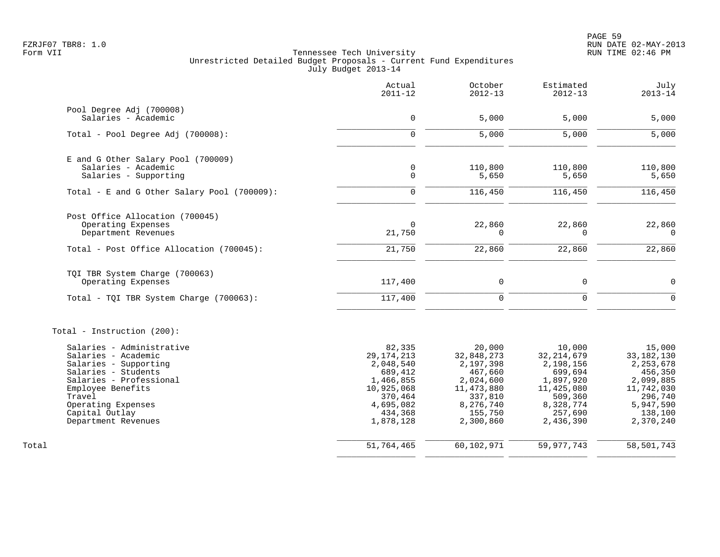|                                             | Actual<br>$2011 - 12$ | October<br>$2012 - 13$ | Estimated<br>$2012 - 13$ | July<br>$2013 - 14$  |
|---------------------------------------------|-----------------------|------------------------|--------------------------|----------------------|
| Pool Degree Adj (700008)                    |                       |                        |                          |                      |
| Salaries - Academic                         | $\mathsf{O}$          | 5,000                  | 5,000                    | 5,000                |
| Total - Pool Degree Adj (700008):           | $\Omega$              | 5,000                  | 5,000                    | 5,000                |
| E and G Other Salary Pool (700009)          |                       |                        |                          |                      |
| Salaries - Academic                         | $\mathbf 0$           | 110,800                | 110,800                  | 110,800              |
| Salaries - Supporting                       | $\mathbf 0$           | 5,650                  | 5,650                    | 5,650                |
| Total - E and G Other Salary Pool (700009): | $\overline{0}$        | 116,450                | 116,450                  | 116,450              |
| Post Office Allocation (700045)             |                       |                        |                          |                      |
| Operating Expenses                          | $\mathbf 0$           | 22,860                 | 22,860                   | 22,860               |
| Department Revenues                         | 21,750                | $\Omega$               | $\Omega$                 | $\Omega$             |
| Total - Post Office Allocation (700045):    | 21,750                | 22,860                 | 22,860                   | 22,860               |
| TQI TBR System Charge (700063)              |                       |                        |                          |                      |
| Operating Expenses                          | 117,400               | 0                      | 0                        | $\mathbf 0$          |
| Total - TQI TBR System Charge (700063):     | 117,400               | $\mathbf 0$            | $\Omega$                 | $\Omega$             |
| Total - Instruction (200):                  |                       |                        |                          |                      |
| Salaries - Administrative                   | 82,335                | 20,000                 | 10,000                   | 15,000               |
| Salaries - Academic                         | 29, 174, 213          | 32,848,273             | 32, 214, 679             | 33, 182, 130         |
| Salaries - Supporting                       | 2,048,540             | 2,197,398              | 2,198,156                | 2, 253, 678          |
| Salaries - Students                         | 689,412               | 467,660                | 699,694                  | 456,350              |
| Salaries - Professional                     | 1,466,855             | 2,024,600              | 1,897,920                | 2,099,885            |
| Employee Benefits                           | 10,925,068            | 11, 473, 880           | 11,425,080               | 11,742,030           |
| Travel                                      | 370,464               | 337,810                | 509,360                  | 296,740              |
| Operating Expenses<br>Capital Outlay        | 4,695,082<br>434,368  | 8,276,740<br>155,750   | 8,328,774<br>257,690     | 5,947,590<br>138,100 |
| Department Revenues                         | 1,878,128             | 2,300,860              | 2,436,390                | 2,370,240            |
| Total                                       | 51,764,465            | 60,102,971             | 59,977,743               | 58,501,743           |
|                                             |                       |                        |                          |                      |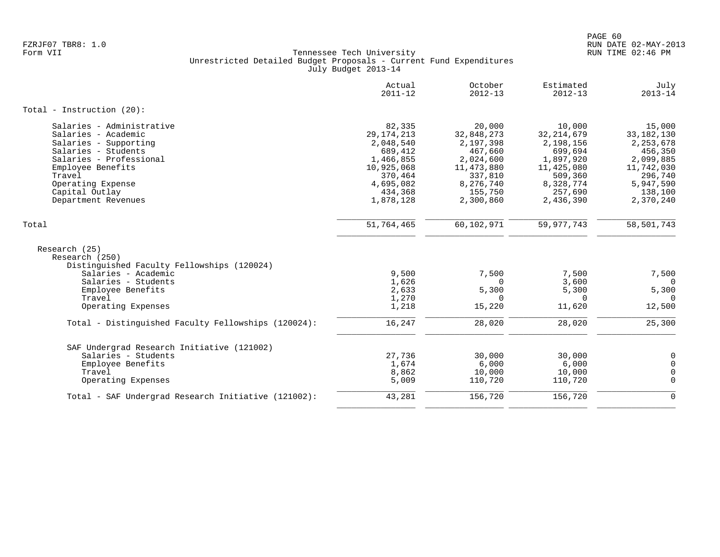|                                                                               | Actual<br>$2011 - 12$ | October<br>$2012 - 13$ | Estimated<br>$2012 - 13$ | July<br>$2013 - 14$ |
|-------------------------------------------------------------------------------|-----------------------|------------------------|--------------------------|---------------------|
| Total - Instruction (20):                                                     |                       |                        |                          |                     |
| Salaries - Administrative                                                     | 82,335                | 20,000                 | 10,000                   | 15,000              |
| Salaries - Academic                                                           | 29, 174, 213          | 32,848,273             | 32, 214, 679             | 33, 182, 130        |
| Salaries - Supporting                                                         | 2,048,540             | 2,197,398              | 2,198,156                | 2, 253, 678         |
| Salaries - Students                                                           | 689,412               | 467,660                | 699,694                  | 456,350             |
| Salaries - Professional                                                       | 1,466,855             | 2,024,600              | 1,897,920                | 2,099,885           |
| Employee Benefits                                                             | 10,925,068            | 11, 473, 880           | 11,425,080               | 11,742,030          |
| Travel                                                                        | 370,464               | 337,810                | 509,360                  | 296,740             |
| Operating Expense                                                             | 4,695,082             | 8,276,740              | 8,328,774                | 5,947,590           |
| Capital Outlay                                                                | 434,368               | 155,750                | 257,690                  | 138,100             |
| Department Revenues                                                           | 1,878,128             | 2,300,860              | 2,436,390                | 2,370,240           |
| Total                                                                         | 51,764,465            | 60,102,971             | 59,977,743               | 58,501,743          |
| Research (25)<br>Research (250)<br>Distinguished Faculty Fellowships (120024) |                       |                        |                          |                     |
| Salaries - Academic                                                           | 9,500                 | 7,500                  | 7,500                    | 7,500               |
| Salaries - Students                                                           | 1,626                 | $\Omega$               | 3,600                    | $\Omega$            |
| Employee Benefits                                                             | 2,633                 | 5,300                  | 5,300                    | 5,300               |
| Travel                                                                        | 1,270                 | $\Omega$               | $\Omega$                 | $\overline{0}$      |
| Operating Expenses                                                            | 1,218                 | 15,220                 | 11,620                   | 12,500              |
| Total - Distinguished Faculty Fellowships (120024):                           | 16,247                | 28,020                 | 28,020                   | 25,300              |
| SAF Undergrad Research Initiative (121002)                                    |                       |                        |                          |                     |
| Salaries - Students                                                           | 27,736                | 30,000                 | 30,000                   | 0                   |
| Employee Benefits                                                             | 1,674                 | 6,000                  | 6,000                    | $\mathbf 0$         |
| Travel                                                                        | 8,862                 | 10,000                 | 10,000                   | 0                   |
| Operating Expenses                                                            | 5,009                 | 110,720                | 110,720                  | $\mathbf 0$         |
| Total - SAF Undergrad Research Initiative (121002):                           | 43,281                | 156,720                | 156,720                  | $\Omega$            |
|                                                                               |                       |                        |                          |                     |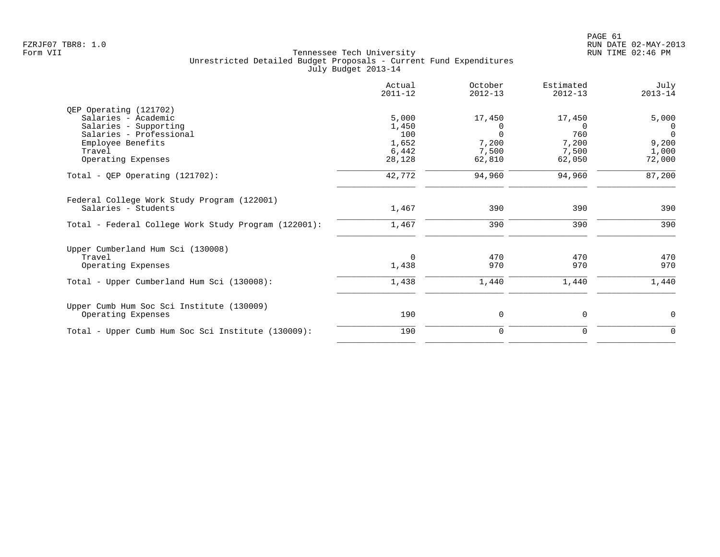|                                                      | Actual<br>$2011 - 12$ | October<br>$2012 - 13$ | Estimated<br>$2012 - 13$ | July<br>$2013 - 14$ |
|------------------------------------------------------|-----------------------|------------------------|--------------------------|---------------------|
| QEP Operating (121702)                               |                       |                        |                          |                     |
| Salaries - Academic                                  | 5,000                 | 17,450                 | 17,450                   | 5,000               |
| Salaries - Supporting                                | 1,450                 | $\Omega$               | $\Omega$                 | 0                   |
| Salaries - Professional                              | 100                   | $\Omega$               | 760                      | $\Omega$            |
| Employee Benefits                                    | 1,652                 | 7,200                  | 7,200                    | 9,200               |
| Travel                                               | 6,442                 | 7,500                  | 7,500                    | 1,000               |
| Operating Expenses                                   | 28,128                | 62,810                 | 62,050                   | 72,000              |
| Total - QEP Operating $(121702)$ :                   | 42,772                | 94,960                 | 94,960                   | 87,200              |
| Federal College Work Study Program (122001)          |                       |                        |                          |                     |
| Salaries - Students                                  | 1,467                 | 390                    | 390                      | 390                 |
| Total - Federal College Work Study Program (122001): | 1,467                 | 390                    | 390                      | 390                 |
| Upper Cumberland Hum Sci (130008)                    |                       |                        |                          |                     |
| Travel                                               | $\Omega$              | 470                    | 470                      | 470                 |
| Operating Expenses                                   | 1,438                 | 970                    | 970                      | 970                 |
| Total - Upper Cumberland Hum Sci (130008):           | 1,438                 | 1,440                  | 1,440                    | 1,440               |
| Upper Cumb Hum Soc Sci Institute (130009)            |                       |                        |                          |                     |
| Operating Expenses                                   | 190                   | 0                      | $\mathbf 0$              | 0                   |
| Total - Upper Cumb Hum Soc Sci Institute (130009):   | 190                   | $\mathbf 0$            | 0                        | $\mathbf 0$         |
|                                                      |                       |                        |                          |                     |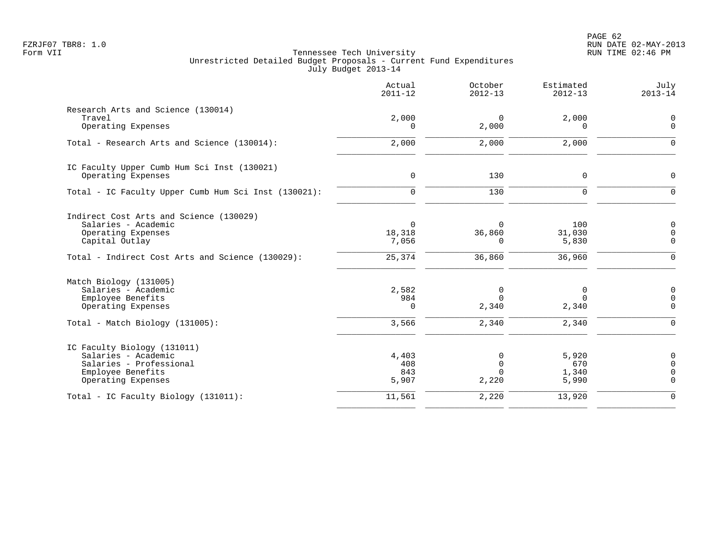|                                                      | Actual<br>$2011 - 12$ | October<br>$2012 - 13$ | Estimated<br>$2012 - 13$ | July<br>$2013 - 14$ |
|------------------------------------------------------|-----------------------|------------------------|--------------------------|---------------------|
| Research Arts and Science (130014)                   |                       |                        |                          |                     |
| Travel                                               | 2,000                 | $\Omega$               | 2,000                    | 0                   |
| Operating Expenses                                   | $\Omega$              | 2,000                  | $\Omega$                 | $\Omega$            |
| Total - Research Arts and Science (130014):          | 2,000                 | 2,000                  | 2,000                    | $\Omega$            |
| IC Faculty Upper Cumb Hum Sci Inst (130021)          |                       |                        |                          |                     |
| Operating Expenses                                   | $\mathsf{O}$          | 130                    | $\mathbf 0$              | $\mathsf{O}$        |
| Total - IC Faculty Upper Cumb Hum Sci Inst (130021): | $\mathbf 0$           | 130                    | $\mathbf 0$              | $\mathbf 0$         |
| Indirect Cost Arts and Science (130029)              |                       |                        |                          |                     |
| Salaries - Academic                                  | $\mathbf 0$           | $\Omega$               | 100                      | $\mathbf 0$         |
| Operating Expenses                                   | 18,318                | 36,860                 | 31,030                   | $\Omega$            |
| Capital Outlay                                       | 7,056                 | $\Omega$               | 5,830                    | $\mathbf 0$         |
| Total - Indirect Cost Arts and Science (130029):     | 25,374                | 36,860                 | 36,960                   | $\Omega$            |
| Match Biology (131005)                               |                       |                        |                          |                     |
| Salaries - Academic                                  | 2,582                 | 0                      | $\mathbf 0$              | $\mathbf 0$         |
| Employee Benefits                                    | 984                   | $\Omega$               | $\Omega$                 | $\overline{0}$      |
| Operating Expenses                                   | 0                     | 2,340                  | 2,340                    | $\mathbf 0$         |
| Total - Match Biology (131005):                      | 3,566                 | 2,340                  | 2,340                    | $\mathbf 0$         |
| IC Faculty Biology (131011)                          |                       |                        |                          |                     |
| Salaries - Academic                                  | 4,403                 | $\mathbf 0$            | 5,920                    | 0                   |
| Salaries - Professional                              | 408                   | $\mathbf 0$            | 670                      | $\mathbf 0$         |
| Employee Benefits                                    | 843                   | $\Omega$               | 1,340                    | 0                   |
| Operating Expenses                                   | 5,907                 | 2,220                  | 5,990                    | $\Omega$            |
| Total - IC Faculty Biology (131011):                 | 11,561                | 2,220                  | 13,920                   | $\Omega$            |
|                                                      |                       |                        |                          |                     |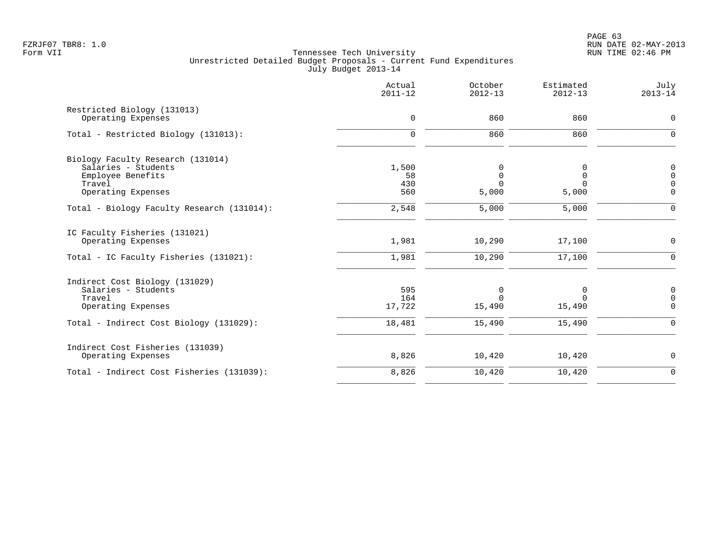|                                                                                                               | Actual<br>$2011 - 12$     | October<br>$2012 - 13$                | Estimated<br>$2012 - 13$ | July<br>$2013 - 14$                                               |
|---------------------------------------------------------------------------------------------------------------|---------------------------|---------------------------------------|--------------------------|-------------------------------------------------------------------|
| Restricted Biology (131013)<br>Operating Expenses                                                             | $\mathbf 0$               | 860                                   | 860                      | $\mathbf 0$                                                       |
| Total - Restricted Biology (131013):                                                                          | $\Omega$                  | 860                                   | 860                      | $\mathbf 0$                                                       |
| Biology Faculty Research (131014)<br>Salaries - Students<br>Employee Benefits<br>Travel<br>Operating Expenses | 1,500<br>58<br>430<br>560 | 0<br>$\mathbf 0$<br>$\Omega$<br>5,000 | 0<br>0<br>5,000          | $\mathsf{O}$<br>$\mathsf{O}\xspace$<br>$\mathbf 0$<br>$\mathbf 0$ |
| Total - Biology Faculty Research (131014):                                                                    | 2,548                     | 5,000                                 | 5,000                    | $\mathbf 0$                                                       |
| IC Faculty Fisheries (131021)<br>Operating Expenses                                                           | 1,981                     | 10,290                                | 17,100                   | $\mathbf 0$                                                       |
| Total - IC Faculty Fisheries (131021):                                                                        | 1,981                     | 10,290                                | 17,100                   | $\mathbf 0$                                                       |
| Indirect Cost Biology (131029)<br>Salaries - Students<br>Travel<br>Operating Expenses                         | 595<br>164<br>17,722      | 0<br>$\Omega$<br>15,490               | 0<br>$\Omega$<br>15,490  | 0<br>$\mathbf 0$<br>$\mathbf 0$                                   |
| Total - Indirect Cost Biology (131029):                                                                       | 18,481                    | 15,490                                | 15,490                   | $\mathbf 0$                                                       |
| Indirect Cost Fisheries (131039)<br>Operating Expenses                                                        | 8,826                     | 10,420                                | 10,420                   | 0                                                                 |
| Total - Indirect Cost Fisheries (131039):                                                                     | 8,826                     | 10,420                                | 10,420                   | $\mathbf 0$                                                       |
|                                                                                                               |                           |                                       |                          |                                                                   |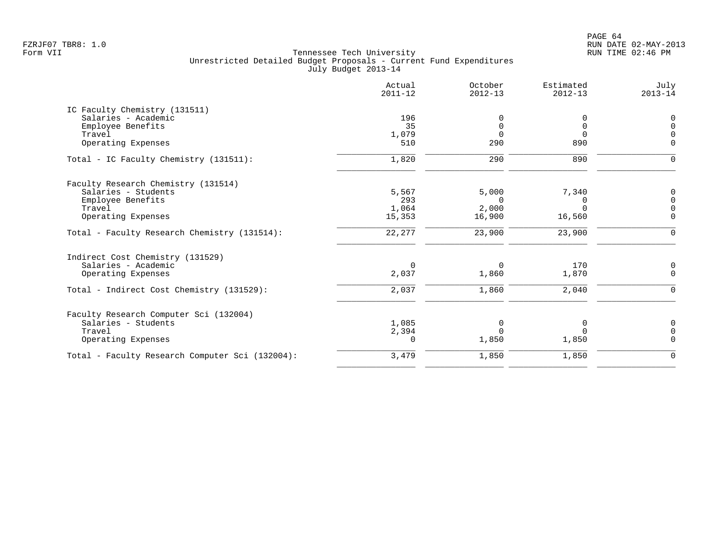|                                                 | Actual<br>$2011 - 12$ | October<br>$2012 - 13$ | Estimated<br>$2012 - 13$ | July<br>$2013 - 14$ |
|-------------------------------------------------|-----------------------|------------------------|--------------------------|---------------------|
| IC Faculty Chemistry (131511)                   |                       |                        |                          |                     |
| Salaries - Academic                             | 196                   | 0                      | $\Omega$                 | 0                   |
| Employee Benefits                               | 35                    | $\mathbf 0$            | $\mathbf 0$              | $\Omega$            |
| Travel                                          | 1,079                 | $\Omega$               | $\Omega$                 |                     |
| Operating Expenses                              | 510                   | 290                    | 890                      | $\Omega$            |
| Total - IC Faculty Chemistry (131511):          | 1,820                 | 290                    | 890                      | $\Omega$            |
| Faculty Research Chemistry (131514)             |                       |                        |                          |                     |
| Salaries - Students                             | 5,567                 | 5,000                  | 7,340                    | 0                   |
| Employee Benefits                               | 293                   | $\Omega$               | 0                        | $\Omega$            |
| Travel                                          | 1,064                 | 2,000                  | $\Omega$                 | $\Omega$            |
| Operating Expenses                              | 15,353                | 16,900                 | 16,560                   | $\mathbf 0$         |
| Total - Faculty Research Chemistry (131514):    | 22,277                | 23,900                 | 23,900                   | $\mathbf 0$         |
| Indirect Cost Chemistry (131529)                |                       |                        |                          |                     |
| Salaries - Academic                             | $\mathbf 0$           | $\mathbf 0$            | 170                      | $\Omega$            |
| Operating Expenses                              | 2,037                 | 1,860                  | 1,870                    | $\Omega$            |
| Total - Indirect Cost Chemistry (131529):       | 2,037                 | 1,860                  | 2,040                    | $\Omega$            |
| Faculty Research Computer Sci (132004)          |                       |                        |                          |                     |
| Salaries - Students                             | 1,085                 | 0                      | 0                        | 0                   |
| Travel                                          | 2,394                 | $\Omega$               | $\Omega$                 | $\Omega$            |
| Operating Expenses                              | $\mathbf 0$           | 1,850                  | 1,850                    | $\Omega$            |
| Total - Faculty Research Computer Sci (132004): | 3,479                 | 1,850                  | 1,850                    | $\mathbf 0$         |
|                                                 |                       |                        |                          |                     |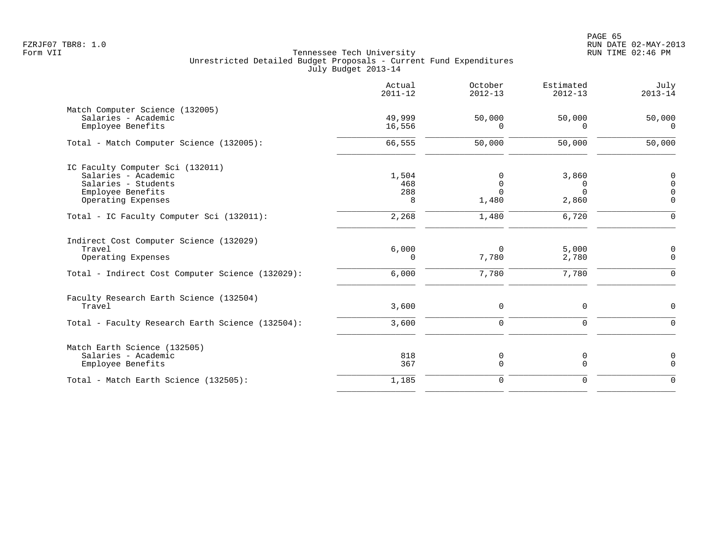|                                                                                                                             | Actual<br>$2011 - 12$      | October<br>$2012 - 13$                    | Estimated<br>$2012 - 13$               | July<br>$2013 - 14$          |
|-----------------------------------------------------------------------------------------------------------------------------|----------------------------|-------------------------------------------|----------------------------------------|------------------------------|
| Match Computer Science (132005)<br>Salaries - Academic<br>Employee Benefits                                                 | 49,999<br>16,556           | 50,000                                    | 50,000                                 | 50,000<br>$\Omega$           |
| Total - Match Computer Science (132005):                                                                                    | 66,555                     | 50,000                                    | 50,000                                 | 50,000                       |
| IC Faculty Computer Sci (132011)<br>Salaries - Academic<br>Salaries - Students<br>Employee Benefits<br>Operating Expenses   | 1,504<br>468<br>288<br>8   | $\Omega$<br>$\Omega$<br>$\Omega$<br>1,480 | 3,860<br>$\Omega$<br>$\Omega$<br>2,860 | $\Omega$<br>$\Omega$         |
| Total - IC Faculty Computer Sci (132011):                                                                                   | 2,268                      | 1,480                                     | 6,720                                  | $\mathbf 0$                  |
| Indirect Cost Computer Science (132029)<br>Travel<br>Operating Expenses<br>Total - Indirect Cost Computer Science (132029): | 6,000<br>$\Omega$<br>6,000 | $\Omega$<br>7,780<br>7,780                | 5,000<br>2,780<br>7,780                | 0<br>$\mathbf 0$<br>$\Omega$ |
| Faculty Research Earth Science (132504)<br>Travel<br>Total - Faculty Research Earth Science (132504):                       | 3,600<br>3,600             | 0<br>$\mathbf 0$                          | $\mathbf 0$<br>$\Omega$                | $\Omega$<br>$\Omega$         |
| Match Earth Science (132505)<br>Salaries - Academic<br>Employee Benefits                                                    | 818<br>367                 | 0<br>$\mathbf 0$                          | $\mathbf 0$<br>$\mathbf 0$             | $\mathbf 0$<br>$\Omega$      |
| Total - Match Earth Science (132505):                                                                                       | 1,185                      | $\mathbf 0$                               | $\mathbf 0$                            | $\Omega$                     |
|                                                                                                                             |                            |                                           |                                        |                              |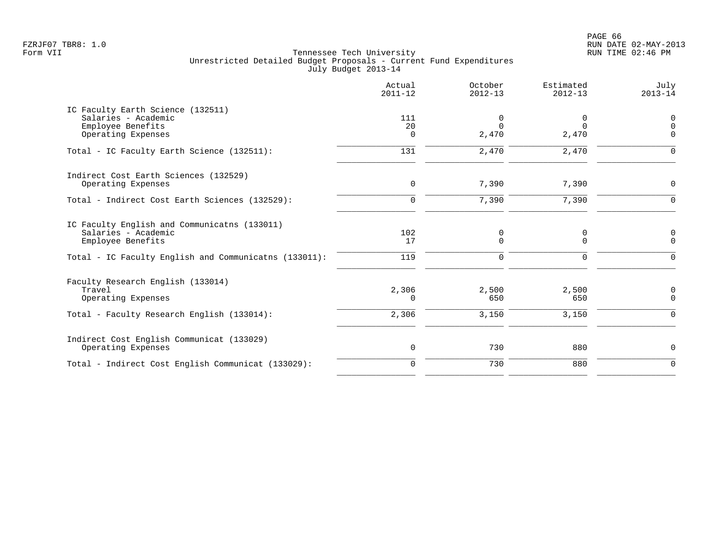|                                                                                                                                                   | Actual<br>$2011 - 12$ | October<br>$2012 - 13$ | Estimated<br>$2012 - 13$ | July<br>$2013 - 14$                 |
|---------------------------------------------------------------------------------------------------------------------------------------------------|-----------------------|------------------------|--------------------------|-------------------------------------|
| IC Faculty Earth Science (132511)<br>Salaries - Academic<br>Employee Benefits<br>Operating Expenses                                               | 111<br>20<br>$\Omega$ | 0<br>$\Omega$<br>2,470 | 0<br>$\Omega$<br>2,470   | $\mathbf 0$<br>$\Omega$<br>$\Omega$ |
| Total - IC Faculty Earth Science (132511):                                                                                                        | 131                   | 2,470                  | 2,470                    | $\Omega$                            |
| Indirect Cost Earth Sciences (132529)<br>Operating Expenses                                                                                       | $\mathbf 0$           | 7,390                  | 7,390                    | $\Omega$                            |
| Total - Indirect Cost Earth Sciences (132529):                                                                                                    | $\Omega$              | 7,390                  | 7,390                    | $\Omega$                            |
| IC Faculty English and Communicatns (133011)<br>Salaries - Academic<br>Employee Benefits<br>Total - IC Faculty English and Communicatns (133011): | 102<br>17<br>119      | 0<br>0<br>0            | 0<br>$\mathbf 0$<br>0    | 0<br>$\Omega$<br>$\Omega$           |
|                                                                                                                                                   |                       |                        |                          |                                     |
| Faculty Research English (133014)<br>Travel<br>Operating Expenses                                                                                 | 2,306<br>$\Omega$     | 2,500<br>650           | 2,500<br>650             | 0<br>$\Omega$                       |
| Total - Faculty Research English (133014):                                                                                                        | 2,306                 | 3,150                  | 3,150                    | $\Omega$                            |
| Indirect Cost English Communicat (133029)<br>Operating Expenses                                                                                   | 0                     | 730                    | 880                      | 0                                   |
| Total - Indirect Cost English Communicat (133029):                                                                                                | $\Omega$              | 730                    | 880                      | $\Omega$                            |
|                                                                                                                                                   |                       |                        |                          |                                     |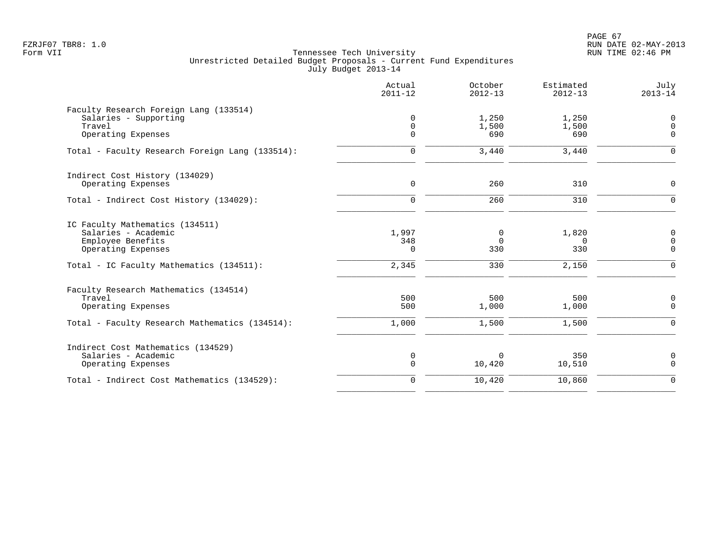|                                                                                                                                               | Actual<br>$2011 - 12$                  | October<br>$2012 - 13$      | Estimated<br>$2012 - 13$          | July<br>$2013 - 14$                                   |
|-----------------------------------------------------------------------------------------------------------------------------------------------|----------------------------------------|-----------------------------|-----------------------------------|-------------------------------------------------------|
| Faculty Research Foreign Lang (133514)<br>Salaries - Supporting<br>Travel<br>Operating Expenses                                               | $\mathbf 0$<br>$\mathbf 0$<br>$\Omega$ | 1,250<br>1,500<br>690       | 1,250<br>1,500<br>690             | 0<br>0<br>$\Omega$                                    |
| Total - Faculty Research Foreign Lang (133514):                                                                                               | $\Omega$                               | 3,440                       | 3,440                             | $\Omega$                                              |
| Indirect Cost History (134029)<br>Operating Expenses                                                                                          | $\mathbf 0$                            | 260                         | 310                               | 0                                                     |
| Total - Indirect Cost History (134029):                                                                                                       | $\Omega$                               | 260                         | 310                               | $\mathbf 0$                                           |
| IC Faculty Mathematics (134511)<br>Salaries - Academic<br>Employee Benefits<br>Operating Expenses<br>Total - IC Faculty Mathematics (134511): | 1,997<br>348<br>$\Omega$<br>2,345      | 0<br>$\Omega$<br>330<br>330 | 1,820<br>$\Omega$<br>330<br>2,150 | $\mathsf 0$<br>$\mathsf 0$<br>$\Omega$<br>$\mathbf 0$ |
| Faculty Research Mathematics (134514)<br>Travel<br>Operating Expenses<br>Total - Faculty Research Mathematics (134514):                       | 500<br>500<br>1,000                    | 500<br>1,000<br>1,500       | 500<br>1,000<br>1,500             | $\mathsf 0$<br>$\Omega$<br>$\Omega$                   |
| Indirect Cost Mathematics (134529)<br>Salaries - Academic<br>Operating Expenses                                                               | 0<br>$\mathbf 0$                       | $\mathbf 0$<br>10,420       | 350<br>10,510                     | 0<br>$\mathbf 0$                                      |
| Total - Indirect Cost Mathematics (134529):                                                                                                   | $\mathbf 0$                            | 10,420                      | 10,860                            | $\mathbf 0$                                           |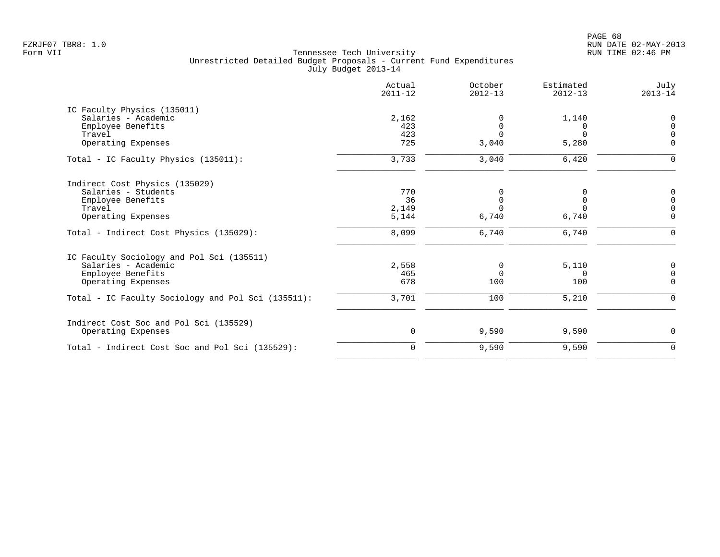|                                                    | Actual<br>$2011 - 12$ | October<br>$2012 - 13$ | Estimated<br>$2012 - 13$ | July<br>$2013 - 14$ |
|----------------------------------------------------|-----------------------|------------------------|--------------------------|---------------------|
| IC Faculty Physics (135011)                        |                       |                        |                          |                     |
| Salaries - Academic                                | 2,162                 | $\Omega$               | 1,140                    | $\mathbf 0$         |
| Employee Benefits                                  | 423                   | $\mathbf 0$            | $\Omega$                 | $\Omega$            |
| Travel                                             | 423                   | $\Omega$               | $\Omega$                 | $\Omega$            |
| Operating Expenses                                 | 725                   | 3,040                  | 5,280                    | $\Omega$            |
| Total - IC Faculty Physics (135011):               | 3,733                 | 3,040                  | 6,420                    | $\mathbf 0$         |
| Indirect Cost Physics (135029)                     |                       |                        |                          |                     |
| Salaries - Students                                | 770                   | 0                      | 0                        | $\mathbf 0$         |
| Employee Benefits                                  | 36                    | $\Omega$               | $\mathbf 0$              | $\Omega$            |
| Travel                                             | 2,149                 | $\Omega$               | $\Omega$                 | $\Omega$            |
| Operating Expenses                                 | 5,144                 | 6,740                  | 6,740                    | $\mathbf 0$         |
| Total - Indirect Cost Physics (135029):            | 8,099                 | 6,740                  | 6,740                    | $\Omega$            |
| IC Faculty Sociology and Pol Sci (135511)          |                       |                        |                          |                     |
| Salaries - Academic                                | 2,558                 | 0                      | 5,110                    | 0                   |
| Employee Benefits                                  | 465                   | $\Omega$               | $\Omega$                 | $\mathbf 0$         |
| Operating Expenses                                 | 678                   | 100                    | 100                      | $\mathbf 0$         |
| Total - IC Faculty Sociology and Pol Sci (135511): | 3,701                 | 100                    | 5,210                    | $\Omega$            |
| Indirect Cost Soc and Pol Sci (135529)             |                       |                        |                          |                     |
| Operating Expenses                                 | 0                     | 9,590                  | 9,590                    | $\mathbf 0$         |
| Total - Indirect Cost Soc and Pol Sci (135529):    | $\mathbf 0$           | 9,590                  | 9,590                    | $\mathbf 0$         |
|                                                    |                       |                        |                          |                     |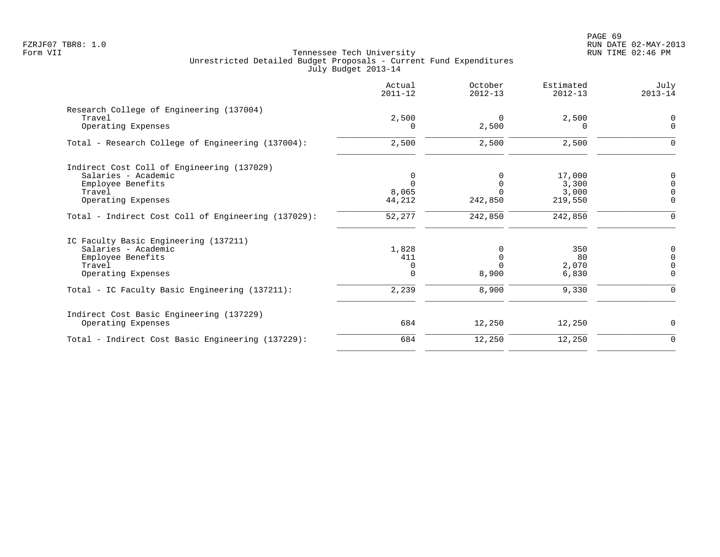PAGE 69 FZRJF07 TBR8: 1.0 RUN DATE 02-MAY-2013

|                                                                          | Actual<br>$2011 - 12$ | October<br>$2012 - 13$ | Estimated<br>$2012 - 13$ | July<br>$2013 - 14$     |
|--------------------------------------------------------------------------|-----------------------|------------------------|--------------------------|-------------------------|
| Research College of Engineering (137004)<br>Travel<br>Operating Expenses | 2,500<br>$\Omega$     | $\Omega$<br>2,500      | 2,500                    | $\mathbf 0$<br>$\Omega$ |
|                                                                          |                       |                        |                          |                         |
| Total - Research College of Engineering (137004):                        | 2,500                 | 2,500                  | 2,500                    | 0                       |
| Indirect Cost Coll of Engineering (137029)                               |                       |                        |                          |                         |
| Salaries - Academic                                                      |                       | $\Omega$               | 17,000                   | 0                       |
| Employee Benefits                                                        |                       | $\Omega$               | 3,300                    | $\Omega$                |
| Travel                                                                   | 8,065                 | $\Omega$               | 3,000                    | $\Omega$                |
| Operating Expenses                                                       | 44,212                | 242,850                | 219,550                  | $\Omega$                |
| Total - Indirect Cost Coll of Engineering (137029):                      | 52,277                | 242,850                | 242,850                  | $\mathbf 0$             |
| IC Faculty Basic Engineering (137211)                                    |                       |                        |                          |                         |
| Salaries - Academic                                                      | 1,828                 | $\Omega$               | 350                      | 0                       |
| Employee Benefits                                                        | 411                   | $\Omega$               | 80                       | $\Omega$                |
| Travel                                                                   | $\Omega$              | $\Omega$               | 2,070                    | $\mathbf 0$             |
| Operating Expenses                                                       |                       | 8,900                  | 6,830                    | $\mathbf 0$             |
| Total - IC Faculty Basic Engineering (137211):                           | 2,239                 | 8,900                  | 9,330                    | $\Omega$                |
| Indirect Cost Basic Engineering (137229)                                 |                       |                        |                          |                         |
| Operating Expenses                                                       | 684                   | 12,250                 | 12,250                   | 0                       |
| Total - Indirect Cost Basic Engineering (137229):                        | 684                   | 12,250                 | 12,250                   | $\mathbf 0$             |
|                                                                          |                       |                        |                          |                         |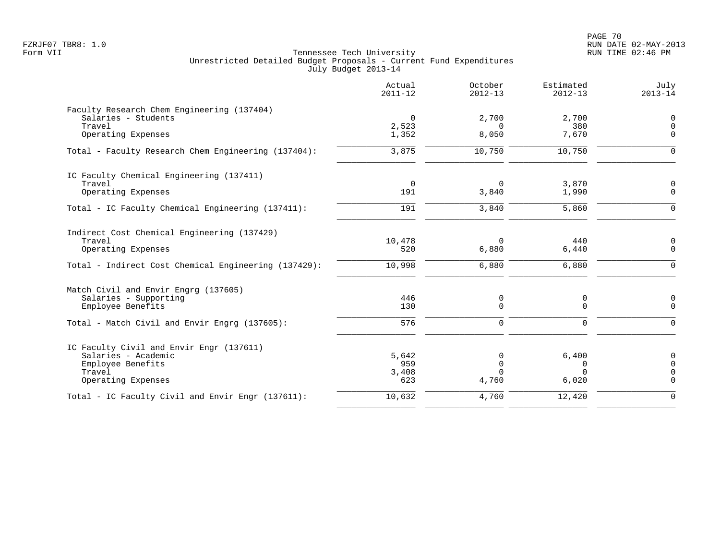PAGE 70 FZRJF07 TBR8: 1.0 RUN DATE 02-MAY-2013

| Faculty Research Chem Engineering (137404)                                                                                          |                               |                                    |                                 |                                                          |
|-------------------------------------------------------------------------------------------------------------------------------------|-------------------------------|------------------------------------|---------------------------------|----------------------------------------------------------|
| Salaries - Students<br>Travel<br>Operating Expenses                                                                                 | $\mathbf 0$<br>2,523<br>1,352 | 2,700<br>$\Omega$<br>8,050         | 2,700<br>380<br>7,670           | $\mathbf 0$<br>$\mathbf 0$<br>$\Omega$                   |
| Total - Faculty Research Chem Engineering (137404):                                                                                 | 3,875                         | 10,750                             | 10,750                          | $\Omega$                                                 |
| IC Faculty Chemical Engineering (137411)<br>Travel<br>Operating Expenses                                                            | $\mathbf 0$<br>191            | $\mathbf 0$<br>3,840               | 3,870<br>1,990                  | $\mathbf 0$<br>0                                         |
| Total - IC Faculty Chemical Engineering (137411):                                                                                   | 191                           | 3,840                              | 5,860                           | $\Omega$                                                 |
| Indirect Cost Chemical Engineering (137429)<br>Travel<br>Operating Expenses<br>Total - Indirect Cost Chemical Engineering (137429): | 10,478<br>520<br>10,998       | $\Omega$<br>6,880<br>6,880         | 440<br>6,440<br>6,880           | $\mathbf 0$<br>$\Omega$<br>$\Omega$                      |
| Match Civil and Envir Engrg (137605)<br>Salaries - Supporting<br>Employee Benefits<br>Total - Match Civil and Envir Engrg (137605): | 446<br>130<br>576             | 0<br>0<br>$\mathbf 0$              | 0<br>$\mathbf 0$<br>0           | $\mathbf 0$<br>$\mathbf 0$<br>$\Omega$                   |
| IC Faculty Civil and Envir Engr (137611)<br>Salaries - Academic<br>Employee Benefits<br>Travel<br>Operating Expenses                | 5,642<br>959<br>3,408<br>623  | 0<br>$\Omega$<br>$\Omega$<br>4,760 | 6,400<br>0<br>$\Omega$<br>6,020 | $\mathbf 0$<br>$\mathbf 0$<br>$\overline{0}$<br>$\Omega$ |
| Total - IC Faculty Civil and Envir Engr (137611):                                                                                   | 10,632                        | 4,760                              | 12,420                          | $\Omega$                                                 |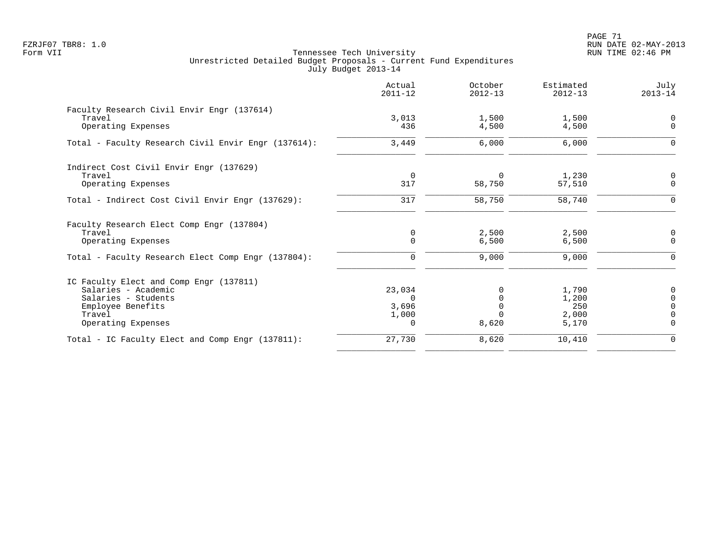PAGE 71 FZRJF07 TBR8: 1.0 RUN DATE 02-MAY-2013

| Actual<br>$2011 - 12$                     | October<br>$2012 - 13$        | Estimated<br>$2012 - 13$                | July<br>$2013 - 14$                                                           |
|-------------------------------------------|-------------------------------|-----------------------------------------|-------------------------------------------------------------------------------|
| 3,013<br>436                              | 1,500<br>4,500                | 1,500<br>4,500                          | $\mathbf 0$<br>$\Omega$                                                       |
| 3,449                                     | 6,000                         | 6,000                                   | 0                                                                             |
| $\overline{0}$<br>317                     | $\Omega$<br>58,750            | 1,230<br>57,510                         | 0<br>$\mathbf 0$                                                              |
| 317                                       | 58,750                        | 58,740                                  | $\Omega$                                                                      |
| $\mathbf 0$<br>$\Omega$                   | 2,500<br>6,500                | 2,500<br>6,500                          | 0<br>$\mathbf 0$                                                              |
| $\mathbf 0$                               | 9,000                         | 9,000                                   | $\Omega$                                                                      |
| 23,034<br>$\Omega$<br>3,696<br>1,000<br>0 | $\Omega$<br>$\Omega$<br>8,620 | 1,790<br>1,200<br>250<br>2,000<br>5,170 | $\mathsf{0}$<br>$\mathsf{O}\xspace$<br>$\mathbf 0$<br>$\mathbf 0$<br>$\Omega$ |
| 27,730                                    | 8,620                         | 10,410                                  | $\mathbf 0$                                                                   |
|                                           |                               |                                         |                                                                               |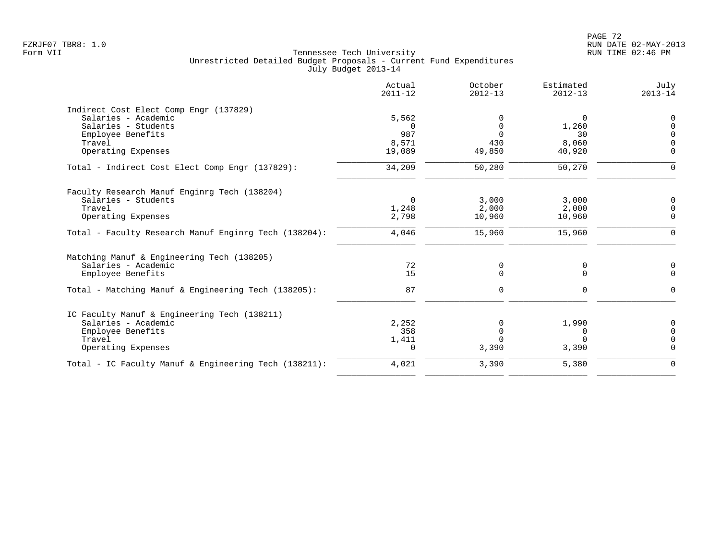|                                                       | Actual<br>$2011 - 12$ | October<br>$2012 - 13$ | Estimated<br>$2012 - 13$ | July<br>$2013 - 14$ |
|-------------------------------------------------------|-----------------------|------------------------|--------------------------|---------------------|
| Indirect Cost Elect Comp Engr (137829)                |                       |                        |                          |                     |
| Salaries - Academic                                   | 5,562                 |                        | $\Omega$                 | $\Omega$            |
| Salaries - Students                                   | $\Omega$              | $\Omega$               | 1,260                    | $\Omega$            |
| Employee Benefits                                     | 987                   | $\Omega$               | 30                       | $\Omega$            |
| Travel                                                | 8,571                 | 430                    | 8,060                    | $\cap$              |
| Operating Expenses                                    | 19,089                | 49,850                 | 40,920                   | $\Omega$            |
| Total - Indirect Cost Elect Comp Engr (137829):       | 34,209                | 50,280                 | 50,270                   | $\Omega$            |
| Faculty Research Manuf Enginrg Tech (138204)          |                       |                        |                          |                     |
| Salaries - Students                                   | $\overline{0}$        | 3,000                  | 3,000                    | 0                   |
| Travel                                                | 1,248                 | 2,000                  | 2,000                    | $\Omega$            |
| Operating Expenses                                    | 2,798                 | 10,960                 | 10,960                   | $\Omega$            |
| Total - Faculty Research Manuf Enginrg Tech (138204): | 4,046                 | 15,960                 | 15,960                   | $\Omega$            |
| Matching Manuf & Engineering Tech (138205)            |                       |                        |                          |                     |
| Salaries - Academic                                   | 72                    | 0                      | 0                        | 0                   |
| Employee Benefits                                     | 15                    | $\Omega$               | $\Omega$                 | $\Omega$            |
| Total - Matching Manuf & Engineering Tech (138205):   | 87                    | $\mathbf 0$            | $\mathbf 0$              | $\Omega$            |
| IC Faculty Manuf & Engineering Tech (138211)          |                       |                        |                          |                     |
| Salaries - Academic                                   | 2,252                 | 0                      | 1,990                    | 0                   |
| Employee Benefits                                     | 358                   | $\mathbf 0$            | 0                        | $\mathbf 0$         |
| Travel                                                | 1,411                 | $\Omega$               | $\Omega$                 | $\Omega$            |
| Operating Expenses                                    | $\Omega$              | 3,390                  | 3,390                    | $\Omega$            |
| Total - IC Faculty Manuf & Engineering Tech (138211): | 4,021                 | 3,390                  | 5,380                    | $\mathbf 0$         |
|                                                       |                       |                        |                          |                     |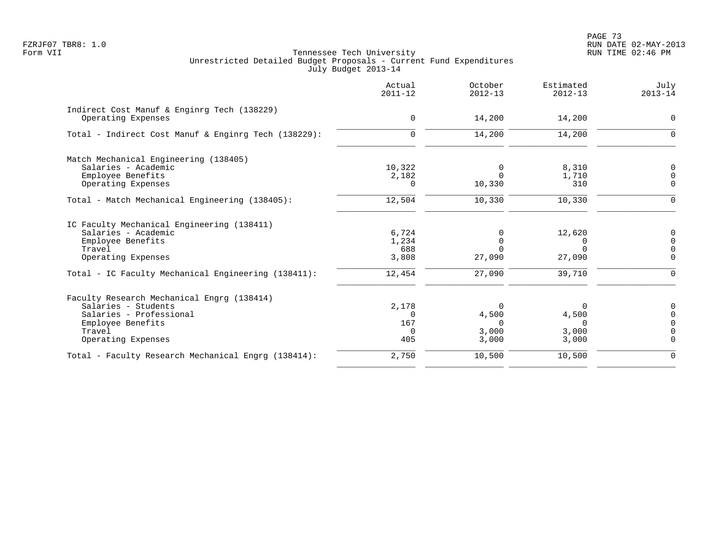| $2011 - 12$ | $2012 - 13$                                    | $2012 - 13$                                  | $2013 - 14$                               |
|-------------|------------------------------------------------|----------------------------------------------|-------------------------------------------|
|             |                                                |                                              | $\mathbf 0$                               |
|             |                                                |                                              |                                           |
| $\Omega$    | 14,200                                         | 14,200                                       | $\Omega$                                  |
|             |                                                |                                              |                                           |
| 10,322      | 0                                              | 8,310                                        | $\mathbf 0$                               |
| 2,182       | $\Omega$                                       | 1,710                                        | $\Omega$                                  |
| $\Omega$    |                                                |                                              | $\Omega$                                  |
| 12,504      | 10,330                                         | 10,330                                       | ∩                                         |
|             |                                                |                                              |                                           |
| 6,724       | 0                                              | 12,620                                       | $\mathbf 0$                               |
| 1,234       | 0                                              | $\Omega$                                     | $\Omega$                                  |
|             |                                                | $\cap$                                       | $\Omega$                                  |
|             |                                                |                                              | $\Omega$                                  |
| 12,454      | 27,090                                         | 39,710                                       | $\Omega$                                  |
|             |                                                |                                              |                                           |
| 2,178       | $\Omega$                                       | $\Omega$                                     | 0                                         |
| $\Omega$    | 4,500                                          | 4,500                                        | $\Omega$                                  |
| 167         | <sup>n</sup>                                   | $\cap$                                       |                                           |
|             |                                                |                                              | $\Omega$                                  |
|             |                                                |                                              | $\Omega$                                  |
| 2,750       | 10,500                                         | 10,500                                       | $\Omega$                                  |
|             | $\mathbf 0$<br>688<br>3,808<br>$\Omega$<br>405 | 14,200<br>10,330<br>27,090<br>3,000<br>3,000 | 14,200<br>310<br>27,090<br>3,000<br>3,000 |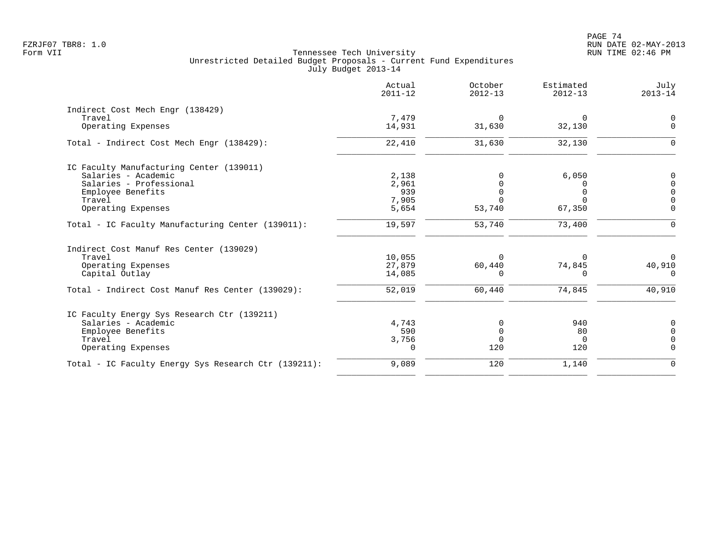|                                                      | Actual<br>$2011 - 12$ | October<br>$2012 - 13$ | Estimated<br>$2012 - 13$ | July<br>$2013 - 14$ |
|------------------------------------------------------|-----------------------|------------------------|--------------------------|---------------------|
| Indirect Cost Mech Engr (138429)                     |                       |                        |                          |                     |
| Travel                                               | 7,479                 | $\Omega$               | $\Omega$                 | $\mathbf 0$         |
| Operating Expenses                                   | 14,931                | 31,630                 | 32,130                   | $\mathbf 0$         |
| Total - Indirect Cost Mech Engr (138429):            | 22,410                | 31,630                 | 32,130                   | $\Omega$            |
| IC Faculty Manufacturing Center (139011)             |                       |                        |                          |                     |
| Salaries - Academic                                  | 2,138                 | $\Omega$               | 6,050                    | 0                   |
| Salaries - Professional                              | 2,961                 |                        | ∩                        | $\mathbf 0$         |
| Employee Benefits                                    | 939                   | $\Omega$               | ∩                        | $\mathbf 0$         |
| Travel                                               | 7,905                 | $\Omega$               | $\Omega$                 | $\mathbf 0$         |
| Operating Expenses                                   | 5,654                 | 53,740                 | 67,350                   | $\Omega$            |
| Total - IC Faculty Manufacturing Center (139011):    | 19,597                | 53,740                 | 73,400                   | $\Omega$            |
| Indirect Cost Manuf Res Center (139029)              |                       |                        |                          |                     |
| Travel                                               | 10,055                | $\Omega$               |                          | $\mathbf 0$         |
| Operating Expenses                                   | 27,879                | 60,440                 | 74,845                   | 40,910              |
| Capital Outlay                                       | 14,085                | $\Omega$               | $\Omega$                 | $\Omega$            |
| Total - Indirect Cost Manuf Res Center (139029):     | 52,019                | 60,440                 | 74,845                   | 40,910              |
| IC Faculty Energy Sys Research Ctr (139211)          |                       |                        |                          |                     |
| Salaries - Academic                                  | 4,743                 | 0                      | 940                      | 0                   |
| Employee Benefits                                    | 590                   | $\mathbf 0$            | 80                       | $\mathbf 0$         |
| Travel                                               | 3,756                 | $\overline{0}$         | $\Omega$                 | $\Omega$            |
| Operating Expenses                                   | $\Omega$              | 120                    | 120                      | $\mathbf 0$         |
| Total - IC Faculty Energy Sys Research Ctr (139211): | 9,089                 | 120                    | 1,140                    | $\mathbf{0}$        |
|                                                      |                       |                        |                          |                     |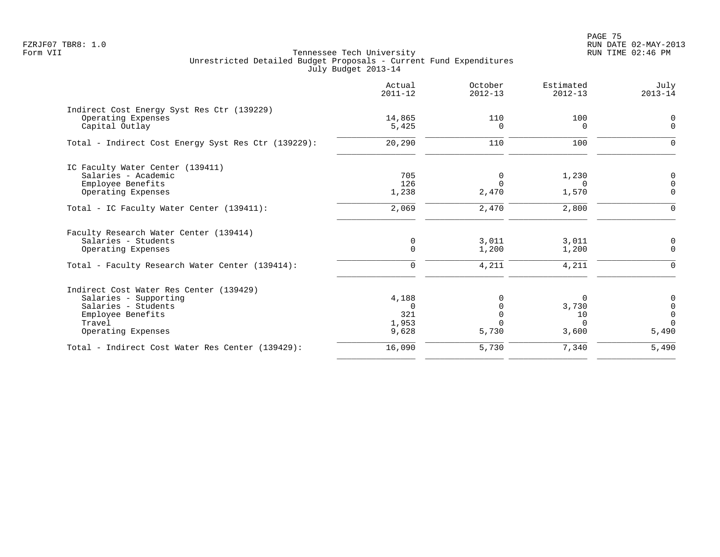PAGE 75 FZRJF07 TBR8: 1.0 RUN DATE 02-MAY-2013

| Actual<br>$2011 - 12$ | October<br>$2012 - 13$ | Estimated<br>$2012 - 13$ | July<br>$2013 - 14$ |
|-----------------------|------------------------|--------------------------|---------------------|
|                       |                        |                          |                     |
| 14,865                | 110                    | 100                      | $\Omega$            |
| 5,425                 | 0                      | 0                        | $\mathbf 0$         |
| 20,290                | 110                    | 100                      |                     |
|                       |                        |                          |                     |
| 705                   | 0                      | 1,230                    | $\mathbf 0$         |
| 126                   | $\Omega$               | $\Omega$                 | $\Omega$            |
| 1,238                 |                        |                          | $\Omega$            |
| 2,069                 | 2,470                  | 2,800                    | $\Omega$            |
|                       |                        |                          |                     |
| $\mathbf 0$           | 3,011                  |                          | $\mathbf 0$         |
| $\mathbf 0$           | 1,200                  | 1,200                    | $\mathbf 0$         |
| 0                     | 4,211                  | 4,211                    | $\mathbf 0$         |
|                       |                        |                          |                     |
| 4,188                 | U                      | $\Omega$                 | $\overline{0}$      |
| $\cap$                |                        | 3,730                    | $\mathsf 0$         |
| 321                   |                        | 10                       | $\mathbf 0$         |
| 1,953                 |                        | $\Omega$                 | $\Omega$            |
| 9,628                 | 5,730                  | 3,600                    | 5,490               |
| 16,090                | 5,730                  | 7,340                    | 5,490               |
|                       |                        | 2,470                    | 1,570<br>3,011      |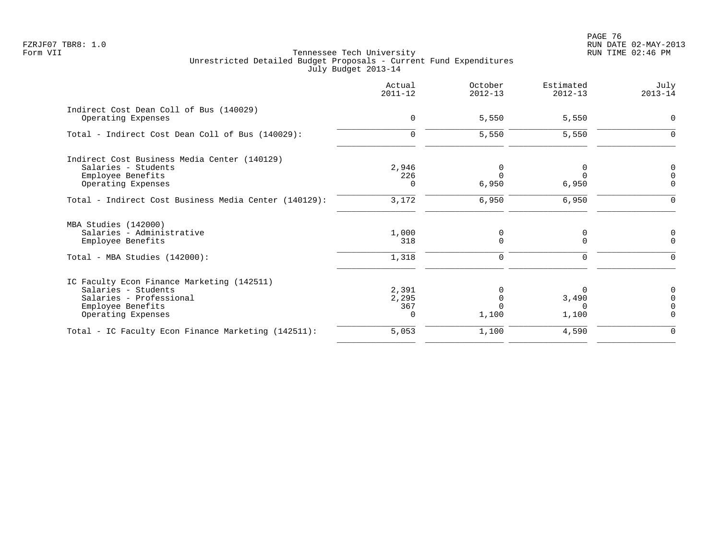|                                                                                                                                         | Actual<br>$2011 - 12$             | October<br>$2012 - 13$       | Estimated<br>$2012 - 13$  | July<br>$2013 - 14$                   |
|-----------------------------------------------------------------------------------------------------------------------------------------|-----------------------------------|------------------------------|---------------------------|---------------------------------------|
| Indirect Cost Dean Coll of Bus (140029)<br>Operating Expenses                                                                           | $\mathbf 0$                       | 5,550                        | 5,550                     | 0                                     |
| Total - Indirect Cost Dean Coll of Bus (140029):                                                                                        | 0                                 | 5,550                        | 5,550                     | $\mathbf 0$                           |
| Indirect Cost Business Media Center (140129)<br>Salaries - Students<br>Employee Benefits<br>Operating Expenses                          | 2,946<br>226<br>$\Omega$          | 6,950                        | 6,950                     | $\mathbf 0$<br>$\Omega$<br>$\Omega$   |
| Total - Indirect Cost Business Media Center (140129):                                                                                   | 3,172                             | 6,950                        | 6,950                     | $\Omega$                              |
| MBA Studies (142000)<br>Salaries - Administrative<br>Employee Benefits<br>Total - MBA Studies (142000):                                 | 1,000<br>318<br>1,318             | 0<br>$\mathbf 0$<br>$\Omega$ | 0<br>$\Omega$<br>$\Omega$ | 0<br>$\Omega$<br>$\Omega$             |
| IC Faculty Econ Finance Marketing (142511)<br>Salaries - Students<br>Salaries - Professional<br>Employee Benefits<br>Operating Expenses | 2,391<br>2,295<br>367<br>$\Omega$ | $\Omega$<br>1,100            | 3,490<br>∩<br>1,100       | 0<br>$\Omega$<br>$\Omega$<br>$\Omega$ |
| Total - IC Faculty Econ Finance Marketing (142511):                                                                                     | 5,053                             | 1,100                        | 4,590                     | $\Omega$                              |
|                                                                                                                                         |                                   |                              |                           |                                       |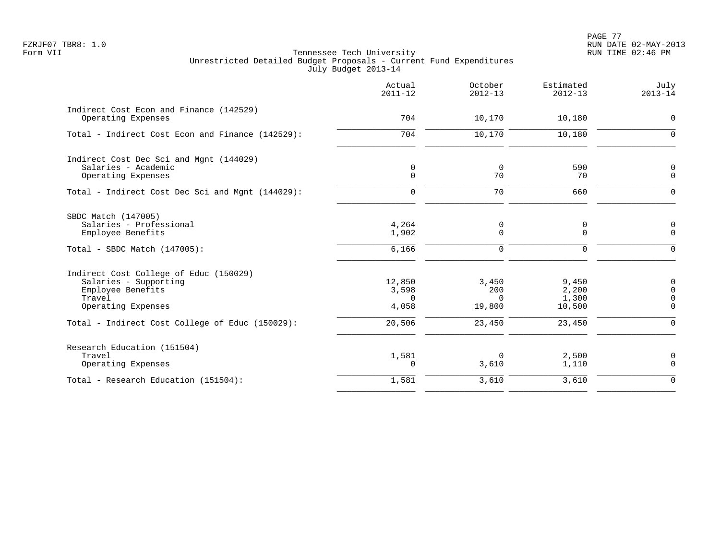PAGE 77 FZRJF07 TBR8: 1.0 RUN DATE 02-MAY-2013

|                                                                                                                      | Actual<br>$2011 - 12$                | October<br>$2012 - 13$             | Estimated<br>$2012 - 13$          | July<br>$2013 - 14$                      |
|----------------------------------------------------------------------------------------------------------------------|--------------------------------------|------------------------------------|-----------------------------------|------------------------------------------|
| Indirect Cost Econ and Finance (142529)<br>Operating Expenses                                                        | 704                                  | 10,170                             | 10,180                            | $\mathbf 0$                              |
| Total - Indirect Cost Econ and Finance (142529):                                                                     | 704                                  | 10,170                             | 10,180                            | $\Omega$                                 |
| Indirect Cost Dec Sci and Mgnt (144029)<br>Salaries - Academic<br>Operating Expenses                                 | $\mathbf 0$<br>$\Omega$              | $\mathbf 0$<br>70                  | 590<br>70                         | 0<br>$\Omega$                            |
| Total - Indirect Cost Dec Sci and Mgnt (144029):                                                                     | $\mathbf 0$                          | 70                                 | 660                               | $\Omega$                                 |
| SBDC Match (147005)<br>Salaries - Professional<br>Employee Benefits<br>Total - SBDC Match $(147005)$ :               | 4,264<br>1,902<br>6,166              | 0<br>0<br>$\Omega$                 | 0<br>$\mathbf 0$<br>$\Omega$      | $\mathbf 0$<br>$\mathbf 0$<br>$\Omega$   |
| Indirect Cost College of Educ (150029)<br>Salaries - Supporting<br>Employee Benefits<br>Travel<br>Operating Expenses | 12,850<br>3,598<br>$\Omega$<br>4,058 | 3,450<br>200<br>$\Omega$<br>19,800 | 9,450<br>2,200<br>1,300<br>10,500 | 0<br>$\Omega$<br>$\mathbf 0$<br>$\Omega$ |
| Total - Indirect Cost College of Educ (150029):                                                                      | 20,506                               | 23,450                             | 23,450                            | $\Omega$                                 |
| Research Education (151504)<br>Travel<br>Operating Expenses                                                          | 1,581<br>$\mathbf 0$                 | 0<br>3,610                         | 2,500<br>1,110                    | $\mathbf 0$<br>$\Omega$                  |
| Total - Research Education (151504):                                                                                 | 1,581                                | 3,610                              | 3,610                             | $\Omega$                                 |
|                                                                                                                      |                                      |                                    |                                   |                                          |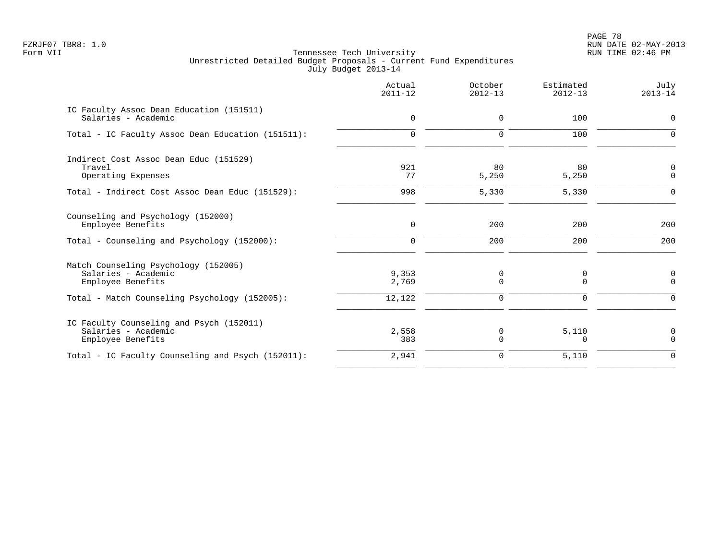PAGE 78 FZRJF07 TBR8: 1.0 RUN DATE 02-MAY-2013

|                                                                                      | Actual<br>$2011 - 12$ | October<br>$2012 - 13$ | Estimated<br>$2012 - 13$ | July<br>$2013 - 14$ |
|--------------------------------------------------------------------------------------|-----------------------|------------------------|--------------------------|---------------------|
| IC Faculty Assoc Dean Education (151511)<br>Salaries - Academic                      | $\mathbf 0$           | $\mathbf 0$            | 100                      | $\mathbf 0$         |
| Total - IC Faculty Assoc Dean Education (151511):                                    | $\Omega$              | $\Omega$               | 100                      | $\Omega$            |
| Indirect Cost Assoc Dean Educ (151529)<br>Travel<br>Operating Expenses               | 921<br>77             | 80<br>5,250            | 80<br>5,250              | 0<br>$\Omega$       |
| Total - Indirect Cost Assoc Dean Educ (151529):                                      | 998                   | 5,330                  | 5,330                    | $\Omega$            |
| Counseling and Psychology (152000)<br>Employee Benefits                              | $\mathbf 0$           | 200                    | 200                      | 200                 |
| Total - Counseling and Psychology (152000):                                          | $\mathbf 0$           | 200                    | 200                      | 200                 |
| Match Counseling Psychology (152005)<br>Salaries - Academic<br>Employee Benefits     | 9,353<br>2,769        | 0<br>$\Omega$          | 0<br>$\mathbf 0$         | 0<br>$\Omega$       |
| Total - Match Counseling Psychology (152005):                                        | 12,122                | 0                      | 0                        | $\Omega$            |
| IC Faculty Counseling and Psych (152011)<br>Salaries - Academic<br>Employee Benefits | 2,558<br>383          | 0<br>$\Omega$          | 5,110<br>$\Omega$        | 0<br>$\Omega$       |
| Total - IC Faculty Counseling and Psych (152011):                                    | 2,941                 | 0                      | 5,110                    | $\Omega$            |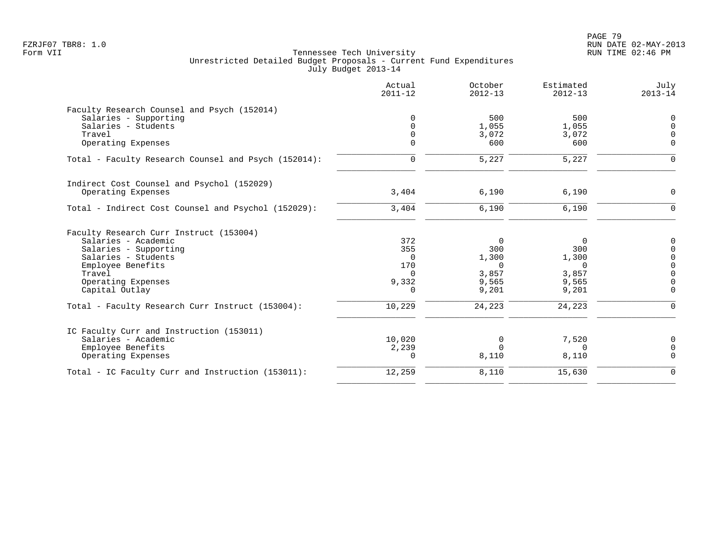|                                                      | Actual<br>$2011 - 12$ | October<br>$2012 - 13$ | Estimated<br>$2012 - 13$ | July<br>$2013 - 14$ |
|------------------------------------------------------|-----------------------|------------------------|--------------------------|---------------------|
| Faculty Research Counsel and Psych (152014)          |                       |                        |                          |                     |
| Salaries - Supporting                                | $\Omega$              | 500                    | 500                      | $\mathbf 0$         |
| Salaries - Students                                  | $\Omega$              | 1,055                  | 1,055                    | $\Omega$            |
| Travel                                               | $\Omega$              | 3,072                  | 3,072                    | $\Omega$            |
| Operating Expenses                                   | $\mathbf 0$           | 600                    | 600                      | $\mathbf 0$         |
| Total - Faculty Research Counsel and Psych (152014): | 0                     | 5,227                  | 5,227                    | $\mathbf 0$         |
| Indirect Cost Counsel and Psychol (152029)           |                       |                        |                          |                     |
| Operating Expenses                                   | 3,404                 | 6,190                  | 6,190                    | $\mathbf 0$         |
| Total - Indirect Cost Counsel and Psychol (152029):  | 3,404                 | 6,190                  | 6,190                    | $\mathbf 0$         |
| Faculty Research Curr Instruct (153004)              |                       |                        |                          |                     |
| Salaries - Academic                                  | 372                   | $\mathbf 0$            | 0                        | $\mathbf 0$         |
| Salaries - Supporting                                | 355                   | 300                    | 300                      | $\mathbf 0$         |
| Salaries - Students                                  | 0                     | 1,300                  | 1,300                    | $\mathbf 0$         |
| Employee Benefits                                    | 170                   | 0                      | 0                        | $\mathbf 0$         |
| Travel                                               | $\Omega$              | 3,857                  | 3,857                    | $\Omega$            |
| Operating Expenses                                   | 9,332                 | 9,565                  | 9,565                    | $\Omega$            |
| Capital Outlay                                       | 0                     | 9,201                  | 9,201                    | $\mathbf 0$         |
| Total - Faculty Research Curr Instruct (153004):     | 10,229                | 24,223                 | 24,223                   | $\mathbf 0$         |
| IC Faculty Curr and Instruction (153011)             |                       |                        |                          |                     |
| Salaries - Academic                                  | 10,020                | 0                      | 7,520                    | $\mathbf 0$         |
| Employee Benefits                                    | 2,239                 | $\Omega$               | $\Omega$                 | $\mathbf 0$         |
| Operating Expenses                                   | $\Omega$              | 8,110                  | 8,110                    | $\Omega$            |
| Total - IC Faculty Curr and Instruction (153011):    | 12,259                | 8,110                  | 15,630                   | $\mathbf 0$         |
|                                                      |                       |                        |                          |                     |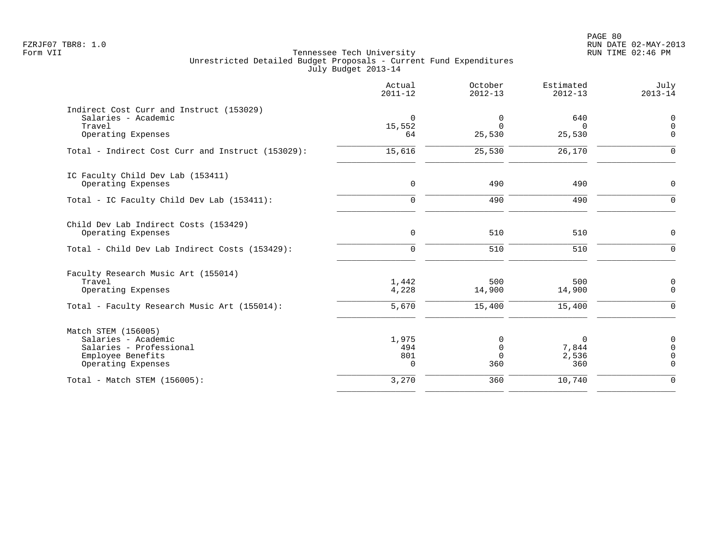PAGE 80 FZRJF07 TBR8: 1.0 RUN DATE 02-MAY-2013

|                                                                                                                     | Actual<br>$2011 - 12$       | October<br>$2012 - 13$                 | Estimated<br>$2012 - 13$   | July<br>$2013 - 14$                               |
|---------------------------------------------------------------------------------------------------------------------|-----------------------------|----------------------------------------|----------------------------|---------------------------------------------------|
| Indirect Cost Curr and Instruct (153029)<br>Salaries - Academic<br>Travel<br>Operating Expenses                     | $\mathbf 0$<br>15,552<br>64 | 0<br>$\Omega$<br>25,530                | 640<br>0<br>25,530         | $\mathsf 0$<br>$\mathbf 0$<br>$\Omega$            |
| Total - Indirect Cost Curr and Instruct (153029):                                                                   | 15,616                      | 25,530                                 | 26,170                     | $\Omega$                                          |
| IC Faculty Child Dev Lab (153411)<br>Operating Expenses                                                             | $\mathbf 0$                 | 490                                    | 490                        | $\Omega$                                          |
| Total - IC Faculty Child Dev Lab (153411):                                                                          | $\Omega$                    | 490                                    | 490                        | $\Omega$                                          |
| Child Dev Lab Indirect Costs (153429)<br>Operating Expenses                                                         | $\mathbf 0$                 | 510                                    | 510                        | $\mathbf 0$                                       |
| Total - Child Dev Lab Indirect Costs (153429):                                                                      | $\Omega$                    | 510                                    | 510                        | $\Omega$                                          |
| Faculty Research Music Art (155014)<br>Travel<br>Operating Expenses<br>Total - Faculty Research Music Art (155014): | 1,442<br>4,228<br>5,670     | 500<br>14,900<br>15,400                | 500<br>14,900<br>15,400    | 0<br>$\mathbf 0$<br>$\Omega$                      |
|                                                                                                                     |                             |                                        |                            |                                                   |
| Match STEM (156005)<br>Salaries - Academic<br>Salaries - Professional<br>Employee Benefits<br>Operating Expenses    | 1,975<br>494<br>801<br>0    | 0<br>$\mathbf 0$<br>$\mathbf 0$<br>360 | 0<br>7,844<br>2,536<br>360 | 0<br>$\mathbf 0$<br>$\mathbf 0$<br>$\overline{0}$ |
| Total - Match STEM (156005):                                                                                        | 3,270                       | 360                                    | 10,740                     | $\Omega$                                          |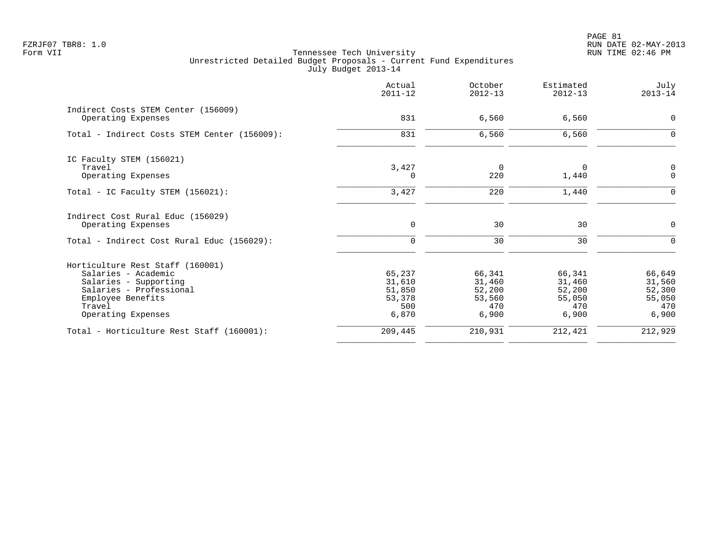PAGE 81 FZRJF07 TBR8: 1.0 RUN DATE 02-MAY-2013

|                                                           | Actual<br>$2011 - 12$ | October<br>$2012 - 13$ | Estimated<br>$2012 - 13$ | July<br>$2013 - 14$                           |
|-----------------------------------------------------------|-----------------------|------------------------|--------------------------|-----------------------------------------------|
| Indirect Costs STEM Center (156009)<br>Operating Expenses | 831                   | 6,560                  | 6,560                    | $\mathbf 0$                                   |
| Total - Indirect Costs STEM Center (156009):              | 831                   | 6,560                  | 6,560                    | 0                                             |
| IC Faculty STEM (156021)<br>Travel                        | 3,427                 | $\overline{0}$         | $\Omega$                 |                                               |
| Operating Expenses                                        | $\Omega$              | 220                    | 1,440                    | $\begin{smallmatrix}0\\0\\0\end{smallmatrix}$ |
| Total - IC Faculty STEM (156021):                         | 3,427                 | 220                    | 1,440                    | $\mathbf 0$                                   |
| Indirect Cost Rural Educ (156029)<br>Operating Expenses   | $\mathbf 0$           | 30                     | 30                       | $\mathbf 0$                                   |
| Total - Indirect Cost Rural Educ (156029):                | $\mathbf 0$           | 30                     | 30                       | $\mathbf 0$                                   |
| Horticulture Rest Staff (160001)                          |                       |                        |                          |                                               |
| Salaries - Academic                                       | 65,237                | 66,341                 | 66,341                   | 66,649                                        |
| Salaries - Supporting                                     | 31,610                | 31,460                 | 31,460                   | 31,560                                        |
| Salaries - Professional                                   | 51,850                | 52,200                 | 52,200                   | 52,300                                        |
| Employee Benefits<br>Travel                               | 53,378<br>500         | 53,560<br>470          | 55,050<br>470            | 55,050<br>470                                 |
| Operating Expenses                                        | 6,870                 | 6,900                  | 6,900                    | 6,900                                         |
| Total - Horticulture Rest Staff (160001):                 | 209,445               | 210,931                | 212,421                  | 212,929                                       |
|                                                           |                       |                        |                          |                                               |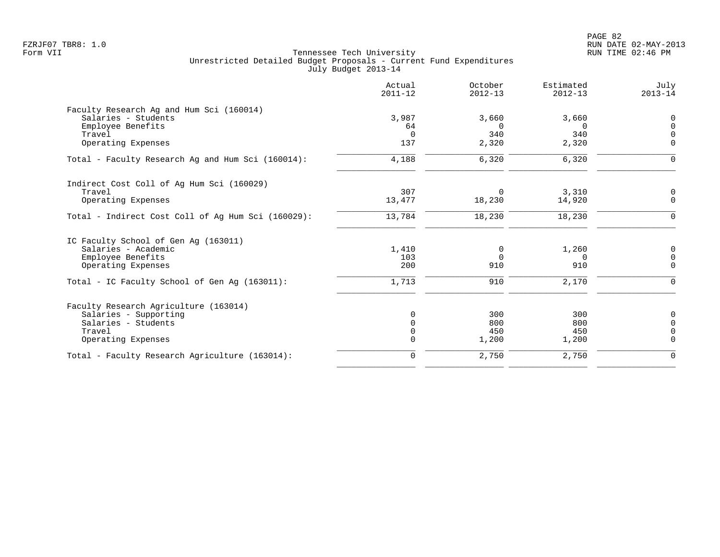|                                                    | Actual<br>$2011 - 12$ | October<br>$2012 - 13$ | Estimated<br>$2012 - 13$ | July<br>$2013 - 14$  |
|----------------------------------------------------|-----------------------|------------------------|--------------------------|----------------------|
| Faculty Research Ag and Hum Sci (160014)           |                       |                        |                          |                      |
| Salaries - Students                                | 3,987                 | 3,660                  | 3,660                    | $\mathbf 0$          |
| Employee Benefits<br>Travel                        | 64                    | $\Omega$<br>340        | $\Omega$<br>340          | $\Omega$             |
| Operating Expenses                                 | $\Omega$<br>137       | 2,320                  | 2,320                    | $\Omega$<br>$\Omega$ |
|                                                    |                       |                        |                          |                      |
| Total - Faculty Research Ag and Hum Sci (160014):  | 4,188                 | 6,320                  | 6,320                    | $\mathbf 0$          |
| Indirect Cost Coll of Aq Hum Sci (160029)          |                       |                        |                          |                      |
| Travel                                             | 307                   | 0                      | 3,310                    | 0                    |
| Operating Expenses                                 | 13,477                | 18,230                 | 14,920                   | $\mathbf 0$          |
| Total - Indirect Cost Coll of Aq Hum Sci (160029): | 13,784                | 18,230                 | 18,230                   | 0                    |
| IC Faculty School of Gen Aq (163011)               |                       |                        |                          |                      |
| Salaries - Academic                                | 1,410                 | 0                      | 1,260                    | $\mathbf 0$          |
| Employee Benefits                                  | 103                   | $\Omega$               | $\Omega$                 | $\mathbf 0$          |
| Operating Expenses                                 | 200                   | 910                    | 910                      | $\Omega$             |
| Total - IC Faculty School of Gen Aq (163011):      | 1,713                 | 910                    | 2,170                    | $\Omega$             |
| Faculty Research Agriculture (163014)              |                       |                        |                          |                      |
| Salaries - Supporting                              | $\Omega$              | 300                    | 300                      | $\mathbf 0$          |
| Salaries - Students                                | $\Omega$              | 800                    | 800                      | $\Omega$             |
| Travel                                             | $\Omega$              | 450                    | 450                      | $\Omega$             |
| Operating Expenses                                 | $\mathbf 0$           | 1,200                  | 1,200                    | $\Omega$             |
| Total - Faculty Research Agriculture (163014):     | $\mathbf 0$           | 2,750                  | 2,750                    | $\mathbf 0$          |
|                                                    |                       |                        |                          |                      |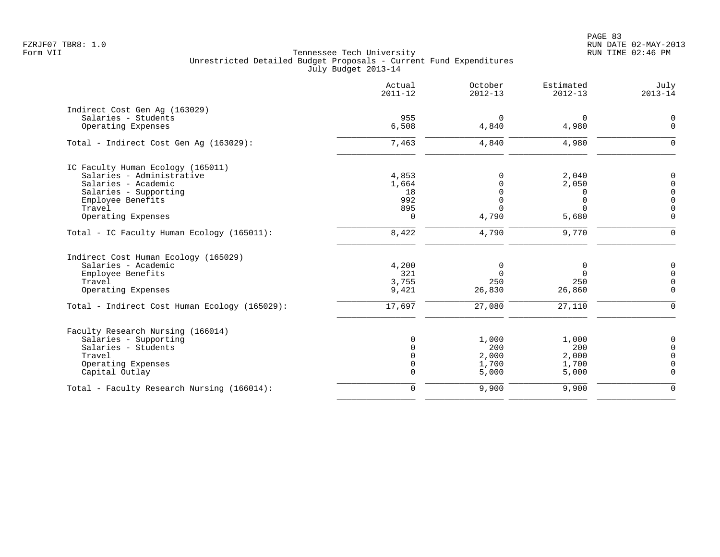PAGE 83 FZRJF07 TBR8: 1.0 RUN DATE 02-MAY-2013

| Actual<br>$2011 - 12$ | October<br>$2012 - 13$                                                                                          | Estimated<br>$2012 - 13$                                                                                                    | July<br>$2013 - 14$                                                                                            |
|-----------------------|-----------------------------------------------------------------------------------------------------------------|-----------------------------------------------------------------------------------------------------------------------------|----------------------------------------------------------------------------------------------------------------|
|                       |                                                                                                                 |                                                                                                                             |                                                                                                                |
|                       | $\overline{0}$                                                                                                  | $\Omega$                                                                                                                    | $\mathbf 0$                                                                                                    |
|                       |                                                                                                                 |                                                                                                                             | $\Omega$                                                                                                       |
| 7,463                 | 4,840                                                                                                           | 4,980                                                                                                                       | $\Omega$                                                                                                       |
|                       |                                                                                                                 |                                                                                                                             |                                                                                                                |
|                       |                                                                                                                 |                                                                                                                             | 0                                                                                                              |
|                       |                                                                                                                 |                                                                                                                             | 0                                                                                                              |
|                       |                                                                                                                 |                                                                                                                             | $\Omega$                                                                                                       |
|                       |                                                                                                                 |                                                                                                                             | $\Omega$                                                                                                       |
|                       |                                                                                                                 |                                                                                                                             | $\Omega$                                                                                                       |
| 0                     | 4,790                                                                                                           | 5,680                                                                                                                       | $\mathbf 0$                                                                                                    |
| 8,422                 | 4,790                                                                                                           | 9,770                                                                                                                       | $\mathbf 0$                                                                                                    |
|                       |                                                                                                                 |                                                                                                                             |                                                                                                                |
|                       |                                                                                                                 |                                                                                                                             | 0                                                                                                              |
|                       |                                                                                                                 |                                                                                                                             | $\Omega$                                                                                                       |
|                       |                                                                                                                 |                                                                                                                             | $\Omega$                                                                                                       |
| 9,421                 | 26,830                                                                                                          | 26,860                                                                                                                      | $\Omega$                                                                                                       |
| 17,697                | 27,080                                                                                                          | 27,110                                                                                                                      | $\Omega$                                                                                                       |
|                       |                                                                                                                 |                                                                                                                             |                                                                                                                |
|                       |                                                                                                                 |                                                                                                                             | 0                                                                                                              |
|                       |                                                                                                                 |                                                                                                                             | $\Omega$                                                                                                       |
|                       |                                                                                                                 |                                                                                                                             | $\Omega$                                                                                                       |
|                       |                                                                                                                 |                                                                                                                             | $\Omega$                                                                                                       |
| $\Omega$              | 5,000                                                                                                           | 5,000                                                                                                                       | $\Omega$                                                                                                       |
| $\mathbf 0$           | 9,900                                                                                                           | 9,900                                                                                                                       | $\mathbf 0$                                                                                                    |
|                       | 955<br>6,508<br>4,853<br>1,664<br>18<br>992<br>895<br>4,200<br>321<br>3,755<br>$\Omega$<br>$\Omega$<br>$\Omega$ | 4,840<br>$\Omega$<br>$\Omega$<br>$\Omega$<br>$\Omega$<br>$\Omega$<br>0<br>$\Omega$<br>250<br>1,000<br>200<br>2,000<br>1,700 | 4,980<br>2,040<br>2,050<br>0<br>$\Omega$<br>$\Omega$<br>0<br>$\Omega$<br>250<br>1,000<br>200<br>2,000<br>1,700 |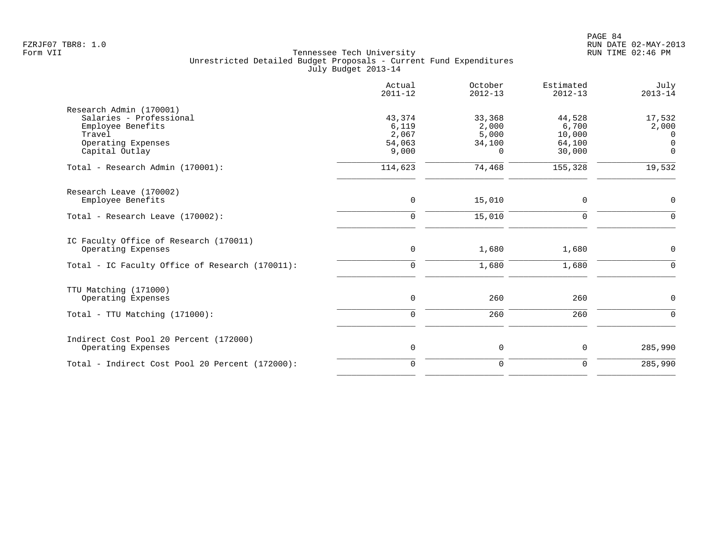|                                                                                                                           | Actual<br>$2011 - 12$                       | October<br>$2012 - 13$                         | Estimated<br>$2012 - 13$                      | July<br>$2013 - 14$                                 |
|---------------------------------------------------------------------------------------------------------------------------|---------------------------------------------|------------------------------------------------|-----------------------------------------------|-----------------------------------------------------|
| Research Admin (170001)<br>Salaries - Professional<br>Employee Benefits<br>Travel<br>Operating Expenses<br>Capital Outlay | 43,374<br>6,119<br>2,067<br>54,063<br>9,000 | 33,368<br>2,000<br>5,000<br>34,100<br>$\Omega$ | 44,528<br>6,700<br>10,000<br>64,100<br>30,000 | 17,532<br>2,000<br>$\Omega$<br>$\Omega$<br>$\Omega$ |
| Total - Research Admin (170001):                                                                                          | 114,623                                     | 74,468                                         | 155,328                                       | 19,532                                              |
| Research Leave (170002)<br>Employee Benefits                                                                              | $\mathbf 0$                                 | 15,010                                         | 0                                             | 0                                                   |
| Total - Research Leave (170002):                                                                                          | $\Omega$                                    | 15,010                                         | $\mathbf 0$                                   | $\Omega$                                            |
| IC Faculty Office of Research (170011)<br>Operating Expenses                                                              | $\mathbf 0$                                 | 1,680                                          | 1,680                                         | $\mathbf 0$                                         |
| Total - IC Faculty Office of Research (170011):                                                                           | $\mathbf 0$                                 | 1,680                                          | 1,680                                         | $\Omega$                                            |
| TTU Matching (171000)<br>Operating Expenses                                                                               | $\mathsf{O}$                                | 260                                            | 260                                           | $\mathbf 0$                                         |
| Total - TTU Matching (171000):                                                                                            | $\mathbf 0$                                 | 260                                            | 260                                           | $\Omega$                                            |
| Indirect Cost Pool 20 Percent (172000)<br>Operating Expenses                                                              | $\mathsf{O}$                                | 0                                              | 0                                             | 285,990                                             |
| Total - Indirect Cost Pool 20 Percent (172000):                                                                           | $\Omega$                                    | $\mathbf 0$                                    | $\Omega$                                      | 285,990                                             |
|                                                                                                                           |                                             |                                                |                                               |                                                     |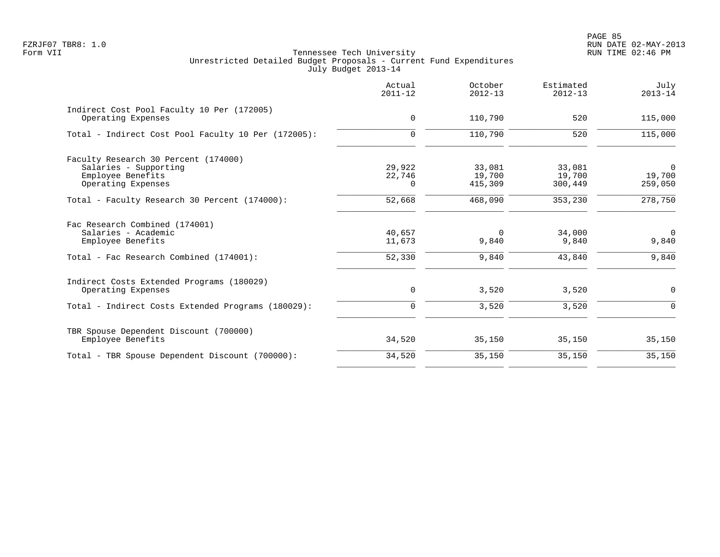PAGE 85 FZRJF07 TBR8: 1.0 RUN DATE 02-MAY-2013

|                                                                                                                       | Actual<br>$2011 - 12$        | October<br>$2012 - 13$        | Estimated<br>$2012 - 13$    | July<br>$2013 - 14$                 |
|-----------------------------------------------------------------------------------------------------------------------|------------------------------|-------------------------------|-----------------------------|-------------------------------------|
| Indirect Cost Pool Faculty 10 Per (172005)<br>Operating Expenses                                                      | $\mathbf 0$                  | 110,790                       | 520                         | 115,000                             |
| Total - Indirect Cost Pool Faculty 10 Per (172005):                                                                   | $\Omega$                     | 110,790                       | 520                         | 115,000                             |
| Faculty Research 30 Percent (174000)<br>Salaries - Supporting<br>Employee Benefits<br>Operating Expenses              | 29,922<br>22,746<br>$\Omega$ | 33,081<br>19,700<br>415,309   | 33,081<br>19,700<br>300,449 | $\overline{0}$<br>19,700<br>259,050 |
| Total - Faculty Research 30 Percent (174000):                                                                         | 52,668                       | 468,090                       | 353,230                     | 278,750                             |
| Fac Research Combined (174001)<br>Salaries - Academic<br>Employee Benefits<br>Total - Fac Research Combined (174001): | 40,657<br>11,673<br>52,330   | $\mathbf 0$<br>9,840<br>9,840 | 34,000<br>9,840<br>43,840   | $\overline{0}$<br>9,840<br>9,840    |
| Indirect Costs Extended Programs (180029)<br>Operating Expenses                                                       | 0                            | 3,520                         | 3,520                       | $\mathbf 0$                         |
| Total - Indirect Costs Extended Programs (180029):                                                                    | $\mathbf 0$                  | 3,520                         | 3,520                       | $\Omega$                            |
| TBR Spouse Dependent Discount (700000)<br>Employee Benefits                                                           | 34,520                       | 35,150                        | 35,150                      | 35,150                              |
| Total - TBR Spouse Dependent Discount (700000):                                                                       | 34,520                       | 35,150                        | 35,150                      | 35,150                              |
|                                                                                                                       |                              |                               |                             |                                     |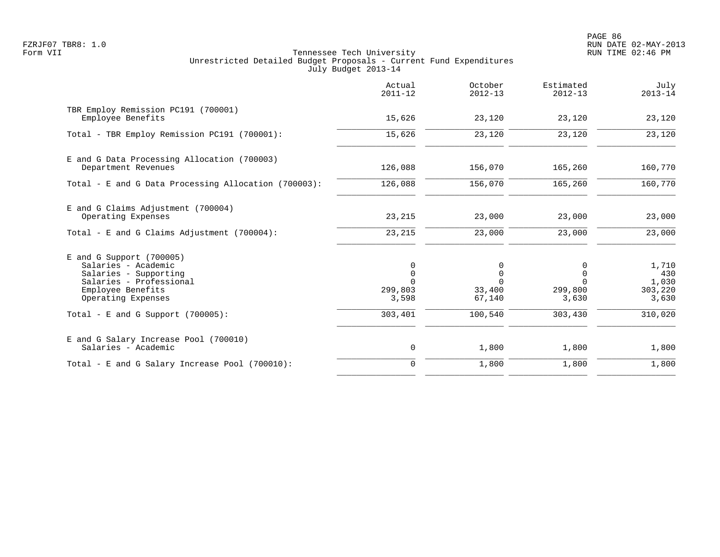PAGE 86 FZRJF07 TBR8: 1.0 RUN DATE 02-MAY-2013

|                                                                                                                                                  | Actual<br>$2011 - 12$                       | October<br>$2012 - 13$                           | Estimated<br>$2012 - 13$                 | July<br>$2013 - 14$                       |
|--------------------------------------------------------------------------------------------------------------------------------------------------|---------------------------------------------|--------------------------------------------------|------------------------------------------|-------------------------------------------|
| TBR Employ Remission PC191 (700001)<br>Employee Benefits                                                                                         | 15,626                                      | 23,120                                           | 23,120                                   | 23,120                                    |
| Total - TBR Employ Remission PC191 (700001):                                                                                                     | 15,626                                      | 23,120                                           | 23,120                                   | 23,120                                    |
| E and G Data Processing Allocation (700003)<br>Department Revenues                                                                               | 126,088                                     | 156,070                                          | 165,260                                  | 160,770                                   |
| Total - E and G Data Processing Allocation (700003):                                                                                             | 126,088                                     | 156,070                                          | 165,260                                  | 160,770                                   |
| E and G Claims Adjustment (700004)<br>Operating Expenses                                                                                         | 23, 215                                     | 23,000                                           | 23,000                                   | 23,000                                    |
| Total - E and G Claims Adjustment $(700004)$ :                                                                                                   | 23, 215                                     | 23,000                                           | 23,000                                   | 23,000                                    |
| $E$ and G Support (700005)<br>Salaries - Academic<br>Salaries - Supporting<br>Salaries - Professional<br>Employee Benefits<br>Operating Expenses | $\mathbf 0$<br>$\Omega$<br>299,803<br>3,598 | 0<br>$\mathbf 0$<br>$\Omega$<br>33,400<br>67,140 | $\Omega$<br>$\Omega$<br>299,800<br>3,630 | 1,710<br>430<br>1,030<br>303,220<br>3,630 |
| Total - E and G Support $(700005)$ :                                                                                                             | 303,401                                     | 100,540                                          | 303,430                                  | 310,020                                   |
| E and G Salary Increase Pool (700010)<br>Salaries - Academic                                                                                     | $\mathsf{O}$                                | 1,800                                            | 1,800                                    | 1,800                                     |
| Total - E and G Salary Increase Pool (700010):                                                                                                   | $\mathbf 0$                                 | 1,800                                            | 1,800                                    | 1,800                                     |
|                                                                                                                                                  |                                             |                                                  |                                          |                                           |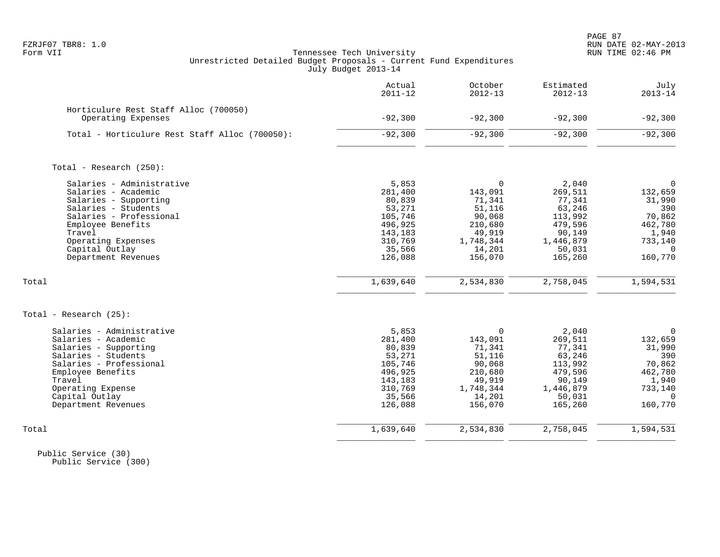# FZRJF07 TBR8: 1.0 RUN DATE 02-MAY-2013 Tennessee Tech University Unrestricted Detailed Budget Proposals - Current Fund Expenditures July Budget 2013-14

|                                                                                                                                                                                                                           | Actual<br>$2011 - 12$                                                                                 | October<br>$2012 - 13$                                                                                   | Estimated<br>$2012 - 13$                                                                               | July<br>$2013 - 14$                                                                                     |
|---------------------------------------------------------------------------------------------------------------------------------------------------------------------------------------------------------------------------|-------------------------------------------------------------------------------------------------------|----------------------------------------------------------------------------------------------------------|--------------------------------------------------------------------------------------------------------|---------------------------------------------------------------------------------------------------------|
| Horticulure Rest Staff Alloc (700050)<br>Operating Expenses                                                                                                                                                               | $-92,300$                                                                                             | $-92,300$                                                                                                | $-92,300$                                                                                              | $-92,300$                                                                                               |
| Total - Horticulure Rest Staff Alloc (700050):                                                                                                                                                                            | $-92,300$                                                                                             | $-92,300$                                                                                                | $-92,300$                                                                                              | $-92,300$                                                                                               |
| Total - Research (250):                                                                                                                                                                                                   |                                                                                                       |                                                                                                          |                                                                                                        |                                                                                                         |
| Salaries - Administrative<br>Salaries - Academic<br>Salaries - Supporting<br>Salaries - Students<br>Salaries - Professional<br>Employee Benefits<br>Travel<br>Operating Expenses<br>Capital Outlay<br>Department Revenues | 5,853<br>281,400<br>80,839<br>53,271<br>105,746<br>496,925<br>143,183<br>310,769<br>35,566<br>126,088 | $\Omega$<br>143,091<br>71,341<br>51,116<br>90,068<br>210,680<br>49,919<br>1,748,344<br>14,201<br>156,070 | 2,040<br>269,511<br>77,341<br>63,246<br>113,992<br>479,596<br>90,149<br>1,446,879<br>50,031<br>165,260 | $\mathbf 0$<br>132,659<br>31,990<br>390<br>70,862<br>462,780<br>1,940<br>733,140<br>$\Omega$<br>160,770 |
| Total                                                                                                                                                                                                                     | 1,639,640                                                                                             | 2,534,830                                                                                                | 2,758,045                                                                                              | 1,594,531                                                                                               |
| Total - Research $(25)$ :                                                                                                                                                                                                 |                                                                                                       |                                                                                                          |                                                                                                        |                                                                                                         |
| Salaries - Administrative<br>Salaries - Academic<br>Salaries - Supporting<br>Salaries - Students<br>Salaries - Professional<br>Employee Benefits<br>Travel<br>Operating Expense<br>Capital Outlay<br>Department Revenues  | 5,853<br>281,400<br>80,839<br>53,271<br>105,746<br>496,925<br>143,183<br>310,769<br>35,566<br>126,088 | 0<br>143,091<br>71,341<br>51,116<br>90,068<br>210,680<br>49,919<br>1,748,344<br>14,201<br>156,070        | 2,040<br>269,511<br>77,341<br>63,246<br>113,992<br>479,596<br>90,149<br>1,446,879<br>50,031<br>165,260 | $\mathbf 0$<br>132,659<br>31,990<br>390<br>70,862<br>462,780<br>1,940<br>733,140<br>$\Omega$<br>160,770 |
| Total                                                                                                                                                                                                                     | 1,639,640                                                                                             | 2,534,830                                                                                                | 2,758,045                                                                                              | 1,594,531                                                                                               |

 Public Service (30) Public Service (300)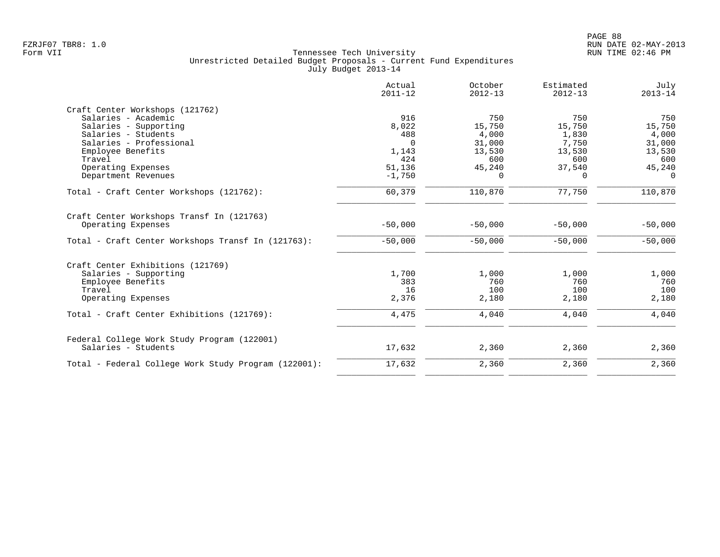|                                                      | Actual<br>$2011 - 12$ | October<br>$2012 - 13$ | Estimated<br>$2012 - 13$ | July<br>$2013 - 14$ |
|------------------------------------------------------|-----------------------|------------------------|--------------------------|---------------------|
| Craft Center Workshops (121762)                      |                       |                        |                          |                     |
| Salaries - Academic                                  | 916                   | 750                    | 750                      | 750                 |
| Salaries - Supporting                                | 8,022                 | 15,750                 | 15,750                   | 15,750              |
| Salaries - Students                                  | 488                   | 4,000                  | 1,830                    | 4,000               |
| Salaries - Professional                              | $\Omega$              | 31,000                 | 7,750                    | 31,000              |
| Employee Benefits                                    | 1,143                 | 13,530                 | 13,530                   | 13,530              |
| Travel                                               | 424                   | 600                    | 600                      | 600                 |
| Operating Expenses                                   | 51,136                | 45,240                 | 37,540                   | 45,240              |
| Department Revenues                                  | $-1,750$              | $\Omega$               | $\Omega$                 | $\Omega$            |
|                                                      |                       |                        |                          |                     |
| Total - Craft Center Workshops (121762):             | 60,379                | 110,870                | 77,750                   | 110,870             |
| Craft Center Workshops Transf In (121763)            |                       |                        |                          |                     |
| Operating Expenses                                   | $-50,000$             | $-50,000$              | $-50,000$                | $-50,000$           |
| Total - Craft Center Workshops Transf In (121763):   | $-50,000$             | $-50,000$              | $-50,000$                | $-50,000$           |
| Craft Center Exhibitions (121769)                    |                       |                        |                          |                     |
| Salaries - Supporting                                | 1,700                 | 1,000                  | 1,000                    | 1,000               |
| Employee Benefits                                    | 383                   | 760                    | 760                      | 760                 |
| Travel                                               | 16                    | 100                    | 100                      | 100                 |
| Operating Expenses                                   | 2,376                 | 2,180                  | 2,180                    | 2,180               |
| Total - Craft Center Exhibitions (121769):           | 4,475                 | 4,040                  | 4,040                    | 4,040               |
| Federal College Work Study Program (122001)          |                       |                        |                          |                     |
| Salaries - Students                                  | 17,632                | 2,360                  | 2,360                    | 2,360               |
| Total - Federal College Work Study Program (122001): | 17,632                | 2,360                  | 2,360                    | 2,360               |
|                                                      |                       |                        |                          |                     |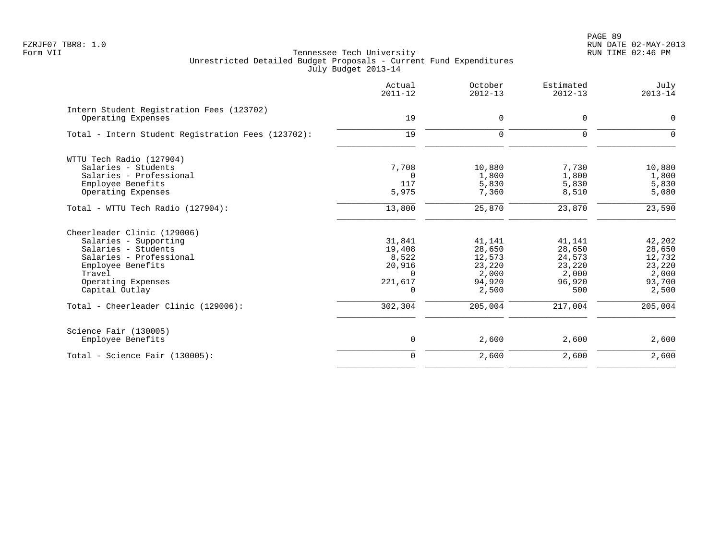|                                                                 | Actual<br>$2011 - 12$ | October<br>$2012 - 13$ | Estimated<br>$2012 - 13$ | July<br>$2013 - 14$ |
|-----------------------------------------------------------------|-----------------------|------------------------|--------------------------|---------------------|
| Intern Student Registration Fees (123702)<br>Operating Expenses | 19                    | 0                      | 0                        | $\mathbf 0$         |
|                                                                 |                       |                        |                          |                     |
| Total - Intern Student Registration Fees (123702):              | 19                    | $\mathbf 0$            | $\Omega$                 | $\Omega$            |
| WTTU Tech Radio (127904)                                        |                       |                        |                          |                     |
| Salaries - Students                                             | 7,708                 | 10,880                 | 7,730                    | 10,880              |
| Salaries - Professional                                         | $\Omega$              | 1,800                  | 1,800                    | 1,800               |
| Employee Benefits                                               | 117                   | 5,830                  | 5,830                    | 5,830               |
| Operating Expenses                                              | 5,975                 | 7,360                  | 8,510                    | 5,080               |
| Total - WTTU Tech Radio (127904):                               | 13,800                | 25,870                 | 23,870                   | 23,590              |
| Cheerleader Clinic (129006)                                     |                       |                        |                          |                     |
| Salaries - Supporting                                           | 31,841                | 41,141                 | 41,141                   | 42,202              |
| Salaries - Students                                             | 19,408                | 28,650                 | 28,650                   | 28,650              |
| Salaries - Professional                                         | 8,522                 | 12,573                 | 24,573                   | 12,732              |
| Employee Benefits                                               | 20,916                | 23,220                 | 23,220                   | 23,220              |
| Travel                                                          | $\Omega$              | 2,000                  | 2,000                    | 2,000               |
| Operating Expenses                                              | 221,617               | 94,920                 | 96,920                   | 93,700              |
| Capital Outlay                                                  | $\Omega$              | 2,500                  | 500                      | 2,500               |
| Total - Cheerleader Clinic (129006):                            | 302,304               | 205,004                | 217,004                  | 205,004             |
| Science Fair (130005)                                           |                       |                        |                          |                     |
| Employee Benefits                                               | 0                     | 2,600                  | 2,600                    | 2,600               |
| $Total - Science Fair (130005):$                                | $\Omega$              | 2,600                  | 2,600                    | 2,600               |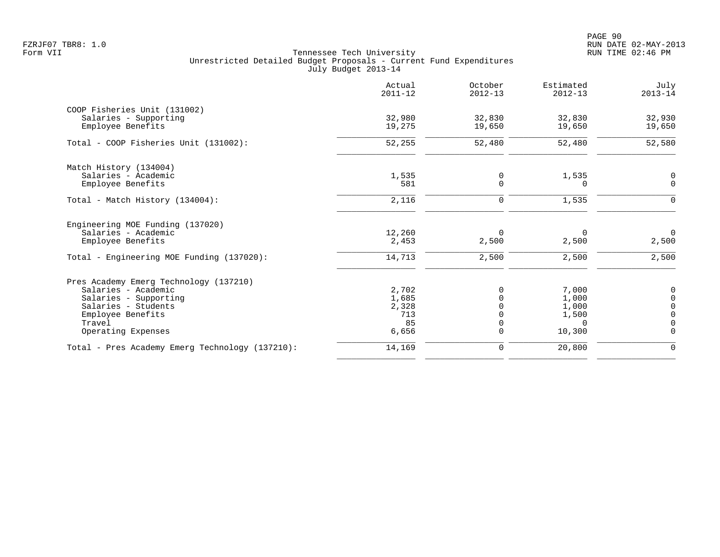PAGE 90 FZRJF07 TBR8: 1.0 RUN DATE 02-MAY-2013

|                                                 | Actual<br>$2011 - 12$ | October<br>$2012 - 13$ | Estimated<br>$2012 - 13$ | July<br>$2013 - 14$ |
|-------------------------------------------------|-----------------------|------------------------|--------------------------|---------------------|
| COOP Fisheries Unit (131002)                    |                       |                        |                          |                     |
| Salaries - Supporting                           | 32,980                | 32,830                 | 32,830                   | 32,930              |
| Employee Benefits                               | 19,275                | 19,650                 | 19,650                   | 19,650              |
| Total - COOP Fisheries Unit (131002):           | 52,255                | 52,480                 | 52,480                   | 52,580              |
| Match History (134004)                          |                       |                        |                          |                     |
| Salaries - Academic                             | 1,535                 | 0                      | 1,535                    | $\mathbf 0$         |
| Employee Benefits                               | 581                   | $\mathbf 0$            | $\Omega$                 | $\overline{0}$      |
| Total - Match History (134004):                 | 2,116                 | 0                      | 1,535                    | $\Omega$            |
| Engineering MOE Funding (137020)                |                       |                        |                          |                     |
| Salaries - Academic                             | 12,260                | $\Omega$               | $\Omega$                 | $\Omega$            |
| Employee Benefits                               | 2,453                 | 2,500                  | 2,500                    | 2,500               |
| Total - Engineering MOE Funding (137020):       | 14,713                | 2,500                  | 2,500                    | 2,500               |
| Pres Academy Emerg Technology (137210)          |                       |                        |                          |                     |
| Salaries - Academic                             | 2,702                 | $\Omega$               | 7,000                    | 0                   |
| Salaries - Supporting                           | 1,685                 |                        | 1,000                    | $\overline{0}$      |
| Salaries - Students                             | 2,328                 |                        | 1,000                    | $\mathbf 0$         |
| Employee Benefits                               | 713                   |                        | 1,500                    | $\overline{0}$      |
| Travel                                          | 85                    |                        | $\Omega$                 | $\Omega$            |
| Operating Expenses                              | 6,656                 | $\Omega$               | 10,300                   | $\Omega$            |
| Total - Pres Academy Emerg Technology (137210): | 14,169                | 0                      | 20,800                   | $\mathbf 0$         |
|                                                 |                       |                        |                          |                     |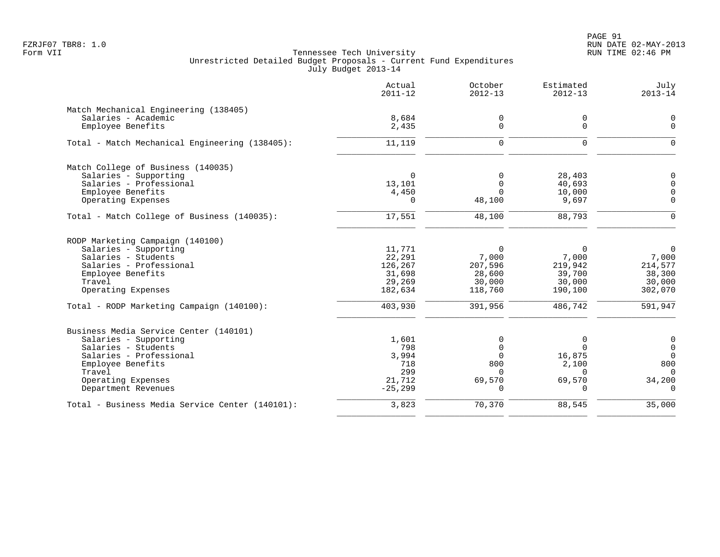PAGE 91 FZRJF07 TBR8: 1.0 RUN DATE 02-MAY-2013

| Actual<br>$2011 - 12$ | October<br>$2012 - 13$                                                                    | Estimated<br>$2012 - 13$                                                                     | July<br>$2013 - 14$                                                                                              |
|-----------------------|-------------------------------------------------------------------------------------------|----------------------------------------------------------------------------------------------|------------------------------------------------------------------------------------------------------------------|
|                       |                                                                                           |                                                                                              |                                                                                                                  |
| 8,684                 | 0                                                                                         | 0                                                                                            | $\mathbf 0$                                                                                                      |
|                       |                                                                                           |                                                                                              | $\mathbf 0$                                                                                                      |
| 11,119                | $\mathbf 0$                                                                               | $\mathbf 0$                                                                                  | $\Omega$                                                                                                         |
|                       |                                                                                           |                                                                                              |                                                                                                                  |
| $\Omega$              | $\Omega$                                                                                  |                                                                                              | 0                                                                                                                |
|                       |                                                                                           |                                                                                              | $\mathbf 0$                                                                                                      |
| $\Omega$              | 48,100                                                                                    | 9,697                                                                                        | $\mathbf 0$<br>$\Omega$                                                                                          |
| 17,551                | 48,100                                                                                    | 88,793                                                                                       | $\Omega$                                                                                                         |
|                       |                                                                                           |                                                                                              |                                                                                                                  |
| 11,771                | $\Omega$                                                                                  | $\mathbf 0$                                                                                  | $\Omega$                                                                                                         |
|                       |                                                                                           |                                                                                              | 7,000                                                                                                            |
|                       |                                                                                           |                                                                                              | 214,577                                                                                                          |
|                       |                                                                                           |                                                                                              | 38,300                                                                                                           |
| 182,634               | 118,760                                                                                   | 190,100                                                                                      | 30,000<br>302,070                                                                                                |
| 403,930               | 391,956                                                                                   | 486,742                                                                                      | 591,947                                                                                                          |
|                       |                                                                                           |                                                                                              |                                                                                                                  |
| 1,601                 | 0                                                                                         | 0                                                                                            | $\mathsf{O}$                                                                                                     |
| 798                   | $\Omega$                                                                                  | $\Omega$                                                                                     | $\mathbf 0$                                                                                                      |
| 3,994                 | $\Omega$                                                                                  | 16,875                                                                                       | $\Omega$                                                                                                         |
|                       |                                                                                           |                                                                                              | 800                                                                                                              |
|                       |                                                                                           |                                                                                              | $\cap$                                                                                                           |
| $-25, 299$            |                                                                                           | $\Omega$                                                                                     | 34,200<br>$\Omega$                                                                                               |
| 3,823                 | 70,370                                                                                    | 88,545                                                                                       | 35,000                                                                                                           |
|                       | 2,435<br>13,101<br>4,450<br>22,291<br>126,267<br>31,698<br>29,269<br>718<br>299<br>21,712 | 0<br>$\Omega$<br>$\Omega$<br>7,000<br>207,596<br>28,600<br>30,000<br>800<br>$\cap$<br>69,570 | $\mathbf 0$<br>28,403<br>40,693<br>10,000<br>7,000<br>219,942<br>39,700<br>30,000<br>2,100<br>$\Omega$<br>69,570 |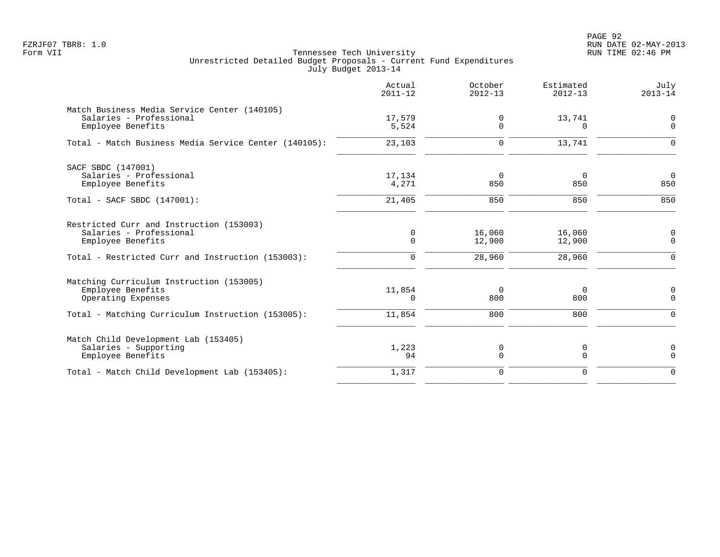|                                                                                              | Actual<br>$2011 - 12$ | October<br>$2012 - 13$ | Estimated<br>$2012 - 13$ | July<br>$2013 - 14$        |
|----------------------------------------------------------------------------------------------|-----------------------|------------------------|--------------------------|----------------------------|
| Match Business Media Service Center (140105)<br>Salaries - Professional<br>Employee Benefits | 17,579<br>5,524       | 0<br>0                 | 13,741<br>$\Omega$       | 0<br>$\mathbf 0$           |
| Total - Match Business Media Service Center (140105):                                        | 23,103                | 0                      | 13,741                   | $\Omega$                   |
| SACF SBDC (147001)<br>Salaries - Professional<br>Employee Benefits                           | 17,134<br>4,271       | 0<br>850               | $\overline{0}$<br>850    | $\Omega$<br>850            |
| Total - SACF SBDC (147001):                                                                  | 21,405                | 850                    | 850                      | 850                        |
| Restricted Curr and Instruction (153003)<br>Salaries - Professional<br>Employee Benefits     | 0<br>$\mathbf 0$      | 16,060<br>12,900       | 16,060<br>12,900         | 0<br>$\mathbf 0$           |
| Total - Restricted Curr and Instruction (153003):                                            | 0                     | 28,960                 | 28,960                   | $\overline{0}$             |
| Matching Curriculum Instruction (153005)<br>Employee Benefits<br>Operating Expenses          | 11,854<br>0           | $\mathbf 0$<br>800     | $\mathbf 0$<br>800       | 0<br>$\mathbf 0$           |
| Total - Matching Curriculum Instruction (153005):                                            | 11,854                | 800                    | 800                      | $\mathbf 0$                |
| Match Child Development Lab (153405)<br>Salaries - Supporting<br>Employee Benefits           | 1,223<br>94           | 0<br>$\mathbf 0$       | 0<br>$\mathbf 0$         | $\mathbf 0$<br>$\mathbf 0$ |
| Total - Match Child Development Lab (153405):                                                | 1,317                 | $\mathbf 0$            | $\mathbf 0$              | $\Omega$                   |
|                                                                                              |                       |                        |                          |                            |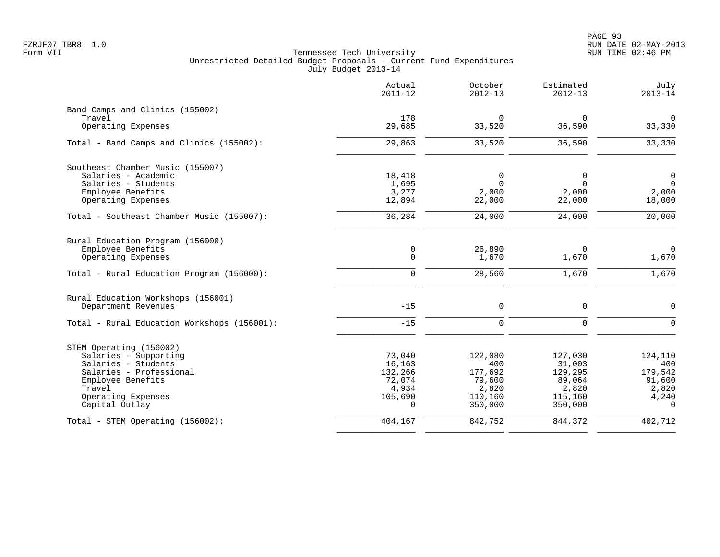| Actual<br>$2011 - 12$ | October<br>$2012 - 13$                                                                          | Estimated<br>$2012 - 13$                                                               | July<br>$2013 - 14$                                                                                      |
|-----------------------|-------------------------------------------------------------------------------------------------|----------------------------------------------------------------------------------------|----------------------------------------------------------------------------------------------------------|
| 178                   | $\mathbf 0$                                                                                     | 0                                                                                      | $\overline{0}$                                                                                           |
| 29,685                | 33,520                                                                                          | 36,590                                                                                 | 33,330                                                                                                   |
| 29,863                | 33,520                                                                                          | 36,590                                                                                 | 33,330                                                                                                   |
|                       |                                                                                                 |                                                                                        |                                                                                                          |
|                       |                                                                                                 |                                                                                        | $\mathsf{O}$<br>$\mathbf 0$                                                                              |
|                       |                                                                                                 |                                                                                        | 2,000                                                                                                    |
| 12,894                | 22,000                                                                                          | 22,000                                                                                 | 18,000                                                                                                   |
| 36,284                | 24,000                                                                                          | 24,000                                                                                 | 20,000                                                                                                   |
|                       |                                                                                                 |                                                                                        |                                                                                                          |
|                       |                                                                                                 |                                                                                        | $\mathbf 0$                                                                                              |
|                       |                                                                                                 |                                                                                        | 1,670                                                                                                    |
| $\Omega$              | 28,560                                                                                          | 1,670                                                                                  | 1,670                                                                                                    |
|                       |                                                                                                 |                                                                                        |                                                                                                          |
|                       |                                                                                                 |                                                                                        | 0                                                                                                        |
| $-15$                 | $\mathbf 0$                                                                                     | $\mathbf 0$                                                                            | $\overline{0}$                                                                                           |
|                       |                                                                                                 |                                                                                        |                                                                                                          |
|                       |                                                                                                 |                                                                                        | 124,110                                                                                                  |
|                       |                                                                                                 |                                                                                        | 400<br>179,542                                                                                           |
| 72,074                | 79,600                                                                                          | 89,064                                                                                 | 91,600                                                                                                   |
| 4,934                 | 2,820                                                                                           | 2,820                                                                                  | 2,820                                                                                                    |
| $\Omega$              | 350,000                                                                                         | 350,000                                                                                | 4,240<br>$\Omega$                                                                                        |
| 404,167               | 842,752                                                                                         | 844,372                                                                                | 402, 712                                                                                                 |
|                       | 18,418<br>1,695<br>3,277<br>0<br>$\mathbf 0$<br>$-15$<br>73,040<br>16,163<br>132,266<br>105,690 | 0<br>$\Omega$<br>2,000<br>26,890<br>1,670<br>0<br>122,080<br>400<br>177,692<br>110,160 | 0<br>$\Omega$<br>2,000<br>$\mathbf 0$<br>1,670<br>$\mathbf 0$<br>127,030<br>31,003<br>129,295<br>115,160 |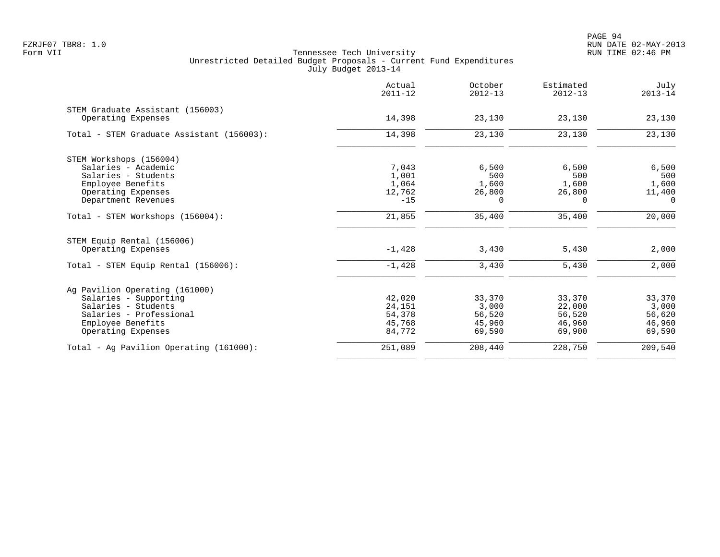|                                           | Actual<br>$2011 - 12$ | October<br>$2012 - 13$ | Estimated<br>$2012 - 13$ | July<br>$2013 - 14$ |
|-------------------------------------------|-----------------------|------------------------|--------------------------|---------------------|
| STEM Graduate Assistant (156003)          |                       |                        |                          |                     |
| Operating Expenses                        | 14,398                | 23,130                 | 23,130                   | 23,130              |
| Total - STEM Graduate Assistant (156003): | 14,398                | 23,130                 | 23,130                   | 23,130              |
| STEM Workshops (156004)                   |                       |                        |                          |                     |
| Salaries - Academic                       | 7,043                 | 6,500                  | 6,500                    | 6,500               |
| Salaries - Students                       | 1,001                 | 500                    | 500                      | 500                 |
| Employee Benefits                         | 1,064                 | 1,600                  | 1,600                    | 1,600               |
| Operating Expenses                        | 12,762                | 26,800                 | 26,800                   | 11,400              |
| Department Revenues                       | $-15$                 | $\Omega$               | $\Omega$                 | $\Omega$            |
| Total - STEM Workshops (156004):          | 21,855                | 35,400                 | 35,400                   | 20,000              |
| STEM Equip Rental (156006)                |                       |                        |                          |                     |
| Operating Expenses                        | $-1,428$              | 3,430                  | 5,430                    | 2,000               |
| Total - STEM Equip Rental (156006):       | $-1,428$              | 3,430                  | 5,430                    | 2,000               |
| Ag Pavilion Operating (161000)            |                       |                        |                          |                     |
| Salaries - Supporting                     | 42,020                | 33,370                 | 33,370                   | 33,370              |
| Salaries - Students                       | 24,151                | 3,000                  | 22,000                   | 3,000               |
| Salaries - Professional                   | 54,378                | 56,520                 | 56,520                   | 56,620              |
| Employee Benefits                         | 45,768                | 45,960                 | 46,960                   | 46,960              |
| Operating Expenses                        | 84,772                | 69,590                 | 69,900                   | 69,590              |
| Total - Ag Pavilion Operating (161000):   | 251,089               | 208,440                | 228,750                  | 209,540             |
|                                           |                       |                        |                          |                     |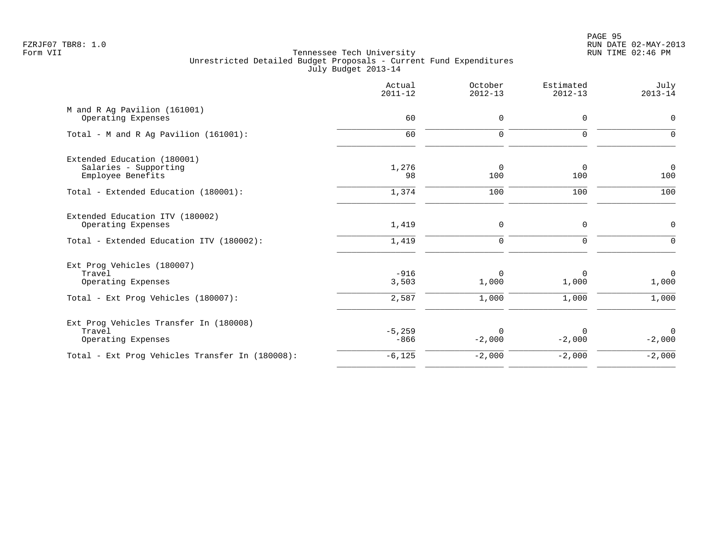PAGE 95 FZRJF07 TBR8: 1.0 RUN DATE 02-MAY-2013

|                                                                                                   | Actual<br>$2011 - 12$ | October<br>$2012 - 13$      | Estimated<br>$2012 - 13$ | July<br>$2013 - 14$   |
|---------------------------------------------------------------------------------------------------|-----------------------|-----------------------------|--------------------------|-----------------------|
| M and R Ag Pavilion (161001)<br>Operating Expenses                                                | 60                    | $\mathbf 0$                 | 0                        | $\mathbf 0$           |
| Total - M and R Ag Pavilion (161001):                                                             | 60                    | $\Omega$                    | 0                        | $\Omega$              |
| Extended Education (180001)<br>Salaries - Supporting<br>Employee Benefits                         | 1,276<br>98           | $\mathbf 0$<br>100          | $\mathbf 0$<br>100       | $\overline{0}$<br>100 |
| Total - Extended Education (180001):                                                              | 1,374                 | 100                         | 100                      | 100                   |
| Extended Education ITV (180002)<br>Operating Expenses<br>Total - Extended Education ITV (180002): | 1,419<br>1,419        | $\mathsf{O}$<br>$\mathbf 0$ | $\mathbf 0$<br>0         | 0<br>$\mathbf 0$      |
|                                                                                                   |                       |                             |                          |                       |
| Ext Prog Vehicles (180007)<br>Travel<br>Operating Expenses                                        | $-916$<br>3,503       | $\Omega$<br>1,000           | $\Omega$<br>1,000        | $\mathbf 0$<br>1,000  |
| Total - Ext Prog Vehicles (180007):                                                               | 2,587                 | 1,000                       | 1,000                    | 1,000                 |
| Ext Prog Vehicles Transfer In (180008)<br>Travel<br>Operating Expenses                            | $-5, 259$<br>$-866$   | $\Omega$<br>$-2,000$        | $-2,000$                 | $\Omega$<br>$-2,000$  |
| Total - Ext Prog Vehicles Transfer In (180008):                                                   | $-6, 125$             | $-2,000$                    | $-2,000$                 | $-2,000$              |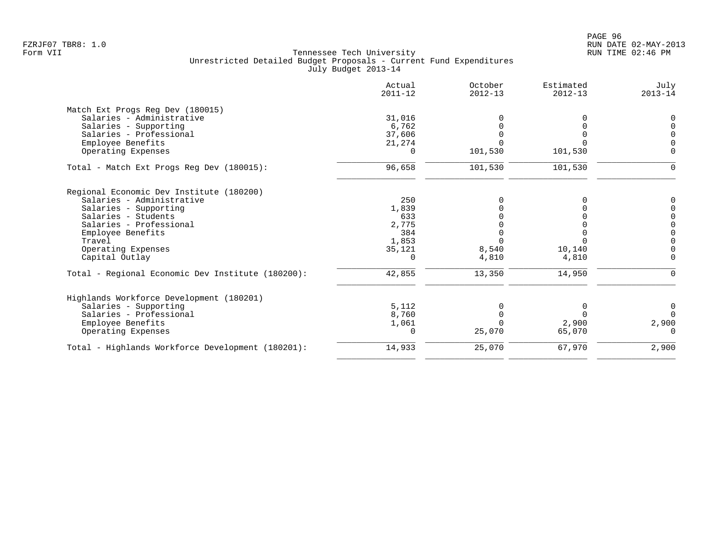|                                                   | Actual<br>$2011 - 12$ | October<br>$2012 - 13$ | Estimated<br>$2012 - 13$ | July<br>$2013 - 14$ |
|---------------------------------------------------|-----------------------|------------------------|--------------------------|---------------------|
| Match Ext Progs Reg Dev (180015)                  |                       |                        |                          |                     |
| Salaries - Administrative                         | 31,016                |                        |                          |                     |
| Salaries - Supporting                             | 6,762                 |                        |                          |                     |
| Salaries - Professional                           | 37,606                |                        |                          |                     |
| Employee Benefits                                 | 21,274                |                        |                          |                     |
| Operating Expenses                                | $\Omega$              | 101,530                | 101,530                  | $\Omega$            |
| Total - Match Ext Progs Reg Dev (180015):         | 96,658                | 101,530                | 101,530                  | $\Omega$            |
| Regional Economic Dev Institute (180200)          |                       |                        |                          |                     |
| Salaries - Administrative                         | 250                   |                        | O                        |                     |
| Salaries - Supporting                             | 1,839                 |                        |                          |                     |
| Salaries - Students                               | 633                   |                        |                          |                     |
| Salaries - Professional                           | 2,775                 |                        |                          | $\Omega$            |
| Employee Benefits                                 | 384                   |                        |                          | $\Omega$            |
| Travel                                            | 1,853                 |                        |                          | $\Omega$            |
| Operating Expenses                                | 35,121                | 8,540                  | 10,140                   | $\Omega$            |
| Capital Outlay                                    | 0                     | 4,810                  | 4,810                    | $\Omega$            |
| Total - Regional Economic Dev Institute (180200): | 42,855                | 13,350                 | 14,950                   | $\Omega$            |
| Highlands Workforce Development (180201)          |                       |                        |                          |                     |
| Salaries - Supporting                             | 5,112                 |                        | $\Omega$                 | 0                   |
| Salaries - Professional                           | 8,760                 |                        |                          | $\Omega$            |
| Employee Benefits                                 | 1,061                 |                        | 2,900                    | 2,900               |
| Operating Expenses                                | $\Omega$              | 25,070                 | 65,070                   | $\cap$              |
| Total - Highlands Workforce Development (180201): | 14,933                | 25,070                 | 67,970                   | 2,900               |
|                                                   |                       |                        |                          |                     |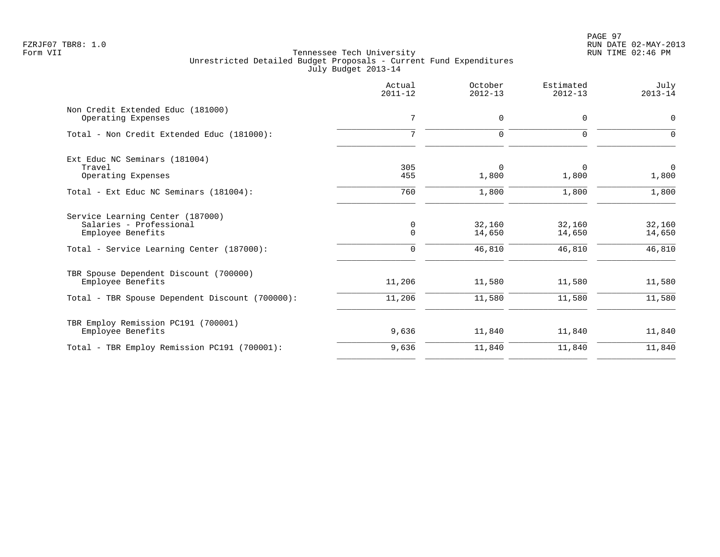PAGE 97 FZRJF07 TBR8: 1.0 RUN DATE 02-MAY-2013

|                                                                                                                               | Actual<br>$2011 - 12$        | October<br>$2012 - 13$     | Estimated<br>$2012 - 13$   | July<br>$2013 - 14$        |
|-------------------------------------------------------------------------------------------------------------------------------|------------------------------|----------------------------|----------------------------|----------------------------|
| Non Credit Extended Educ (181000)<br>Operating Expenses                                                                       | 7                            | $\mathbf 0$                | $\mathbf 0$                | 0                          |
| Total - Non Credit Extended Educ (181000):                                                                                    | 7                            | $\mathbf 0$                | $\Omega$                   | $\Omega$                   |
| Ext Educ NC Seminars (181004)<br>Travel<br>Operating Expenses                                                                 | 305<br>455                   | $\mathbf 0$<br>1,800       | $\Omega$<br>1,800          | $\mathbf 0$<br>1,800       |
| Total - Ext Educ NC Seminars (181004):                                                                                        | 760                          | 1,800                      | 1,800                      | 1,800                      |
| Service Learning Center (187000)<br>Salaries - Professional<br>Employee Benefits<br>Total - Service Learning Center (187000): | $\mathbf 0$<br>$\Omega$<br>0 | 32,160<br>14,650<br>46,810 | 32,160<br>14,650<br>46,810 | 32,160<br>14,650<br>46,810 |
| TBR Spouse Dependent Discount (700000)<br>Employee Benefits                                                                   | 11,206                       | 11,580                     | 11,580                     | 11,580                     |
| Total - TBR Spouse Dependent Discount (700000):                                                                               | 11,206                       | 11,580                     | 11,580                     | 11,580                     |
| TBR Employ Remission PC191 (700001)<br>Employee Benefits                                                                      | 9,636                        | 11,840                     | 11,840                     | 11,840                     |
| Total - TBR Employ Remission PC191 (700001):                                                                                  | 9,636                        | 11,840                     | 11,840                     | 11,840                     |
|                                                                                                                               |                              |                            |                            |                            |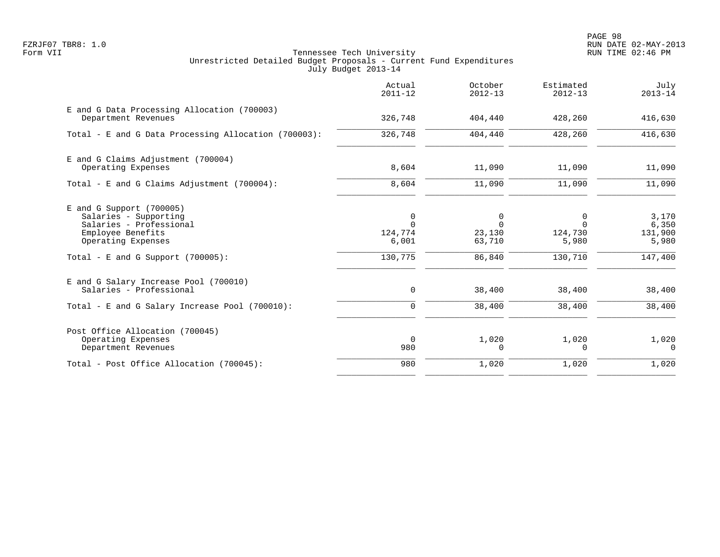PAGE 98 FZRJF07 TBR8: 1.0 RUN DATE 02-MAY-2013

|                                                                                                                                                                   | Actual<br>$2011 - 12$                        | October<br>$2012 - 13$                      | Estimated<br>$2012 - 13$                            | July<br>$2013 - 14$                           |
|-------------------------------------------------------------------------------------------------------------------------------------------------------------------|----------------------------------------------|---------------------------------------------|-----------------------------------------------------|-----------------------------------------------|
| E and G Data Processing Allocation (700003)<br>Department Revenues                                                                                                | 326,748                                      | 404,440                                     | 428,260                                             | 416,630                                       |
| Total - E and G Data Processing Allocation (700003):                                                                                                              | 326,748                                      | 404,440                                     | 428,260                                             | 416,630                                       |
| E and G Claims Adjustment (700004)<br>Operating Expenses                                                                                                          | 8,604                                        | 11,090                                      | 11,090                                              | 11,090                                        |
| Total - E and G Claims Adjustment (700004):                                                                                                                       | 8,604                                        | 11,090                                      | 11,090                                              | 11,090                                        |
| $E$ and G Support (700005)<br>Salaries - Supporting<br>Salaries - Professional<br>Employee Benefits<br>Operating Expenses<br>Total - E and G Support $(700005)$ : | 0<br>$\Omega$<br>124,774<br>6,001<br>130,775 | 0<br>$\Omega$<br>23,130<br>63,710<br>86,840 | $\Omega$<br>$\Omega$<br>124,730<br>5,980<br>130,710 | 3,170<br>6,350<br>131,900<br>5,980<br>147,400 |
| E and G Salary Increase Pool (700010)<br>Salaries - Professional                                                                                                  | 0                                            | 38,400                                      | 38,400                                              | 38,400                                        |
| Total - E and G Salary Increase Pool (700010):                                                                                                                    | $\mathbf 0$                                  | 38,400                                      | 38,400                                              | 38,400                                        |
| Post Office Allocation (700045)<br>Operating Expenses<br>Department Revenues                                                                                      | $\Omega$<br>980                              | 1,020<br>$\Omega$                           | 1,020<br>$\Omega$                                   | 1,020<br>$\Omega$                             |
| Total - Post Office Allocation (700045):                                                                                                                          | 980                                          | 1,020                                       | 1,020                                               | 1,020                                         |
|                                                                                                                                                                   |                                              |                                             |                                                     |                                               |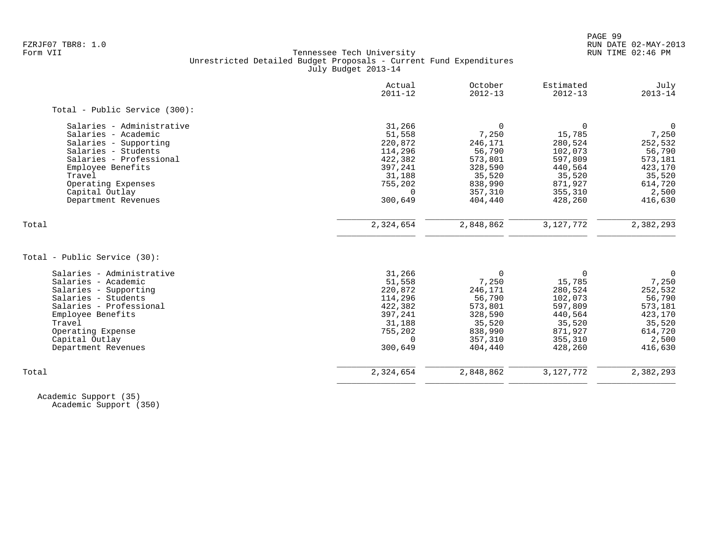## FZRJF07 TBR8: 1.0 RUN DATE 02-MAY-2013 Tennessee Tech University Unrestricted Detailed Budget Proposals - Current Fund Expenditures July Budget 2013-14

|                               | Actual<br>$2011 - 12$ | October<br>$2012 - 13$ | Estimated<br>$2012 - 13$ | July<br>$2013 - 14$ |
|-------------------------------|-----------------------|------------------------|--------------------------|---------------------|
| Total - Public Service (300): |                       |                        |                          |                     |
| Salaries - Administrative     | 31,266                | $\Omega$               | $\Omega$                 | $\Omega$            |
| Salaries - Academic           | 51,558                | 7,250                  | 15,785                   | 7,250               |
| Salaries - Supporting         | 220,872               | 246,171                | 280,524                  | 252,532             |
| Salaries - Students           | 114,296               | 56,790                 | 102,073                  | 56,790              |
| Salaries - Professional       | 422,382               | 573,801                | 597,809                  | 573,181             |
| Employee Benefits             | 397,241               | 328,590                | 440,564                  | 423,170             |
| Travel                        | 31,188                | 35,520                 | 35,520                   | 35,520              |
| Operating Expenses            | 755,202               | 838,990                | 871,927                  | 614,720             |
| Capital Outlay                | $\Omega$              | 357,310                | 355,310                  | 2,500               |
| Department Revenues           | 300,649               | 404,440                | 428,260                  | 416,630             |
| Total                         | 2,324,654             | 2,848,862              | 3, 127, 772              | 2,382,293           |
|                               |                       |                        |                          |                     |
| Total - Public Service (30):  |                       |                        |                          |                     |
| Salaries - Administrative     | 31,266                | $\Omega$               | $\Omega$                 | $\Omega$            |
| Salaries - Academic           | 51,558                | 7,250                  | 15,785                   | 7,250               |
| Salaries - Supporting         | 220,872               | 246,171                | 280,524                  | 252,532             |
| Salaries - Students           | 114,296               | 56,790                 | 102,073                  | 56,790              |
| Salaries - Professional       | 422,382               | 573,801                | 597,809                  | 573,181             |
| Employee Benefits             | 397,241               | 328,590                | 440,564                  | 423,170             |
| Travel                        | 31,188                | 35,520                 | 35,520                   | 35,520              |
| Operating Expense             | 755,202               | 838,990                | 871,927                  | 614,720             |
| Capital Outlay                | $\Omega$              | 357,310                | 355,310                  | 2,500               |
| Department Revenues           | 300,649               | 404,440                | 428,260                  | 416,630             |
| Total                         | 2,324,654             | 2,848,862              | 3, 127, 772              | 2,382,293           |
|                               |                       |                        |                          |                     |

 Academic Support (35) Academic Support (350)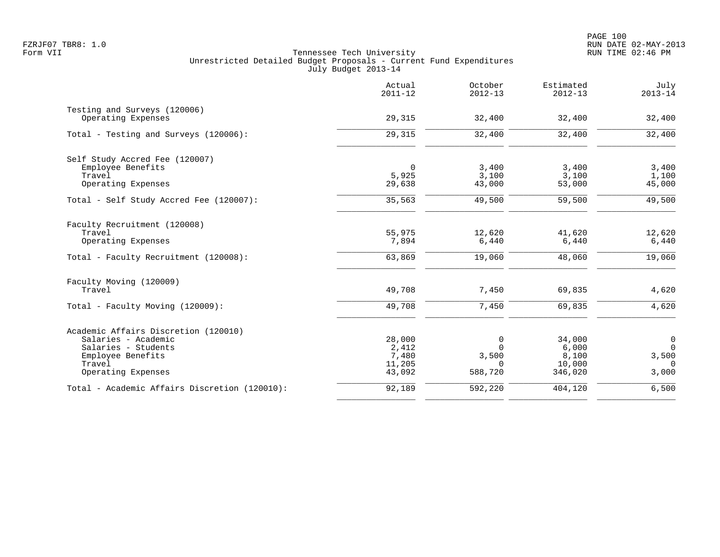|                                               | Actual<br>$2011 - 12$ | October<br>$2012 - 13$ | Estimated<br>$2012 - 13$ | July<br>$2013 - 14$ |
|-----------------------------------------------|-----------------------|------------------------|--------------------------|---------------------|
| Testing and Surveys (120006)                  |                       |                        |                          |                     |
| Operating Expenses                            | 29,315                | 32,400                 | 32,400                   | 32,400              |
| Total - Testing and Surveys (120006):         | 29,315                | 32,400                 | 32,400                   | 32,400              |
| Self Study Accred Fee (120007)                |                       |                        |                          |                     |
| Employee Benefits                             | $\Omega$              | 3,400                  | 3,400                    | 3,400               |
| Travel                                        | 5,925                 | 3,100                  | 3,100                    | 1,100               |
| Operating Expenses                            | 29,638                | 43,000                 | 53,000                   | 45,000              |
| Total - Self Study Accred Fee (120007):       | 35,563                | 49,500                 | 59,500                   | 49,500              |
| Faculty Recruitment (120008)                  |                       |                        |                          |                     |
| Travel                                        | 55,975                | 12,620                 | 41,620                   | 12,620              |
| Operating Expenses                            | 7,894                 | 6,440                  | 6,440                    | 6,440               |
| Total - Faculty Recruitment (120008):         | 63,869                | 19,060                 | 48,060                   | 19,060              |
| Faculty Moving (120009)                       |                       |                        |                          |                     |
| Travel                                        | 49,708                | 7,450                  | 69,835                   | 4,620               |
| Total - Faculty Moving (120009):              | 49,708                | 7,450                  | 69,835                   | 4,620               |
| Academic Affairs Discretion (120010)          |                       |                        |                          |                     |
| Salaries - Academic                           | 28,000                | 0                      | 34,000                   | $\mathsf{O}$        |
| Salaries - Students                           | 2,412                 | $\Omega$               | 6,000                    | $\mathbf 0$         |
| Employee Benefits                             | 7,480                 | 3,500                  | 8,100                    | 3,500               |
| Travel                                        | 11,205                | $\Omega$               | 10,000                   | $\Omega$            |
| Operating Expenses                            | 43,092                | 588,720                | 346,020                  | 3,000               |
| Total - Academic Affairs Discretion (120010): | 92,189                | 592,220                | 404,120                  | 6,500               |
|                                               |                       |                        |                          |                     |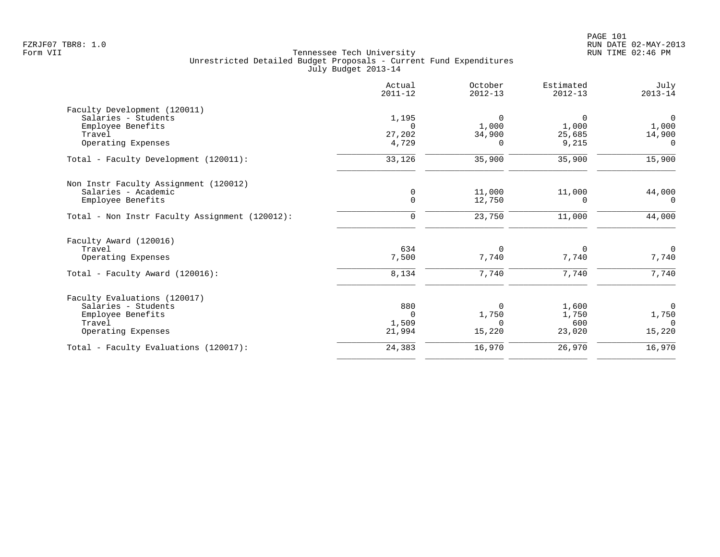|                                                | Actual<br>$2011 - 12$ | October<br>$2012 - 13$ | Estimated<br>$2012 - 13$ | July<br>$2013 - 14$ |
|------------------------------------------------|-----------------------|------------------------|--------------------------|---------------------|
| Faculty Development (120011)                   |                       |                        |                          |                     |
| Salaries - Students                            | 1,195                 | $\Omega$               | 0                        | $\mathbf{0}$        |
| Employee Benefits                              | $\Omega$              | 1,000                  | 1,000                    | 1,000               |
| Travel                                         | 27,202                | 34,900                 | 25,685                   | 14,900              |
| Operating Expenses                             | 4,729                 | $\Omega$               | 9,215                    | $\Omega$            |
| Total - Faculty Development (120011):          | 33,126                | 35,900                 | 35,900                   | 15,900              |
| Non Instr Faculty Assignment (120012)          |                       |                        |                          |                     |
| Salaries - Academic                            | 0                     | 11,000                 | 11,000                   | 44,000              |
| Employee Benefits                              | $\mathbf 0$           | 12,750                 | $\Omega$                 | $\Omega$            |
| Total - Non Instr Faculty Assignment (120012): | 0                     | 23,750                 | 11,000                   | 44,000              |
| Faculty Award (120016)                         |                       |                        |                          |                     |
| Travel                                         | 634                   | 0                      | $\Omega$                 | $\overline{0}$      |
| Operating Expenses                             | 7,500                 | 7,740                  | 7,740                    | 7,740               |
| Total - Faculty Award (120016):                | 8,134                 | 7,740                  | 7,740                    | 7,740               |
| Faculty Evaluations (120017)                   |                       |                        |                          |                     |
| Salaries - Students                            | 880                   | $\Omega$               | 1,600                    | $\mathbf 0$         |
| Employee Benefits                              | $\Omega$              | 1,750                  | 1,750                    | 1,750               |
| Travel                                         | 1,509                 | 0                      | 600                      | $\cap$              |
| Operating Expenses                             | 21,994                | 15,220                 | 23,020                   | 15,220              |
| Total - Faculty Evaluations (120017):          | 24,383                | 16,970                 | 26,970                   | 16,970              |
|                                                |                       |                        |                          |                     |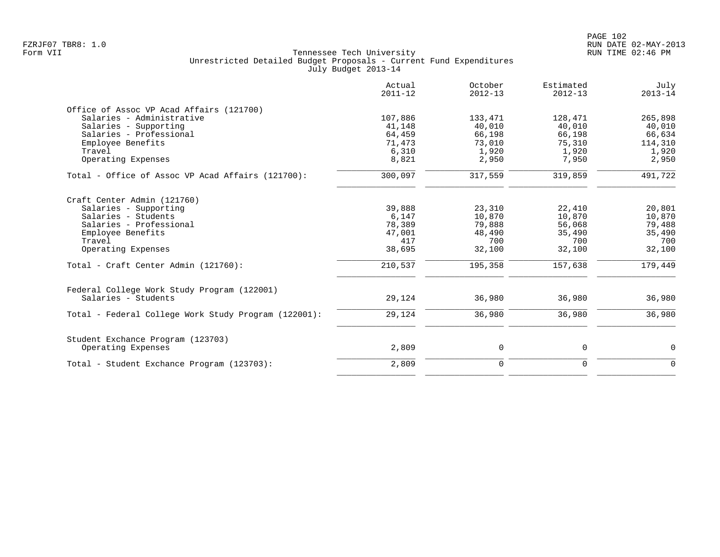|                                                                                                                                                                                                     | Actual<br>$2011 - 12$                                           | October<br>$2012 - 13$                                           | Estimated<br>$2012 - 13$                                         | July<br>$2013 - 14$                                              |
|-----------------------------------------------------------------------------------------------------------------------------------------------------------------------------------------------------|-----------------------------------------------------------------|------------------------------------------------------------------|------------------------------------------------------------------|------------------------------------------------------------------|
| Office of Assoc VP Acad Affairs (121700)<br>Salaries - Administrative<br>Salaries - Supporting<br>Salaries - Professional<br>Employee Benefits<br>Travel<br>Operating Expenses                      | 107,886<br>41,148<br>64,459<br>71,473<br>6,310<br>8,821         | 133,471<br>40,010<br>66,198<br>73,010<br>1,920<br>2,950          | 128,471<br>40,010<br>66,198<br>75,310<br>1,920<br>7,950          | 265,898<br>40,010<br>66,634<br>114,310<br>1,920<br>2,950         |
| Total - Office of Assoc VP Acad Affairs (121700):                                                                                                                                                   | 300,097                                                         | 317,559                                                          | 319,859                                                          | 491,722                                                          |
| Craft Center Admin (121760)<br>Salaries - Supporting<br>Salaries - Students<br>Salaries - Professional<br>Employee Benefits<br>Travel<br>Operating Expenses<br>Total - Craft Center Admin (121760): | 39,888<br>6,147<br>78,389<br>47,001<br>417<br>38,695<br>210,537 | 23,310<br>10,870<br>79,888<br>48,490<br>700<br>32,100<br>195,358 | 22,410<br>10,870<br>56,068<br>35,490<br>700<br>32,100<br>157,638 | 20,801<br>10,870<br>79,488<br>35,490<br>700<br>32,100<br>179,449 |
| Federal College Work Study Program (122001)<br>Salaries - Students<br>Total - Federal College Work Study Program (122001):                                                                          | 29,124<br>29,124                                                | 36,980<br>36,980                                                 | 36,980<br>36,980                                                 | 36,980<br>36,980                                                 |
| Student Exchance Program (123703)<br>Operating Expenses                                                                                                                                             | 2,809                                                           | 0                                                                | 0                                                                | $\mathbf 0$                                                      |
| Total - Student Exchance Program (123703):                                                                                                                                                          | 2,809                                                           | $\mathbf 0$                                                      | $\mathbf 0$                                                      | $\Omega$                                                         |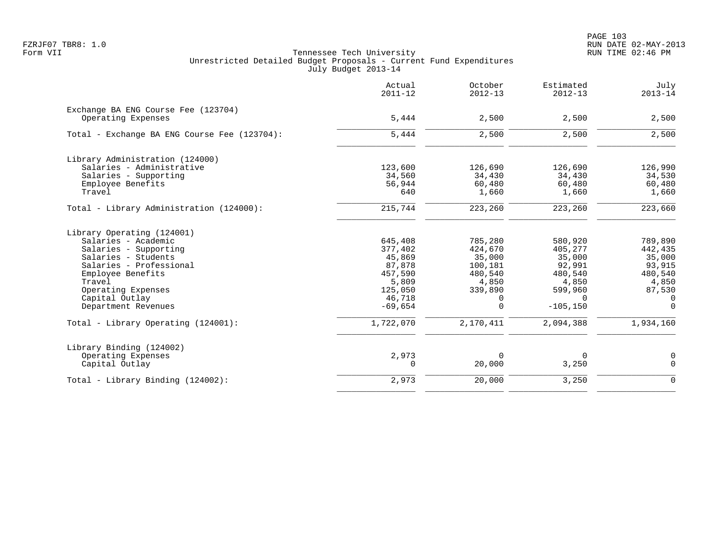|                                                           | Actual<br>$2011 - 12$ | October<br>$2012 - 13$ | Estimated<br>$2012 - 13$ | July<br>$2013 - 14$ |
|-----------------------------------------------------------|-----------------------|------------------------|--------------------------|---------------------|
| Exchange BA ENG Course Fee (123704)<br>Operating Expenses | 5,444                 | 2,500                  | 2,500                    | 2,500               |
| Total - Exchange BA ENG Course Fee (123704):              | 5,444                 | 2,500                  | 2,500                    | 2,500               |
| Library Administration (124000)                           |                       |                        |                          |                     |
| Salaries - Administrative                                 | 123,600               | 126,690                | 126,690                  | 126,990             |
| Salaries - Supporting                                     | 34,560                | 34,430                 | 34,430                   | 34,530              |
| Employee Benefits                                         | 56,944                | 60,480                 | 60,480                   | 60,480              |
| Travel                                                    | 640                   | 1,660                  | 1,660                    | 1,660               |
| Total - Library Administration (124000):                  | 215,744               | 223,260                | $\overline{223}$ , 260   | 223,660             |
| Library Operating (124001)                                |                       |                        |                          |                     |
| Salaries - Academic                                       | 645,408               | 785,280                | 580,920                  | 789,890             |
| Salaries - Supporting                                     | 377,402               | 424,670                | 405,277                  | 442,435             |
| Salaries - Students                                       | 45,869                | 35,000                 | 35,000                   | 35,000              |
| Salaries - Professional                                   | 87,878                | 100,181                | 92,991                   | 93,915              |
| Employee Benefits                                         | 457,590               | 480,540                | 480,540                  | 480,540             |
| Travel                                                    | 5,809                 | 4,850                  | 4,850                    | 4,850               |
| Operating Expenses                                        | 125,050               | 339,890                | 599,960                  | 87,530              |
| Capital Outlay                                            | 46,718                | $\Omega$               | $\Omega$                 | $\Omega$            |
| Department Revenues                                       | $-69,654$             | $\Omega$               | $-105, 150$              | $\Omega$            |
| Total - Library Operating (124001):                       | 1,722,070             | 2,170,411              | 2,094,388                | 1,934,160           |
| Library Binding (124002)                                  |                       |                        |                          |                     |
| Operating Expenses                                        | 2,973                 | $\Omega$               | 0                        | $\mathbf 0$         |
| Capital Outlay                                            | 0                     | 20,000                 | 3,250                    | $\Omega$            |
| Total - Library Binding (124002):                         | 2,973                 | 20,000                 | 3,250                    | $\Omega$            |
|                                                           |                       |                        |                          |                     |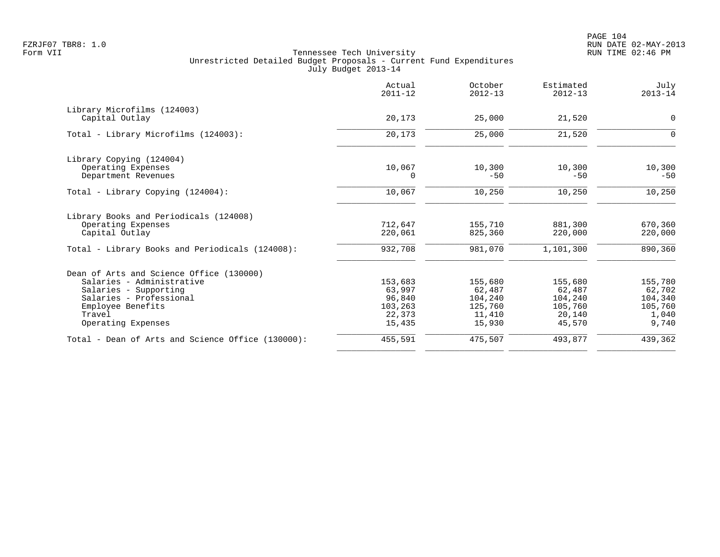|                                                   | Actual<br>$2011 - 12$ | October<br>$2012 - 13$ | Estimated<br>$2012 - 13$ | July<br>$2013 - 14$ |
|---------------------------------------------------|-----------------------|------------------------|--------------------------|---------------------|
| Library Microfilms (124003)                       |                       |                        |                          |                     |
| Capital Outlay                                    | 20,173                | 25,000                 | 21,520                   | $\mathbf 0$         |
| Total - Library Microfilms (124003):              | 20,173                | 25,000                 | 21,520                   | $\Omega$            |
| Library Copying (124004)                          |                       |                        |                          |                     |
| Operating Expenses                                | 10,067                | 10,300                 | 10,300                   | 10,300              |
| Department Revenues                               | $\Omega$              | $-50$                  | $-50$                    | $-50$               |
| Total - Library Copying (124004):                 | 10,067                | 10,250                 | 10,250                   | 10,250              |
| Library Books and Periodicals (124008)            |                       |                        |                          |                     |
| Operating Expenses                                | 712,647               | 155,710                | 881,300                  | 670,360             |
| Capital Outlay                                    | 220,061               | 825,360                | 220,000                  | 220,000             |
| Total - Library Books and Periodicals (124008):   | 932,708               | 981,070                | 1,101,300                | 890,360             |
| Dean of Arts and Science Office (130000)          |                       |                        |                          |                     |
| Salaries - Administrative                         | 153,683               | 155,680                | 155,680                  | 155,780             |
| Salaries - Supporting                             | 63,997                | 62,487                 | 62,487                   | 62,702              |
| Salaries - Professional                           | 96,840                | 104,240                | 104,240                  | 104,340             |
| Employee Benefits                                 | 103,263               | 125,760                | 105,760                  | 105,760             |
| Travel                                            | 22,373                | 11,410                 | 20,140                   | 1,040               |
| Operating Expenses                                | 15,435                | 15,930                 | 45,570                   | 9,740               |
| Total - Dean of Arts and Science Office (130000): | 455,591               | 475,507                | 493,877                  | 439,362             |
|                                                   |                       |                        |                          |                     |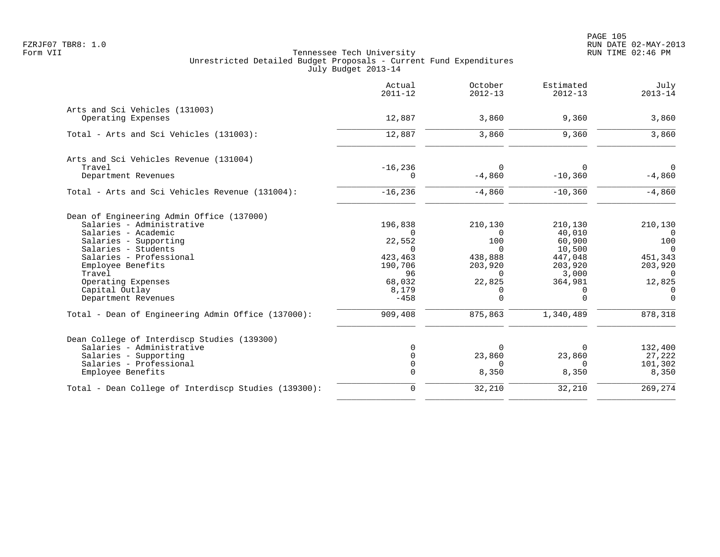|                                                      | Actual<br>$2011 - 12$ | October<br>$2012 - 13$ | Estimated<br>$2012 - 13$ | July<br>$2013 - 14$ |
|------------------------------------------------------|-----------------------|------------------------|--------------------------|---------------------|
| Arts and Sci Vehicles (131003)                       |                       |                        |                          |                     |
| Operating Expenses                                   | 12,887                | 3,860                  | 9,360                    | 3,860               |
| Total - Arts and Sci Vehicles (131003):              | 12,887                | 3,860                  | 9,360                    | 3,860               |
| Arts and Sci Vehicles Revenue (131004)               |                       |                        |                          |                     |
| Travel                                               | $-16,236$             | $\Omega$               | 0                        | $\Omega$            |
| Department Revenues                                  | $\Omega$              | $-4,860$               | $-10, 360$               | $-4,860$            |
| Total - Arts and Sci Vehicles Revenue (131004):      | $-16, 236$            | $-4,860$               | $-10,360$                | $-4,860$            |
| Dean of Engineering Admin Office (137000)            |                       |                        |                          |                     |
| Salaries - Administrative                            | 196,838               | 210,130                | 210,130                  | 210,130             |
| Salaries - Academic                                  | $\Omega$              | 0                      | 40,010                   | $\overline{0}$      |
| Salaries - Supporting                                | 22,552                | 100                    | 60,900                   | 100                 |
| Salaries - Students                                  | $\Omega$              | $\Omega$               | 10,500                   | $\overline{0}$      |
| Salaries - Professional                              | 423,463               | 438,888                | 447,048                  | 451,343             |
| Employee Benefits                                    | 190,706               | 203,920                | 203,920                  | 203,920             |
| Travel                                               | 96                    | $\Omega$               | 3,000                    | $\Omega$            |
| Operating Expenses                                   | 68,032                | 22,825                 | 364,981                  | 12,825              |
| Capital Outlay                                       | 8,179                 | 0                      | 0                        | $\Omega$            |
| Department Revenues                                  | $-458$                | $\Omega$               | $\Omega$                 | $\Omega$            |
| Total - Dean of Engineering Admin Office (137000):   | 909,408               | 875,863                | 1,340,489                | 878,318             |
| Dean College of Interdiscp Studies (139300)          |                       |                        |                          |                     |
| Salaries - Administrative                            | $\Omega$              | $\Omega$               | 0                        | 132,400             |
| Salaries - Supporting                                |                       | 23,860                 | 23,860                   | 27,222              |
| Salaries - Professional                              | $\Omega$              | $\Omega$               | $\Omega$                 | 101,302             |
| Employee Benefits                                    | $\Omega$              | 8,350                  | 8,350                    | 8,350               |
| Total - Dean College of Interdiscp Studies (139300): | 0                     | 32,210                 | 32,210                   | 269,274             |
|                                                      |                       |                        |                          |                     |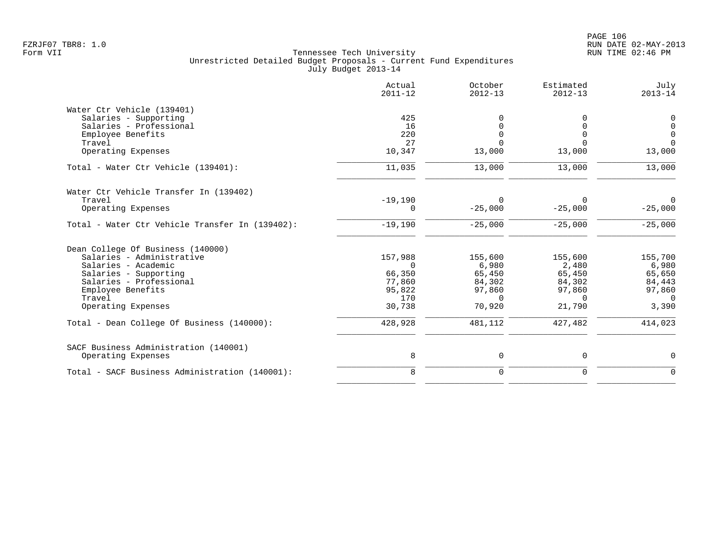| 425<br>16<br>220<br>27 | $\Omega$                                                            |                                                                           | 0                                                   |
|------------------------|---------------------------------------------------------------------|---------------------------------------------------------------------------|-----------------------------------------------------|
|                        |                                                                     |                                                                           |                                                     |
|                        |                                                                     |                                                                           |                                                     |
|                        |                                                                     |                                                                           | $\overline{0}$                                      |
|                        |                                                                     |                                                                           | $\overline{0}$                                      |
|                        |                                                                     |                                                                           | $\Omega$                                            |
| 10,347                 | 13,000                                                              | 13,000                                                                    | 13,000                                              |
| 11,035                 | 13,000                                                              | 13,000                                                                    | 13,000                                              |
|                        |                                                                     |                                                                           |                                                     |
|                        |                                                                     |                                                                           | $\Omega$                                            |
| 0                      | $-25,000$                                                           | $-25,000$                                                                 | $-25,000$                                           |
| $-19,190$              | $-25,000$                                                           | $-25,000$                                                                 | $-25,000$                                           |
|                        |                                                                     |                                                                           |                                                     |
|                        |                                                                     |                                                                           | 155,700                                             |
|                        |                                                                     |                                                                           | 6,980                                               |
|                        |                                                                     |                                                                           | 65,650                                              |
|                        |                                                                     |                                                                           | 84,443                                              |
|                        |                                                                     |                                                                           | 97,860                                              |
| 170                    | $\Omega$                                                            | $\Omega$                                                                  | $\overline{0}$                                      |
| 30,738                 | 70,920                                                              | 21,790                                                                    | 3,390                                               |
| 428,928                | 481,112                                                             | 427,482                                                                   | 414,023                                             |
|                        |                                                                     |                                                                           |                                                     |
| 8                      | 0                                                                   | 0                                                                         | $\mathbf 0$                                         |
|                        |                                                                     |                                                                           | $\Omega$                                            |
|                        | $-19,190$<br>157,988<br>$\Omega$<br>66,350<br>77,860<br>95,822<br>8 | $\Omega$<br>155,600<br>6,980<br>65,450<br>84,302<br>97,860<br>$\mathbf 0$ | 155,600<br>2,480<br>65,450<br>84,302<br>97,860<br>0 |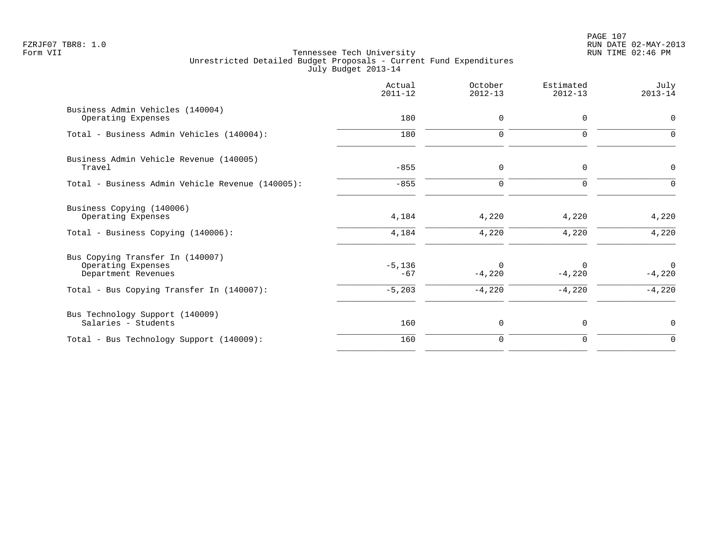|                                                                                                                            | Actual<br>$2011 - 12$         | October<br>$2012 - 13$    | Estimated<br>$2012 - 13$         | July<br>$2013 - 14$                    |
|----------------------------------------------------------------------------------------------------------------------------|-------------------------------|---------------------------|----------------------------------|----------------------------------------|
| Business Admin Vehicles (140004)<br>Operating Expenses                                                                     | 180                           | 0                         | $\mathbf 0$                      | 0                                      |
| Total - Business Admin Vehicles (140004):                                                                                  | 180                           | $\mathbf 0$               | $\Omega$                         | $\Omega$                               |
| Business Admin Vehicle Revenue (140005)<br>Travel                                                                          | $-855$                        | 0                         | $\mathbf 0$                      | 0                                      |
| Total - Business Admin Vehicle Revenue (140005):                                                                           | $-855$                        | $\mathbf 0$               | $\Omega$                         | $\Omega$                               |
| Business Copying (140006)<br>Operating Expenses                                                                            | 4,184                         | 4,220                     | 4,220                            | 4,220                                  |
| Total - Business Copying (140006):                                                                                         | 4,184                         | 4,220                     | 4,220                            | 4,220                                  |
| Bus Copying Transfer In (140007)<br>Operating Expenses<br>Department Revenues<br>Total - Bus Copying Transfer In (140007): | $-5,136$<br>$-67$<br>$-5,203$ | 0<br>$-4,220$<br>$-4,220$ | $\Omega$<br>$-4,220$<br>$-4,220$ | $\overline{0}$<br>$-4,220$<br>$-4,220$ |
|                                                                                                                            |                               |                           |                                  |                                        |
| Bus Technology Support (140009)<br>Salaries - Students                                                                     | 160                           | 0                         | $\mathbf 0$                      | $\mathbf 0$                            |
| Total - Bus Technology Support (140009):                                                                                   | 160                           | $\mathbf 0$               | $\mathbf 0$                      | $\mathbf 0$                            |
|                                                                                                                            |                               |                           |                                  |                                        |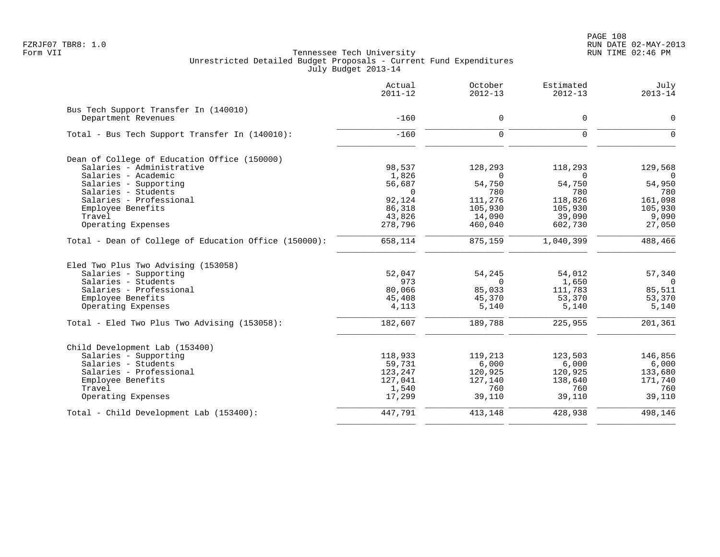PAGE 108 FZRJF07 TBR8: 1.0 RUN DATE 02-MAY-2013

|                                                       | Actual<br>$2011 - 12$ | October<br>$2012 - 13$ | Estimated<br>$2012 - 13$ | July<br>$2013 - 14$ |
|-------------------------------------------------------|-----------------------|------------------------|--------------------------|---------------------|
| Bus Tech Support Transfer In (140010)                 |                       |                        |                          |                     |
| Department Revenues                                   | $-160$                | $\mathbf 0$            | $\mathbf 0$              | 0                   |
| Total - Bus Tech Support Transfer In (140010):        | $-160$                | $\mathbf 0$            | $\mathbf 0$              | $\mathbf 0$         |
| Dean of College of Education Office (150000)          |                       |                        |                          |                     |
| Salaries - Administrative                             | 98,537                | 128,293                | 118,293                  | 129,568             |
| Salaries - Academic                                   | 1,826                 | $\Omega$               | $\Omega$                 | $\Omega$            |
| Salaries - Supporting                                 | 56,687                | 54,750                 | 54,750                   | 54,950              |
| Salaries - Students                                   | $\Omega$              | 780                    | 780                      | 780                 |
| Salaries - Professional                               | 92,124                | 111,276                | 118,826                  | 161,098             |
| Employee Benefits                                     | 86,318                | 105,930                | 105,930                  | 105,930             |
| Travel                                                | 43,826                | 14,090                 | 39,090                   | 9,090               |
| Operating Expenses                                    | 278,796               | 460,040                | 602,730                  | 27,050              |
| Total - Dean of College of Education Office (150000): | 658,114               | 875,159                | 1,040,399                | 488,466             |
| Eled Two Plus Two Advising (153058)                   |                       |                        |                          |                     |
| Salaries - Supporting                                 | 52,047                | 54,245                 | 54,012                   | 57,340              |
| Salaries - Students                                   | 973                   | $\Omega$               | 1,650                    | $\overline{0}$      |
| Salaries - Professional                               | 80,066                | 85,033                 | 111,783                  | 85,511              |
| Employee Benefits                                     | 45,408                | 45,370                 | 53,370                   | 53,370              |
| Operating Expenses                                    | 4,113                 | 5,140                  | 5,140                    | 5,140               |
| Total - Eled Two Plus Two Advising (153058):          | 182,607               | 189,788                | 225,955                  | 201,361             |
| Child Development Lab (153400)                        |                       |                        |                          |                     |
| Salaries - Supporting                                 | 118,933               | 119,213                | 123,503                  | 146,856             |
| Salaries - Students                                   | 59,731                | 6,000                  | 6,000                    | 6,000               |
| Salaries - Professional                               | 123,247               | 120,925                | 120,925                  | 133,680             |
| Employee Benefits                                     | 127,041               | 127,140                | 138,640                  | 171,740             |
| Travel                                                | 1,540                 | 760                    | 760                      | 760                 |
| Operating Expenses                                    | 17,299                | 39,110                 | 39,110                   | 39,110              |
| Total - Child Development Lab (153400):               | 447,791               | 413,148                | 428,938                  | 498,146             |
|                                                       |                       |                        |                          |                     |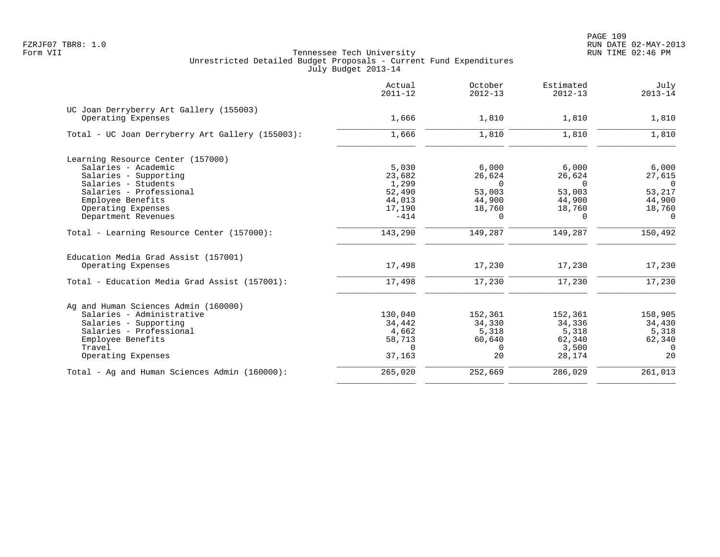|                                                               | Actual<br>$2011 - 12$ | October<br>$2012 - 13$ | Estimated<br>$2012 - 13$ | July<br>$2013 - 14$ |
|---------------------------------------------------------------|-----------------------|------------------------|--------------------------|---------------------|
| UC Joan Derryberry Art Gallery (155003)<br>Operating Expenses | 1,666                 | 1,810                  | 1,810                    | 1,810               |
| Total - UC Joan Derryberry Art Gallery (155003):              | 1,666                 | 1,810                  | 1,810                    | 1,810               |
| Learning Resource Center (157000)                             |                       |                        |                          |                     |
| Salaries - Academic                                           | 5,030                 | 6,000                  | 6,000                    | 6,000               |
| Salaries - Supporting                                         | 23,682                | 26,624                 | 26,624                   | 27,615              |
| Salaries - Students                                           | 1,299                 | $\Omega$               | $\Omega$                 | $\overline{0}$      |
| Salaries - Professional                                       | 52,490                | 53,003                 | 53,003                   | 53,217              |
| Employee Benefits                                             | 44,013                | 44,900                 | 44,900                   | 44,900              |
| Operating Expenses                                            | 17,190                | 18,760                 | 18,760                   | 18,760              |
| Department Revenues                                           | $-414$                | $\Omega$               | $\Omega$                 | $\Omega$            |
| Total - Learning Resource Center (157000):                    | 143,290               | 149,287                | 149,287                  | 150,492             |
| Education Media Grad Assist (157001)<br>Operating Expenses    | 17,498                | 17,230                 | 17,230                   | 17,230              |
|                                                               |                       |                        |                          |                     |
| Total - Education Media Grad Assist (157001):                 | 17,498                | 17,230                 | 17,230                   | 17,230              |
| Ag and Human Sciences Admin (160000)                          |                       |                        |                          |                     |
| Salaries - Administrative                                     | 130,040               | 152,361                | 152,361                  | 158,905             |
| Salaries - Supporting                                         | 34,442                | 34,330                 | 34,336                   | 34,430              |
| Salaries - Professional                                       | 4,662                 | 5,318                  | 5,318                    | 5,318               |
| Employee Benefits                                             | 58,713                | 60,640                 | 62,340                   | 62,340              |
| Travel                                                        | $\Omega$              | 0                      | 3,500                    | $\Omega$            |
| Operating Expenses                                            | 37,163                | 20                     | 28,174                   | 20                  |
| Total - Ag and Human Sciences Admin (160000):                 | 265,020               | 252,669                | 286,029                  | 261,013             |
|                                                               |                       |                        |                          |                     |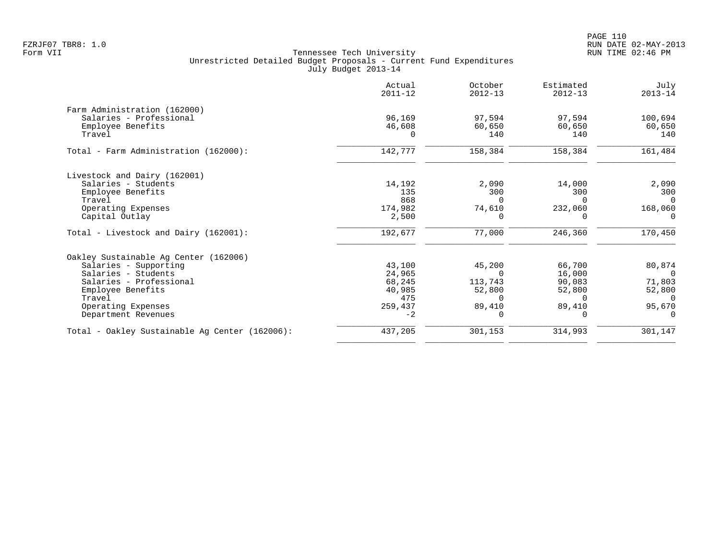PAGE 110 FZRJF07 TBR8: 1.0 RUN DATE 02-MAY-2013

|                                                | Actual<br>$2011 - 12$ | October<br>$2012 - 13$ | Estimated<br>$2012 - 13$ | July<br>$2013 - 14$ |
|------------------------------------------------|-----------------------|------------------------|--------------------------|---------------------|
| Farm Administration (162000)                   |                       |                        |                          |                     |
| Salaries - Professional                        | 96,169                | 97,594                 | 97,594                   | 100,694             |
| Employee Benefits                              | 46,608                | 60,650                 | 60,650                   | 60,650              |
| Travel                                         | $\Omega$              | 140                    | 140                      | 140                 |
| Total - Farm Administration (162000):          | 142,777               | 158,384                | 158,384                  | 161,484             |
| Livestock and Dairy (162001)                   |                       |                        |                          |                     |
| Salaries - Students                            | 14,192                | 2,090                  | 14,000                   | 2,090               |
| Employee Benefits                              | 135                   | 300                    | 300                      | 300                 |
| Travel                                         | 868                   | $\Omega$               | 0                        | $\Omega$            |
| Operating Expenses                             | 174,982               | 74,610                 | 232,060                  | 168,060             |
| Capital Outlay                                 | 2,500                 | $\Omega$               |                          |                     |
| Total - Livestock and Dairy (162001):          | 192,677               | 77,000                 | 246,360                  | 170,450             |
| Oakley Sustainable Ag Center (162006)          |                       |                        |                          |                     |
| Salaries - Supporting                          | 43,100                | 45,200                 | 66,700                   | 80,874              |
| Salaries - Students                            | 24,965                | $\Omega$               | 16,000                   | $\cap$              |
| Salaries - Professional                        | 68,245                | 113,743                | 90,083                   | 71,803              |
| Employee Benefits                              | 40,985                | 52,800                 | 52,800                   | 52,800              |
| Travel                                         | 475                   | $\Omega$               | $\cap$                   | $\Omega$            |
| Operating Expenses                             | 259,437               | 89,410                 | 89,410                   | 95,670              |
| Department Revenues                            | $-2$                  | $\Omega$               |                          |                     |
| Total - Oakley Sustainable Ag Center (162006): | 437,205               | 301,153                | 314,993                  | 301,147             |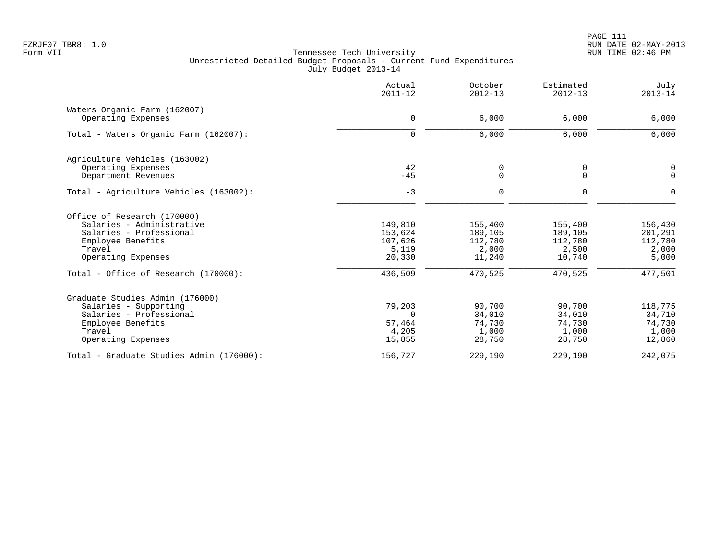|                                                                                                                                          | Actual<br>$2011 - 12$                            | October<br>$2012 - 13$                           | Estimated<br>$2012 - 13$                         | July<br>$2013 - 14$                             |
|------------------------------------------------------------------------------------------------------------------------------------------|--------------------------------------------------|--------------------------------------------------|--------------------------------------------------|-------------------------------------------------|
| Waters Organic Farm (162007)<br>Operating Expenses                                                                                       | $\mathbf 0$                                      | 6,000                                            | 6,000                                            | 6,000                                           |
| Total - Waters Organic Farm (162007):                                                                                                    | $\mathbf 0$                                      | 6,000                                            | 6,000                                            | 6,000                                           |
| Agriculture Vehicles (163002)<br>Operating Expenses<br>Department Revenues                                                               | 42<br>$-45$                                      | 0<br>0                                           | 0<br>$\mathbf 0$                                 | $\mathbf 0$<br>$\mathbf 0$                      |
| Total - Agriculture Vehicles (163002):                                                                                                   | $-3$                                             | $\mathbf 0$                                      | 0                                                | ∩                                               |
| Office of Research (170000)<br>Salaries - Administrative<br>Salaries - Professional<br>Employee Benefits<br>Travel<br>Operating Expenses | 149,810<br>153,624<br>107,626<br>5,119<br>20,330 | 155,400<br>189,105<br>112,780<br>2,000<br>11,240 | 155,400<br>189,105<br>112,780<br>2,500<br>10,740 | 156,430<br>201,291<br>112,780<br>2,000<br>5,000 |
| Total - Office of Research (170000):                                                                                                     | 436,509                                          | 470,525                                          | 470,525                                          | 477,501                                         |
| Graduate Studies Admin (176000)<br>Salaries - Supporting<br>Salaries - Professional<br>Employee Benefits<br>Travel<br>Operating Expenses | 79,203<br>$\Omega$<br>57,464<br>4,205<br>15,855  | 90,700<br>34,010<br>74,730<br>1,000<br>28,750    | 90,700<br>34,010<br>74,730<br>1,000<br>28,750    | 118,775<br>34,710<br>74,730<br>1,000<br>12,860  |
| Total - Graduate Studies Admin (176000):                                                                                                 | 156,727                                          | 229,190                                          | 229,190                                          | 242,075                                         |
|                                                                                                                                          |                                                  |                                                  |                                                  |                                                 |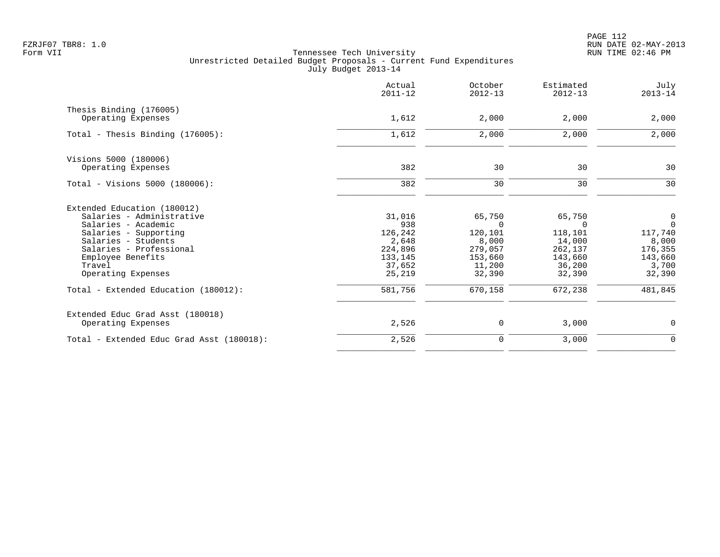PAGE 112 FZRJF07 TBR8: 1.0 RUN DATE 02-MAY-2013

|                                           | Actual<br>$2011 - 12$ | October<br>$2012 - 13$ | Estimated<br>$2012 - 13$ | July<br>$2013 - 14$ |
|-------------------------------------------|-----------------------|------------------------|--------------------------|---------------------|
| Thesis Binding (176005)                   |                       |                        |                          |                     |
| Operating Expenses                        | 1,612                 | 2,000                  | 2,000                    | 2,000               |
| Total - Thesis Binding $(176005)$ :       | 1,612                 | 2,000                  | 2,000                    | 2,000               |
| Visions 5000 (180006)                     |                       |                        |                          |                     |
| Operating Expenses                        | 382                   | 30                     | 30                       | 30                  |
| Total - Visions 5000 (180006):            | 382                   | 30                     | 30                       | 30                  |
| Extended Education (180012)               |                       |                        |                          |                     |
| Salaries - Administrative                 | 31,016                | 65,750                 | 65,750                   | $\mathsf{O}$        |
| Salaries - Academic                       | 938                   | $\Omega$               | $\Omega$                 | $\Omega$            |
| Salaries - Supporting                     | 126,242               | 120,101                | 118,101                  | 117,740             |
| Salaries - Students                       | 2,648                 | 8,000                  | 14,000                   | 8,000               |
| Salaries - Professional                   | 224,896               | 279,057                | 262,137                  | 176,355             |
| Employee Benefits<br>Travel               | 133,145<br>37,652     | 153,660<br>11,200      | 143,660<br>36,200        | 143,660<br>3,700    |
| Operating Expenses                        | 25,219                | 32,390                 | 32,390                   | 32,390              |
| Total - Extended Education (180012):      | 581,756               | 670,158                | 672,238                  | 481,845             |
| Extended Educ Grad Asst (180018)          |                       |                        |                          |                     |
| Operating Expenses                        | 2,526                 | 0                      | 3,000                    | $\mathbf 0$         |
| Total - Extended Educ Grad Asst (180018): | 2,526                 | $\mathbf 0$            | 3,000                    | $\mathbf 0$         |
|                                           |                       |                        |                          |                     |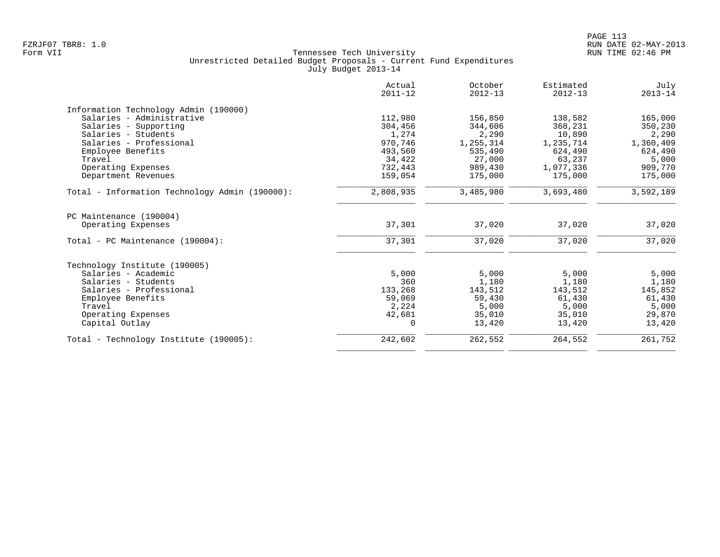|                                                | Actual<br>$2011 - 12$ | October<br>$2012 - 13$ | Estimated<br>$2012 - 13$ | July<br>$2013 - 14$ |
|------------------------------------------------|-----------------------|------------------------|--------------------------|---------------------|
| Information Technology Admin (190000)          |                       |                        |                          |                     |
| Salaries - Administrative                      | 112,980               | 156,850                | 138,582                  | 165,000             |
| Salaries - Supporting                          | 304,456               | 344,606                | 368,231                  | 350,230             |
| Salaries - Students                            | 1,274                 | 2,290                  | 10,890                   | 2,290               |
| Salaries - Professional                        | 970,746               | 1,255,314              | 1,235,714                | 1,360,409           |
| Employee Benefits                              | 493,560               | 535,490                | 624,490                  | 624,490             |
| Travel                                         | 34,422                | 27,000                 | 63,237                   | 5,000               |
| Operating Expenses                             | 732,443               | 989,430                | 1,077,336                | 909,770             |
| Department Revenues                            | 159,054               | 175,000                | 175,000                  | 175,000             |
| Total - Information Technology Admin (190000): | 2,808,935             | 3,485,980              | 3,693,480                | 3,592,189           |
| PC Maintenance (190004)                        |                       |                        |                          |                     |
| Operating Expenses                             | 37,301                | 37,020                 | 37,020                   | 37,020              |
| Total - PC Maintenance (190004):               | 37,301                | 37,020                 | 37,020                   | 37,020              |
| Technology Institute (190005)                  |                       |                        |                          |                     |
| Salaries - Academic                            | 5,000                 | 5,000                  | 5,000                    | 5,000               |
| Salaries - Students                            | 360                   | 1,180                  | 1,180                    | 1,180               |
| Salaries - Professional                        | 133,268               | 143,512                | 143,512                  | 145,852             |
| Employee Benefits                              | 59,069                | 59,430                 | 61,430                   | 61,430              |
| Travel                                         | 2,224                 | 5,000                  | 5,000                    | 5,000               |
| Operating Expenses                             | 42,681                | 35,010                 | 35,010                   | 29,870              |
| Capital Outlay                                 | 0                     | 13,420                 | 13,420                   | 13,420              |
| Total - Technology Institute (190005):         | 242,602               | 262,552                | 264,552                  | 261,752             |
|                                                |                       |                        |                          |                     |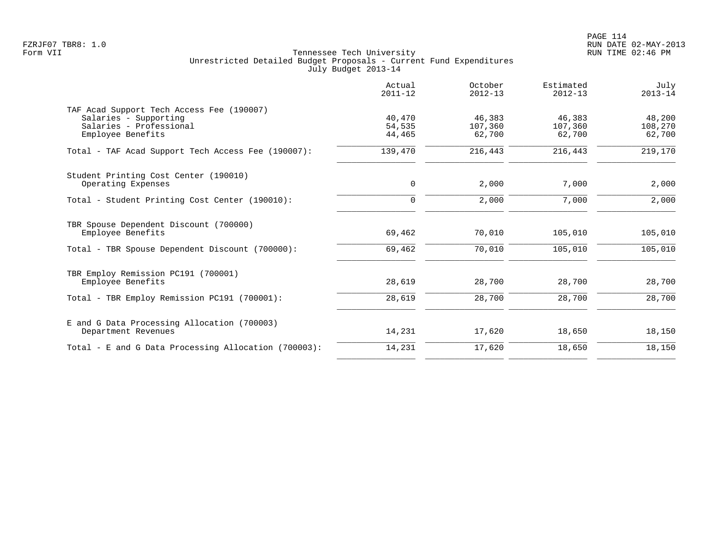PAGE 114 FZRJF07 TBR8: 1.0 RUN DATE 02-MAY-2013

|                                                                                                                    | Actual<br>$2011 - 12$      | October<br>$2012 - 13$      | Estimated<br>$2012 - 13$    | July<br>$2013 - 14$         |
|--------------------------------------------------------------------------------------------------------------------|----------------------------|-----------------------------|-----------------------------|-----------------------------|
| TAF Acad Support Tech Access Fee (190007)<br>Salaries - Supporting<br>Salaries - Professional<br>Employee Benefits | 40,470<br>54,535<br>44,465 | 46,383<br>107,360<br>62,700 | 46,383<br>107,360<br>62,700 | 48,200<br>108,270<br>62,700 |
| Total - TAF Acad Support Tech Access Fee (190007):                                                                 | 139,470                    | 216,443                     | 216,443                     | 219,170                     |
| Student Printing Cost Center (190010)<br>Operating Expenses                                                        | $\mathbf 0$                | 2,000                       | 7,000                       | 2,000                       |
| Total - Student Printing Cost Center (190010):                                                                     | $\mathbf 0$                | 2,000                       | 7,000                       | 2,000                       |
| TBR Spouse Dependent Discount (700000)<br>Employee Benefits                                                        | 69,462                     | 70,010                      | 105,010                     | 105,010                     |
| Total - TBR Spouse Dependent Discount (700000):                                                                    | 69,462                     | 70,010                      | 105,010                     | 105,010                     |
| TBR Employ Remission PC191 (700001)<br>Employee Benefits                                                           | 28,619                     | 28,700                      | 28,700                      | 28,700                      |
| Total - TBR Employ Remission PC191 (700001):                                                                       | 28,619                     | 28,700                      | 28,700                      | 28,700                      |
| E and G Data Processing Allocation (700003)<br>Department Revenues                                                 | 14,231                     | 17,620                      | 18,650                      | 18,150                      |
| Total - E and G Data Processing Allocation (700003):                                                               | 14,231                     | 17,620                      | 18,650                      | 18,150                      |
|                                                                                                                    |                            |                             |                             |                             |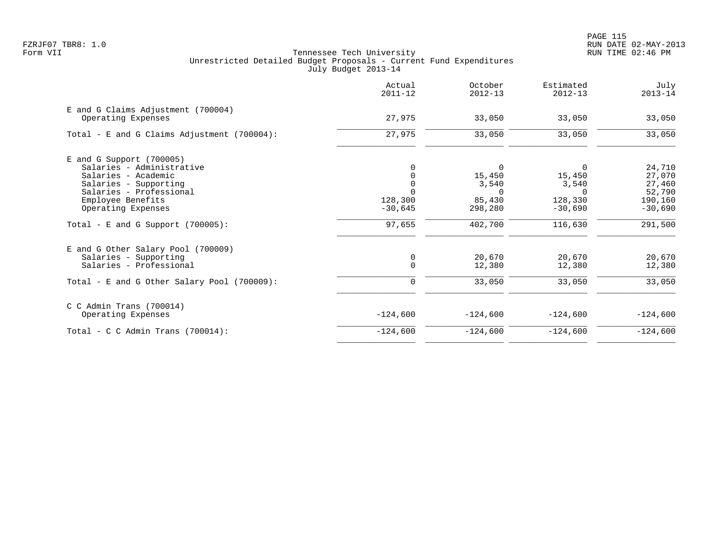|                                                          | Actual<br>$2011 - 12$ | October<br>$2012 - 13$ | Estimated<br>$2012 - 13$ | July<br>$2013 - 14$ |
|----------------------------------------------------------|-----------------------|------------------------|--------------------------|---------------------|
| E and G Claims Adjustment (700004)<br>Operating Expenses | 27,975                | 33,050                 | 33,050                   | 33,050              |
| Total - E and G Claims Adjustment $(700004)$ :           | 27,975                | 33,050                 | 33,050                   | 33,050              |
| $E$ and G Support (700005)                               |                       |                        |                          |                     |
| Salaries - Administrative                                |                       | 0                      | $\Omega$                 | 24,710              |
| Salaries - Academic                                      |                       | 15,450                 | 15,450                   | 27,070              |
| Salaries - Supporting                                    |                       | 3,540                  | 3,540                    | 27,460              |
| Salaries - Professional                                  |                       | $\Omega$               | $\Omega$                 | 52,790              |
| Employee Benefits                                        | 128,300               | 85,430                 | 128,330                  | 190,160             |
| Operating Expenses                                       | $-30,645$             | 298,280                | $-30,690$                | $-30,690$           |
| Total - E and G Support $(700005)$ :                     | 97,655                | 402,700                | 116,630                  | 291,500             |
| E and G Other Salary Pool (700009)                       |                       |                        |                          |                     |
| Salaries - Supporting                                    | 0                     | 20,670                 | 20,670                   | 20,670              |
| Salaries - Professional                                  | $\mathbf 0$           | 12,380                 | 12,380                   | 12,380              |
| Total - E and G Other Salary Pool (700009):              | 0                     | 33,050                 | 33,050                   | 33,050              |
| $C$ C Admin Trans (700014)                               |                       |                        |                          |                     |
| Operating Expenses                                       | $-124,600$            | $-124,600$             | $-124,600$               | $-124,600$          |
| Total - C C Admin Trans $(700014)$ :                     | $-124,600$            | $-124,600$             | $-124,600$               | $-124,600$          |
|                                                          |                       |                        |                          |                     |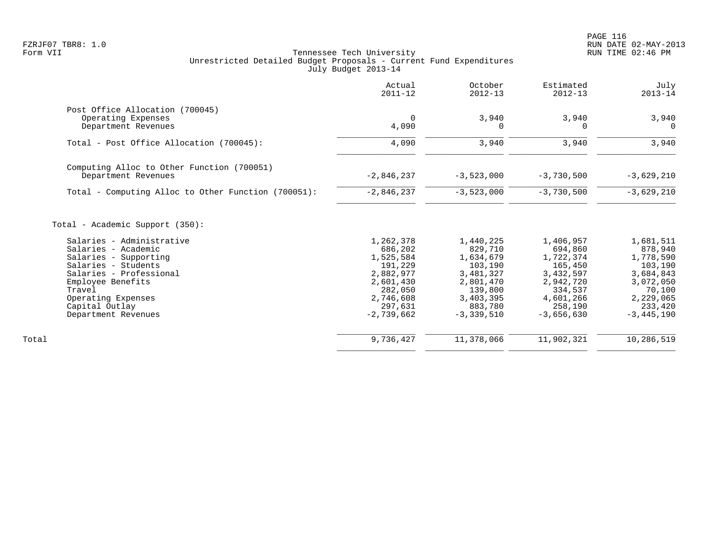|                                                     | Actual<br>$2011 - 12$ | October<br>$2012 - 13$ | Estimated<br>$2012 - 13$ | July<br>$2013 - 14$ |
|-----------------------------------------------------|-----------------------|------------------------|--------------------------|---------------------|
| Post Office Allocation (700045)                     |                       |                        |                          |                     |
| Operating Expenses<br>Department Revenues           | $\Omega$<br>4,090     | 3,940<br>$\Omega$      | 3,940<br>$\Omega$        | 3,940<br>$\Omega$   |
| Total - Post Office Allocation (700045):            | 4,090                 | 3,940                  | 3,940                    | 3,940               |
| Computing Alloc to Other Function (700051)          |                       |                        |                          |                     |
| Department Revenues                                 | $-2,846,237$          | $-3,523,000$           | $-3,730,500$             | $-3,629,210$        |
| Total - Computing Alloc to Other Function (700051): | $-2,846,237$          | $-3,523,000$           | $-3,730,500$             | $-3,629,210$        |
| Total - Academic Support (350):                     |                       |                        |                          |                     |
| Salaries - Administrative                           | 1,262,378             | 1,440,225              | 1,406,957                | 1,681,511           |
| Salaries - Academic                                 | 686,202               | 829,710                | 694,860                  | 878,940             |
| Salaries - Supporting                               | 1,525,584             | 1,634,679              | 1,722,374                | 1,778,590           |
| Salaries - Students                                 | 191,229               | 103,190                | 165,450                  | 103,190             |
| Salaries - Professional                             | 2,882,977             | 3,481,327              | 3,432,597                | 3,684,843           |
| Employee Benefits<br>Travel                         | 2,601,430<br>282,050  | 2,801,470<br>139,800   | 2,942,720<br>334,537     | 3,072,050<br>70,100 |
| Operating Expenses                                  | 2,746,608             | 3,403,395              | 4,601,266                | 2,229,065           |
| Capital Outlay                                      | 297,631               | 883,780                | 258,190                  | 233,420             |
| Department Revenues                                 | $-2,739,662$          | $-3, 339, 510$         | $-3,656,630$             | $-3,445,190$        |
| Total                                               | 9,736,427             | 11,378,066             | 11,902,321               | 10,286,519          |
|                                                     |                       |                        |                          |                     |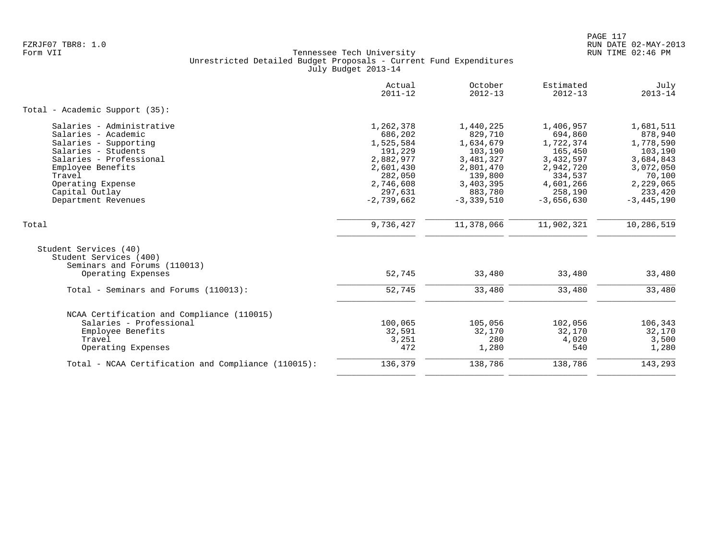|                                                     | Actual<br>$2011 - 12$ | October<br>$2012 - 13$ | Estimated<br>$2012 - 13$ | July<br>$2013 - 14$ |
|-----------------------------------------------------|-----------------------|------------------------|--------------------------|---------------------|
| Total - Academic Support (35):                      |                       |                        |                          |                     |
| Salaries - Administrative                           | 1,262,378             | 1,440,225              | 1,406,957                | 1,681,511           |
| Salaries - Academic                                 | 686,202               | 829,710                | 694,860                  | 878,940             |
| Salaries - Supporting                               | 1,525,584             | 1,634,679              | 1,722,374                | 1,778,590           |
| Salaries - Students                                 | 191,229               | 103,190                | 165,450                  | 103,190             |
| Salaries - Professional                             | 2,882,977             | 3,481,327              | 3,432,597                | 3,684,843           |
| Employee Benefits                                   | 2,601,430             | 2,801,470              | 2,942,720                | 3,072,050           |
| Travel                                              | 282,050               | 139,800                | 334,537                  | 70,100              |
| Operating Expense                                   | 2,746,608             | 3,403,395              | 4,601,266                | 2,229,065           |
| Capital Outlay                                      | 297,631               | 883,780                | 258,190                  | 233,420             |
| Department Revenues                                 | $-2,739,662$          | $-3, 339, 510$         | $-3,656,630$             | $-3,445,190$        |
| Total                                               | 9,736,427             | 11,378,066             | 11,902,321               | 10,286,519          |
| Student Services (40)<br>Student Services (400)     |                       |                        |                          |                     |
| Seminars and Forums (110013)                        |                       |                        |                          |                     |
| Operating Expenses                                  | 52,745                | 33,480                 | 33,480                   | 33,480              |
| Total - Seminars and Forums (110013):               | 52,745                | 33,480                 | 33,480                   | 33,480              |
| NCAA Certification and Compliance (110015)          |                       |                        |                          |                     |
| Salaries - Professional                             | 100,065               | 105,056                | 102,056                  | 106,343             |
| Employee Benefits                                   | 32,591                | 32,170                 | 32,170                   | 32,170              |
| Travel                                              | 3,251                 | 280                    | 4,020                    | 3,500               |
| Operating Expenses                                  | 472                   | 1,280                  | 540                      | 1,280               |
| Total - NCAA Certification and Compliance (110015): | 136,379               | 138,786                | 138,786                  | 143,293             |
|                                                     |                       |                        |                          |                     |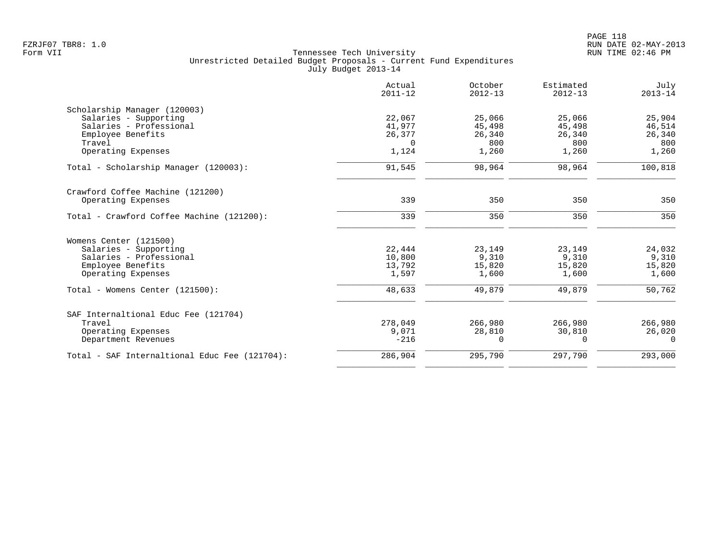|                                               | Actual<br>$2011 - 12$ | October<br>$2012 - 13$ | Estimated<br>$2012 - 13$ | July<br>$2013 - 14$ |
|-----------------------------------------------|-----------------------|------------------------|--------------------------|---------------------|
| Scholarship Manager (120003)                  |                       |                        |                          |                     |
| Salaries - Supporting                         | 22,067                | 25,066                 | 25,066                   | 25,904              |
| Salaries - Professional                       | 41,977                | 45,498                 | 45,498                   | 46,514              |
| Employee Benefits                             | 26,377                | 26,340                 | 26,340                   | 26,340              |
| Travel                                        | $\Omega$              | 800                    | 800                      | 800                 |
| Operating Expenses                            | 1,124                 | 1,260                  | 1,260                    | 1,260               |
| Total - Scholarship Manager (120003):         | 91,545                | 98,964                 | 98,964                   | 100,818             |
| Crawford Coffee Machine (121200)              |                       |                        |                          |                     |
| Operating Expenses                            | 339                   | 350                    | 350                      | 350                 |
| Total - Crawford Coffee Machine (121200):     | 339                   | 350                    | 350                      | 350                 |
| Womens Center (121500)                        |                       |                        |                          |                     |
| Salaries - Supporting                         | 22,444                | 23,149                 | 23,149                   | 24,032              |
| Salaries - Professional                       | 10,800                | 9,310                  | 9,310                    | 9,310               |
| Employee Benefits                             | 13,792                | 15,820                 | 15,820                   | 15,820              |
| Operating Expenses                            | 1,597                 | 1,600                  | 1,600                    | 1,600               |
| Total - Womens Center (121500):               | 48,633                | 49,879                 | 49,879                   | 50,762              |
| SAF Internaltional Educ Fee (121704)          |                       |                        |                          |                     |
| Travel                                        | 278,049               | 266,980                | 266,980                  | 266,980             |
| Operating Expenses                            | 9,071                 | 28,810                 | 30,810                   | 26,020              |
| Department Revenues                           | $-216$                | $\Omega$               | $\Omega$                 | $\Omega$            |
| Total - SAF Internaltional Educ Fee (121704): | 286,904               | 295,790                | 297,790                  | 293,000             |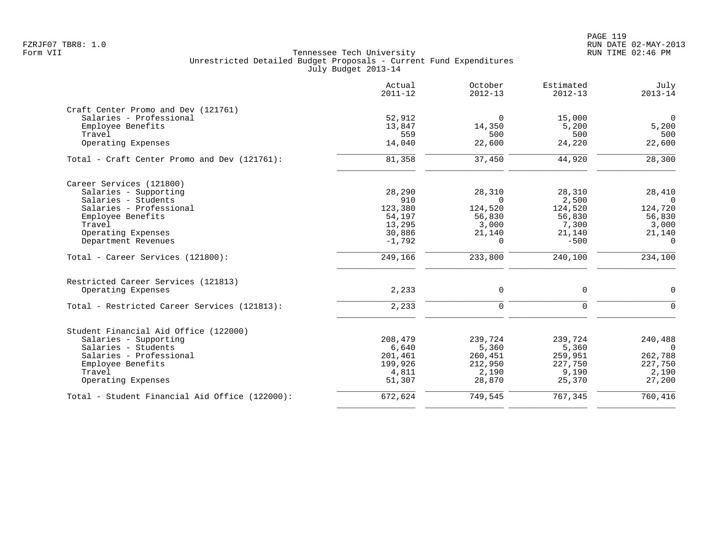|                                                | Actual<br>$2011 - 12$ | October<br>$2012 - 13$ | Estimated<br>$2012 - 13$ | July<br>$2013 - 14$ |
|------------------------------------------------|-----------------------|------------------------|--------------------------|---------------------|
| Craft Center Promo and Dev (121761)            |                       |                        |                          |                     |
| Salaries - Professional                        | 52,912                | $\Omega$               | 15,000                   | $\overline{0}$      |
| Employee Benefits                              | 13,847                | 14,350                 | 5,200                    | 5,200               |
| Travel                                         | 559                   | 500                    | 500                      | 500                 |
| Operating Expenses                             | 14,040                | 22,600                 | 24,220                   | 22,600              |
| Total - Craft Center Promo and Dev (121761):   | 81,358                | 37,450                 | 44,920                   | 28,300              |
| Career Services (121800)                       |                       |                        |                          |                     |
| Salaries - Supporting                          | 28,290                | 28,310                 | 28,310                   | 28,410              |
| Salaries - Students                            | 910                   | $\Omega$               | 2,500                    | $\Omega$            |
| Salaries - Professional                        | 123,380               | 124,520                | 124,520                  | 124,720             |
| Employee Benefits                              | 54,197                | 56,830                 | 56,830                   | 56,830              |
| Travel                                         | 13,295                | 3,000                  | 7,300                    | 3,000               |
| Operating Expenses                             | 30,886                | 21,140                 | 21,140                   | 21,140              |
| Department Revenues                            | $-1,792$              | $\Omega$               | $-500$                   | $\Omega$            |
| Total - Career Services (121800):              | 249,166               | 233,800                | 240,100                  | 234,100             |
| Restricted Career Services (121813)            |                       |                        |                          |                     |
| Operating Expenses                             | 2,233                 | 0                      | $\mathbf 0$              | $\mathbf 0$         |
| Total - Restricted Career Services (121813):   | 2,233                 | $\mathbf 0$            | $\mathbf 0$              | $\mathbf 0$         |
| Student Financial Aid Office (122000)          |                       |                        |                          |                     |
| Salaries - Supporting                          | 208,479               | 239,724                | 239,724                  | 240,488             |
| Salaries - Students                            | 6,640                 | 5,360                  | 5,360                    | $\Omega$            |
| Salaries - Professional                        | 201,461               | 260,451                | 259,951                  | 262,788             |
| Employee Benefits                              | 199,926               | 212,950                | 227,750                  | 227,750             |
| Travel                                         | 4,811                 | 2,190                  | 9,190                    | 2,190               |
| Operating Expenses                             | 51,307                | 28,870                 | 25,370                   | 27,200              |
| Total - Student Financial Aid Office (122000): | 672,624               | 749,545                | 767,345                  | 760,416             |
|                                                |                       |                        |                          |                     |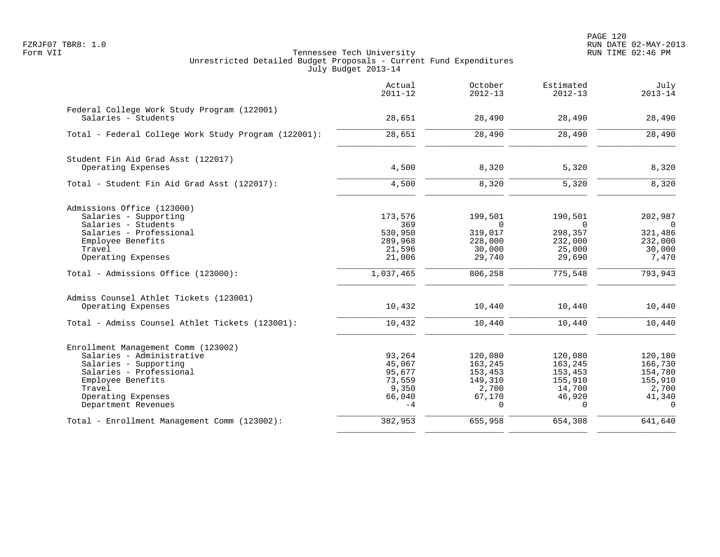|                                                                    | Actual<br>$2011 - 12$ | October<br>$2012 - 13$ | Estimated<br>$2012 - 13$ | July<br>$2013 - 14$ |
|--------------------------------------------------------------------|-----------------------|------------------------|--------------------------|---------------------|
| Federal College Work Study Program (122001)<br>Salaries - Students | 28,651                | 28,490                 | 28,490                   | 28,490              |
| Total - Federal College Work Study Program (122001):               | 28,651                | 28,490                 | 28,490                   | 28,490              |
| Student Fin Aid Grad Asst (122017)                                 |                       |                        |                          |                     |
| Operating Expenses                                                 | 4,500                 | 8,320                  | 5,320                    | 8,320               |
| Total - Student Fin Aid Grad Asst (122017):                        | 4,500                 | 8,320                  | 5,320                    | 8,320               |
| Admissions Office (123000)                                         |                       |                        |                          |                     |
| Salaries - Supporting                                              | 173,576               | 199,501                | 190,501                  | 202,987             |
| Salaries - Students<br>Salaries - Professional                     | 369<br>530,950        | $\Omega$<br>319,017    | $\Omega$<br>298,357      | $\Omega$<br>321,486 |
| Employee Benefits                                                  | 289,968               | 228,000                | 232,000                  | 232,000             |
| Travel                                                             | 21,596                | 30,000                 | 25,000                   | 30,000              |
| Operating Expenses                                                 | 21,006                | 29,740                 | 29,690                   | 7,470               |
| Total - Admissions Office (123000):                                | 1,037,465             | 806,258                | 775,548                  | 793,943             |
| Admiss Counsel Athlet Tickets (123001)                             |                       |                        |                          |                     |
| Operating Expenses                                                 | 10,432                | 10,440                 | 10,440                   | 10,440              |
| Total - Admiss Counsel Athlet Tickets (123001):                    | 10,432                | 10,440                 | 10,440                   | 10,440              |
| Enrollment Management Comm (123002)                                |                       |                        |                          |                     |
| Salaries - Administrative                                          | 93,264                | 120,080                | 120,080                  | 120,180             |
| Salaries - Supporting                                              | 45,067                | 163,245                | 163,245                  | 166,730             |
| Salaries - Professional                                            | 95,677                | 153,453                | 153,453                  | 154,780             |
| Employee Benefits<br>Travel                                        | 73,559<br>9,350       | 149,310<br>2,700       | 155,910<br>14,700        | 155,910<br>2,700    |
| Operating Expenses                                                 | 66,040                | 67,170                 | 46,920                   | 41,340              |
| Department Revenues                                                | $-4$                  | $\Omega$               | $\cap$                   | $\Omega$            |
| Total - Enrollment Management Comm (123002):                       | 382,953               | 655,958                | 654,308                  | 641,640             |
|                                                                    |                       |                        |                          |                     |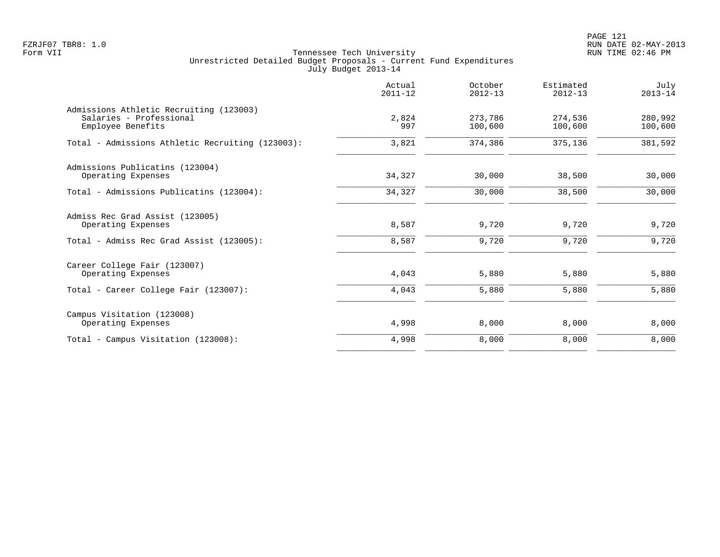PAGE 121 FZRJF07 TBR8: 1.0 RUN DATE 02-MAY-2013

|                                                                                         | Actual<br>$2011 - 12$ | October<br>$2012 - 13$ | Estimated<br>$2012 - 13$ | July<br>$2013 - 14$ |
|-----------------------------------------------------------------------------------------|-----------------------|------------------------|--------------------------|---------------------|
| Admissions Athletic Recruiting (123003)<br>Salaries - Professional<br>Employee Benefits | 2,824<br>997          | 273,786<br>100,600     | 274,536<br>100,600       | 280,992<br>100,600  |
| Total - Admissions Athletic Recruiting (123003):                                        | 3,821                 | 374,386                | 375,136                  | 381,592             |
| Admissions Publicatins (123004)<br>Operating Expenses                                   | 34,327                | 30,000                 | 38,500                   | 30,000              |
| Total - Admissions Publicatins (123004):                                                | 34,327                | 30,000                 | 38,500                   | 30,000              |
| Admiss Rec Grad Assist (123005)<br>Operating Expenses                                   | 8,587                 | 9,720                  | 9,720                    | 9,720               |
| Total - Admiss Rec Grad Assist (123005):                                                | 8,587                 | 9,720                  | 9,720                    | 9,720               |
| Career College Fair (123007)<br>Operating Expenses                                      | 4,043                 | 5,880                  | 5,880                    | 5,880               |
| Total - Career College Fair (123007):                                                   | 4,043                 | 5,880                  | 5,880                    | 5,880               |
| Campus Visitation (123008)<br>Operating Expenses                                        | 4,998                 | 8,000                  | 8,000                    | 8,000               |
| Total - Campus Visitation (123008):                                                     | 4,998                 | 8,000                  | 8,000                    | 8,000               |
|                                                                                         |                       |                        |                          |                     |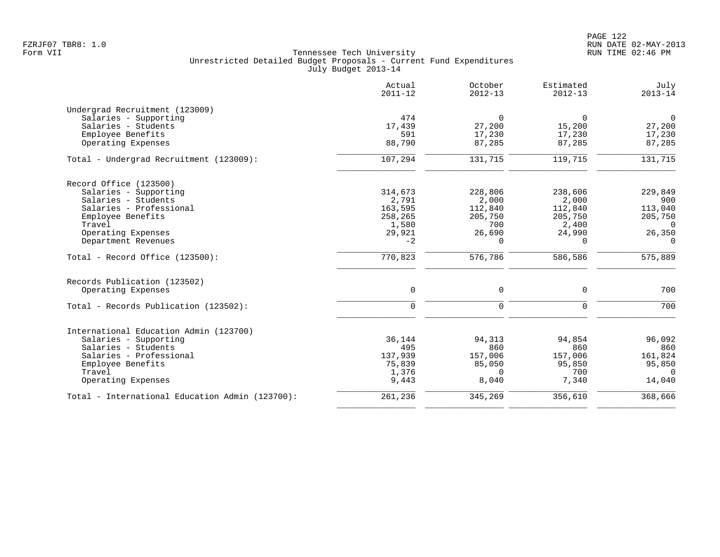|                                                 | Actual<br>$2011 - 12$ | October<br>$2012 - 13$ | Estimated<br>$2012 - 13$ | July<br>$2013 - 14$ |
|-------------------------------------------------|-----------------------|------------------------|--------------------------|---------------------|
| Undergrad Recruitment (123009)                  |                       |                        |                          |                     |
| Salaries - Supporting                           | 474                   | $\overline{0}$         | $\mathbf 0$              | $\overline{0}$      |
| Salaries - Students                             | 17,439                | 27,200                 | 15,200                   | 27,200              |
| Employee Benefits                               | 591                   | 17,230                 | 17,230                   | 17,230              |
| Operating Expenses                              | 88,790                | 87,285                 | 87,285                   | 87,285              |
| Total - Undergrad Recruitment (123009):         | 107,294               | 131, 715               | 119,715                  | 131,715             |
| Record Office (123500)                          |                       |                        |                          |                     |
| Salaries - Supporting                           | 314,673               | 228,806                | 238,606                  | 229,849             |
| Salaries - Students                             | 2,791                 | 2,000                  | 2,000                    | 900                 |
| Salaries - Professional                         | 163,595               | 112,840                | 112,840                  | 113,040             |
| Employee Benefits                               | 258,265               | 205,750                | 205,750                  | 205,750             |
| Travel                                          | 1,580                 | 700                    | 2,400                    | $\Omega$            |
| Operating Expenses                              | 29,921                | 26,690                 | 24,990                   | 26,350              |
| Department Revenues                             | $-2$                  | $\mathbf 0$            | $\Omega$                 | $\Omega$            |
| Total - Record Office (123500):                 | 770,823               | 576,786                | 586,586                  | 575,889             |
| Records Publication (123502)                    |                       |                        |                          |                     |
| Operating Expenses                              | $\mathbf 0$           | 0                      | $\mathbf 0$              | 700                 |
| Total - Records Publication (123502):           | $\mathbf 0$           | $\mathbf 0$            | $\mathbf 0$              | 700                 |
| International Education Admin (123700)          |                       |                        |                          |                     |
| Salaries - Supporting                           | 36,144                | 94, 313                | 94,854                   | 96,092              |
| Salaries - Students                             | 495                   | 860                    | 860                      | 860                 |
| Salaries - Professional                         | 137,939               | 157,006                | 157,006                  | 161,824             |
| Employee Benefits                               | 75,839                | 85,050                 | 95,850                   | 95,850              |
| Travel                                          | 1,376                 | $\Omega$               | 700                      | $\Omega$            |
| Operating Expenses                              | 9,443                 | 8,040                  | 7,340                    | 14,040              |
| Total - International Education Admin (123700): | 261,236               | 345,269                | 356,610                  | 368,666             |
|                                                 |                       |                        |                          |                     |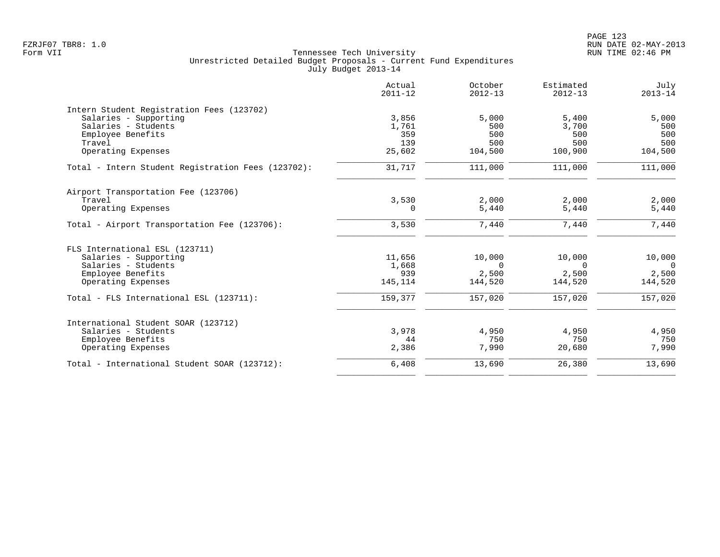|                                                    | Actual<br>$2011 - 12$ | October<br>$2012 - 13$ | Estimated<br>$2012 - 13$ | July<br>$2013 - 14$ |
|----------------------------------------------------|-----------------------|------------------------|--------------------------|---------------------|
| Intern Student Registration Fees (123702)          |                       |                        |                          |                     |
| Salaries - Supporting                              | 3,856                 | 5,000                  | 5,400                    | 5,000               |
| Salaries - Students                                | 1,761                 | 500                    | 3,700                    | 500                 |
| Employee Benefits                                  | 359                   | 500                    | 500                      | 500                 |
| Travel                                             | 139                   | 500                    | 500                      | 500                 |
| Operating Expenses                                 | 25,602                | 104,500                | 100,900                  | 104,500             |
| Total - Intern Student Registration Fees (123702): | 31,717                | 111,000                | 111,000                  | 111,000             |
| Airport Transportation Fee (123706)                |                       |                        |                          |                     |
| Travel                                             | 3,530                 | 2,000                  | 2,000                    | 2,000               |
| Operating Expenses                                 | $\Omega$              | 5,440                  | 5,440                    | 5,440               |
| Total - Airport Transportation Fee (123706):       | 3,530                 | 7,440                  | 7,440                    | 7,440               |
| FLS International ESL (123711)                     |                       |                        |                          |                     |
| Salaries - Supporting                              | 11,656                | 10,000                 | 10,000                   | 10,000              |
| Salaries - Students                                | 1,668                 | $\Omega$               | $\Omega$                 | $\Omega$            |
| Employee Benefits                                  | 939                   | 2,500                  | 2,500                    | 2,500               |
| Operating Expenses                                 | 145,114               | 144,520                | 144,520                  | 144,520             |
| Total - FLS International ESL (123711):            | 159,377               | 157,020                | 157,020                  | 157,020             |
| International Student SOAR (123712)                |                       |                        |                          |                     |
| Salaries - Students                                | 3,978                 | 4,950                  | 4,950                    | 4,950               |
| Employee Benefits                                  | 44                    | 750                    | 750                      | 750                 |
| Operating Expenses                                 | 2,386                 | 7,990                  | 20,680                   | 7,990               |
| Total - International Student SOAR (123712):       | 6,408                 | 13,690                 | 26,380                   | 13,690              |
|                                                    |                       |                        |                          |                     |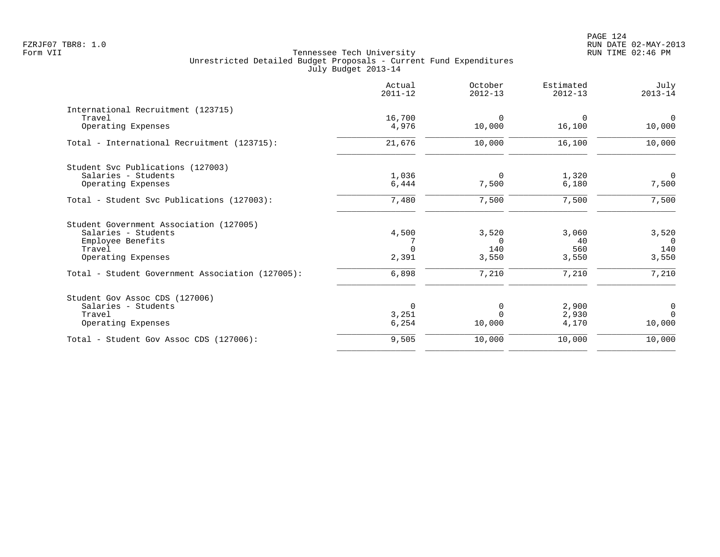|                                                  | Actual<br>$2011 - 12$ | October<br>$2012 - 13$ | Estimated<br>$2012 - 13$ | July<br>$2013 - 14$     |
|--------------------------------------------------|-----------------------|------------------------|--------------------------|-------------------------|
| International Recruitment (123715)               |                       |                        |                          |                         |
| Travel<br>Operating Expenses                     | 16,700<br>4,976       | $\Omega$<br>10,000     | $\Omega$<br>16,100       | $\Omega$<br>10,000      |
| Total - International Recruitment (123715):      | 21,676                | 10,000                 | 16,100                   | 10,000                  |
| Student Svc Publications (127003)                |                       |                        |                          |                         |
| Salaries - Students<br>Operating Expenses        | 1,036<br>6,444        | $\Omega$<br>7,500      | 1,320<br>6,180           | $\overline{0}$<br>7,500 |
| Total - Student Svc Publications (127003):       | 7,480                 | 7,500                  | 7,500                    | 7,500                   |
| Student Government Association (127005)          |                       |                        |                          |                         |
| Salaries - Students                              | 4,500                 | 3,520                  | 3,060                    | 3,520                   |
| Employee Benefits                                |                       | $\Omega$               | 40                       | $\Omega$                |
| Travel                                           | $\Omega$              | 140                    | 560                      | 140                     |
| Operating Expenses                               | 2,391                 | 3,550                  | 3,550                    | 3,550                   |
| Total - Student Government Association (127005): | 6,898                 | 7,210                  | 7,210                    | 7,210                   |
| Student Gov Assoc CDS (127006)                   |                       |                        |                          |                         |
| Salaries - Students                              | $\Omega$              | $\Omega$               | 2,900                    | $\mathbf 0$             |
| Travel                                           | 3,251                 | $\Omega$               | 2,930                    | $\Omega$                |
| Operating Expenses                               | 6,254                 | 10,000                 | 4,170                    | 10,000                  |
| Total - Student Gov Assoc CDS (127006):          | 9,505                 | 10,000                 | 10,000                   | 10,000                  |
|                                                  |                       |                        |                          |                         |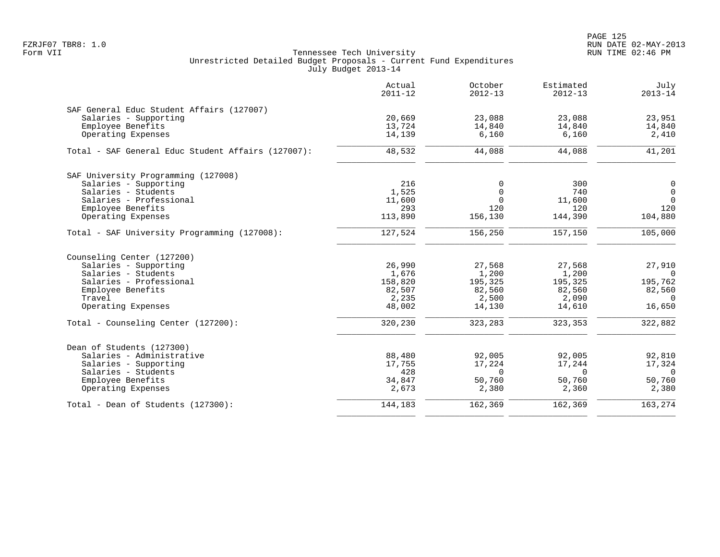PAGE 125 FZRJF07 TBR8: 1.0 RUN DATE 02-MAY-2013

|                                                    | Actual<br>$2011 - 12$ | October<br>$2012 - 13$ | Estimated<br>$2012 - 13$ | July<br>$2013 - 14$ |
|----------------------------------------------------|-----------------------|------------------------|--------------------------|---------------------|
| SAF General Educ Student Affairs (127007)          |                       |                        |                          |                     |
| Salaries - Supporting                              | 20,669                | 23,088                 | 23,088                   | 23,951              |
| Employee Benefits                                  | 13,724                | 14,840                 | 14,840                   | 14,840              |
| Operating Expenses                                 | 14,139                | 6,160                  | 6,160                    | 2,410               |
| Total - SAF General Educ Student Affairs (127007): | 48,532                | 44,088                 | 44,088                   | 41,201              |
| SAF University Programming (127008)                |                       |                        |                          |                     |
| Salaries - Supporting                              | 216                   | 0                      | 300                      | 0                   |
| Salaries - Students                                | 1,525                 | $\Omega$               | 740                      | $\Omega$            |
| Salaries - Professional                            | 11,600                | $\Omega$               | 11,600                   | $\Omega$            |
| Employee Benefits                                  | 293                   | 120                    | 120                      | 120                 |
| Operating Expenses                                 | 113,890               | 156,130                | 144,390                  | 104,880             |
| Total - SAF University Programming (127008):       | 127,524               | 156,250                | 157,150                  | 105,000             |
| Counseling Center (127200)                         |                       |                        |                          |                     |
| Salaries - Supporting                              | 26,990                | 27,568                 | 27,568                   | 27,910              |
| Salaries - Students                                | 1,676                 | 1,200                  | 1,200                    | $\Omega$            |
| Salaries - Professional                            | 158,820               | 195,325                | 195,325                  | 195,762             |
| Employee Benefits                                  | 82,507                | 82,560                 | 82,560                   | 82,560              |
| Travel                                             | 2,235                 | 2,500                  | 2,090                    | $\Omega$            |
| Operating Expenses                                 | 48,002                | 14,130                 | 14,610                   | 16,650              |
| Total - Counseling Center (127200):                | 320,230               | 323,283                | 323,353                  | 322,882             |
| Dean of Students (127300)                          |                       |                        |                          |                     |
| Salaries - Administrative                          | 88,480                | 92,005                 | 92,005                   | 92,810              |
| Salaries - Supporting                              | 17,755                | 17,224                 | 17,244                   | 17,324              |
| Salaries - Students                                | 428                   | $\Omega$               | $\Omega$                 | $\Omega$            |
| Employee Benefits                                  | 34,847                | 50,760                 | 50,760                   | 50,760              |
| Operating Expenses                                 | 2,673                 | 2,380                  | 2,360                    | 2,380               |
| Total - Dean of Students (127300):                 | 144,183               | 162,369                | 162,369                  | 163,274             |
|                                                    |                       |                        |                          |                     |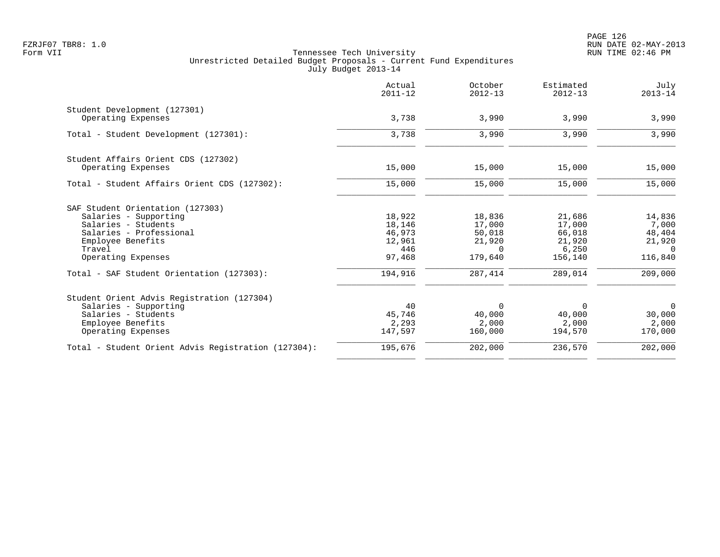PAGE 126 FZRJF07 TBR8: 1.0 RUN DATE 02-MAY-2013

|                                                     | Actual<br>$2011 - 12$ | October<br>$2012 - 13$ | Estimated<br>$2012 - 13$ | July<br>$2013 - 14$ |
|-----------------------------------------------------|-----------------------|------------------------|--------------------------|---------------------|
| Student Development (127301)<br>Operating Expenses  | 3,738                 | 3,990                  | 3,990                    | 3,990               |
|                                                     |                       |                        |                          |                     |
| Total - Student Development (127301):               | 3,738                 | 3,990                  | 3,990                    | 3,990               |
| Student Affairs Orient CDS (127302)                 |                       |                        |                          |                     |
| Operating Expenses                                  | 15,000                | 15,000                 | 15,000                   | 15,000              |
| Total - Student Affairs Orient CDS (127302):        | 15,000                | 15,000                 | 15,000                   | 15,000              |
| SAF Student Orientation (127303)                    |                       |                        |                          |                     |
| Salaries - Supporting                               | 18,922                | 18,836                 | 21,686                   | 14,836              |
| Salaries - Students                                 | 18,146                | 17,000                 | 17,000                   | 7,000               |
| Salaries - Professional                             | 46,973                | 50,018                 | 66,018                   | 48,404              |
| Employee Benefits                                   | 12,961                | 21,920                 | 21,920                   | 21,920              |
| Travel<br>Operating Expenses                        | 446<br>97,468         | $\Omega$<br>179,640    | 6,250<br>156,140         | $\Omega$<br>116,840 |
|                                                     |                       |                        |                          |                     |
| Total - SAF Student Orientation (127303):           | 194,916               | 287,414                | 289,014                  | 209,000             |
| Student Orient Advis Registration (127304)          |                       |                        |                          |                     |
| Salaries - Supporting                               | 40                    | $\Omega$               | $\Omega$                 | $\overline{0}$      |
| Salaries - Students                                 | 45,746                | 40,000                 | 40,000                   | 30,000              |
| Employee Benefits                                   | 2,293                 | 2,000                  | 2,000                    | 2,000               |
| Operating Expenses                                  | 147,597               | 160,000                | 194,570                  | 170,000             |
| Total - Student Orient Advis Registration (127304): | 195,676               | 202,000                | 236,570                  | 202,000             |
|                                                     |                       |                        |                          |                     |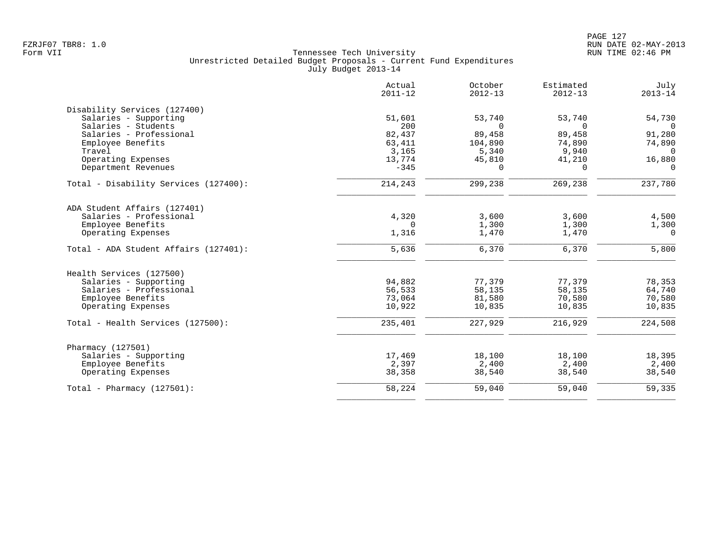|                                       | Actual<br>$2011 - 12$ | October<br>$2012 - 13$ | Estimated<br>$2012 - 13$ | July<br>$2013 - 14$ |
|---------------------------------------|-----------------------|------------------------|--------------------------|---------------------|
| Disability Services (127400)          |                       |                        |                          |                     |
| Salaries - Supporting                 | 51,601                | 53,740                 | 53,740                   | 54,730              |
| Salaries - Students                   | 200                   | $\Omega$               | $\Omega$                 | $\Omega$            |
| Salaries - Professional               | 82,437<br>63,411      | 89,458                 | 89,458                   | 91,280<br>74,890    |
| Employee Benefits<br>Travel           | 3,165                 | 104,890<br>5,340       | 74,890<br>9,940          | $\Omega$            |
| Operating Expenses                    | 13,774                | 45,810                 | 41,210                   | 16,880              |
| Department Revenues                   | $-345$                | $\Omega$               | $\Omega$                 | $\Omega$            |
| Total - Disability Services (127400): | 214,243               | 299, 238               | 269,238                  | 237,780             |
| ADA Student Affairs (127401)          |                       |                        |                          |                     |
| Salaries - Professional               | 4,320                 | 3,600                  | 3,600                    | 4,500               |
| Employee Benefits                     | 0                     | 1,300                  | 1,300                    | 1,300               |
| Operating Expenses                    | 1,316                 | 1,470                  | 1,470                    | $\overline{0}$      |
| Total - ADA Student Affairs (127401): | 5,636                 | 6,370                  | 6,370                    | 5,800               |
| Health Services (127500)              |                       |                        |                          |                     |
| Salaries - Supporting                 | 94,882                | 77,379                 | 77,379                   | 78,353              |
| Salaries - Professional               | 56,533                | 58,135                 | 58,135                   | 64,740              |
| Employee Benefits                     | 73,064                | 81,580                 | 70,580                   | 70,580              |
| Operating Expenses                    | 10,922                | 10,835                 | 10,835                   | 10,835              |
| Total - Health Services (127500):     | 235,401               | 227,929                | 216,929                  | 224,508             |
| Pharmacy (127501)                     |                       |                        |                          |                     |
| Salaries - Supporting                 | 17,469                | 18,100                 | 18,100                   | 18,395              |
| Employee Benefits                     | 2,397                 | 2,400                  | 2,400                    | 2,400               |
| Operating Expenses                    | 38,358                | 38,540                 | 38,540                   | 38,540              |
| Total - Pharmacy $(127501)$ :         | 58,224                | 59,040                 | 59,040                   | 59,335              |
|                                       |                       |                        |                          |                     |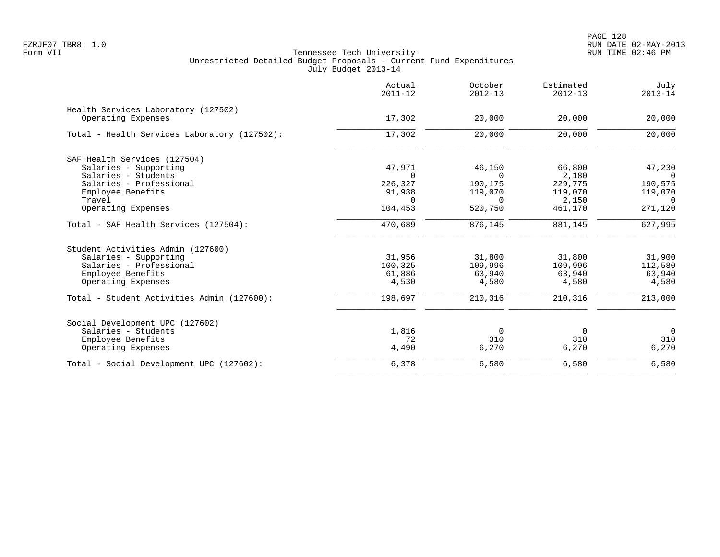|                                                           | Actual<br>$2011 - 12$ | October<br>$2012 - 13$ | Estimated<br>$2012 - 13$ | July<br>$2013 - 14$ |
|-----------------------------------------------------------|-----------------------|------------------------|--------------------------|---------------------|
| Health Services Laboratory (127502)<br>Operating Expenses | 17,302                | 20,000                 | 20,000                   | 20,000              |
| Total - Health Services Laboratory (127502):              | 17,302                | 20,000                 | 20,000                   | 20,000              |
| SAF Health Services (127504)                              |                       |                        |                          |                     |
| Salaries - Supporting                                     | 47,971                | 46,150                 | 66,800                   | 47,230              |
| Salaries - Students                                       | $\Omega$              | $\Omega$               | 2,180                    | $\overline{0}$      |
| Salaries - Professional                                   | 226,327               | 190,175                | 229,775                  | 190,575             |
| Employee Benefits                                         | 91,938                | 119,070                | 119,070                  | 119,070             |
| Travel                                                    | $\Omega$              | $\Omega$               | 2,150                    | $\overline{0}$      |
| Operating Expenses                                        | 104,453               | 520,750                | 461,170                  | 271,120             |
| Total - SAF Health Services (127504):                     | 470,689               | 876,145                | 881,145                  | 627,995             |
| Student Activities Admin (127600)                         |                       |                        |                          |                     |
| Salaries - Supporting                                     | 31,956                | 31,800                 | 31,800                   | 31,900              |
| Salaries - Professional                                   | 100,325               | 109,996                | 109,996                  | 112,580             |
| Employee Benefits                                         | 61,886                | 63,940                 | 63,940                   | 63,940              |
| Operating Expenses                                        | 4,530                 | 4,580                  | 4,580                    | 4,580               |
| Total - Student Activities Admin (127600):                | 198,697               | 210,316                | 210,316                  | 213,000             |
| Social Development UPC (127602)                           |                       |                        |                          |                     |
| Salaries - Students                                       | 1,816                 | 0                      | $\overline{0}$           | $\overline{0}$      |
| Employee Benefits                                         | 72                    | 310                    | 310                      | 310                 |
| Operating Expenses                                        | 4,490                 | 6,270                  | 6,270                    | 6,270               |
| Total - Social Development UPC (127602):                  | 6,378                 | 6,580                  | 6,580                    | 6,580               |
|                                                           |                       |                        |                          |                     |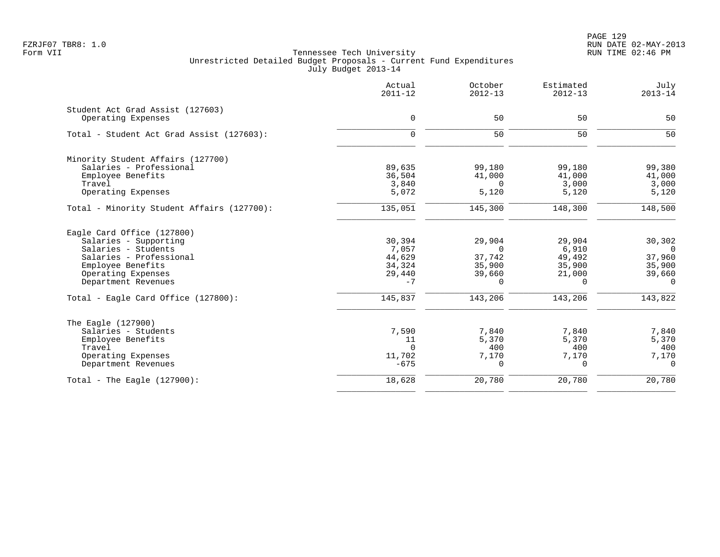PAGE 129 FZRJF07 TBR8: 1.0 RUN DATE 02-MAY-2013

|                                            | Actual<br>$2011 - 12$ | October<br>$2012 - 13$ | Estimated<br>$2012 - 13$ | July<br>$2013 - 14$ |
|--------------------------------------------|-----------------------|------------------------|--------------------------|---------------------|
| Student Act Grad Assist (127603)           |                       |                        |                          |                     |
| Operating Expenses                         | 0                     | 50                     | 50                       | 50                  |
| Total - Student Act Grad Assist (127603):  | $\Omega$              | 50                     | 50                       | 50                  |
| Minority Student Affairs (127700)          |                       |                        |                          |                     |
| Salaries - Professional                    | 89,635                | 99,180                 | 99,180                   | 99,380              |
| Employee Benefits                          | 36,504                | 41,000                 | 41,000                   | 41,000              |
| Travel                                     | 3,840                 | $\Omega$               | 3,000                    | 3,000               |
| Operating Expenses                         | 5,072                 | 5,120                  | 5,120                    | 5,120               |
| Total - Minority Student Affairs (127700): | 135,051               | 145,300                | 148,300                  | 148,500             |
| Eagle Card Office (127800)                 |                       |                        |                          |                     |
| Salaries - Supporting                      | 30,394                | 29,904                 | 29,904                   | 30,302              |
| Salaries - Students                        | 7,057                 | $\Omega$               | 6,910                    | $\Omega$            |
| Salaries - Professional                    | 44,629                | 37,742                 | 49,492                   | 37,960              |
| Employee Benefits                          | 34,324                | 35,900                 | 35,900                   | 35,900              |
| Operating Expenses                         | 29,440                | 39,660                 | 21,000                   | 39,660              |
| Department Revenues                        | $-7$                  | $\Omega$               | $\Omega$                 | $\Omega$            |
| Total - Eagle Card Office (127800):        | 145,837               | 143,206                | 143,206                  | 143,822             |
| The Eagle (127900)                         |                       |                        |                          |                     |
| Salaries - Students                        | 7,590                 | 7,840                  | 7,840                    | 7,840               |
| Employee Benefits                          | 11                    | 5,370                  | 5,370                    | 5,370               |
| Travel                                     | $\Omega$              | 400                    | 400                      | 400                 |
| Operating Expenses                         | 11,702                | 7,170                  | 7,170                    | 7,170               |
| Department Revenues                        | $-675$                | $\Omega$               | $\Omega$                 | $\Omega$            |
| Total - The Eagle $(127900)$ :             | 18,628                | 20,780                 | 20,780                   | 20,780              |
|                                            |                       |                        |                          |                     |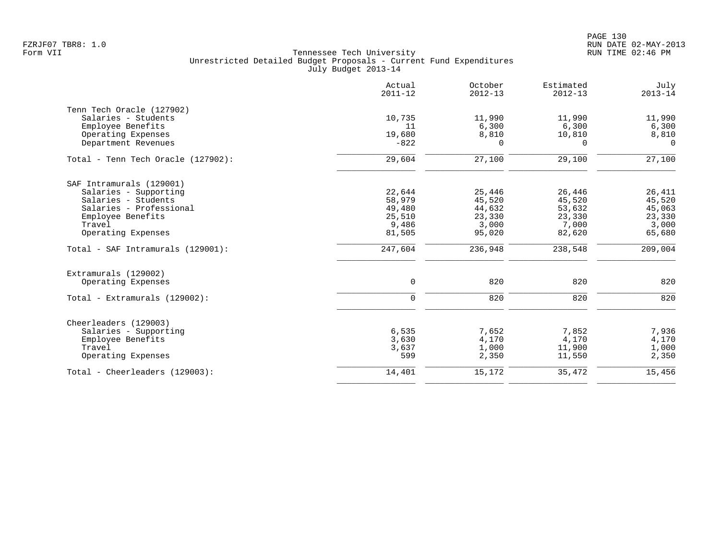|                                    | Actual<br>$2011 - 12$ | October<br>$2012 - 13$ | Estimated<br>$2012 - 13$ | July<br>$2013 - 14$ |
|------------------------------------|-----------------------|------------------------|--------------------------|---------------------|
| Tenn Tech Oracle (127902)          |                       |                        |                          |                     |
| Salaries - Students                | 10,735                | 11,990                 | 11,990                   | 11,990              |
| Employee Benefits                  | 11                    | 6,300                  | 6,300                    | 6,300               |
| Operating Expenses                 | 19,680                | 8,810                  | 10,810                   | 8,810               |
| Department Revenues                | $-822$                | $\Omega$               | $\Omega$                 | $\overline{0}$      |
| Total - Tenn Tech Oracle (127902): | 29,604                | 27,100                 | 29,100                   | 27,100              |
| SAF Intramurals (129001)           |                       |                        |                          |                     |
| Salaries - Supporting              | 22,644                | 25,446                 | 26,446                   | 26,411              |
| Salaries - Students                | 58,979                | 45,520                 | 45,520                   | 45,520              |
| Salaries - Professional            | 49,480                | 44,632                 | 53,632                   | 45,063              |
| Employee Benefits                  | 25,510                | 23,330                 | 23,330                   | 23,330              |
| Travel                             | 9,486                 | 3,000                  | 7,000                    | 3,000               |
| Operating Expenses                 | 81,505                | 95,020                 | 82,620                   | 65,680              |
| Total - SAF Intramurals (129001):  | 247,604               | 236,948                | 238,548                  | 209,004             |
| Extramurals (129002)               |                       |                        |                          |                     |
| Operating Expenses                 | $\mathbf 0$           | 820                    | 820                      | 820                 |
| Total - Extramurals (129002):      | $\mathbf 0$           | 820                    | 820                      | 820                 |
| Cheerleaders (129003)              |                       |                        |                          |                     |
| Salaries - Supporting              | 6,535                 | 7,652                  | 7,852                    | 7,936               |
| Employee Benefits                  | 3,630                 | 4,170                  | 4,170                    | 4,170               |
| Travel                             | 3,637                 | 1,000                  | 11,900                   | 1,000               |
| Operating Expenses                 | 599                   | 2,350                  | 11,550                   | 2,350               |
| Total - Cheerleaders (129003):     | 14,401                | 15,172                 | 35,472                   | 15,456              |
|                                    |                       |                        |                          |                     |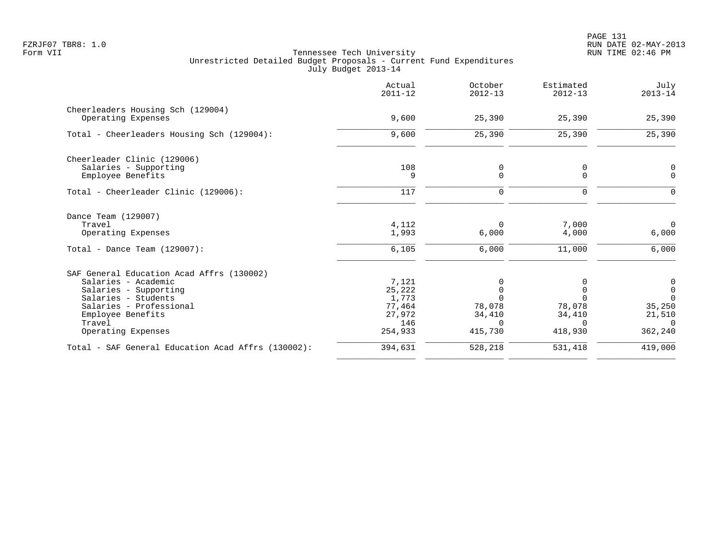|                                                         | Actual<br>$2011 - 12$ | October<br>$2012 - 13$ | Estimated<br>$2012 - 13$ | July<br>$2013 - 14$     |
|---------------------------------------------------------|-----------------------|------------------------|--------------------------|-------------------------|
| Cheerleaders Housing Sch (129004)<br>Operating Expenses | 9,600                 | 25,390                 | 25,390                   | 25,390                  |
| Total - Cheerleaders Housing Sch (129004):              | 9,600                 | 25,390                 | 25,390                   | 25,390                  |
|                                                         |                       |                        |                          |                         |
| Cheerleader Clinic (129006)<br>Salaries - Supporting    | 108                   | 0                      | 0                        | 0                       |
| Employee Benefits                                       | 9                     | 0                      | $\mathbf 0$              | $\mathbf 0$             |
| Total - Cheerleader Clinic (129006):                    | 117                   | 0                      | $\mathbf 0$              | $\Omega$                |
| Dance Team (129007)                                     |                       |                        |                          |                         |
| Travel<br>Operating Expenses                            | 4,112<br>1,993        | $\Omega$<br>6,000      | 7,000<br>4,000           | $\Omega$<br>6,000       |
| Total - Dance Team $(129007)$ :                         | 6,105                 | 6,000                  | 11,000                   | 6,000                   |
| SAF General Education Acad Affrs (130002)               |                       |                        |                          |                         |
| Salaries - Academic                                     | 7,121                 |                        |                          | 0                       |
| Salaries - Supporting                                   | 25,222                | <sup>n</sup>           | U                        | $\mathbf 0$<br>$\Omega$ |
| Salaries - Students<br>Salaries - Professional          | 1,773<br>77,464       | 78,078                 | 78,078                   | 35,250                  |
| Employee Benefits                                       | 27,972                | 34,410                 | 34,410                   | 21,510                  |
| Travel                                                  | 146                   | $\Omega$               | $\Omega$                 | $\Omega$                |
| Operating Expenses                                      | 254,933               | 415,730                | 418,930                  | 362,240                 |
| Total - SAF General Education Acad Affrs (130002):      | 394,631               | 528,218                | 531,418                  | 419,000                 |
|                                                         |                       |                        |                          |                         |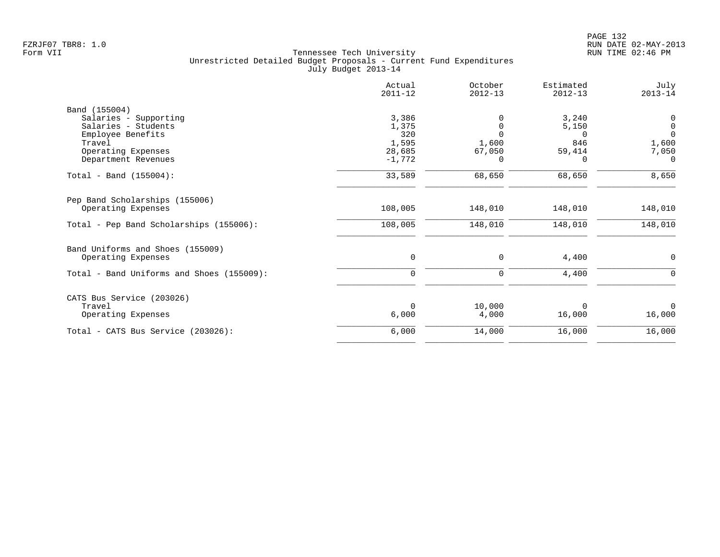|                                           | Actual<br>$2011 - 12$ | October<br>$2012 - 13$ | Estimated<br>$2012 - 13$ | July<br>$2013 - 14$ |
|-------------------------------------------|-----------------------|------------------------|--------------------------|---------------------|
| Band (155004)                             |                       |                        |                          |                     |
| Salaries - Supporting                     | 3,386                 |                        | 3,240                    | 0                   |
| Salaries - Students                       | 1,375                 |                        | 5,150                    | $\mathbf 0$         |
| Employee Benefits                         | 320                   |                        | $\Omega$                 | $\Omega$            |
| Travel                                    | 1,595                 | 1,600                  | 846                      | 1,600               |
| Operating Expenses                        | 28,685                | 67,050                 | 59,414                   | 7,050               |
| Department Revenues                       | $-1,772$              | $\Omega$               | $\Omega$                 | $\Omega$            |
| Total - Band $(155004)$ :                 | 33,589                | 68,650                 | 68,650                   | 8,650               |
| Pep Band Scholarships (155006)            |                       |                        |                          |                     |
| Operating Expenses                        | 108,005               | 148,010                | 148,010                  | 148,010             |
| Total - Pep Band Scholarships (155006):   | 108,005               | 148,010                | 148,010                  | 148,010             |
| Band Uniforms and Shoes (155009)          |                       |                        |                          |                     |
| Operating Expenses                        | 0                     | $\Omega$               | 4,400                    | $\Omega$            |
| Total - Band Uniforms and Shoes (155009): | $\Omega$              | 0                      | 4,400                    |                     |
| CATS Bus Service (203026)                 |                       |                        |                          |                     |
| Travel                                    | $\Omega$              | 10,000                 | $\Omega$                 | $\Omega$            |
| Operating Expenses                        | 6,000                 | 4,000                  | 16,000                   | 16,000              |
| Total - CATS Bus Service (203026):        | 6,000                 | 14,000                 | 16,000                   | 16,000              |
|                                           |                       |                        |                          |                     |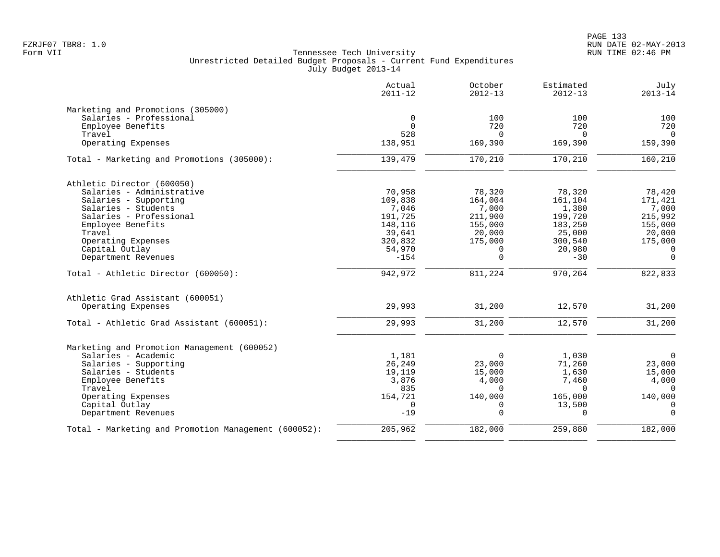|                                                      | Actual<br>$2011 - 12$ | October<br>$2012 - 13$ | Estimated<br>$2012 - 13$ | July<br>$2013 - 14$ |
|------------------------------------------------------|-----------------------|------------------------|--------------------------|---------------------|
| Marketing and Promotions (305000)                    |                       |                        |                          |                     |
| Salaries - Professional                              | 0                     | 100                    | 100                      | 100                 |
| Employee Benefits                                    | $\Omega$              | 720                    | 720                      | 720                 |
| Travel                                               | 528                   | $\Omega$               | $\Omega$                 | $\Omega$            |
| Operating Expenses                                   | 138,951               | 169,390                | 169,390                  | 159,390             |
| Total - Marketing and Promotions (305000):           | 139,479               | 170,210                | 170,210                  | 160,210             |
| Athletic Director (600050)                           |                       |                        |                          |                     |
| Salaries - Administrative                            | 70,958                | 78,320                 | 78,320                   | 78,420              |
| Salaries - Supporting                                | 109,838               | 164,004                | 161,104                  | 171,421             |
| Salaries - Students                                  | 7,046                 | 7,000                  | 1,380                    | 7,000               |
| Salaries - Professional                              | 191,725               | 211,900                | 199,720                  | 215,992             |
| Employee Benefits                                    | 148,116               | 155,000                | 183,250                  | 155,000             |
| Travel                                               | 39,641                | 20,000                 | 25,000                   | 20,000              |
| Operating Expenses                                   | 320,832               | 175,000                | 300,540                  | 175,000             |
| Capital Outlay                                       | 54,970                | $\Omega$               | 20,980                   | 0                   |
| Department Revenues                                  | $-154$                | $\Omega$               | $-30$                    | $\Omega$            |
| Total - Athletic Director (600050):                  | 942,972               | 811,224                | 970,264                  | 822,833             |
| Athletic Grad Assistant (600051)                     |                       |                        |                          |                     |
| Operating Expenses                                   | 29,993                | 31,200                 | 12,570                   | 31,200              |
| Total - Athletic Grad Assistant (600051):            | 29,993                | 31,200                 | 12,570                   | 31,200              |
| Marketing and Promotion Management (600052)          |                       |                        |                          |                     |
| Salaries - Academic                                  | 1,181                 | $\Omega$               | 1,030                    | $\Omega$            |
| Salaries - Supporting                                | 26,249                | 23,000                 | 71,260                   | 23,000              |
| Salaries - Students                                  | 19,119                | 15,000                 | 1,630                    | 15,000              |
| Employee Benefits                                    | 3,876                 | 4,000                  | 7,460                    | 4,000               |
| Travel                                               | 835                   | $\overline{0}$         | $\Omega$                 | $\mathbf 0$         |
| Operating Expenses                                   | 154,721               | 140,000                | 165,000                  | 140,000             |
| Capital Outlay                                       | $\Omega$              | 0                      | 13,500                   | 0                   |
| Department Revenues                                  | $-19$                 | $\overline{0}$         | $\Omega$                 | $\Omega$            |
| Total - Marketing and Promotion Management (600052): | 205,962               | 182,000                | 259,880                  | 182,000             |
|                                                      |                       |                        |                          |                     |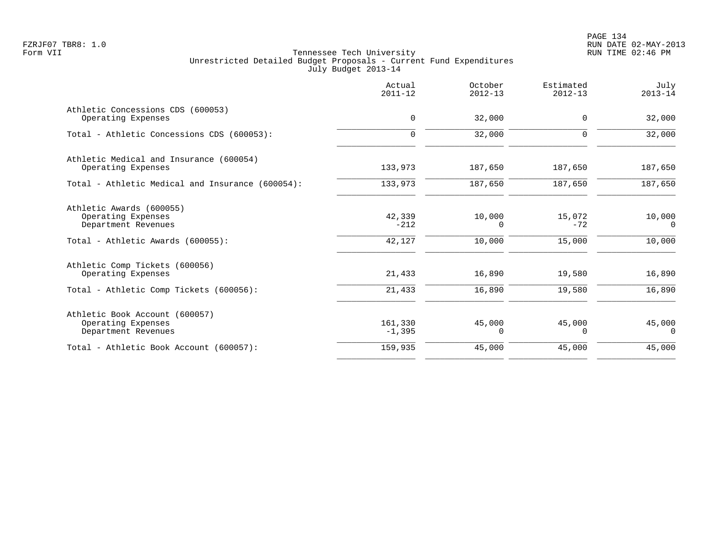PAGE 134 FZRJF07 TBR8: 1.0 RUN DATE 02-MAY-2013

|                                                                                                            | Actual<br>$2011 - 12$      | October<br>$2012 - 13$       | Estimated<br>$2012 - 13$  | July<br>$2013 - 14$          |
|------------------------------------------------------------------------------------------------------------|----------------------------|------------------------------|---------------------------|------------------------------|
| Athletic Concessions CDS (600053)<br>Operating Expenses                                                    | 0                          | 32,000                       | 0                         | 32,000                       |
| Total - Athletic Concessions CDS (600053):                                                                 | $\mathbf 0$                | 32,000                       | 0                         | 32,000                       |
| Athletic Medical and Insurance (600054)<br>Operating Expenses                                              | 133,973                    | 187,650                      | 187,650                   | 187,650                      |
| Total - Athletic Medical and Insurance (600054):                                                           | 133,973                    | 187,650                      | 187,650                   | 187,650                      |
| Athletic Awards (600055)<br>Operating Expenses<br>Department Revenues<br>Total - Athletic Awards (600055): | 42,339<br>$-212$<br>42,127 | 10,000<br>$\Omega$<br>10,000 | 15,072<br>$-72$<br>15,000 | 10,000<br>$\Omega$<br>10,000 |
| Athletic Comp Tickets (600056)<br>Operating Expenses                                                       | 21,433                     | 16,890                       | 19,580                    | 16,890                       |
| Total - Athletic Comp Tickets (600056):                                                                    | 21,433                     | 16,890                       | 19,580                    | 16,890                       |
| Athletic Book Account (600057)<br>Operating Expenses<br>Department Revenues                                | 161,330<br>$-1,395$        | 45,000<br>0                  | 45,000<br>0               | 45,000<br>$\Omega$           |
| Total - Athletic Book Account (600057):                                                                    | 159,935                    | 45,000                       | 45,000                    | 45,000                       |
|                                                                                                            |                            |                              |                           |                              |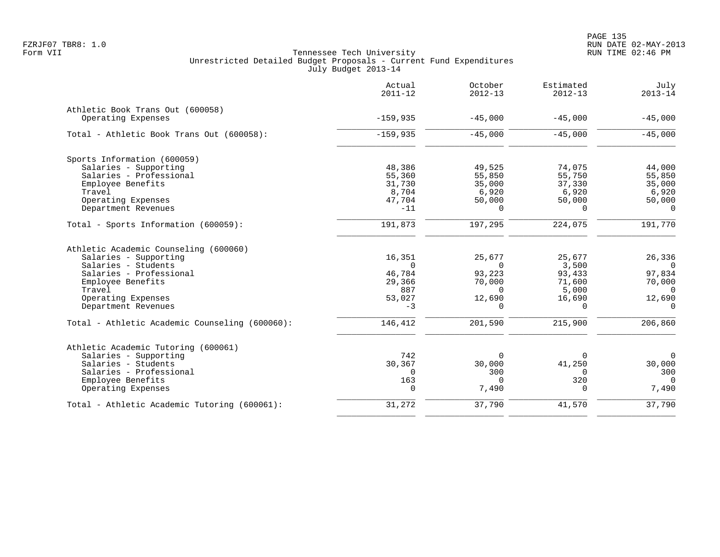|                                                | Actual<br>$2011 - 12$ | October<br>$2012 - 13$ | Estimated<br>$2012 - 13$ | July<br>$2013 - 14$  |
|------------------------------------------------|-----------------------|------------------------|--------------------------|----------------------|
| Athletic Book Trans Out (600058)               |                       |                        |                          |                      |
| Operating Expenses                             | $-159,935$            | $-45,000$              | $-45,000$                | $-45,000$            |
| Total - Athletic Book Trans Out (600058):      | $-159,935$            | $-45,000$              | $-45,000$                | $-45,000$            |
| Sports Information (600059)                    |                       |                        |                          |                      |
| Salaries - Supporting                          | 48,386                | 49,525                 | 74,075                   | 44,000               |
| Salaries - Professional                        | 55,360                | 55,850                 | 55,750                   | 55,850               |
| Employee Benefits                              | 31,730                | 35,000                 | 37,330                   | 35,000               |
| Travel                                         | 8,704                 | 6,920                  | 6,920                    | 6,920                |
| Operating Expenses<br>Department Revenues      | 47,704<br>$-11$       | 50,000<br>$\Omega$     | 50,000<br>$\Omega$       | 50,000<br>$\bigcirc$ |
|                                                |                       |                        |                          |                      |
| Total - Sports Information (600059):           | 191,873               | 197,295                | 224,075                  | 191,770              |
| Athletic Academic Counseling (600060)          |                       |                        |                          |                      |
| Salaries - Supporting                          | 16,351                | 25,677                 | 25,677                   | 26,336               |
| Salaries - Students                            | $\Omega$              | $\Omega$               | 3,500                    |                      |
| Salaries - Professional                        | 46,784                | 93,223                 | 93,433                   | 97,834               |
| Employee Benefits                              | 29,366                | 70,000                 | 71,600                   | 70,000               |
| Travel                                         | 887                   | $\Omega$               | 5,000                    | $\bigcap$            |
| Operating Expenses<br>Department Revenues      | 53,027<br>$-3$        | 12,690<br>$\Omega$     | 16,690<br>$\Omega$       | 12,690<br>$\Omega$   |
| Total - Athletic Academic Counseling (600060): | 146,412               | 201,590                | 215,900                  | 206,860              |
| Athletic Academic Tutoring (600061)            |                       |                        |                          |                      |
| Salaries - Supporting                          | 742                   | $\Omega$               |                          | $\Omega$             |
| Salaries - Students                            | 30,367                | 30,000                 | 41,250                   | 30,000               |
| Salaries - Professional                        | $\Omega$              | 300                    | 0                        | 300                  |
| Employee Benefits                              | 163                   | $\Omega$               | 320                      | $\overline{0}$       |
| Operating Expenses                             | $\Omega$              | 7,490                  | $\Omega$                 | 7,490                |
| Total - Athletic Academic Tutoring (600061):   | 31,272                | 37,790                 | 41,570                   | 37,790               |
|                                                |                       |                        |                          |                      |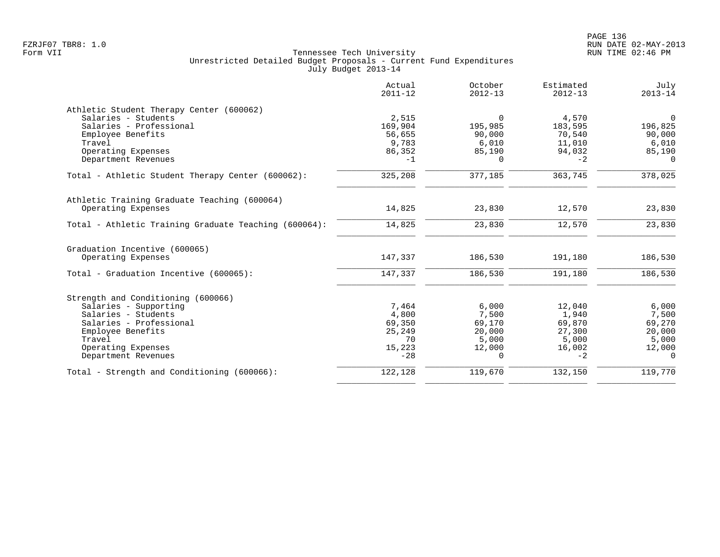|                                                       | Actual<br>$2011 - 12$ | October<br>$2012 - 13$ | Estimated<br>$2012 - 13$ | July<br>$2013 - 14$ |
|-------------------------------------------------------|-----------------------|------------------------|--------------------------|---------------------|
| Athletic Student Therapy Center (600062)              |                       |                        |                          |                     |
| Salaries - Students                                   | 2,515                 | $\Omega$               | 4,570                    | $\overline{0}$      |
| Salaries - Professional                               | 169,904               | 195,985                | 183,595                  | 196,825             |
| Employee Benefits                                     | 56,655                | 90,000                 | 70,540                   | 90,000              |
| Travel                                                | 9,783                 | 6,010                  | 11,010                   | 6,010               |
| Operating Expenses                                    | 86,352                | 85,190                 | 94,032                   | 85,190              |
| Department Revenues                                   | $-1$                  | $\Omega$               | $-2$                     | $\Omega$            |
| Total - Athletic Student Therapy Center (600062):     | 325,208               | 377,185                | 363,745                  | 378,025             |
| Athletic Training Graduate Teaching (600064)          |                       |                        |                          |                     |
| Operating Expenses                                    | 14,825                | 23,830                 | 12,570                   | 23,830              |
| Total - Athletic Training Graduate Teaching (600064): | 14,825                | 23,830                 | 12,570                   | 23,830              |
| Graduation Incentive (600065)                         |                       |                        |                          |                     |
| Operating Expenses                                    | 147,337               | 186,530                | 191,180                  | 186,530             |
| Total - Graduation Incentive (600065):                | 147,337               | 186,530                | 191,180                  | 186,530             |
| Strength and Conditioning (600066)                    |                       |                        |                          |                     |
| Salaries - Supporting                                 | 7,464                 | 6,000                  | 12,040                   | 6,000               |
| Salaries - Students                                   | 4,800                 | 7,500                  | 1,940                    | 7,500               |
| Salaries - Professional                               | 69,350                | 69,170                 | 69,870                   | 69,270              |
| Employee Benefits                                     | 25,249                | 20,000                 | 27,300                   | 20,000              |
| Travel                                                | 70                    | 5,000                  | 5,000                    | 5,000               |
| Operating Expenses<br>Department Revenues             | 15,223<br>$-28$       | 12,000<br>0            | 16,002<br>$-2$           | 12,000<br>0         |
|                                                       |                       |                        |                          |                     |
| Total - Strength and Conditioning (600066):           | 122,128               | 119,670                | 132,150                  | 119,770             |
|                                                       |                       |                        |                          |                     |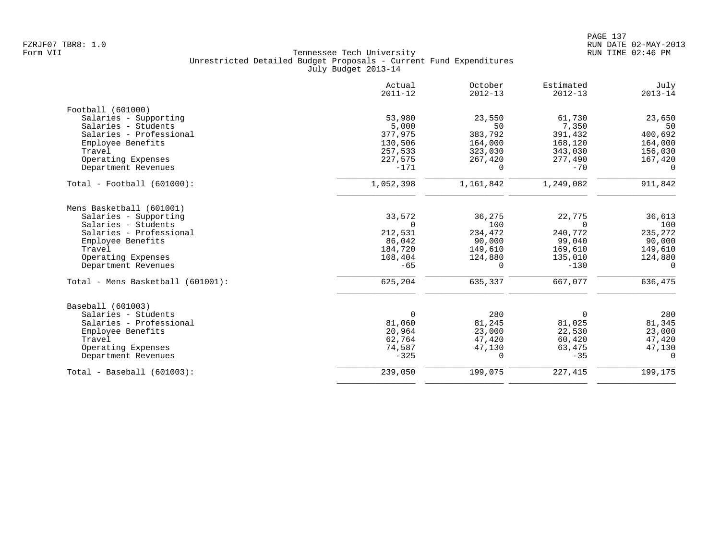|                                   | Actual<br>$2011 - 12$ | October<br>$2012 - 13$ | Estimated<br>$2012 - 13$ | July<br>$2013 - 14$ |
|-----------------------------------|-----------------------|------------------------|--------------------------|---------------------|
| Football (601000)                 |                       |                        |                          |                     |
| Salaries - Supporting             | 53,980                | 23,550                 | 61,730                   | 23,650              |
| Salaries - Students               | 5,000                 | 50                     | 7,350                    | 50                  |
| Salaries - Professional           | 377,975               | 383,792                | 391,432                  | 400,692             |
| Employee Benefits                 | 130,506               | 164,000                | 168,120                  | 164,000             |
| Travel                            | 257,533               | 323,030                | 343,030                  | 156,030             |
| Operating Expenses                | 227,575               | 267,420                | 277,490                  | 167,420             |
| Department Revenues               | $-171$                | $\Omega$               | $-70$                    | $\Omega$            |
| $Total - Football (601000):$      | 1,052,398             | 1,161,842              | 1,249,082                | 911,842             |
| Mens Basketball (601001)          |                       |                        |                          |                     |
| Salaries - Supporting             | 33,572                | 36,275                 | 22,775                   | 36,613              |
| Salaries - Students               | $\Omega$              | 100                    | $\Omega$                 | 100                 |
| Salaries - Professional           | 212,531               | 234,472                | 240,772                  | 235,272             |
| Employee Benefits                 | 86,042                | 90,000                 | 99,040                   | 90,000              |
| Travel                            | 184,720               | 149,610                | 169,610                  | 149,610             |
| Operating Expenses                | 108,404               | 124,880                | 135,010                  | 124,880             |
| Department Revenues               | $-65$                 | $\Omega$               | $-130$                   | $\Omega$            |
| Total - Mens Basketball (601001): | 625,204               | 635,337                | 667,077                  | 636,475             |
| Baseball (601003)                 |                       |                        |                          |                     |
| Salaries - Students               | $\Omega$              | 280                    | $\Omega$                 | 280                 |
| Salaries - Professional           | 81,060                | 81,245                 | 81,025                   | 81,345              |
| Employee Benefits                 | 20,964                | 23,000                 | 22,530                   | 23,000              |
| Travel                            | 62,764                | 47,420                 | 60,420                   | 47,420              |
| Operating Expenses                | 74,587                | 47,130                 | 63,475                   | 47,130              |
| Department Revenues               | $-325$                | 0                      | $-35$                    | $\overline{0}$      |
| $Total - Baseball (601003):$      | 239,050               | 199,075                | 227,415                  | 199,175             |
|                                   |                       |                        |                          |                     |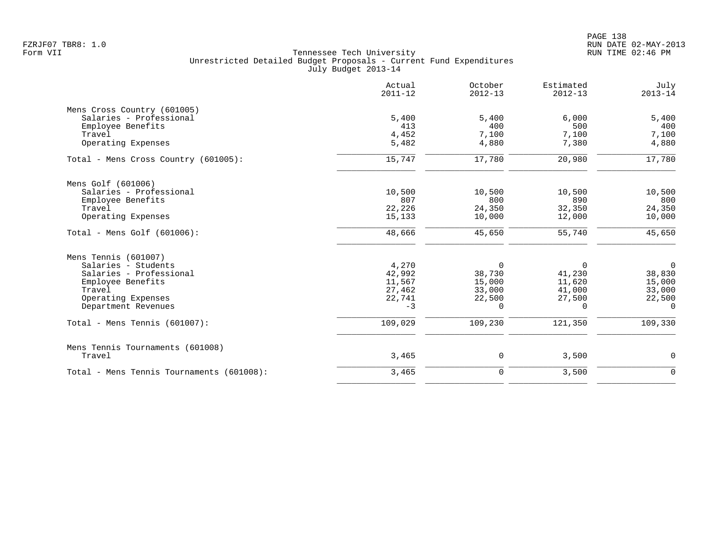|                                           | Actual<br>$2011 - 12$ | October<br>$2012 - 13$ | Estimated<br>$2012 - 13$ | July<br>$2013 - 14$ |
|-------------------------------------------|-----------------------|------------------------|--------------------------|---------------------|
| Mens Cross Country (601005)               |                       |                        |                          |                     |
| Salaries - Professional                   | 5,400                 | 5,400                  | 6,000                    | 5,400               |
| Employee Benefits                         | 413                   | 400                    | 500                      | 400                 |
| Travel                                    | 4,452                 | 7,100                  | 7,100                    | 7,100               |
| Operating Expenses                        | 5,482                 | 4,880                  | 7,380                    | 4,880               |
| Total - Mens Cross Country (601005):      | 15,747                | 17,780                 | 20,980                   | 17,780              |
| Mens Golf (601006)                        |                       |                        |                          |                     |
| Salaries - Professional                   | 10,500                | 10,500                 | 10,500                   | 10,500              |
| Employee Benefits                         | 807                   | 800                    | 890                      | 800                 |
| Travel                                    | 22,226                | 24,350                 | 32,350                   | 24,350              |
| Operating Expenses                        | 15,133                | 10,000                 | 12,000                   | 10,000              |
| Total - Mens Golf $(601006)$ :            | 48,666                | 45,650                 | 55,740                   | 45,650              |
| Mens Tennis (601007)                      |                       |                        |                          |                     |
| Salaries - Students                       | 4,270                 | $\mathbf 0$            | 0                        | $\mathbf 0$         |
| Salaries - Professional                   | 42,992                | 38,730                 | 41,230                   | 38,830              |
| Employee Benefits                         | 11,567                | 15,000                 | 11,620                   | 15,000              |
| Travel                                    | 27,462                | 33,000                 | 41,000                   | 33,000              |
| Operating Expenses                        | 22,741                | 22,500                 | 27,500                   | 22,500              |
| Department Revenues                       | $-3$                  | 0                      | 0                        | $\mathbf 0$         |
| Total - Mens Tennis (601007):             | 109,029               | 109,230                | 121,350                  | 109,330             |
| Mens Tennis Tournaments (601008)          |                       |                        |                          |                     |
| Travel                                    | 3,465                 | 0                      | 3,500                    | 0                   |
| Total - Mens Tennis Tournaments (601008): | 3,465                 | 0                      | 3,500                    | $\mathbf 0$         |
|                                           |                       |                        |                          |                     |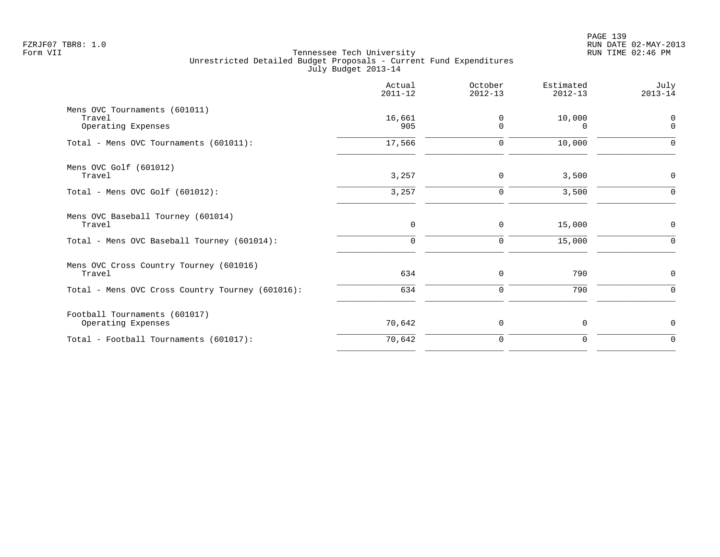|                                                               | Actual<br>$2011 - 12$ | October<br>$2012 - 13$ | Estimated<br>$2012 - 13$ | July<br>$2013 - 14$     |
|---------------------------------------------------------------|-----------------------|------------------------|--------------------------|-------------------------|
| Mens OVC Tournaments (601011)<br>Travel<br>Operating Expenses | 16,661<br>905         | 0<br>$\Omega$          | 10,000<br>$\Omega$       | $\mathbf 0$<br>$\Omega$ |
| Total - Mens OVC Tournaments (601011):                        | 17,566                | 0                      | 10,000                   | $\Omega$                |
| Mens OVC Golf (601012)<br>Travel                              | 3,257                 | 0                      | 3,500                    | 0                       |
| Total - Mens OVC Golf $(601012)$ :                            | 3,257                 | $\mathbf 0$            | 3,500                    | ∩                       |
| Mens OVC Baseball Tourney (601014)<br>Travel                  | 0                     | $\mathbf 0$            | 15,000                   | $\mathbf 0$             |
| Total - Mens OVC Baseball Tourney (601014):                   | $\Omega$              | $\Omega$               | 15,000                   | $\Omega$                |
| Mens OVC Cross Country Tourney (601016)<br>Travel             | 634                   | 0                      | 790                      | 0                       |
| Total - Mens OVC Cross Country Tourney (601016):              | 634                   | $\mathbf 0$            | 790                      | $\Omega$                |
| Football Tournaments (601017)<br>Operating Expenses           | 70,642                | $\mathbf 0$            | $\mathbf 0$              | $\mathbf 0$             |
| Total - Football Tournaments (601017):                        | 70,642                | 0                      | 0                        | $\mathbf 0$             |
|                                                               |                       |                        |                          |                         |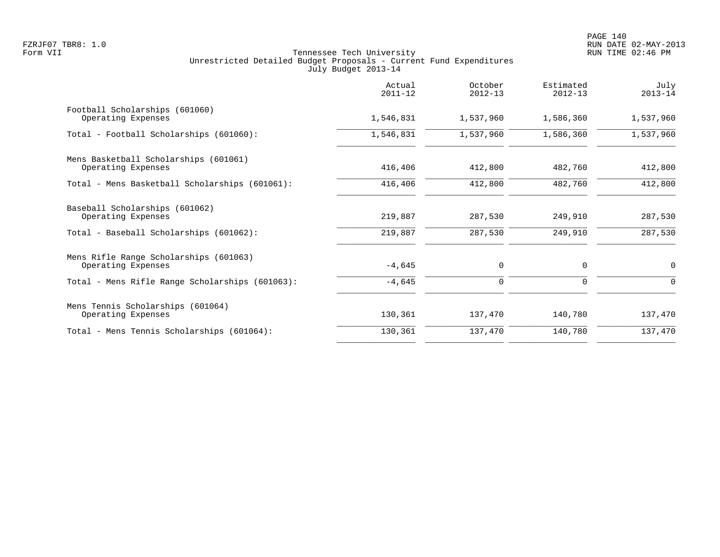| Actual<br>$2011 - 12$ | October<br>$2012 - 13$ | Estimated<br>$2012 - 13$ | July<br>$2013 - 14$     |
|-----------------------|------------------------|--------------------------|-------------------------|
| 1,546,831             | 1,537,960              | 1,586,360                | 1,537,960               |
| 1,546,831             | 1,537,960              | 1,586,360                | 1,537,960               |
| 416,406               | 412,800                | 482,760                  | 412,800                 |
| 416,406               | 412,800                | 482,760                  | 412,800                 |
| 219,887               | 287,530                | 249,910                  | 287,530<br>287,530      |
| $-4,645$              | 0                      | 0                        | $\mathbf 0$<br>$\Omega$ |
|                       |                        |                          |                         |
| 130,361               | 137,470                | 140,780                  | 137,470                 |
| 130,361               | 137,470                | 140,780                  | 137,470                 |
|                       | 219,887<br>$-4,645$    | 287,530<br>0             | 249,910<br>0            |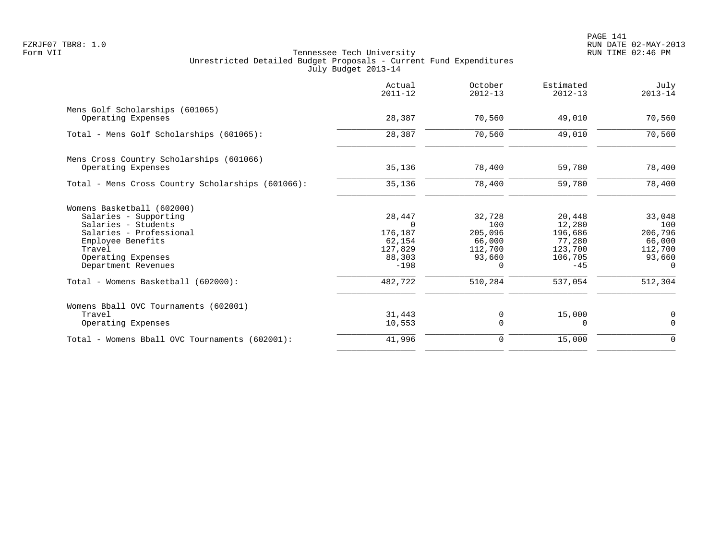|                                                       | Actual<br>$2011 - 12$ | October<br>$2012 - 13$ | Estimated<br>$2012 - 13$ | July<br>$2013 - 14$ |
|-------------------------------------------------------|-----------------------|------------------------|--------------------------|---------------------|
| Mens Golf Scholarships (601065)<br>Operating Expenses | 28,387                | 70,560                 | 49,010                   | 70,560              |
| Total - Mens Golf Scholarships (601065):              | 28,387                | 70,560                 | 49,010                   | 70,560              |
| Mens Cross Country Scholarships (601066)              |                       |                        |                          |                     |
| Operating Expenses                                    | 35,136                | 78,400                 | 59,780                   | 78,400              |
| Total - Mens Cross Country Scholarships (601066):     | 35,136                | 78,400                 | 59,780                   | 78,400              |
| Womens Basketball (602000)                            |                       |                        |                          |                     |
| Salaries - Supporting                                 | 28,447                | 32,728                 | 20,448                   | 33,048              |
| Salaries - Students                                   | $\Omega$              | 100                    | 12,280                   | 100                 |
| Salaries - Professional<br>Employee Benefits          | 176,187<br>62,154     | 205,096<br>66,000      | 196,686<br>77,280        | 206,796<br>66,000   |
| Travel                                                | 127,829               | 112,700                | 123,700                  | 112,700             |
| Operating Expenses                                    | 88,303                | 93,660                 | 106,705                  | 93,660              |
| Department Revenues                                   | $-198$                | $\Omega$               | $-45$                    | $\Omega$            |
| Total - Womens Basketball (602000):                   | 482,722               | 510,284                | 537,054                  | 512,304             |
| Womens Bball OVC Tournaments (602001)                 |                       |                        |                          |                     |
| Travel                                                | 31,443                | 0                      | 15,000                   | 0                   |
| Operating Expenses                                    | 10,553                | $\mathbf 0$            | $\Omega$                 | $\Omega$            |
| Total - Womens Bball OVC Tournaments (602001):        | 41,996                | $\mathbf 0$            | 15,000                   | $\mathbf 0$         |
|                                                       |                       |                        |                          |                     |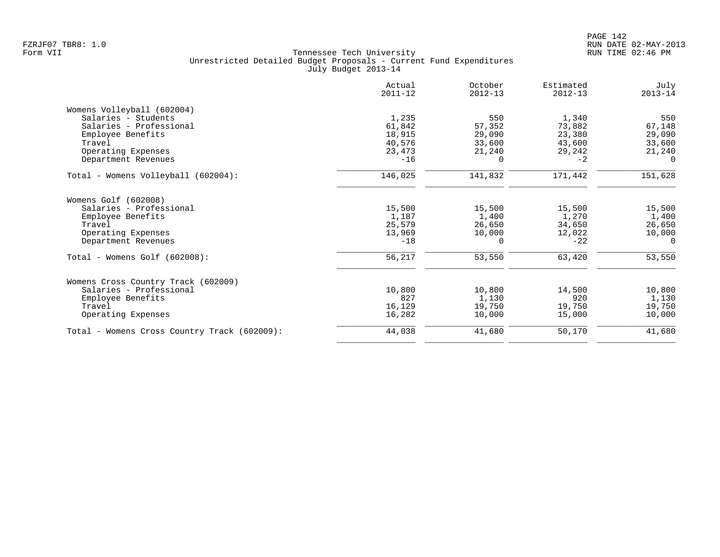|                                              | Actual<br>$2011 - 12$ | October<br>$2012 - 13$ | Estimated<br>$2012 - 13$ | July<br>$2013 - 14$ |
|----------------------------------------------|-----------------------|------------------------|--------------------------|---------------------|
| Womens Volleyball (602004)                   |                       |                        |                          |                     |
| Salaries - Students                          | 1,235                 | 550                    | 1,340                    | 550                 |
| Salaries - Professional                      | 61,842                | 57,352                 | 73,882                   | 67,148              |
| Employee Benefits                            | 18,915                | 29,090                 | 23,380                   | 29,090              |
| Travel                                       | 40,576                | 33,600                 | 43,600                   | 33,600              |
| Operating Expenses                           | 23,473                | 21,240                 | 29,242                   | 21,240              |
| Department Revenues                          | $-16$                 | 0                      | $-2$                     | $\Omega$            |
| Total - Womens Volleyball (602004):          | 146,025               | 141,832                | 171,442                  | 151,628             |
| Womens Golf (602008)                         |                       |                        |                          |                     |
| Salaries - Professional                      | 15,500                | 15,500                 | 15,500                   | 15,500              |
| Employee Benefits                            | 1,187                 | 1,400                  | 1,270                    | 1,400               |
| Travel                                       | 25,579                | 26,650                 | 34,650                   | 26,650              |
| Operating Expenses                           | 13,969                | 10,000                 | 12,022                   | 10,000              |
| Department Revenues                          | $-18$                 | 0                      | $-22$                    | 0                   |
| $Total - Womens Golf (602008):$              | 56,217                | 53,550                 | 63,420                   | 53,550              |
| Womens Cross Country Track (602009)          |                       |                        |                          |                     |
| Salaries - Professional                      | 10,800                | 10,800                 | 14,500                   | 10,800              |
| Employee Benefits                            | 827                   | 1,130                  | 920                      | 1,130               |
| Travel                                       | 16,129                | 19,750                 | 19,750                   | 19,750              |
| Operating Expenses                           | 16,282                | 10,000                 | 15,000                   | 10,000              |
| Total - Womens Cross Country Track (602009): | 44,038                | 41,680                 | 50,170                   | 41,680              |
|                                              |                       |                        |                          |                     |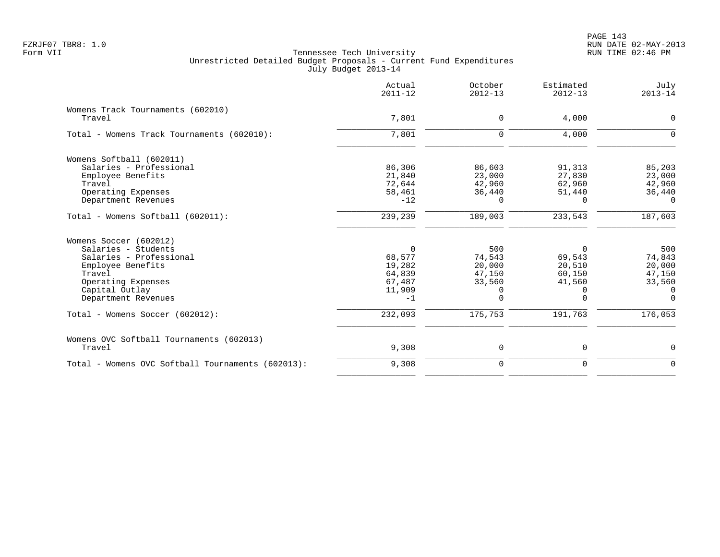|                                                   | Actual<br>$2011 - 12$ | October<br>$2012 - 13$ | Estimated<br>$2012 - 13$ | July<br>$2013 - 14$  |
|---------------------------------------------------|-----------------------|------------------------|--------------------------|----------------------|
| Womens Track Tournaments (602010)<br>Travel       | 7,801                 | $\mathbf 0$            | 4,000                    | 0                    |
| Total - Womens Track Tournaments (602010):        | 7,801                 | $\mathbf 0$            | 4,000                    | 0                    |
| Womens Softball (602011)                          |                       |                        |                          |                      |
| Salaries - Professional                           | 86,306                | 86,603                 | 91,313                   | 85,203               |
| Employee Benefits                                 | 21,840                | 23,000                 | 27,830                   | 23,000               |
| Travel                                            | 72,644                | 42,960                 | 62,960                   | 42,960               |
| Operating Expenses<br>Department Revenues         | 58,461<br>$-12$       | 36,440<br>$\Omega$     | 51,440<br>$\Omega$       | 36,440<br>$\Omega$   |
|                                                   |                       |                        |                          |                      |
| Total - Womens Softball (602011):                 | 239,239               | 189,003                | 233,543                  | 187,603              |
| Womens Soccer (602012)                            |                       |                        |                          |                      |
| Salaries - Students                               | $\Omega$              | 500                    | $\Omega$                 | 500                  |
| Salaries - Professional                           | 68,577                | 74,543                 | 69,543                   | 74,843               |
| Employee Benefits                                 | 19,282                | 20,000                 | 20,510                   | 20,000               |
| Travel                                            | 64,839                | 47,150                 | 60,150                   | 47,150               |
| Operating Expenses                                | 67,487                | 33,560                 | 41,560                   | 33,560               |
| Capital Outlay<br>Department Revenues             | 11,909<br>$-1$        | 0<br>$\Omega$          | 0<br>$\Omega$            | $\Omega$<br>$\Omega$ |
| Total - Womens Soccer (602012):                   | 232,093               | 175,753                | 191,763                  | 176,053              |
| Womens OVC Softball Tournaments (602013)          |                       |                        |                          |                      |
| Travel                                            | 9,308                 | 0                      | $\mathbf 0$              | 0                    |
| Total - Womens OVC Softball Tournaments (602013): | 9,308                 | $\mathbf 0$            | $\Omega$                 | $\Omega$             |
|                                                   |                       |                        |                          |                      |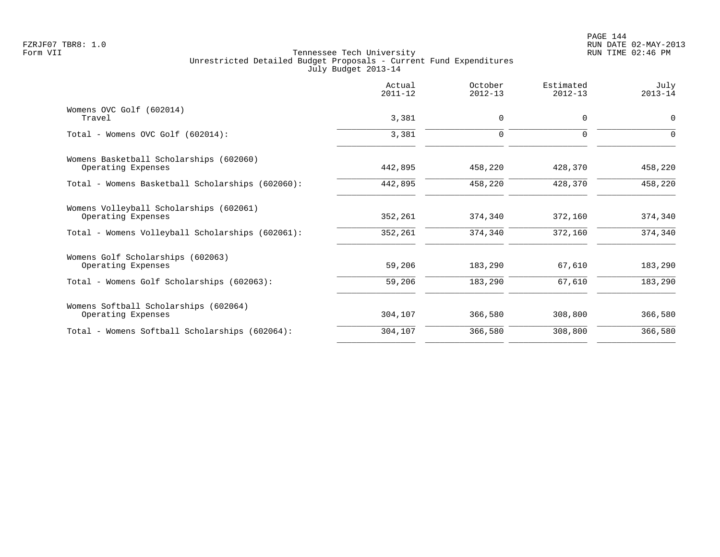PAGE 144 FZRJF07 TBR8: 1.0 RUN DATE 02-MAY-2013

|                                                               | Actual<br>$2011 - 12$ | October<br>$2012 - 13$ | Estimated<br>$2012 - 13$ | July<br>$2013 - 14$ |
|---------------------------------------------------------------|-----------------------|------------------------|--------------------------|---------------------|
| Womens OVC Golf (602014)<br>Travel                            | 3,381                 | $\mathbf 0$            | $\mathbf 0$              | $\mathbf 0$         |
| Total - Womens OVC Golf (602014):                             | 3,381                 | $\mathbf 0$            | $\mathbf 0$              | 0                   |
| Womens Basketball Scholarships (602060)<br>Operating Expenses | 442,895               | 458,220                | 428,370                  | 458,220             |
| Total - Womens Basketball Scholarships (602060):              | 442,895               | 458,220                | 428,370                  | 458,220             |
| Womens Volleyball Scholarships (602061)<br>Operating Expenses | 352,261               | 374,340                | 372,160                  | 374,340             |
| Total - Womens Volleyball Scholarships (602061):              | 352,261               | 374,340                | 372,160                  | 374,340             |
| Womens Golf Scholarships (602063)<br>Operating Expenses       | 59,206                | 183,290                | 67,610                   | 183,290             |
| Total - Womens Golf Scholarships (602063):                    | 59,206                | 183,290                | 67,610                   | 183,290             |
| Womens Softball Scholarships (602064)<br>Operating Expenses   | 304,107               | 366,580                | 308,800                  | 366,580             |
| Total - Womens Softball Scholarships (602064):                | 304,107               | 366,580                | 308,800                  | 366,580             |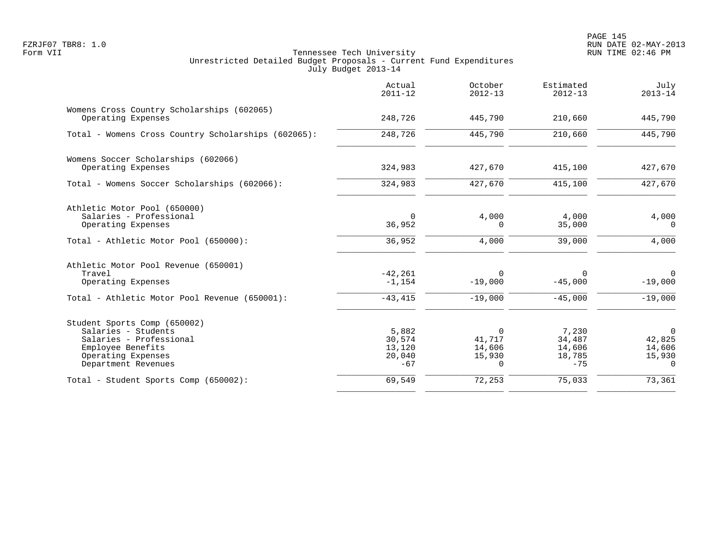|                                                                                                                                                  | Actual<br>$2011 - 12$                        | October<br>$2012 - 13$                             | Estimated<br>$2012 - 13$                     | July<br>$2013 - 14$                                |
|--------------------------------------------------------------------------------------------------------------------------------------------------|----------------------------------------------|----------------------------------------------------|----------------------------------------------|----------------------------------------------------|
| Womens Cross Country Scholarships (602065)<br>Operating Expenses                                                                                 | 248,726                                      | 445,790                                            | 210,660                                      | 445,790                                            |
| Total - Womens Cross Country Scholarships (602065):                                                                                              | 248,726                                      | 445,790                                            | 210,660                                      | 445,790                                            |
| Womens Soccer Scholarships (602066)<br>Operating Expenses                                                                                        | 324,983                                      | 427,670                                            | 415,100                                      | 427,670                                            |
| Total - Womens Soccer Scholarships (602066):                                                                                                     | 324,983                                      | 427,670                                            | 415,100                                      | 427,670                                            |
| Athletic Motor Pool (650000)<br>Salaries - Professional<br>Operating Expenses                                                                    | $\Omega$<br>36,952                           | 4,000<br>$\Omega$                                  | 4,000<br>35,000                              | 4,000<br>$\Omega$                                  |
| Total - Athletic Motor Pool (650000):                                                                                                            | 36,952                                       | 4,000                                              | 39,000                                       | 4,000                                              |
| Athletic Motor Pool Revenue (650001)<br>Travel<br>Operating Expenses                                                                             | $-42, 261$<br>$-1,154$                       | $\Omega$<br>$-19,000$                              | 0<br>$-45,000$                               | $\Omega$<br>$-19,000$                              |
| Total - Athletic Motor Pool Revenue (650001):                                                                                                    | $-43, 415$                                   | $-19,000$                                          | $-45,000$                                    | $-19,000$                                          |
| Student Sports Comp (650002)<br>Salaries - Students<br>Salaries - Professional<br>Employee Benefits<br>Operating Expenses<br>Department Revenues | 5,882<br>30,574<br>13,120<br>20,040<br>$-67$ | $\Omega$<br>41,717<br>14,606<br>15,930<br>$\Omega$ | 7,230<br>34,487<br>14,606<br>18,785<br>$-75$ | $\Omega$<br>42,825<br>14,606<br>15,930<br>$\Omega$ |
| Total - Student Sports Comp (650002):                                                                                                            | 69,549                                       | 72,253                                             | 75,033                                       | 73,361                                             |
|                                                                                                                                                  |                                              |                                                    |                                              |                                                    |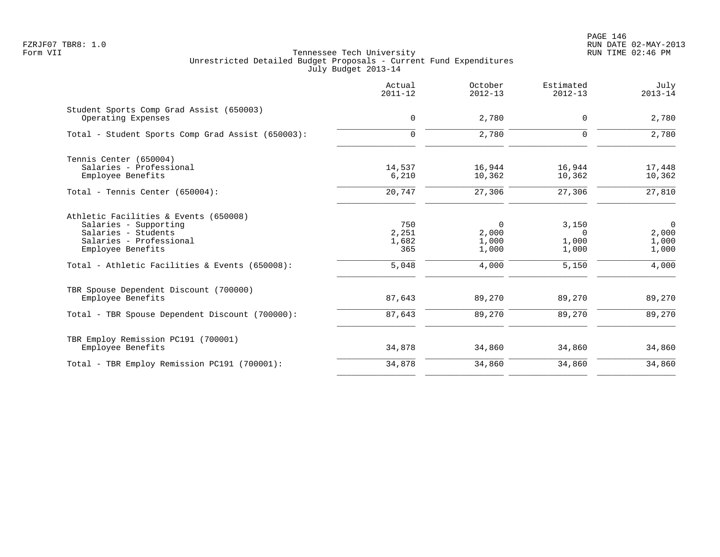|                                                                                                                                                                                         | Actual<br>$2011 - 12$                 | October<br>$2012 - 13$                             | Estimated<br>$2012 - 13$                     | July<br>$2013 - 14$                                |
|-----------------------------------------------------------------------------------------------------------------------------------------------------------------------------------------|---------------------------------------|----------------------------------------------------|----------------------------------------------|----------------------------------------------------|
| Student Sports Comp Grad Assist (650003)<br>Operating Expenses                                                                                                                          | 0                                     | 2,780                                              | $\mathbf 0$                                  | 2,780                                              |
| Total - Student Sports Comp Grad Assist (650003):                                                                                                                                       | $\mathbf 0$                           | 2,780                                              | $\mathbf 0$                                  | 2,780                                              |
| Tennis Center (650004)<br>Salaries - Professional<br>Employee Benefits                                                                                                                  | 14,537<br>6,210                       | 16,944<br>10,362                                   | 16,944<br>10,362                             | 17,448<br>10,362                                   |
| Total - Tennis Center (650004):                                                                                                                                                         | 20,747                                | 27,306                                             | 27,306                                       | 27,810                                             |
| Athletic Facilities & Events (650008)<br>Salaries - Supporting<br>Salaries - Students<br>Salaries - Professional<br>Employee Benefits<br>Total - Athletic Facilities & Events (650008): | 750<br>2,251<br>1,682<br>365<br>5,048 | $\overline{0}$<br>2,000<br>1,000<br>1,000<br>4,000 | 3,150<br>$\Omega$<br>1,000<br>1,000<br>5,150 | $\overline{0}$<br>2,000<br>1,000<br>1,000<br>4,000 |
| TBR Spouse Dependent Discount (700000)<br>Employee Benefits                                                                                                                             | 87,643                                | 89,270                                             | 89,270                                       | 89,270                                             |
| Total - TBR Spouse Dependent Discount (700000):                                                                                                                                         | 87,643                                | 89,270                                             | 89,270                                       | 89,270                                             |
| TBR Employ Remission PC191 (700001)<br>Employee Benefits                                                                                                                                | 34,878                                | 34,860                                             | 34,860                                       | 34,860                                             |
| Total - TBR Employ Remission PC191 (700001):                                                                                                                                            | 34,878                                | 34,860                                             | 34,860                                       | 34,860                                             |
|                                                                                                                                                                                         |                                       |                                                    |                                              |                                                    |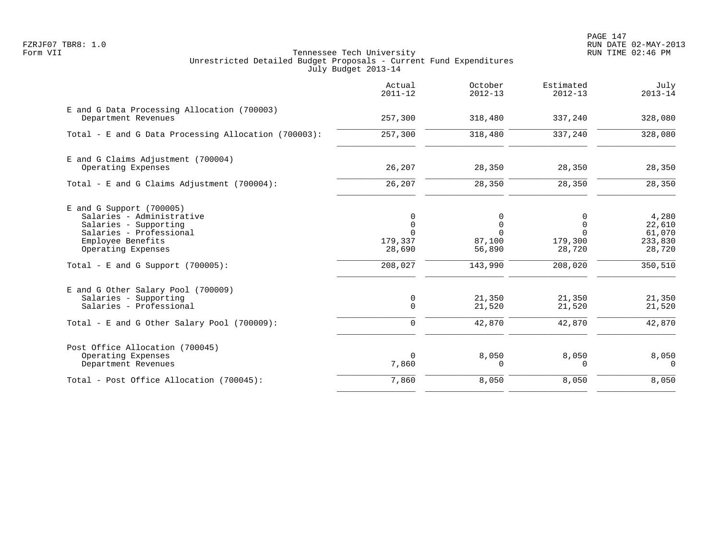PAGE 147 FZRJF07 TBR8: 1.0 RUN DATE 02-MAY-2013

|                                                                    | Actual<br>$2011 - 12$      | October<br>$2012 - 13$     | Estimated<br>$2012 - 13$ | July<br>$2013 - 14$ |
|--------------------------------------------------------------------|----------------------------|----------------------------|--------------------------|---------------------|
| E and G Data Processing Allocation (700003)<br>Department Revenues | 257,300                    | 318,480                    | 337,240                  | 328,080             |
| Total - E and G Data Processing Allocation (700003):               | 257,300                    | 318,480                    | 337,240                  | 328,080             |
| E and G Claims Adjustment (700004)                                 |                            |                            |                          |                     |
| Operating Expenses                                                 | 26,207                     | 28,350                     | 28,350                   | 28,350              |
| Total - E and G Claims Adjustment (700004):                        | 26,207                     | 28,350                     | 28,350                   | 28,350              |
| $E$ and G Support (700005)                                         |                            |                            |                          |                     |
| Salaries - Administrative<br>Salaries - Supporting                 | $\mathbf 0$<br>$\mathbf 0$ | $\mathbf 0$<br>$\mathbf 0$ | $\Omega$<br>$\Omega$     | 4,280<br>22,610     |
| Salaries - Professional                                            | $\Omega$                   | $\Omega$                   | $\Omega$                 | 61,070              |
| Employee Benefits                                                  | 179,337                    | 87,100                     | 179,300                  | 233,830             |
| Operating Expenses                                                 | 28,690                     | 56,890                     | 28,720                   | 28,720              |
| Total - E and G Support $(700005)$ :                               | 208,027                    | 143,990                    | 208,020                  | 350,510             |
| E and G Other Salary Pool (700009)                                 |                            |                            |                          |                     |
| Salaries - Supporting                                              | 0                          | 21,350                     | 21,350                   | 21,350              |
| Salaries - Professional                                            | $\mathbf 0$                | 21,520                     | 21,520                   | 21,520              |
| Total - E and G Other Salary Pool (700009):                        | $\Omega$                   | 42,870                     | 42,870                   | 42,870              |
| Post Office Allocation (700045)                                    |                            |                            |                          |                     |
| Operating Expenses                                                 | $\mathbf 0$                | 8,050                      | 8,050                    | 8,050               |
| Department Revenues                                                | 7,860                      | 0                          | $\Omega$                 | $\Omega$            |
| Total - Post Office Allocation (700045):                           | 7,860                      | 8,050                      | 8,050                    | 8,050               |
|                                                                    |                            |                            |                          |                     |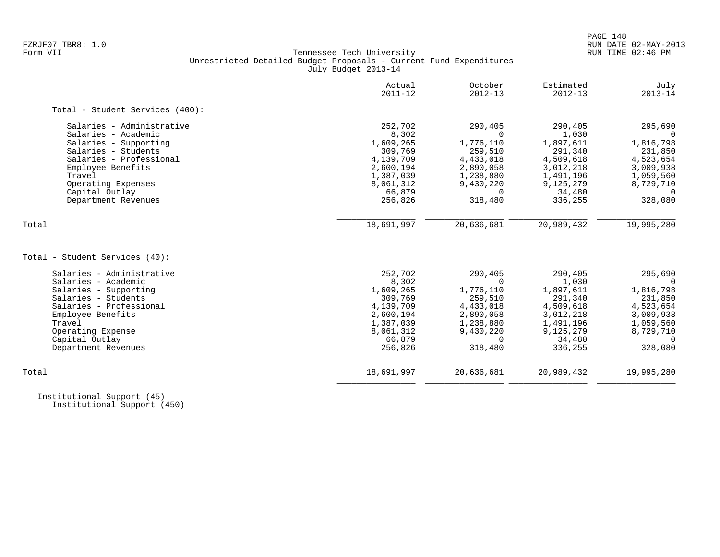# FZRJF07 TBR8: 1.0 RUN DATE 02-MAY-2013 Tennessee Tech University Unrestricted Detailed Budget Proposals - Current Fund Expenditures July Budget 2013-14

|                                 | Actual<br>$2011 - 12$ | October<br>$2012 - 13$ | Estimated<br>$2012 - 13$ | July<br>$2013 - 14$ |
|---------------------------------|-----------------------|------------------------|--------------------------|---------------------|
| Total - Student Services (400): |                       |                        |                          |                     |
| Salaries - Administrative       | 252,702               | 290,405                | 290,405                  | 295,690             |
| Salaries - Academic             | 8,302                 | <sup>n</sup>           | 1,030                    | $\Omega$            |
| Salaries - Supporting           | 1,609,265             | 1,776,110              | 1,897,611                | 1,816,798           |
| Salaries - Students             | 309,769               | 259,510                | 291,340                  | 231,850             |
| Salaries - Professional         | 4,139,709             | 4,433,018              | 4,509,618                | 4,523,654           |
| Employee Benefits               | 2,600,194             | 2,890,058              | 3,012,218                | 3,009,938           |
| Travel                          | 1,387,039             | 1,238,880              | 1,491,196                | 1,059,560           |
| Operating Expenses              | 8,061,312             | 9,430,220              | 9,125,279                | 8,729,710           |
| Capital Outlay                  | 66,879                | $\Omega$               | 34,480                   | $\Omega$            |
| Department Revenues             | 256,826               | 318,480                | 336,255                  | 328,080             |
| Total                           | 18,691,997            | 20,636,681             | 20,989,432               | 19,995,280          |
|                                 |                       |                        |                          |                     |
| Total - Student Services (40):  |                       |                        |                          |                     |
| Salaries - Administrative       | 252,702               | 290,405                | 290,405                  | 295,690             |
| Salaries - Academic             | 8,302                 | <sup>n</sup>           | 1,030                    | $\Omega$            |
| Salaries - Supporting           | 1,609,265             | 1,776,110              | 1,897,611                | 1,816,798           |
| Salaries - Students             | 309,769               | 259,510                | 291,340                  | 231,850             |
| Salaries - Professional         | 4,139,709             | 4,433,018              | 4,509,618                | 4,523,654           |
| Employee Benefits               | 2,600,194             | 2,890,058              | 3,012,218                | 3,009,938           |
| Travel                          | 1,387,039             | 1,238,880              | 1,491,196                | 1,059,560           |
| Operating Expense               | 8,061,312             | 9,430,220              | 9,125,279                | 8,729,710           |
| Capital Outlay                  | 66,879                | $\Omega$               | 34,480                   | $\Omega$            |
| Department Revenues             | 256,826               | 318,480                | 336,255                  | 328,080             |
| Total                           | 18,691,997            | 20,636,681             | 20,989,432               | 19,995,280          |
|                                 |                       |                        |                          |                     |

 Institutional Support (45) Institutional Support (450)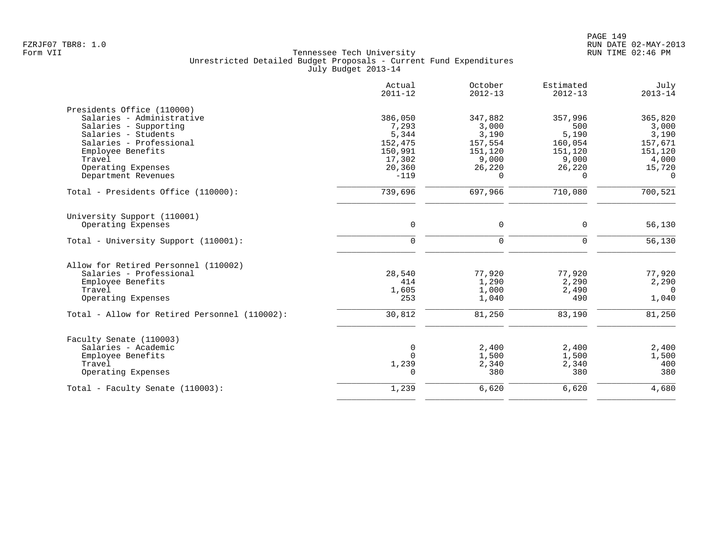|                                               | Actual<br>$2011 - 12$ | October<br>$2012 - 13$ | Estimated<br>$2012 - 13$ | July<br>$2013 - 14$ |
|-----------------------------------------------|-----------------------|------------------------|--------------------------|---------------------|
| Presidents Office (110000)                    |                       |                        |                          |                     |
| Salaries - Administrative                     | 386,050               | 347,882                | 357,996                  | 365,820             |
| Salaries - Supporting                         | 7,293                 | 3,000                  | 500                      | 3,000               |
| Salaries - Students                           | 5,344                 | 3,190                  | 5,190                    | 3,190               |
| Salaries - Professional<br>Employee Benefits  | 152,475<br>150,991    | 157,554<br>151,120     | 160,054<br>151,120       | 157,671<br>151,120  |
| Travel                                        | 17,302                | 9,000                  | 9,000                    | 4,000               |
| Operating Expenses                            | 20,360                | 26,220                 | 26,220                   | 15,720              |
| Department Revenues                           | $-119$                | $\Omega$               | $\Omega$                 | $\Omega$            |
| Total - Presidents Office (110000):           | 739,696               | 697,966                | 710,080                  | 700,521             |
| University Support (110001)                   |                       |                        |                          |                     |
| Operating Expenses                            | $\mathbf 0$           | $\mathbf 0$            | $\mathbf 0$              | 56,130              |
| Total - University Support (110001):          | $\mathbf 0$           | $\mathbf 0$            | $\mathbf 0$              | 56,130              |
| Allow for Retired Personnel (110002)          |                       |                        |                          |                     |
| Salaries - Professional                       | 28,540                | 77,920                 | 77,920                   | 77,920              |
| Employee Benefits                             | 414                   | 1,290                  | 2,290                    | 2,290               |
| Travel                                        | 1,605                 | 1,000                  | 2,490                    | $\Omega$            |
| Operating Expenses                            | 253                   | 1,040                  | 490                      | 1,040               |
| Total - Allow for Retired Personnel (110002): | 30,812                | 81,250                 | 83,190                   | 81,250              |
| Faculty Senate (110003)                       |                       |                        |                          |                     |
| Salaries - Academic                           | $\mathbf 0$           | 2,400                  | 2,400                    | 2,400               |
| Employee Benefits                             | $\Omega$              | 1,500                  | 1,500                    | 1,500               |
| Travel                                        | 1,239                 | 2,340                  | 2,340                    | 400                 |
| Operating Expenses                            | $\Omega$              | 380                    | 380                      | 380                 |
| Total - Faculty Senate (110003):              | 1,239                 | 6,620                  | 6,620                    | 4,680               |
|                                               |                       |                        |                          |                     |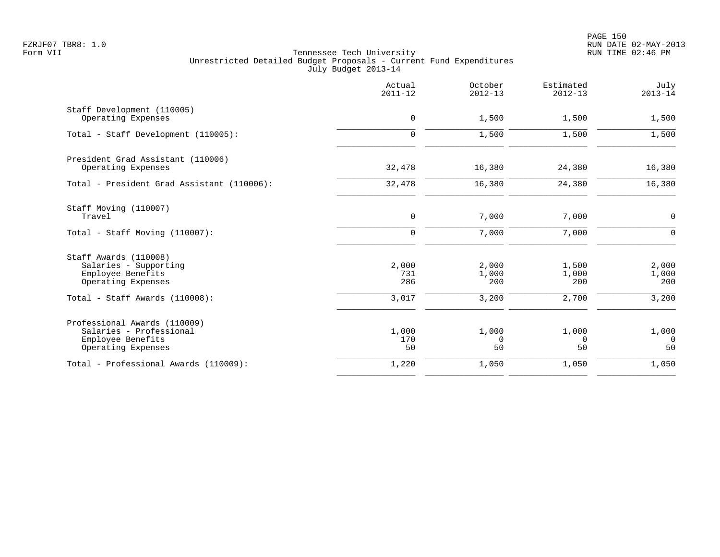|                                                                                                    | Actual<br>$2011 - 12$ | October<br>$2012 - 13$ | Estimated<br>$2012 - 13$   | July<br>$2013 - 14$        |
|----------------------------------------------------------------------------------------------------|-----------------------|------------------------|----------------------------|----------------------------|
| Staff Development (110005)<br>Operating Expenses                                                   | $\mathbf 0$           | 1,500                  | 1,500                      | 1,500                      |
| Total - Staff Development (110005):                                                                | $\mathbf 0$           | 1,500                  | 1,500                      | 1,500                      |
| President Grad Assistant (110006)<br>Operating Expenses                                            | 32,478                | 16,380                 | 24,380                     | 16,380                     |
| Total - President Grad Assistant (110006):                                                         | 32,478                | 16,380                 | 24,380                     | 16,380                     |
| Staff Moving (110007)<br>Travel<br>Total - Staff Moving $(110007)$ :                               | 0<br>$\mathbf 0$      | 7,000<br>7,000         | 7,000<br>7,000             | $\mathbf 0$<br>$\mathbf 0$ |
| Staff Awards (110008)<br>Salaries - Supporting<br>Employee Benefits<br>Operating Expenses          | 2,000<br>731<br>286   | 2,000<br>1,000<br>200  | 1,500<br>1,000<br>200      | 2,000<br>1,000<br>200      |
| Total - Staff Awards (110008):                                                                     | 3,017                 | 3,200                  | 2,700                      | 3,200                      |
| Professional Awards (110009)<br>Salaries - Professional<br>Employee Benefits<br>Operating Expenses | 1,000<br>170<br>50    | 1,000<br>0<br>50       | 1,000<br>$\mathbf 0$<br>50 | 1,000<br>0<br>50           |
| Total - Professional Awards (110009):                                                              | 1,220                 | 1,050                  | 1,050                      | 1,050                      |
|                                                                                                    |                       |                        |                            |                            |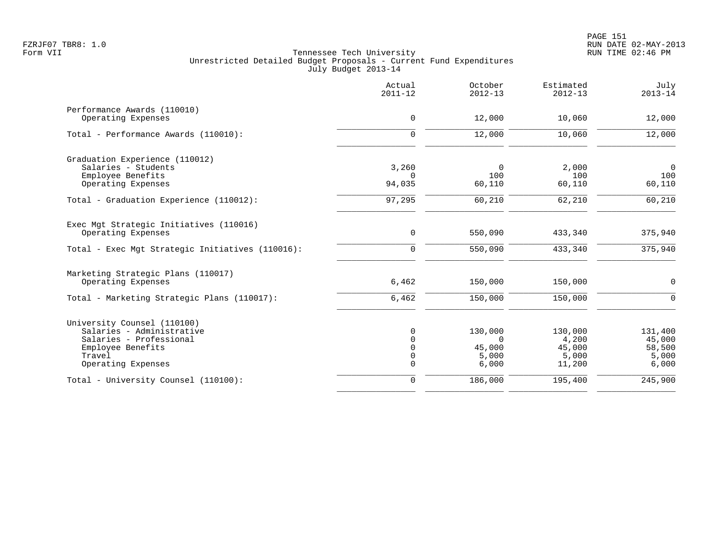|                                                  | Actual<br>$2011 - 12$ | October<br>$2012 - 13$ | Estimated<br>$2012 - 13$ | July<br>$2013 - 14$ |
|--------------------------------------------------|-----------------------|------------------------|--------------------------|---------------------|
| Performance Awards (110010)                      |                       |                        |                          |                     |
| Operating Expenses                               | $\mathbf 0$           | 12,000                 | 10,060                   | 12,000              |
| Total - Performance Awards (110010):             | $\Omega$              | 12,000                 | 10,060                   | 12,000              |
| Graduation Experience (110012)                   |                       |                        |                          |                     |
| Salaries - Students                              | 3,260                 | $\Omega$               | 2,000                    | $\Omega$            |
| Employee Benefits                                | $\Omega$              | 100                    | 100                      | 100                 |
| Operating Expenses                               | 94,035                | 60,110                 | 60,110                   | 60,110              |
| Total - Graduation Experience (110012):          | 97,295                | 60,210                 | 62,210                   | 60,210              |
| Exec Mgt Strategic Initiatives (110016)          |                       |                        |                          |                     |
| Operating Expenses                               | $\mathbf 0$           | 550,090                | 433,340                  | 375,940             |
| Total - Exec Mgt Strategic Initiatives (110016): | $\Omega$              | 550,090                | 433,340                  | 375,940             |
| Marketing Strategic Plans (110017)               |                       |                        |                          |                     |
| Operating Expenses                               | 6,462                 | 150,000                | 150,000                  | 0                   |
| Total - Marketing Strategic Plans (110017):      | 6,462                 | 150,000                | 150,000                  | $\Omega$            |
| University Counsel (110100)                      |                       |                        |                          |                     |
| Salaries - Administrative                        | $\Omega$              | 130,000                | 130,000                  | 131,400             |
| Salaries - Professional                          | $\Omega$              | $\Omega$               | 4,200                    | 45,000              |
| Employee Benefits                                | $\Omega$              | 45,000                 | 45,000                   | 58,500              |
| Travel                                           | 0                     | 5,000                  | 5,000                    | 5,000               |
| Operating Expenses                               | $\mathbf 0$           | 6,000                  | 11,200                   | 6,000               |
| Total - University Counsel (110100):             | $\mathbf 0$           | 186,000                | 195,400                  | 245,900             |
|                                                  |                       |                        |                          |                     |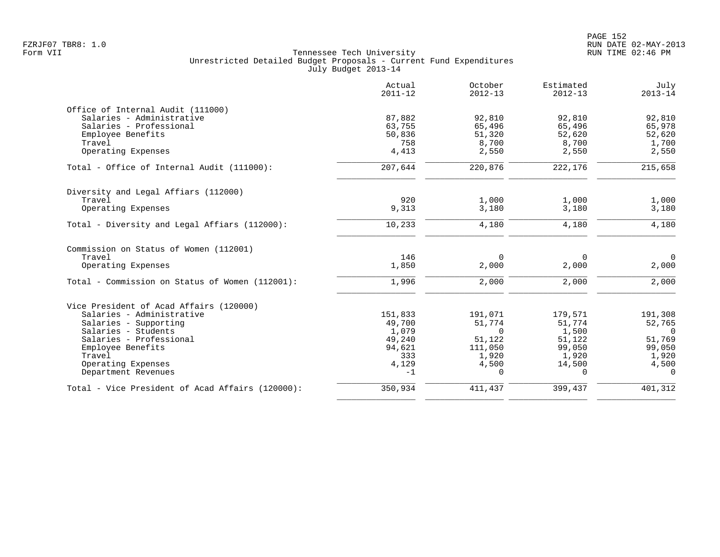|                                                  | Actual<br>$2011 - 12$ | October<br>$2012 - 13$ | Estimated<br>$2012 - 13$ | July<br>$2013 - 14$ |
|--------------------------------------------------|-----------------------|------------------------|--------------------------|---------------------|
| Office of Internal Audit (111000)                |                       |                        |                          |                     |
| Salaries - Administrative                        | 87,882                | 92,810                 | 92,810                   | 92,810              |
| Salaries - Professional                          | 63,755                | 65,496                 | 65,496                   | 65,978              |
| Employee Benefits                                | 50,836                | 51,320                 | 52,620                   | 52,620              |
| Travel                                           | 758                   | 8,700                  | 8,700                    | 1,700               |
| Operating Expenses                               | 4,413                 | 2,550                  | 2,550                    | 2,550               |
| Total - Office of Internal Audit (111000):       | 207,644               | 220,876                | 222,176                  | 215,658             |
| Diversity and Legal Affiars (112000)             |                       |                        |                          |                     |
| Travel                                           | 920                   | 1,000                  | 1,000                    | 1,000               |
| Operating Expenses                               | 9,313                 | 3,180                  | 3,180                    | 3,180               |
| Total - Diversity and Legal Affiars (112000):    | 10,233                | 4,180                  | 4,180                    | 4,180               |
| Commission on Status of Women (112001)           |                       |                        |                          |                     |
| Travel                                           | 146                   | 0                      | 0                        | $\overline{0}$      |
| Operating Expenses                               | 1,850                 | 2,000                  | 2,000                    | 2,000               |
| Total - Commission on Status of Women (112001):  | 1,996                 | 2,000                  | 2,000                    | 2,000               |
| Vice President of Acad Affairs (120000)          |                       |                        |                          |                     |
| Salaries - Administrative                        | 151,833               | 191,071                | 179,571                  | 191,308             |
| Salaries - Supporting                            | 49,700                | 51,774                 | 51,774                   | 52,765              |
| Salaries - Students                              | 1,079                 | $\Omega$               | 1,500                    | $\overline{0}$      |
| Salaries - Professional                          | 49,240                | 51,122                 | 51,122                   | 51,769              |
| Employee Benefits                                | 94,621                | 111,050                | 99,050                   | 99,050              |
| Travel                                           | 333                   | 1,920                  | 1,920                    | 1,920               |
| Operating Expenses                               | 4,129                 | 4,500                  | 14,500                   | 4,500               |
| Department Revenues                              | $-1$                  | $\Omega$               | $\Omega$                 | $\Omega$            |
| Total - Vice President of Acad Affairs (120000): | 350,934               | 411,437                | 399,437                  | 401,312             |
|                                                  |                       |                        |                          |                     |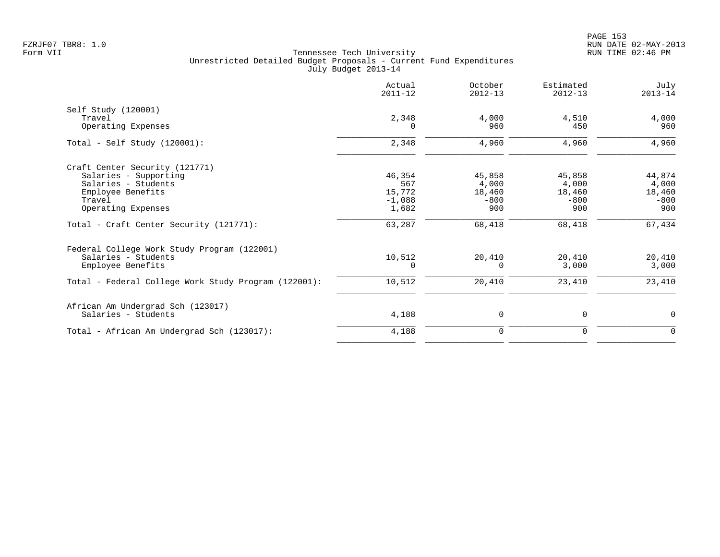|                                                      | Actual<br>$2011 - 12$ | October<br>$2012 - 13$ | Estimated<br>$2012 - 13$ | July<br>$2013 - 14$ |
|------------------------------------------------------|-----------------------|------------------------|--------------------------|---------------------|
| Self Study (120001)                                  |                       |                        |                          |                     |
| Travel                                               | 2,348                 | 4,000                  | 4,510                    | 4,000               |
| Operating Expenses                                   | $\Omega$              | 960                    | 450                      | 960                 |
| Total - Self Study $(120001)$ :                      | 2,348                 | 4,960                  | 4,960                    | 4,960               |
| Craft Center Security (121771)                       |                       |                        |                          |                     |
| Salaries - Supporting                                | 46,354                | 45,858                 | 45,858                   | 44,874              |
| Salaries - Students                                  | 567                   | 4,000                  | 4,000                    | 4,000               |
| Employee Benefits                                    | 15,772                | 18,460                 | 18,460                   | 18,460              |
| Travel                                               | $-1,088$              | $-800$                 | $-800$                   | $-800$              |
| Operating Expenses                                   | 1,682                 | 900                    | 900                      | 900                 |
| Total - Craft Center Security (121771):              | 63,287                | 68,418                 | 68,418                   | 67,434              |
| Federal College Work Study Program (122001)          |                       |                        |                          |                     |
| Salaries - Students                                  | 10,512                | 20,410                 | 20,410                   | 20,410              |
| Employee Benefits                                    | $\Omega$              | $\Omega$               | 3,000                    | 3,000               |
| Total - Federal College Work Study Program (122001): | 10,512                | 20,410                 | 23,410                   | 23,410              |
| African Am Undergrad Sch (123017)                    |                       |                        |                          |                     |
| Salaries - Students                                  | 4,188                 | 0                      | 0                        | $\mathbf 0$         |
| Total - African Am Undergrad Sch (123017):           | 4,188                 | $\mathbf 0$            | 0                        | 0                   |
|                                                      |                       |                        |                          |                     |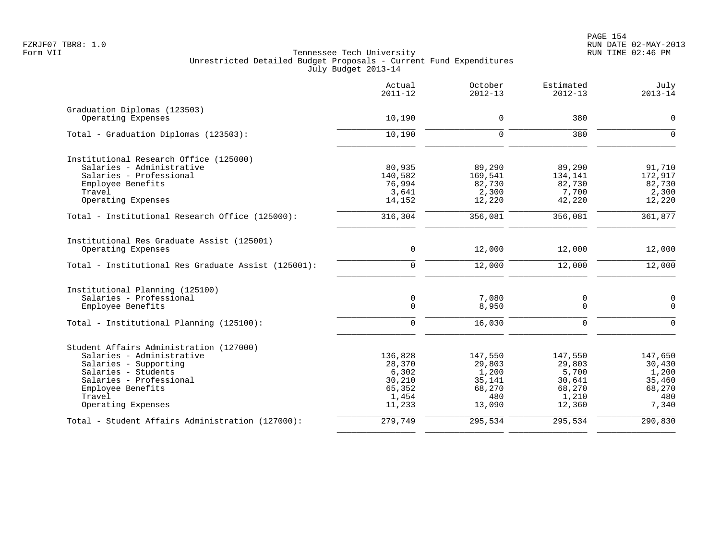|                                                     | Actual<br>$2011 - 12$ | October<br>$2012 - 13$ | Estimated<br>$2012 - 13$ | July<br>$2013 - 14$ |
|-----------------------------------------------------|-----------------------|------------------------|--------------------------|---------------------|
| Graduation Diplomas (123503)                        |                       |                        |                          |                     |
| Operating Expenses                                  | 10,190                | 0                      | 380                      | $\mathbf 0$         |
| Total - Graduation Diplomas (123503):               | 10,190                | $\Omega$               | 380                      | $\Omega$            |
| Institutional Research Office (125000)              |                       |                        |                          |                     |
| Salaries - Administrative                           | 80,935                | 89,290                 | 89,290                   | 91,710              |
| Salaries - Professional                             | 140,582               | 169,541                | 134,141                  | 172,917             |
| Employee Benefits                                   | 76,994                | 82,730                 | 82,730                   | 82,730              |
| Travel                                              | 3,641                 | 2,300                  | 7,700                    | 2,300               |
| Operating Expenses                                  | 14,152                | 12,220                 | 42,220                   | 12,220              |
| Total - Institutional Research Office (125000):     | 316,304               | 356,081                | 356,081                  | 361,877             |
| Institutional Res Graduate Assist (125001)          |                       |                        |                          |                     |
| Operating Expenses                                  | $\mathsf{O}$          | 12,000                 | 12,000                   | 12,000              |
| Total - Institutional Res Graduate Assist (125001): | $\mathbf 0$           | 12,000                 | 12,000                   | 12,000              |
| Institutional Planning (125100)                     |                       |                        |                          |                     |
| Salaries - Professional                             | $\mathsf{O}$          | 7,080                  | 0                        | 0                   |
| Employee Benefits                                   | $\mathbf 0$           | 8,950                  | $\mathbf 0$              | $\mathbf 0$         |
| Total - Institutional Planning (125100):            | $\mathbf 0$           | 16,030                 | $\mathbf 0$              | $\Omega$            |
| Student Affairs Administration (127000)             |                       |                        |                          |                     |
| Salaries - Administrative                           | 136,828               | 147,550                | 147,550                  | 147,650             |
| Salaries - Supporting                               | 28,370                | 29,803                 | 29,803                   | 30,430              |
| Salaries - Students                                 | 6,302                 | 1,200                  | 5,700                    | 1,200               |
| Salaries - Professional                             | 30,210                | 35,141                 | 30,641                   | 35,460              |
| Employee Benefits                                   | 65,352                | 68,270                 | 68,270                   | 68,270              |
| Travel                                              | 1,454                 | 480                    | 1,210                    | 480                 |
| Operating Expenses                                  | 11,233                | 13,090                 | 12,360                   | 7,340               |
| Total - Student Affairs Administration (127000):    | 279,749               | 295,534                | 295,534                  | 290,830             |
|                                                     |                       |                        |                          |                     |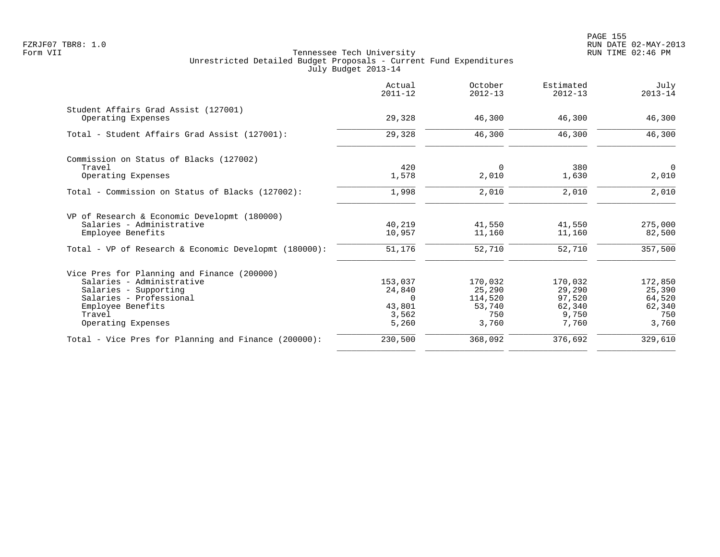|                                                            | Actual<br>$2011 - 12$ | October<br>$2012 - 13$ | Estimated<br>$2012 - 13$ | July<br>$2013 - 14$ |
|------------------------------------------------------------|-----------------------|------------------------|--------------------------|---------------------|
| Student Affairs Grad Assist (127001)<br>Operating Expenses | 29,328                | 46,300                 | 46,300                   | 46,300              |
|                                                            |                       |                        |                          |                     |
| Total - Student Affairs Grad Assist (127001):              | 29,328                | 46,300                 | 46,300                   | 46,300              |
| Commission on Status of Blacks (127002)                    |                       |                        |                          |                     |
| Travel                                                     | 420                   | 0                      | 380                      | $\overline{0}$      |
| Operating Expenses                                         | 1,578                 | 2,010                  | 1,630                    | 2,010               |
| Total - Commission on Status of Blacks (127002):           | 1,998                 | 2,010                  | 2,010                    | 2,010               |
| VP of Research & Economic Developmt (180000)               |                       |                        |                          |                     |
| Salaries - Administrative                                  | 40,219                | 41,550                 | 41,550                   | 275,000             |
| Employee Benefits                                          | 10,957                | 11,160                 | 11,160                   | 82,500              |
| Total - VP of Research & Economic Developmt (180000):      | 51,176                | 52,710                 | 52,710                   | 357,500             |
| Vice Pres for Planning and Finance (200000)                |                       |                        |                          |                     |
| Salaries - Administrative                                  | 153,037               | 170,032                | 170,032                  | 172,850             |
| Salaries - Supporting                                      | 24,840                | 25,290                 | 29,290                   | 25,390              |
| Salaries - Professional                                    | $\Omega$              | 114,520                | 97,520                   | 64,520              |
| Employee Benefits                                          | 43,801                | 53,740                 | 62,340                   | 62,340              |
| Travel                                                     | 3,562                 | 750                    | 9,750                    | 750                 |
| Operating Expenses                                         | 5,260                 | 3,760                  | 7,760                    | 3,760               |
| Total - Vice Pres for Planning and Finance $(200000)$ :    | 230,500               | 368,092                | 376,692                  | 329,610             |
|                                                            |                       |                        |                          |                     |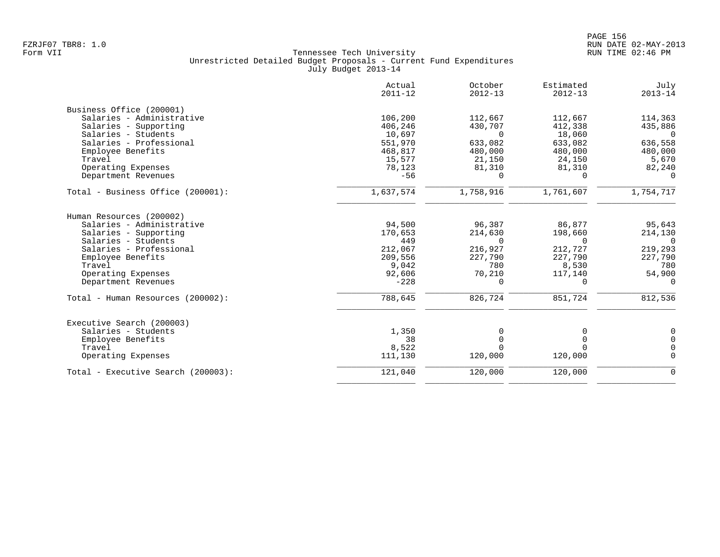|                                    | Actual<br>$2011 - 12$ | October<br>$2012 - 13$ | Estimated<br>$2012 - 13$ | July<br>$2013 - 14$ |
|------------------------------------|-----------------------|------------------------|--------------------------|---------------------|
| Business Office (200001)           |                       |                        |                          |                     |
| Salaries - Administrative          | 106,200               | 112,667                | 112,667                  | 114,363             |
| Salaries - Supporting              | 406,246               | 430,707                | 412,338                  | 435,886             |
| Salaries - Students                | 10,697                | $\Omega$               | 18,060                   | $\Omega$            |
| Salaries - Professional            | 551,970               | 633,082                | 633,082                  | 636,558             |
| Employee Benefits                  | 468,817               | 480,000                | 480,000                  | 480,000             |
| Travel                             | 15,577                | 21,150                 | 24,150                   | 5,670               |
| Operating Expenses                 | 78,123                | 81,310                 | 81,310                   | 82,240              |
| Department Revenues                | $-56$                 | $\Omega$               | $\Omega$                 | $\Omega$            |
| Total - Business Office (200001):  | 1,637,574             | 1,758,916              | 1,761,607                | 1,754,717           |
| Human Resources (200002)           |                       |                        |                          |                     |
| Salaries - Administrative          | 94,500                | 96,387                 | 86,877                   | 95,643              |
| Salaries - Supporting              | 170,653               | 214,630                | 198,660                  | 214,130             |
| Salaries - Students                | 449                   | $\Omega$               | $\Omega$                 | $\Omega$            |
| Salaries - Professional            | 212,067               | 216,927                | 212,727                  | 219,293             |
| Employee Benefits                  | 209,556               | 227,790                | 227,790                  | 227,790             |
| Travel                             | 9,042                 | 780                    | 8,530                    | 780                 |
| Operating Expenses                 | 92,606                | 70,210                 | 117,140                  | 54,900              |
| Department Revenues                | $-228$                | 0                      | $\Omega$                 | $\Omega$            |
| Total - Human Resources (200002):  | 788,645               | 826,724                | 851,724                  | 812,536             |
| Executive Search (200003)          |                       |                        |                          |                     |
| Salaries - Students                | 1,350                 | 0                      | O                        | 0                   |
| Employee Benefits                  | 38                    | $\mathbf 0$            | $\Omega$                 | 0                   |
| Travel                             | 8,522                 | $\Omega$               | $\cap$                   | $\mathbf 0$         |
| Operating Expenses                 | 111,130               | 120,000                | 120,000                  | $\mathbf 0$         |
| Total - Executive Search (200003): | 121,040               | 120,000                | 120,000                  | $\mathbf 0$         |
|                                    |                       |                        |                          |                     |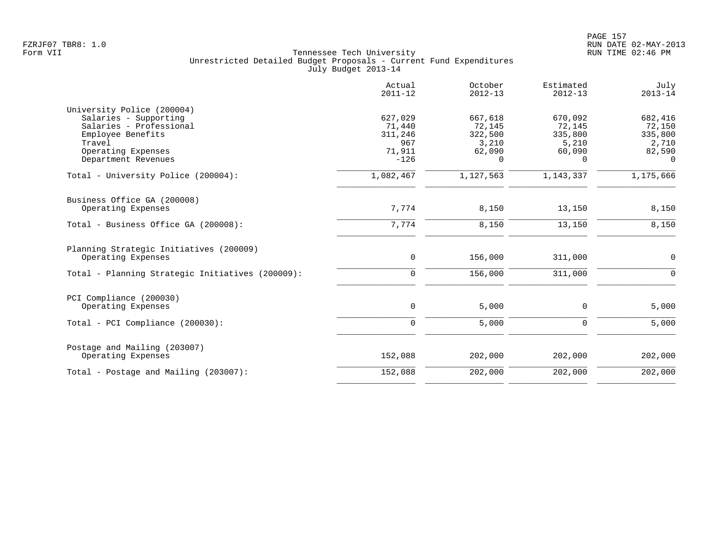|                                                                                                                                                            | Actual<br>$2011 - 12$                                   | October<br>$2012 - 13$                               | Estimated<br>$2012 - 13$                                    | July<br>$2013 - 14$                                         |
|------------------------------------------------------------------------------------------------------------------------------------------------------------|---------------------------------------------------------|------------------------------------------------------|-------------------------------------------------------------|-------------------------------------------------------------|
| University Police (200004)<br>Salaries - Supporting<br>Salaries - Professional<br>Employee Benefits<br>Travel<br>Operating Expenses<br>Department Revenues | 627,029<br>71,440<br>311,246<br>967<br>71,911<br>$-126$ | 667,618<br>72,145<br>322,500<br>3,210<br>62,090<br>0 | 670,092<br>72,145<br>335,800<br>5,210<br>60,090<br>$\Omega$ | 682,416<br>72,150<br>335,800<br>2,710<br>82,590<br>$\Omega$ |
| Total - University Police (200004):                                                                                                                        | 1,082,467                                               | 1,127,563                                            | 1,143,337                                                   | 1,175,666                                                   |
| Business Office GA (200008)<br>Operating Expenses                                                                                                          | 7,774                                                   | 8,150                                                | 13,150                                                      | 8,150                                                       |
| Total - Business Office GA (200008):                                                                                                                       | 7,774                                                   | 8,150                                                | 13,150                                                      | 8,150                                                       |
| Planning Strategic Initiatives (200009)<br>Operating Expenses<br>Total - Planning Strategic Initiatives (200009):                                          | $\mathbf 0$<br>$\mathbf 0$                              | 156,000<br>156,000                                   | 311,000<br>311,000                                          | $\mathsf{O}$<br>$\mathbf 0$                                 |
| PCI Compliance (200030)<br>Operating Expenses                                                                                                              | 0                                                       | 5,000                                                | 0                                                           | 5,000                                                       |
| Total - PCI Compliance (200030):                                                                                                                           | $\mathbf 0$                                             | 5,000                                                | 0                                                           | 5,000                                                       |
| Postage and Mailing (203007)<br>Operating Expenses                                                                                                         | 152,088                                                 | 202,000                                              | 202,000                                                     | 202,000                                                     |
| Total - Postage and Mailing (203007):                                                                                                                      | 152,088                                                 | 202,000                                              | 202,000                                                     | 202,000                                                     |
|                                                                                                                                                            |                                                         |                                                      |                                                             |                                                             |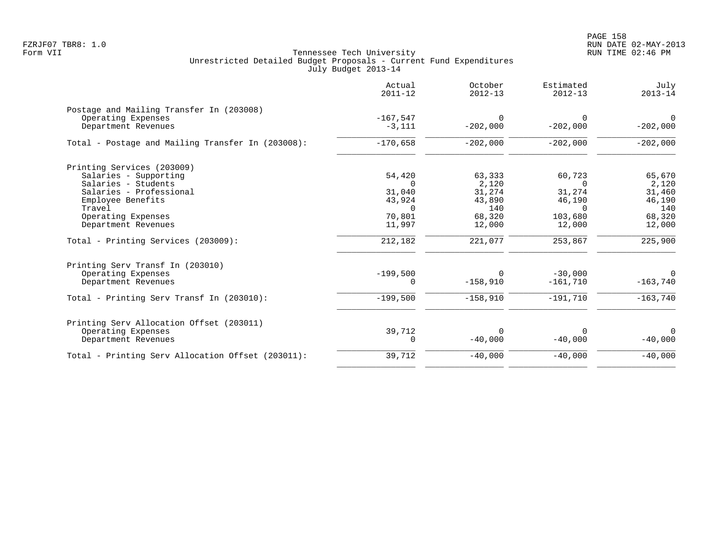|                                                   | Actual<br>$2011 - 12$ | October<br>$2012 - 13$ | Estimated<br>$2012 - 13$ | July<br>$2013 - 14$ |
|---------------------------------------------------|-----------------------|------------------------|--------------------------|---------------------|
| Postage and Mailing Transfer In (203008)          |                       |                        |                          |                     |
| Operating Expenses                                | $-167,547$            | $\Omega$               |                          | $\mathbf{0}$        |
| Department Revenues                               | $-3,111$              | $-202,000$             | $-202,000$               | $-202,000$          |
| Total - Postage and Mailing Transfer In (203008): | $-170,658$            | $-202,000$             | $-202,000$               | $-202,000$          |
| Printing Services (203009)                        |                       |                        |                          |                     |
| Salaries - Supporting                             | 54,420                | 63,333                 | 60,723                   | 65,670              |
| Salaries - Students                               | $\Omega$              | 2,120                  | $\Omega$                 | 2,120               |
| Salaries - Professional                           | 31,040                | 31,274                 | 31,274                   | 31,460              |
| Employee Benefits                                 | 43,924                | 43,890                 | 46,190                   | 46,190              |
| Travel                                            | $\Omega$              | 140                    | $\Omega$                 | 140                 |
| Operating Expenses                                | 70,801                | 68,320                 | 103,680                  | 68,320              |
| Department Revenues                               | 11,997                | 12,000                 | 12,000                   | 12,000              |
| Total - Printing Services (203009):               | 212,182               | 221,077                | 253,867                  | 225,900             |
| Printing Serv Transf In (203010)                  |                       |                        |                          |                     |
| Operating Expenses                                | $-199,500$            | $\Omega$               | $-30,000$                | $\Omega$            |
| Department Revenues                               | $\Omega$              | $-158,910$             | $-161,710$               | $-163,740$          |
| Total - Printing Serv Transf In (203010):         | $-199,500$            | $-158,910$             | $-191,710$               | $-163,740$          |
| Printing Serv Allocation Offset (203011)          |                       |                        |                          |                     |
| Operating Expenses                                | 39,712                | 0                      | $\Omega$                 | $\Omega$            |
| Department Revenues                               | 0                     | $-40,000$              | $-40,000$                | $-40,000$           |
| Total - Printing Serv Allocation Offset (203011): | 39,712                | $-40,000$              | $-40,000$                | $-40,000$           |
|                                                   |                       |                        |                          |                     |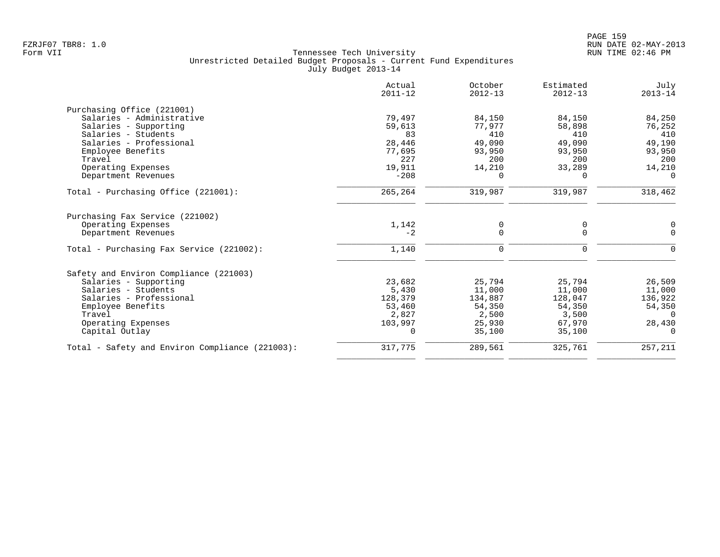|                                                 | Actual<br>$2011 - 12$ | October<br>$2012 - 13$ | Estimated<br>$2012 - 13$ | July<br>$2013 - 14$ |
|-------------------------------------------------|-----------------------|------------------------|--------------------------|---------------------|
| Purchasing Office (221001)                      |                       |                        |                          |                     |
| Salaries - Administrative                       | 79,497                | 84,150                 | 84,150                   | 84,250              |
| Salaries - Supporting                           | 59,613                | 77,977                 | 58,898                   | 76,252              |
| Salaries - Students                             | 83                    | 410                    | 410                      | 410                 |
| Salaries - Professional                         | 28,446                | 49,090                 | 49,090                   | 49,190              |
| Employee Benefits                               | 77,695                | 93,950                 | 93,950                   | 93,950              |
| Travel                                          | 227                   | 200                    | 200                      | 200                 |
| Operating Expenses                              | 19,911                | 14,210                 | 33,289                   | 14,210              |
| Department Revenues                             | $-208$                | 0                      | 0                        | $\Omega$            |
| Total - Purchasing Office (221001):             | 265,264               | 319,987                | 319,987                  | 318,462             |
| Purchasing Fax Service (221002)                 |                       |                        |                          |                     |
| Operating Expenses                              | 1,142                 | 0                      | 0                        | 0                   |
| Department Revenues                             | $-2$                  | $\mathbf 0$            | $\Omega$                 | $\Omega$            |
| Total - Purchasing Fax Service (221002):        | 1,140                 | $\mathbf 0$            | $\mathbf 0$              | $\Omega$            |
| Safety and Environ Compliance (221003)          |                       |                        |                          |                     |
| Salaries - Supporting                           | 23,682                | 25,794                 | 25,794                   | 26,509              |
| Salaries - Students                             | 5,430                 | 11,000                 | 11,000                   | 11,000              |
| Salaries - Professional                         | 128,379               | 134,887                | 128,047                  | 136,922             |
| Employee Benefits                               | 53,460                | 54,350                 | 54,350                   | 54,350              |
| Travel                                          | 2,827                 | 2,500                  | 3,500                    | $\Omega$            |
| Operating Expenses                              | 103,997               | 25,930                 | 67,970                   | 28,430              |
| Capital Outlay                                  | 0                     | 35,100                 | 35,100                   | $\Omega$            |
| Total - Safety and Environ Compliance (221003): | 317,775               | 289,561                | 325,761                  | 257,211             |
|                                                 |                       |                        |                          |                     |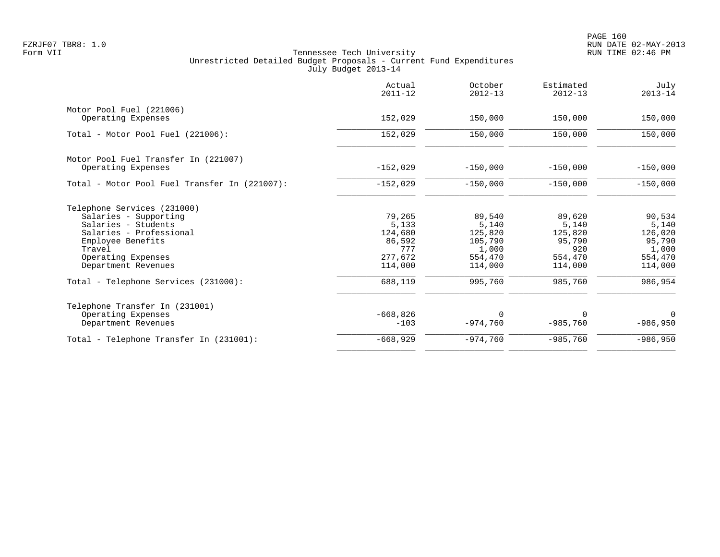|                                               | Actual<br>$2011 - 12$ | October<br>$2012 - 13$ | Estimated<br>$2012 - 13$ | July<br>$2013 - 14$ |
|-----------------------------------------------|-----------------------|------------------------|--------------------------|---------------------|
| Motor Pool Fuel (221006)                      |                       |                        |                          |                     |
| Operating Expenses                            | 152,029               | 150,000                | 150,000                  | 150,000             |
| Total - Motor Pool Fuel (221006):             | 152,029               | 150,000                | 150,000                  | 150,000             |
| Motor Pool Fuel Transfer In (221007)          |                       |                        |                          |                     |
| Operating Expenses                            | $-152,029$            | $-150,000$             | $-150,000$               | $-150,000$          |
| Total - Motor Pool Fuel Transfer In (221007): | $-152,029$            | $-150,000$             | $-150,000$               | $-150,000$          |
| Telephone Services (231000)                   |                       |                        |                          |                     |
| Salaries - Supporting                         | 79,265                | 89,540                 | 89,620                   | 90,534              |
| Salaries - Students                           | 5,133                 | 5,140                  | 5,140                    | 5,140               |
| Salaries - Professional                       | 124,680               | 125,820                | 125,820                  | 126,020             |
| Employee Benefits                             | 86,592                | 105,790                | 95,790                   | 95,790              |
| Travel                                        | 777                   | 1,000                  | 920                      | 1,000               |
| Operating Expenses<br>Department Revenues     | 277.672<br>114,000    | 554,470<br>114,000     | 554,470<br>114,000       | 554,470<br>114,000  |
| Total - Telephone Services (231000):          | 688,119               | 995,760                | 985,760                  | 986,954             |
| Telephone Transfer In (231001)                |                       |                        |                          |                     |
| Operating Expenses                            | $-668,826$            | $\Omega$               | $\Omega$                 | 0                   |
| Department Revenues                           | $-103$                | $-974,760$             | $-985,760$               | $-986,950$          |
| Total - Telephone Transfer In (231001):       | $-668,929$            | $-974,760$             | $-985,760$               | $-986,950$          |
|                                               |                       |                        |                          |                     |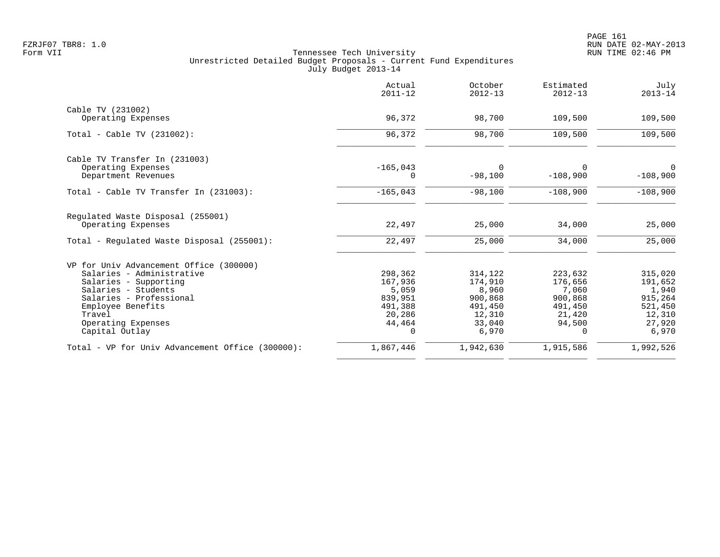|                                                         | Actual<br>$2011 - 12$ | October<br>$2012 - 13$ | Estimated<br>$2012 - 13$ | July<br>$2013 - 14$ |
|---------------------------------------------------------|-----------------------|------------------------|--------------------------|---------------------|
| Cable TV (231002)                                       |                       |                        |                          |                     |
| Operating Expenses                                      | 96,372                | 98,700                 | 109,500                  | 109,500             |
| Total - Cable TV (231002):                              | 96,372                | 98,700                 | 109,500                  | 109,500             |
| Cable TV Transfer In (231003)                           |                       |                        |                          |                     |
| Operating Expenses<br>Department Revenues               | $-165,043$<br>0       | $\Omega$<br>$-98,100$  | $\Omega$<br>$-108,900$   | 0<br>$-108,900$     |
| Total - Cable TV Transfer In (231003):                  | $-165,043$            | $-98,100$              | $-108,900$               | $-108,900$          |
| Regulated Waste Disposal (255001)<br>Operating Expenses | 22,497                | 25,000                 | 34,000                   | 25,000              |
| Total - Regulated Waste Disposal (255001):              | 22,497                | 25,000                 | 34,000                   | 25,000              |
| VP for Univ Advancement Office (300000)                 |                       |                        |                          |                     |
| Salaries - Administrative                               | 298,362               | 314,122                | 223,632                  | 315,020             |
| Salaries - Supporting                                   | 167,936               | 174,910                | 176,656                  | 191,652             |
| Salaries - Students                                     | 5,059                 | 8,960                  | 7,060                    | 1,940               |
| Salaries - Professional                                 | 839,951               | 900,868                | 900,868                  | 915,264             |
| Employee Benefits                                       | 491,388               | 491,450                | 491,450                  | 521,450             |
| Travel                                                  | 20,286                | 12,310                 | 21,420                   | 12,310              |
| Operating Expenses                                      | 44,464                | 33,040                 | 94,500                   | 27,920              |
| Capital Outlay                                          | $\Omega$              | 6,970                  | $\Omega$                 | 6,970               |
| Total - VP for Univ Advancement Office (300000):        | 1,867,446             | 1,942,630              | 1,915,586                | 1,992,526           |
|                                                         |                       |                        |                          |                     |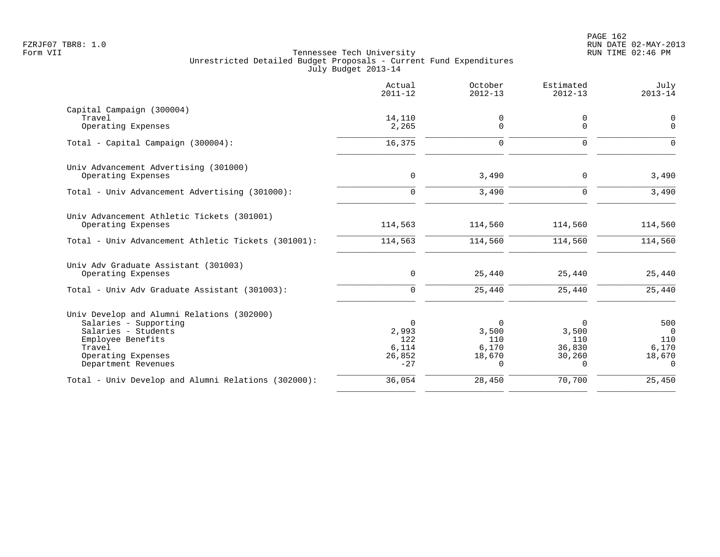|                                                                  | Actual<br>$2011 - 12$ | October<br>$2012 - 13$ | Estimated<br>$2012 - 13$ | July<br>$2013 - 14$ |
|------------------------------------------------------------------|-----------------------|------------------------|--------------------------|---------------------|
| Capital Campaign (300004)<br>Travel                              | 14,110                | 0                      | 0                        | $\mathbf 0$         |
| Operating Expenses                                               | 2,265                 | $\Omega$               | $\Omega$                 | $\Omega$            |
| Total - Capital Campaign (300004):                               | 16,375                | $\mathbf 0$            | $\Omega$                 | $\Omega$            |
| Univ Advancement Advertising (301000)                            |                       |                        |                          |                     |
| Operating Expenses                                               | $\mathbf 0$           | 3,490                  | $\mathbf 0$              | 3,490               |
| Total - Univ Advancement Advertising (301000):                   | $\mathbf 0$           | 3,490                  | 0                        | 3,490               |
| Univ Advancement Athletic Tickets (301001)<br>Operating Expenses | 114,563               | 114,560                | 114,560                  | 114,560             |
| Total - Univ Advancement Athletic Tickets (301001):              | 114,563               | 114,560                | 114,560                  | 114,560             |
| Univ Adv Graduate Assistant (301003)                             |                       |                        |                          |                     |
| Operating Expenses                                               | $\mathbf 0$           | 25,440                 | 25,440                   | 25,440              |
| Total - Univ Adv Graduate Assistant (301003):                    | $\Omega$              | 25,440                 | 25,440                   | 25,440              |
| Univ Develop and Alumni Relations (302000)                       |                       |                        |                          |                     |
| Salaries - Supporting                                            | 0                     | $\mathbf 0$            | 0                        | 500                 |
| Salaries - Students<br>Employee Benefits                         | 2,993<br>122          | 3,500<br>110           | 3,500<br>110             | $\Omega$<br>110     |
| Travel                                                           | 6,114                 | 6,170                  | 36,830                   | 6,170               |
| Operating Expenses                                               | 26,852                | 18,670                 | 30,260                   | 18,670              |
| Department Revenues                                              | $-27$                 | $\Omega$               | $\Omega$                 | $\Omega$            |
| Total - Univ Develop and Alumni Relations (302000):              | 36,054                | 28,450                 | 70,700                   | 25,450              |
|                                                                  |                       |                        |                          |                     |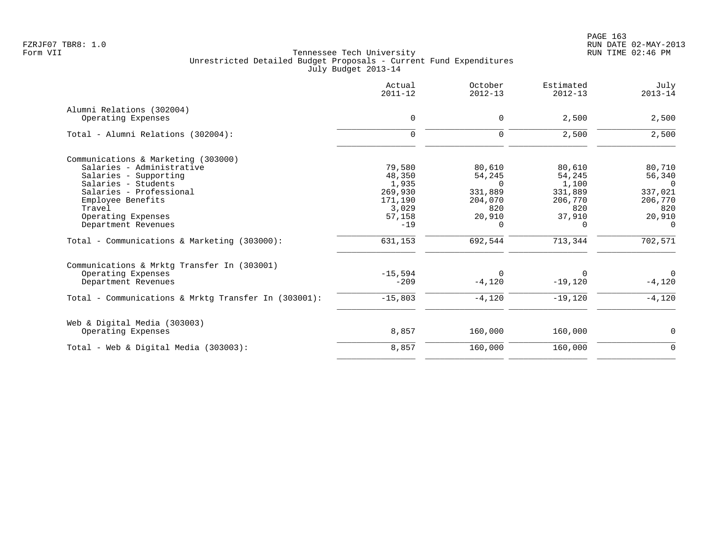|                                                      | Actual<br>$2011 - 12$ | October<br>$2012 - 13$ | Estimated<br>$2012 - 13$ | July<br>$2013 - 14$ |
|------------------------------------------------------|-----------------------|------------------------|--------------------------|---------------------|
| Alumni Relations (302004)                            |                       |                        |                          |                     |
| Operating Expenses                                   | $\mathbf 0$           | $\Omega$               | 2,500                    | 2,500               |
| Total - Alumni Relations (302004):                   | $\mathbf 0$           | $\Omega$               | 2,500                    | 2,500               |
| Communications & Marketing (303000)                  |                       |                        |                          |                     |
| Salaries - Administrative                            | 79,580                | 80,610                 | 80,610                   | 80,710              |
| Salaries - Supporting                                | 48,350                | 54,245                 | 54,245                   | 56,340              |
| Salaries - Students                                  | 1,935                 | $\Omega$               | 1,100                    | $\overline{0}$      |
| Salaries - Professional                              | 269,930               | 331,889                | 331,889                  | 337,021             |
| Employee Benefits                                    | 171,190               | 204,070                | 206,770                  | 206,770             |
| Travel                                               | 3,029                 | 820                    | 820                      | 820                 |
| Operating Expenses                                   | 57,158                | 20,910                 | 37,910                   | 20,910              |
| Department Revenues                                  | $-19$                 | $\Omega$               | $\Omega$                 | $\Omega$            |
| Total - Communications & Marketing (303000):         | 631,153               | 692,544                | 713,344                  | 702,571             |
| Communications & Mrktg Transfer In (303001)          |                       |                        |                          |                     |
| Operating Expenses                                   | $-15,594$             | $\Omega$               | $\Omega$                 | $\overline{0}$      |
| Department Revenues                                  | $-209$                | $-4,120$               | $-19,120$                | $-4,120$            |
| Total - Communications & Mrktq Transfer In (303001): | $-15,803$             | $-4,120$               | $-19,120$                | $-4,120$            |
| Web & Digital Media (303003)                         |                       |                        |                          |                     |
| Operating Expenses                                   | 8,857                 | 160,000                | 160,000                  | 0                   |
| Total - Web & Digital Media $(303003)$ :             | 8,857                 | 160,000                | 160,000                  | $\mathbf 0$         |
|                                                      |                       |                        |                          |                     |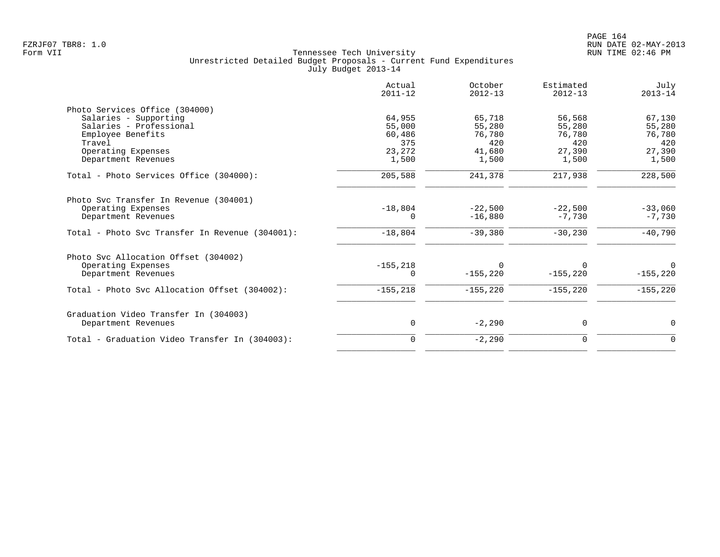|                                                 | Actual<br>$2011 - 12$ | October<br>$2012 - 13$ | Estimated<br>$2012 - 13$ | July<br>$2013 - 14$ |
|-------------------------------------------------|-----------------------|------------------------|--------------------------|---------------------|
| Photo Services Office (304000)                  |                       |                        |                          |                     |
| Salaries - Supporting                           | 64,955                | 65,718                 | 56,568                   | 67,130              |
| Salaries - Professional                         | 55,000                | 55,280                 | 55,280                   | 55,280              |
| Employee Benefits                               | 60,486                | 76,780                 | 76,780                   | 76,780              |
| Travel                                          | 375                   | 420                    | 420                      | 420                 |
| Operating Expenses                              | 23,272                | 41,680                 | 27,390                   | 27,390              |
| Department Revenues                             | 1,500                 | 1,500                  | 1,500                    | 1,500               |
| Total - Photo Services Office (304000):         | 205,588               | 241,378                | 217,938                  | 228,500             |
| Photo Svc Transfer In Revenue (304001)          |                       |                        |                          |                     |
| Operating Expenses                              | $-18,804$             | $-22,500$              | $-22,500$                | $-33,060$           |
| Department Revenues                             | 0                     | $-16,880$              | $-7,730$                 | $-7,730$            |
| Total - Photo Svc Transfer In Revenue (304001): | $-18,804$             | $-39,380$              | $-30,230$                | $-40,790$           |
| Photo Svc Allocation Offset (304002)            |                       |                        |                          |                     |
| Operating Expenses                              | $-155, 218$           | $\Omega$               | $\Omega$                 | $\Omega$            |
| Department Revenues                             | 0                     | $-155,220$             | $-155,220$               | $-155, 220$         |
| Total - Photo Svc Allocation Offset (304002):   | $-155, 218$           | $-155, 220$            | $-155, 220$              | $-155, 220$         |
| Graduation Video Transfer In (304003)           |                       |                        |                          |                     |
| Department Revenues                             | 0                     | $-2,290$               | 0                        | 0                   |
| Total - Graduation Video Transfer In (304003):  | 0                     | $-2,290$               | 0                        | 0                   |
|                                                 |                       |                        |                          |                     |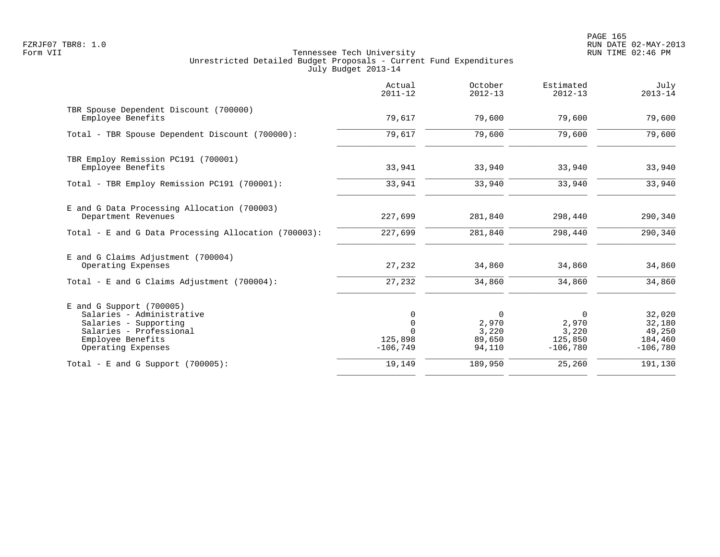PAGE 165 FZRJF07 TBR8: 1.0 RUN DATE 02-MAY-2013

|                                                                                                                                                        | Actual<br>$2011 - 12$ | October<br>$2012 - 13$                               | Estimated<br>$2012 - 13$                     | July<br>$2013 - 14$                                 |
|--------------------------------------------------------------------------------------------------------------------------------------------------------|-----------------------|------------------------------------------------------|----------------------------------------------|-----------------------------------------------------|
| TBR Spouse Dependent Discount (700000)<br>Employee Benefits                                                                                            | 79,617                | 79,600                                               | 79,600                                       | 79,600                                              |
| Total - TBR Spouse Dependent Discount (700000):                                                                                                        | 79,617                | 79,600                                               | 79,600                                       | 79,600                                              |
| TBR Employ Remission PC191 (700001)<br>Employee Benefits                                                                                               | 33,941                | 33,940                                               | 33,940                                       | 33,940                                              |
| Total - TBR Employ Remission PC191 (700001):                                                                                                           | 33,941                | 33,940                                               | 33,940                                       | 33,940                                              |
| E and G Data Processing Allocation (700003)<br>Department Revenues                                                                                     | 227,699               | 281,840                                              | 298,440                                      | 290,340                                             |
| Total - E and G Data Processing Allocation (700003):                                                                                                   | 227,699               | 281,840                                              | 298,440                                      | 290,340                                             |
| E and G Claims Adjustment (700004)<br>Operating Expenses                                                                                               | 27,232                | 34,860                                               | 34,860                                       | 34,860                                              |
| Total - E and G Claims Adjustment $(700004)$ :                                                                                                         | 27,232                | 34,860                                               | 34,860                                       | 34,860                                              |
| $E$ and G Support (700005)<br>Salaries - Administrative<br>Salaries - Supporting<br>Salaries - Professional<br>Employee Benefits<br>Operating Expenses | 125,898<br>$-106,749$ | $\overline{0}$<br>2,970<br>3,220<br>89,650<br>94,110 | 0<br>2,970<br>3,220<br>125,850<br>$-106,780$ | 32,020<br>32,180<br>49,250<br>184,460<br>$-106,780$ |
| Total - E and G Support $(700005)$ :                                                                                                                   | 19,149                | 189,950                                              | 25,260                                       | 191,130                                             |
|                                                                                                                                                        |                       |                                                      |                                              |                                                     |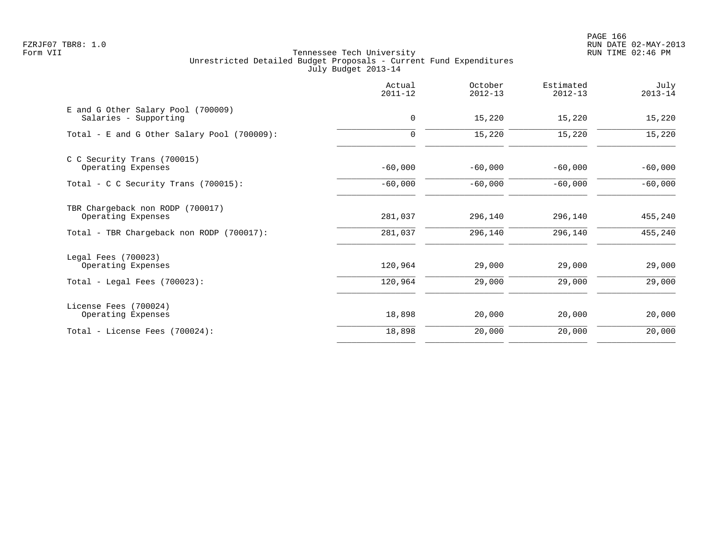|                                                             | Actual<br>$2011 - 12$ | October<br>$2012 - 13$ | Estimated<br>$2012 - 13$ | July<br>$2013 - 14$ |
|-------------------------------------------------------------|-----------------------|------------------------|--------------------------|---------------------|
| E and G Other Salary Pool (700009)<br>Salaries - Supporting | 0                     | 15,220                 | 15,220                   | 15,220              |
| Total - E and G Other Salary Pool (700009):                 | $\mathbf 0$           | 15,220                 | 15,220                   | 15,220              |
| C C Security Trans (700015)<br>Operating Expenses           | $-60,000$             | $-60,000$              | $-60,000$                | $-60,000$           |
| Total - C C Security Trans $(700015)$ :                     | $-60,000$             | $-60,000$              | $-60,000$                | $-60,000$           |
| TBR Chargeback non RODP (700017)<br>Operating Expenses      | 281,037               | 296,140                | 296,140                  | 455,240             |
| Total - TBR Chargeback non RODP (700017):                   | 281,037               | 296,140                | 296,140                  | 455,240             |
| Legal Fees (700023)<br>Operating Expenses                   | 120,964               | 29,000                 | 29,000                   | 29,000              |
| Total - Legal Fees $(700023)$ :                             | 120,964               | 29,000                 | 29,000                   | 29,000              |
| License Fees (700024)<br>Operating Expenses                 | 18,898                | 20,000                 | 20,000                   | 20,000              |
| Total - License Fees (700024):                              | 18,898                | 20,000                 | 20,000                   | 20,000              |
|                                                             |                       |                        |                          |                     |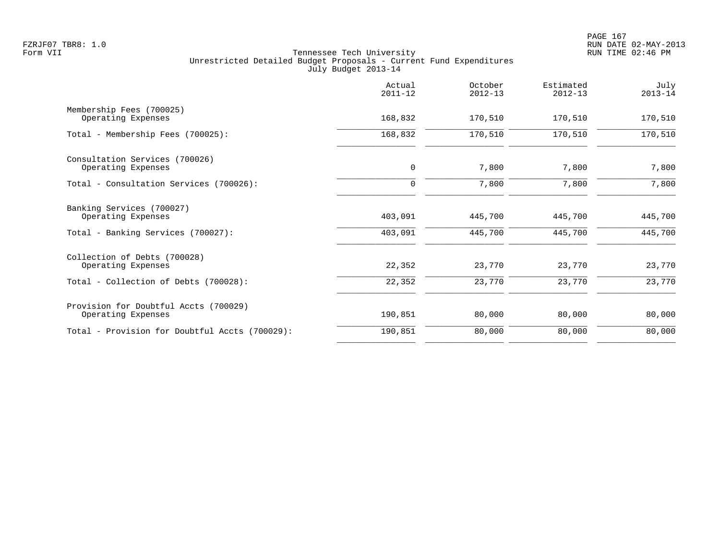|                                                             | Actual<br>$2011 - 12$ | October<br>$2012 - 13$ | Estimated<br>$2012 - 13$ | July<br>$2013 - 14$ |
|-------------------------------------------------------------|-----------------------|------------------------|--------------------------|---------------------|
| Membership Fees (700025)<br>Operating Expenses              | 168,832               | 170,510                | 170,510                  | 170,510             |
| Total - Membership Fees (700025):                           | 168,832               | 170,510                | 170,510                  | 170,510             |
| Consultation Services (700026)<br>Operating Expenses        | 0                     | 7,800                  | 7,800                    | 7,800               |
| Total - Consultation Services (700026):                     | $\mathbf 0$           | 7,800                  | 7,800                    | 7,800               |
| Banking Services (700027)<br>Operating Expenses             | 403,091               | 445,700                | 445,700                  | 445,700             |
| Total - Banking Services (700027):                          | 403,091               | 445,700                | 445,700                  | 445,700             |
| Collection of Debts (700028)<br>Operating Expenses          | 22,352                | 23,770                 | 23,770                   | 23,770              |
| Total - Collection of Debts (700028):                       | 22,352                | 23,770                 | 23,770                   | 23,770              |
| Provision for Doubtful Accts (700029)<br>Operating Expenses | 190,851               | 80,000                 | 80,000                   | 80,000              |
| Total - Provision for Doubtful Accts (700029):              | 190,851               | 80,000                 | 80,000                   | 80,000              |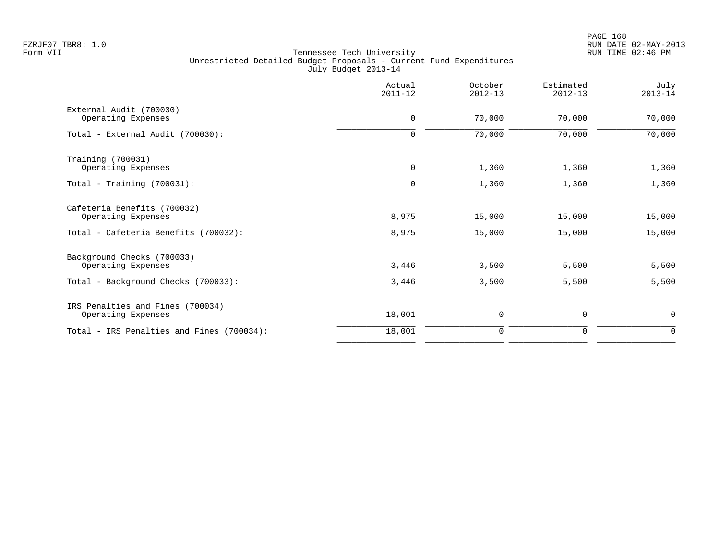PAGE 168 FZRJF07 TBR8: 1.0 RUN DATE 02-MAY-2013

|                                                        | Actual<br>$2011 - 12$ | October<br>$2012 - 13$ | Estimated<br>$2012 - 13$ | July<br>$2013 - 14$ |
|--------------------------------------------------------|-----------------------|------------------------|--------------------------|---------------------|
| External Audit (700030)<br>Operating Expenses          | $\mathbf 0$           | 70,000                 | 70,000                   | 70,000              |
| Total - External Audit (700030):                       | 0                     | 70,000                 | 70,000                   | 70,000              |
| Training (700031)<br>Operating Expenses                | $\mathbf 0$           | 1,360                  | 1,360                    | 1,360               |
| Total - Training $(700031)$ :                          | 0                     | 1,360                  | 1,360                    | 1,360               |
| Cafeteria Benefits (700032)<br>Operating Expenses      | 8,975                 | 15,000                 | 15,000                   | 15,000              |
| Total - Cafeteria Benefits (700032):                   | 8,975                 | 15,000                 | 15,000                   | 15,000              |
| Background Checks (700033)<br>Operating Expenses       | 3,446                 | 3,500                  | 5,500                    | 5,500               |
| Total - Background Checks (700033):                    | 3,446                 | 3,500                  | 5,500                    | 5,500               |
| IRS Penalties and Fines (700034)<br>Operating Expenses | 18,001                | 0                      | 0                        | $\mathbf 0$         |
| Total - IRS Penalties and Fines (700034):              | 18,001                | 0                      | 0                        | $\Omega$            |
|                                                        |                       |                        |                          |                     |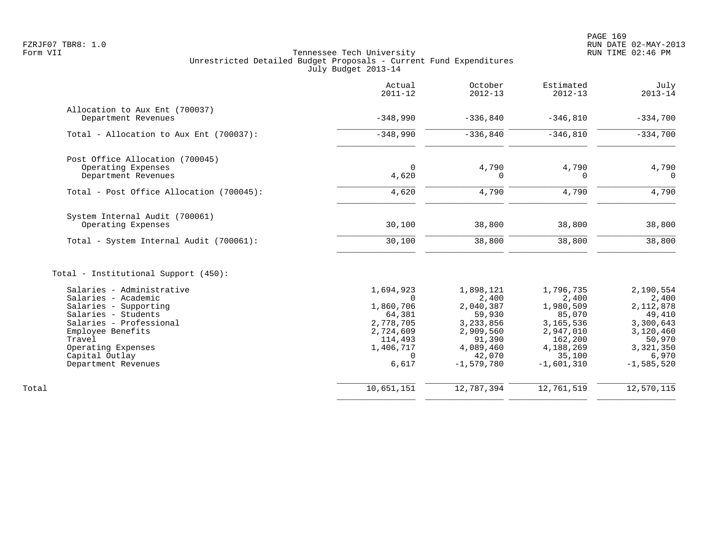|                                           | Actual<br>$2011 - 12$ | October<br>$2012 - 13$ | Estimated<br>$2012 - 13$ | July<br>$2013 - 14$ |
|-------------------------------------------|-----------------------|------------------------|--------------------------|---------------------|
| Allocation to Aux Ent (700037)            |                       |                        |                          |                     |
| Department Revenues                       | $-348,990$            | $-336,840$             | $-346,810$               | $-334,700$          |
| Total - Allocation to Aux Ent (700037):   | $-348,990$            | $-336,840$             | $-346,810$               | $-334,700$          |
| Post Office Allocation (700045)           |                       |                        |                          |                     |
| Operating Expenses<br>Department Revenues | $\mathbf 0$<br>4,620  | 4,790<br>$\Omega$      | 4,790<br>$\Omega$        | 4,790<br>$\Omega$   |
| Total - Post Office Allocation (700045):  | 4,620                 | 4,790                  | 4,790                    | 4,790               |
| System Internal Audit (700061)            |                       |                        |                          |                     |
| Operating Expenses                        | 30,100                | 38,800                 | 38,800                   | 38,800              |
| Total - System Internal Audit (700061):   | 30,100                | 38,800                 | 38,800                   | 38,800              |
| Total - Institutional Support (450):      |                       |                        |                          |                     |
| Salaries - Administrative                 | 1,694,923             | 1,898,121              | 1,796,735                | 2,190,554           |
| Salaries - Academic                       | $\Omega$              | 2,400                  | 2,400                    | 2,400               |
| Salaries - Supporting                     | 1,860,706             | 2,040,387              | 1,980,509                | 2,112,878           |
| Salaries - Students                       | 64,381                | 59,930                 | 85,070                   | 49,410              |
| Salaries - Professional                   | 2,778,705             | 3, 233, 856            | 3,165,536                | 3,300,643           |
| Employee Benefits<br>Travel               | 2,724,609<br>114,493  | 2,909,560<br>91,390    | 2,947,010<br>162,200     | 3,120,460<br>50,970 |
| Operating Expenses                        | 1,406,717             | 4,089,460              | 4,188,269                | 3,321,350           |
| Capital Outlay                            | $\Omega$              | 42,070                 | 35,100                   | 6,970               |
| Department Revenues                       | 6,617                 | $-1,579,780$           | $-1,601,310$             | $-1,585,520$        |
| Total                                     | 10,651,151            | 12,787,394             | 12,761,519               | 12,570,115          |
|                                           |                       |                        |                          |                     |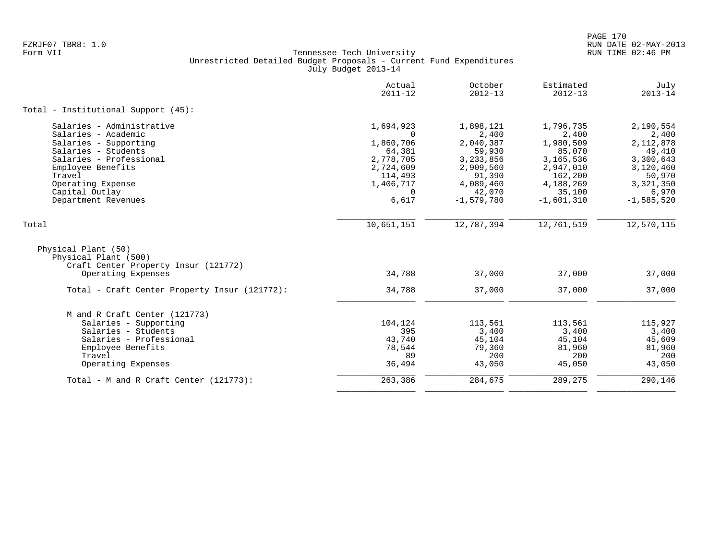|                                                                                                           | Actual<br>$2011 - 12$ | October<br>$2012 - 13$ | Estimated<br>$2012 - 13$ | July<br>$2013 - 14$   |
|-----------------------------------------------------------------------------------------------------------|-----------------------|------------------------|--------------------------|-----------------------|
| Total - Institutional Support (45):                                                                       |                       |                        |                          |                       |
| Salaries - Administrative                                                                                 | 1,694,923             | 1,898,121              | 1,796,735                | 2,190,554             |
| Salaries - Academic                                                                                       | $\Omega$              | 2,400                  | 2,400                    | 2,400                 |
| Salaries - Supporting                                                                                     | 1,860,706             | 2,040,387              | 1,980,509                | 2,112,878             |
| Salaries - Students                                                                                       | 64,381                | 59,930                 | 85,070                   | 49,410                |
| Salaries - Professional                                                                                   | 2,778,705             | 3,233,856              | 3,165,536                | 3,300,643             |
| Employee Benefits                                                                                         | 2,724,609             | 2,909,560              | 2,947,010                | 3,120,460             |
| Travel                                                                                                    | 114,493               | 91,390                 | 162,200                  | 50,970                |
| Operating Expense                                                                                         | 1,406,717<br>$\Omega$ | 4,089,460              | 4,188,269                | 3,321,350             |
| Capital Outlay                                                                                            | 6,617                 | 42,070<br>$-1,579,780$ | 35,100                   | 6,970<br>$-1,585,520$ |
| Department Revenues                                                                                       |                       |                        | $-1,601,310$             |                       |
| Total                                                                                                     | 10,651,151            | 12,787,394             | 12,761,519               | 12,570,115            |
| Physical Plant (50)<br>Physical Plant (500)<br>Craft Center Property Insur (121772)<br>Operating Expenses | 34,788                | 37,000                 | 37,000                   | 37,000                |
|                                                                                                           |                       |                        |                          |                       |
| Total - Craft Center Property Insur (121772):                                                             | 34,788                | 37,000                 | 37,000                   | 37,000                |
| M and R Craft Center (121773)                                                                             |                       |                        |                          |                       |
| Salaries - Supporting                                                                                     | 104,124               | 113,561                | 113,561                  | 115,927               |
| Salaries - Students                                                                                       | 395                   | 3,400                  | 3,400                    | 3,400                 |
| Salaries - Professional                                                                                   | 43,740                | 45,104                 | 45,104                   | 45,609                |
| Employee Benefits                                                                                         | 78,544                | 79,360                 | 81,960                   | 81,960                |
| Travel                                                                                                    | 89                    | 200                    | 200                      | 200                   |
| Operating Expenses                                                                                        | 36,494                | 43,050                 | 45,050                   | 43,050                |
| Total - M and R Craft Center (121773):                                                                    | 263,386               | 284,675                | 289,275                  | 290,146               |
|                                                                                                           |                       |                        |                          |                       |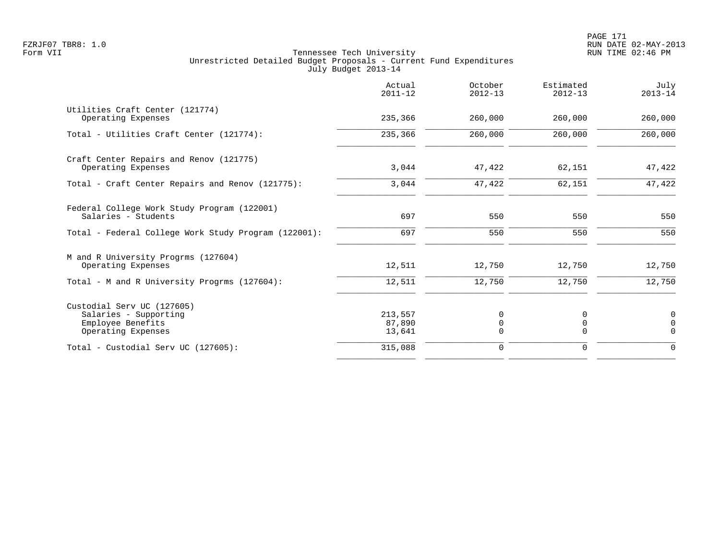|                                                                                                | Actual<br>$2011 - 12$       | October<br>$2012 - 13$ | Estimated<br>$2012 - 13$ | July<br>$2013 - 14$                    |
|------------------------------------------------------------------------------------------------|-----------------------------|------------------------|--------------------------|----------------------------------------|
| Utilities Craft Center (121774)<br>Operating Expenses                                          | 235,366                     | 260,000                | 260,000                  | 260,000                                |
| Total - Utilities Craft Center (121774):                                                       | 235,366                     | 260,000                | 260,000                  | 260,000                                |
| Craft Center Repairs and Renov (121775)<br>Operating Expenses                                  | 3,044                       | 47,422                 | 62,151                   | 47,422                                 |
| Total - Craft Center Repairs and Renov (121775):                                               | 3,044                       | 47,422                 | 62,151                   | 47,422                                 |
| Federal College Work Study Program (122001)<br>Salaries - Students                             | 697                         | 550                    | 550                      | 550                                    |
| Total - Federal College Work Study Program (122001):                                           | 697                         | 550                    | 550                      | 550                                    |
| M and R University Progrms (127604)<br>Operating Expenses                                      | 12,511                      | 12,750                 | 12,750                   | 12,750                                 |
| Total - M and R University Progrms (127604):                                                   | 12,511                      | 12,750                 | 12,750                   | 12,750                                 |
| Custodial Serv UC (127605)<br>Salaries - Supporting<br>Employee Benefits<br>Operating Expenses | 213,557<br>87,890<br>13,641 | 0<br>0<br>$\Omega$     | 0<br>0<br>$\Omega$       | $\mathbf 0$<br>$\mathbf 0$<br>$\Omega$ |
| Total - Custodial Serv UC (127605):                                                            | 315,088                     | 0                      | $\mathbf 0$              | $\mathbf 0$                            |
|                                                                                                |                             |                        |                          |                                        |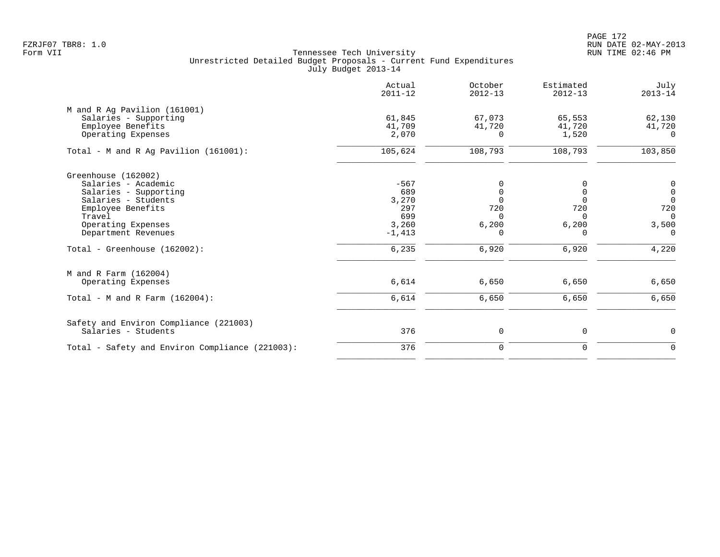PAGE 172 FZRJF07 TBR8: 1.0 RUN DATE 02-MAY-2013

|                                                 | Actual<br>$2011 - 12$ | October<br>$2012 - 13$ | Estimated<br>$2012 - 13$ | July<br>$2013 - 14$                        |
|-------------------------------------------------|-----------------------|------------------------|--------------------------|--------------------------------------------|
| M and R Ag Pavilion (161001)                    |                       |                        |                          |                                            |
| Salaries - Supporting                           | 61,845                | 67,073                 | 65,553                   | 62,130                                     |
| Employee Benefits                               | 41,709                | 41,720                 | 41,720                   | 41,720                                     |
| Operating Expenses                              | 2,070                 | $\Omega$               | 1,520                    | $\Omega$                                   |
| Total - M and R Ag Pavilion (161001):           | 105,624               | 108,793                | 108,793                  | 103,850                                    |
| Greenhouse (162002)                             |                       |                        |                          |                                            |
| Salaries - Academic                             | $-567$                | 0                      | 0                        | $\begin{smallmatrix}0\\0\end{smallmatrix}$ |
| Salaries - Supporting                           | 689                   | $\Omega$               | $\Omega$                 |                                            |
| Salaries - Students                             | 3,270                 | $\Omega$               | $\Omega$                 | $\overline{0}$                             |
| Employee Benefits                               | 297                   | 720                    | 720                      | 720                                        |
| Travel                                          | 699                   | $\Omega$               | $\Omega$                 | $\Omega$                                   |
| Operating Expenses                              | 3,260                 | 6,200                  | 6,200                    | 3,500                                      |
| Department Revenues                             | $-1,413$              | $\Omega$               | $\Omega$                 | $\Omega$                                   |
| Total - Greenhouse (162002):                    | 6,235                 | 6,920                  | 6,920                    | 4,220                                      |
| M and R Farm (162004)                           |                       |                        |                          |                                            |
| Operating Expenses                              | 6,614                 | 6,650                  | 6,650                    | 6,650                                      |
| Total - M and R Farm $(162004)$ :               | $6,614$               | 6,650                  | 6,650                    | 6,650                                      |
| Safety and Environ Compliance (221003)          |                       |                        |                          |                                            |
| Salaries - Students                             | 376                   | $\mathbf 0$            | 0                        | 0                                          |
| Total - Safety and Environ Compliance (221003): | 376                   | $\mathbf 0$            | $\mathbf 0$              | $\mathbf 0$                                |
|                                                 |                       |                        |                          |                                            |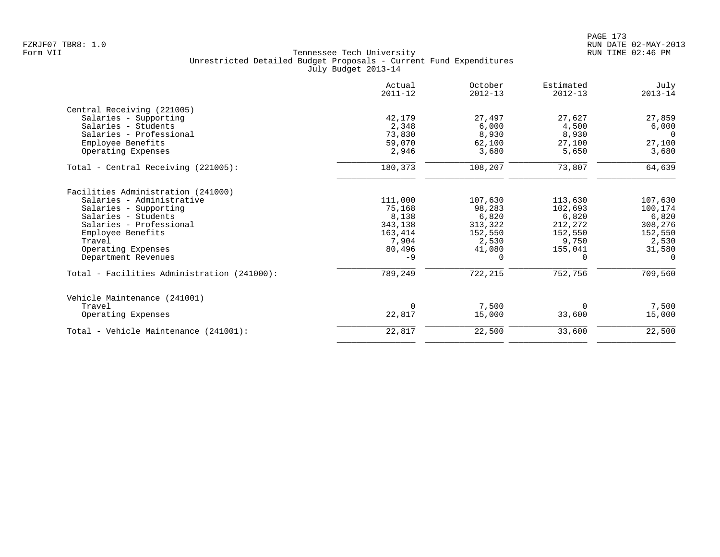|                                             | Actual<br>$2011 - 12$ | October<br>$2012 - 13$ | Estimated<br>$2012 - 13$ | July<br>$2013 - 14$ |
|---------------------------------------------|-----------------------|------------------------|--------------------------|---------------------|
| Central Receiving (221005)                  |                       |                        |                          |                     |
| Salaries - Supporting                       | 42,179                | 27,497                 | 27,627                   | 27,859              |
| Salaries - Students                         | 2,348                 | 6,000                  | 4,500                    | 6,000               |
| Salaries - Professional                     | 73,830                | 8,930                  | 8,930                    | $\Omega$            |
| Employee Benefits                           | 59,070                | 62,100                 | 27,100                   | 27,100              |
| Operating Expenses                          | 2,946                 | 3,680                  | 5,650                    | 3,680               |
| Total - Central Receiving (221005):         | 180,373               | 108,207                | 73,807                   | 64,639              |
| Facilities Administration (241000)          |                       |                        |                          |                     |
| Salaries - Administrative                   | 111,000               | 107,630                | 113,630                  | 107,630             |
| Salaries - Supporting                       | 75,168                | 98,283                 | 102,693                  | 100,174             |
| Salaries - Students                         | 8,138                 | 6,820                  | 6,820                    | 6,820               |
| Salaries - Professional                     | 343,138               | 313,322                | 212,272                  | 308,276             |
| Employee Benefits                           | 163,414               | 152,550                | 152,550                  | 152,550             |
| Travel                                      | 7,904                 | 2,530                  | 9,750                    | 2,530               |
| Operating Expenses                          | 80,496                | 41,080                 | 155,041                  | 31,580              |
| Department Revenues                         | $-9$                  | 0                      | $\Omega$                 | $\Omega$            |
| Total - Facilities Administration (241000): | 789,249               | 722,215                | 752,756                  | 709,560             |
| Vehicle Maintenance (241001)                |                       |                        |                          |                     |
| Travel                                      | $\Omega$              | 7,500                  | $\Omega$                 | 7,500               |
| Operating Expenses                          | 22,817                | 15,000                 | 33,600                   | 15,000              |
| Total - Vehicle Maintenance (241001):       | 22,817                | 22,500                 | 33,600                   | 22,500              |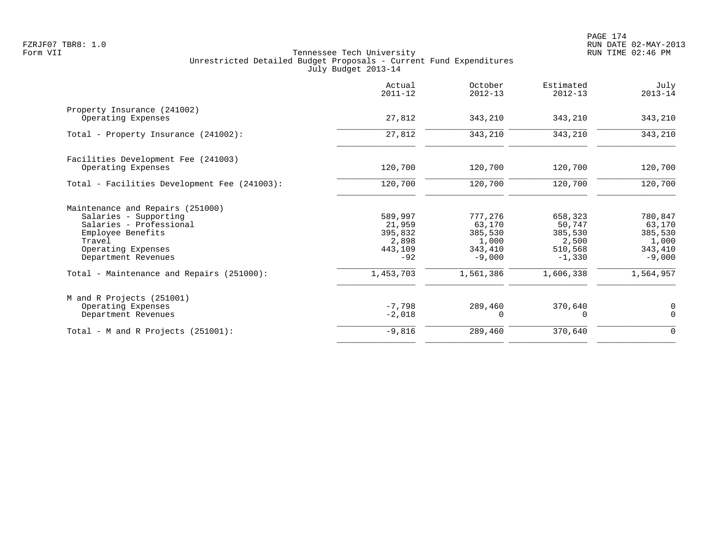|                                                                                                                                                                                                               | Actual<br>$2011 - 12$                                                  | October<br>$2012 - 13$                                                    | Estimated<br>$2012 - 13$                                                  | July<br>$2013 - 14$                                                       |
|---------------------------------------------------------------------------------------------------------------------------------------------------------------------------------------------------------------|------------------------------------------------------------------------|---------------------------------------------------------------------------|---------------------------------------------------------------------------|---------------------------------------------------------------------------|
| Property Insurance (241002)<br>Operating Expenses                                                                                                                                                             | 27,812                                                                 | 343,210                                                                   | 343,210                                                                   | 343,210                                                                   |
| Total - Property Insurance (241002):                                                                                                                                                                          | 27,812                                                                 | 343,210                                                                   | 343,210                                                                   | 343,210                                                                   |
| Facilities Development Fee (241003)<br>Operating Expenses                                                                                                                                                     | 120,700                                                                | 120,700                                                                   | 120,700                                                                   | 120,700                                                                   |
| Total - Facilities Development Fee (241003):                                                                                                                                                                  | 120,700                                                                | 120,700                                                                   | 120,700                                                                   | 120,700                                                                   |
| Maintenance and Repairs (251000)<br>Salaries - Supporting<br>Salaries - Professional<br>Employee Benefits<br>Travel<br>Operating Expenses<br>Department Revenues<br>Total - Maintenance and Repairs (251000): | 589,997<br>21,959<br>395,832<br>2,898<br>443,109<br>$-92$<br>1,453,703 | 777,276<br>63,170<br>385,530<br>1,000<br>343,410<br>$-9,000$<br>1,561,386 | 658,323<br>50,747<br>385,530<br>2,500<br>510,568<br>$-1,330$<br>1,606,338 | 780,847<br>63,170<br>385,530<br>1,000<br>343,410<br>$-9,000$<br>1,564,957 |
| M and R Projects (251001)<br>Operating Expenses<br>Department Revenues                                                                                                                                        | $-7,798$<br>$-2,018$                                                   | 289,460<br>$\Omega$                                                       | 370,640<br>$\Omega$                                                       | 0<br>$\mathbf 0$                                                          |
| Total - M and R Projects $(251001)$ :                                                                                                                                                                         | $-9,816$                                                               | 289,460                                                                   | 370,640                                                                   | $\mathbf 0$                                                               |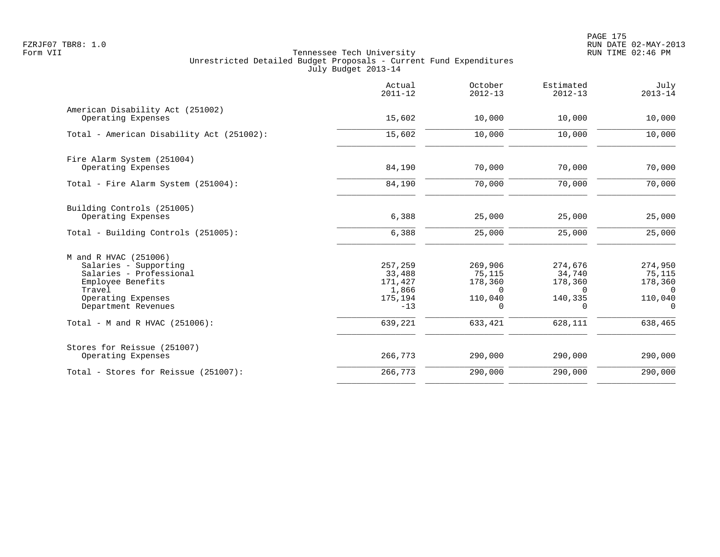PAGE 175 FZRJF07 TBR8: 1.0 RUN DATE 02-MAY-2013

|                                                                                                                                                       | Actual<br>$2011 - 12$                                     | October<br>$2012 - 13$                                   | Estimated<br>$2012 - 13$                                        | July<br>$2013 - 14$                                                      |
|-------------------------------------------------------------------------------------------------------------------------------------------------------|-----------------------------------------------------------|----------------------------------------------------------|-----------------------------------------------------------------|--------------------------------------------------------------------------|
| American Disability Act (251002)<br>Operating Expenses                                                                                                | 15,602                                                    | 10,000                                                   | 10,000                                                          | 10,000                                                                   |
| Total - American Disability Act (251002):                                                                                                             | 15,602                                                    | 10,000                                                   | 10,000                                                          | 10,000                                                                   |
| Fire Alarm System (251004)<br>Operating Expenses                                                                                                      | 84,190                                                    | 70,000                                                   | 70,000                                                          | 70,000                                                                   |
| Total - Fire Alarm System (251004):                                                                                                                   | 84,190                                                    | 70,000                                                   | 70,000                                                          | 70,000                                                                   |
| Building Controls (251005)<br>Operating Expenses                                                                                                      | 6,388                                                     | 25,000                                                   | 25,000                                                          | 25,000                                                                   |
| Total - Building Controls (251005):                                                                                                                   | 6,388                                                     | 25,000                                                   | 25,000                                                          | 25,000                                                                   |
| M and R HVAC (251006)<br>Salaries - Supporting<br>Salaries - Professional<br>Employee Benefits<br>Travel<br>Operating Expenses<br>Department Revenues | 257,259<br>33,488<br>171,427<br>1,866<br>175,194<br>$-13$ | 269,906<br>75,115<br>178,360<br>$\Omega$<br>110,040<br>0 | 274,676<br>34,740<br>178,360<br>$\Omega$<br>140,335<br>$\Omega$ | 274,950<br>75,115<br>178,360<br>$\overline{0}$<br>110,040<br>$\mathbf 0$ |
| Total - M and R HVAC (251006):                                                                                                                        | 639,221                                                   | 633,421                                                  | 628,111                                                         | 638,465                                                                  |
| Stores for Reissue (251007)<br>Operating Expenses                                                                                                     | 266,773                                                   | 290,000                                                  | 290,000                                                         | 290,000                                                                  |
| Total - Stores for Reissue (251007):                                                                                                                  | 266,773                                                   | 290,000                                                  | 290,000                                                         | 290,000                                                                  |
|                                                                                                                                                       |                                                           |                                                          |                                                                 |                                                                          |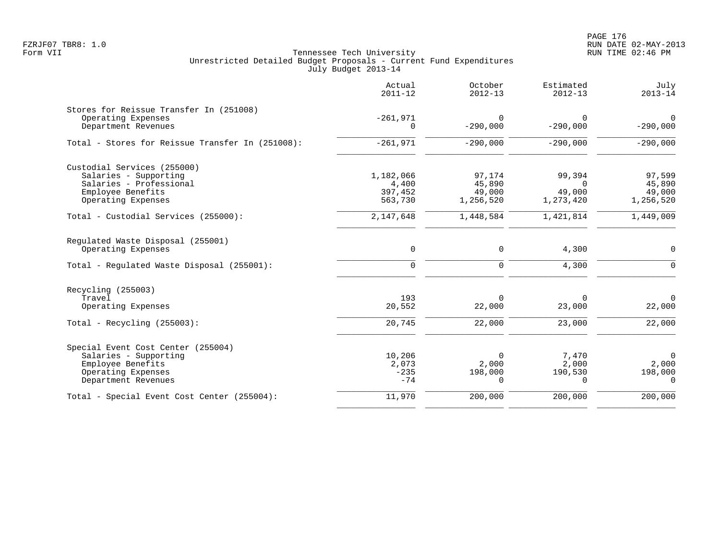PAGE 176 FZRJF07 TBR8: 1.0 RUN DATE 02-MAY-2013

|                                                               | Actual<br>$2011 - 12$ | October<br>$2012 - 13$ | Estimated<br>$2012 - 13$ | July<br>$2013 - 14$ |
|---------------------------------------------------------------|-----------------------|------------------------|--------------------------|---------------------|
| Stores for Reissue Transfer In (251008)<br>Operating Expenses | $-261,971$            | $\Omega$               | $\mathbf 0$              | $\mathbf 0$         |
| Department Revenues                                           | $\Omega$              | $-290,000$             | $-290,000$               | $-290,000$          |
| Total - Stores for Reissue Transfer In (251008):              | $-261,971$            | $-290,000$             | $-290,000$               | $-290,000$          |
| Custodial Services (255000)                                   |                       |                        |                          |                     |
| Salaries - Supporting                                         | 1,182,066             | 97,174                 | 99,394                   | 97,599              |
| Salaries - Professional                                       | 4,400                 | 45,890                 | $\mathbf 0$              | 45,890              |
| Employee Benefits<br>Operating Expenses                       | 397,452<br>563,730    | 49,000<br>1,256,520    | 49,000<br>1,273,420      | 49,000<br>1,256,520 |
| Total - Custodial Services (255000):                          | 2,147,648             | 1,448,584              | 1,421,814                | 1,449,009           |
| Regulated Waste Disposal (255001)                             |                       |                        |                          |                     |
| Operating Expenses                                            | $\mathbf 0$           | $\Omega$               | 4,300                    | $\Omega$            |
| Total - Regulated Waste Disposal (255001):                    | $\mathbf 0$           | $\mathbf 0$            | 4,300                    | $\Omega$            |
| Recycling (255003)                                            |                       |                        |                          |                     |
| Travel                                                        | 193                   | $\Omega$               | 0                        | $\mathbf 0$         |
| Operating Expenses                                            | 20,552                | 22,000                 | 23,000                   | 22,000              |
| Total - Recycling $(255003)$ :                                | 20,745                | 22,000                 | 23,000                   | 22,000              |
| Special Event Cost Center (255004)                            |                       |                        |                          |                     |
| Salaries - Supporting                                         | 10,206                | $\Omega$               | 7,470                    | $\Omega$            |
| Employee Benefits                                             | 2,073                 | 2,000                  | 2,000                    | 2,000               |
| Operating Expenses<br>Department Revenues                     | $-235$<br>$-74$       | 198,000<br>$\Omega$    | 190,530<br>$\Omega$      | 198,000<br>$\Omega$ |
| Total - Special Event Cost Center (255004):                   | 11,970                | 200,000                | 200,000                  | 200,000             |
|                                                               |                       |                        |                          |                     |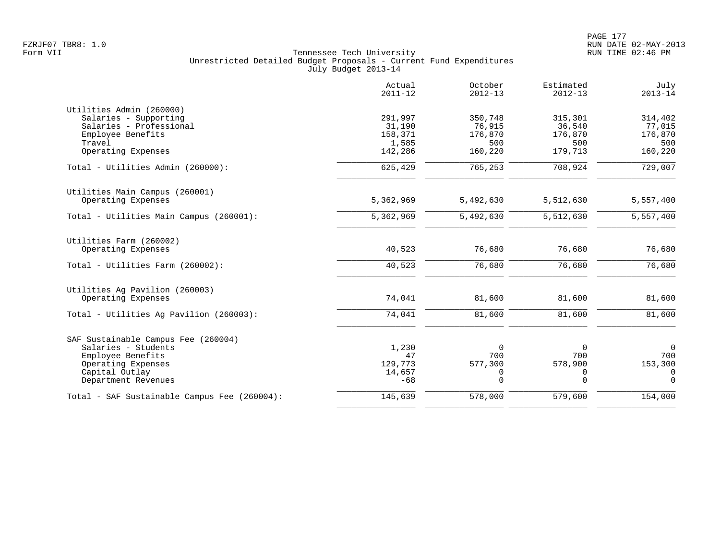|                                              | Actual<br>$2011 - 12$ | October<br>$2012 - 13$ | Estimated<br>$2012 - 13$ | July<br>$2013 - 14$ |
|----------------------------------------------|-----------------------|------------------------|--------------------------|---------------------|
| Utilities Admin (260000)                     |                       |                        |                          |                     |
| Salaries - Supporting                        | 291,997               | 350,748                | 315,301                  | 314,402             |
| Salaries - Professional                      | 31,190                | 76,915                 | 36,540                   | 77,015              |
| Employee Benefits                            | 158,371               | 176,870                | 176,870                  | 176,870             |
| Travel                                       | 1,585                 | 500                    | 500                      | 500                 |
| Operating Expenses                           | 142,286               | 160,220                | 179,713                  | 160,220             |
| Total - Utilities Admin (260000):            | 625,429               | 765,253                | 708,924                  | 729,007             |
| Utilities Main Campus (260001)               |                       |                        |                          |                     |
| Operating Expenses                           | 5,362,969             | 5,492,630              | 5,512,630                | 5,557,400           |
| Total - Utilities Main Campus (260001):      | 5,362,969             | 5,492,630              | 5,512,630                | 5,557,400           |
| Utilities Farm (260002)                      |                       |                        |                          |                     |
| Operating Expenses                           | 40,523                | 76,680                 | 76,680                   | 76,680              |
| Total - Utilities Farm (260002):             | 40,523                | 76,680                 | 76,680                   | 76,680              |
| Utilities Ag Pavilion (260003)               |                       |                        |                          |                     |
| Operating Expenses                           | 74,041                | 81,600                 | 81,600                   | 81,600              |
| Total - Utilities Aq Pavilion (260003):      | 74,041                | 81,600                 | 81,600                   | 81,600              |
| SAF Sustainable Campus Fee (260004)          |                       |                        |                          |                     |
| Salaries - Students                          | 1,230                 | $\Omega$               | $\Omega$                 | $\Omega$            |
| Employee Benefits                            | 47                    | 700                    | 700                      | 700                 |
| Operating Expenses                           | 129,773               | 577,300                | 578,900                  | 153,300             |
| Capital Outlay                               | 14,657                | 0                      | 0                        | 0                   |
| Department Revenues                          | $-68$                 | $\Omega$               | $\Omega$                 | $\Omega$            |
| Total - SAF Sustainable Campus Fee (260004): | 145,639               | 578,000                | 579,600                  | 154,000             |
|                                              |                       |                        |                          |                     |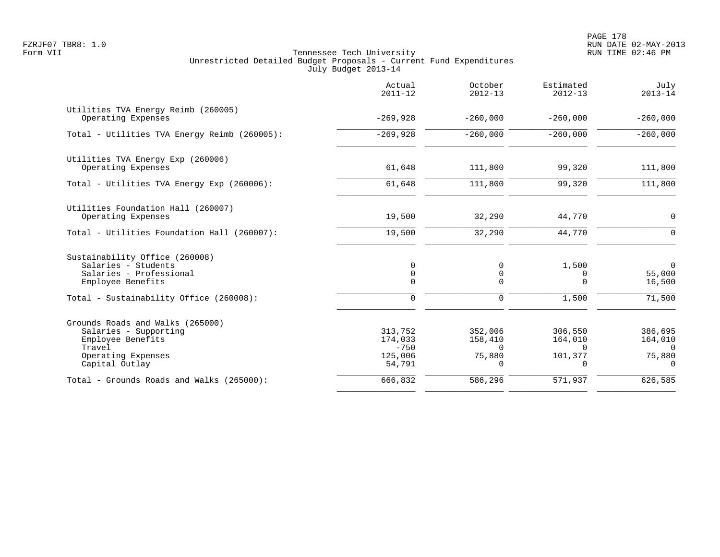PAGE 178 FZRJF07 TBR8: 1.0 RUN DATE 02-MAY-2013

|                                                                                                                                  | Actual<br>$2011 - 12$                             | October<br>$2012 - 13$                               | Estimated<br>$2012 - 13$                              | July<br>$2013 - 14$                                  |
|----------------------------------------------------------------------------------------------------------------------------------|---------------------------------------------------|------------------------------------------------------|-------------------------------------------------------|------------------------------------------------------|
| Utilities TVA Energy Reimb (260005)<br>Operating Expenses                                                                        | $-269,928$                                        | $-260,000$                                           | $-260,000$                                            | $-260,000$                                           |
| Total - Utilities TVA Energy Reimb (260005):                                                                                     | $-269,928$                                        | $-260,000$                                           | $-260,000$                                            | $-260,000$                                           |
| Utilities TVA Energy Exp (260006)<br>Operating Expenses                                                                          | 61,648                                            | 111,800                                              | 99,320                                                | 111,800                                              |
| Total - Utilities TVA Energy Exp (260006):                                                                                       | 61,648                                            | 111,800                                              | 99,320                                                | 111,800                                              |
| Utilities Foundation Hall (260007)<br>Operating Expenses                                                                         | 19,500                                            | 32,290                                               | 44,770                                                | $\mathbf 0$                                          |
| Total - Utilities Foundation Hall (260007):                                                                                      | 19,500                                            | 32,290                                               | 44,770                                                | $\Omega$                                             |
| Sustainability Office (260008)<br>Salaries - Students<br>Salaries - Professional<br>Employee Benefits                            | 0<br>0<br>$\Omega$                                | 0<br>0<br>$\Omega$                                   | 1,500<br>0<br>U                                       | $\Omega$<br>55,000<br>16,500                         |
| Total - Sustainability Office (260008):                                                                                          | $\Omega$                                          | 0                                                    | 1,500                                                 | 71,500                                               |
| Grounds Roads and Walks (265000)<br>Salaries - Supporting<br>Employee Benefits<br>Travel<br>Operating Expenses<br>Capital Outlay | 313,752<br>174,033<br>$-750$<br>125,006<br>54,791 | 352,006<br>158,410<br>$\Omega$<br>75,880<br>$\Omega$ | 306,550<br>164,010<br>$\Omega$<br>101,377<br>$\Omega$ | 386,695<br>164,010<br>$\Omega$<br>75,880<br>$\Omega$ |
| Total - Grounds Roads and Walks (265000):                                                                                        | 666,832                                           | 586,296                                              | 571,937                                               | 626,585                                              |
|                                                                                                                                  |                                                   |                                                      |                                                       |                                                      |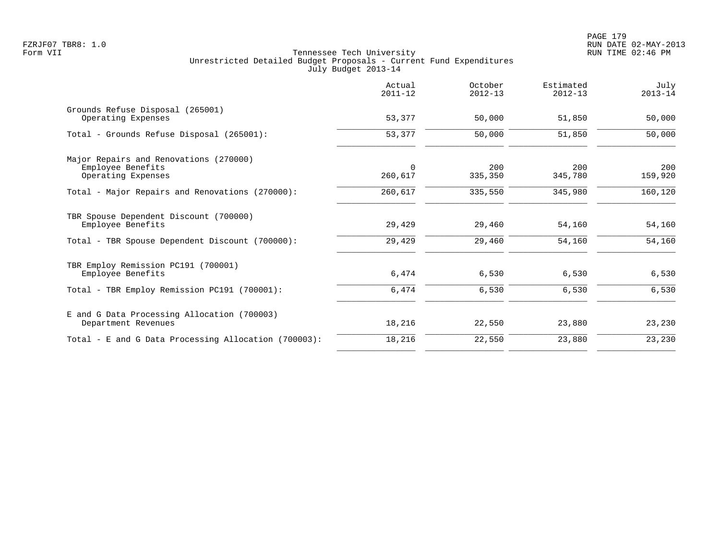|                                                                    | Actual<br>$2011 - 12$ | October<br>$2012 - 13$ | Estimated<br>$2012 - 13$ | July<br>$2013 - 14$ |
|--------------------------------------------------------------------|-----------------------|------------------------|--------------------------|---------------------|
| Grounds Refuse Disposal (265001)<br>Operating Expenses             | 53,377                | 50,000                 | 51,850                   | 50,000              |
| Total - Grounds Refuse Disposal (265001):                          | 53,377                | 50,000                 | 51,850                   | 50,000              |
| Major Repairs and Renovations (270000)<br>Employee Benefits        | $\mathbf 0$           | 200                    | 200                      | 200                 |
| Operating Expenses                                                 | 260,617               | 335,350                | 345,780                  | 159,920             |
| Total - Major Repairs and Renovations (270000):                    | 260,617               | 335,550                | 345,980                  | 160,120             |
| TBR Spouse Dependent Discount (700000)<br>Employee Benefits        | 29,429                | 29,460                 | 54,160                   | 54,160              |
| Total - TBR Spouse Dependent Discount (700000):                    | 29,429                | 29,460                 | 54,160                   | 54,160              |
| TBR Employ Remission PC191 (700001)<br>Employee Benefits           | 6,474                 | 6,530                  | 6,530                    | 6,530               |
| Total - TBR Employ Remission PC191 (700001):                       | 6,474                 | 6,530                  | 6,530                    | 6,530               |
| E and G Data Processing Allocation (700003)<br>Department Revenues | 18,216                | 22,550                 | 23,880                   | 23,230              |
| Total - E and G Data Processing Allocation (700003):               | 18,216                | 22,550                 | 23,880                   | 23,230              |
|                                                                    |                       |                        |                          |                     |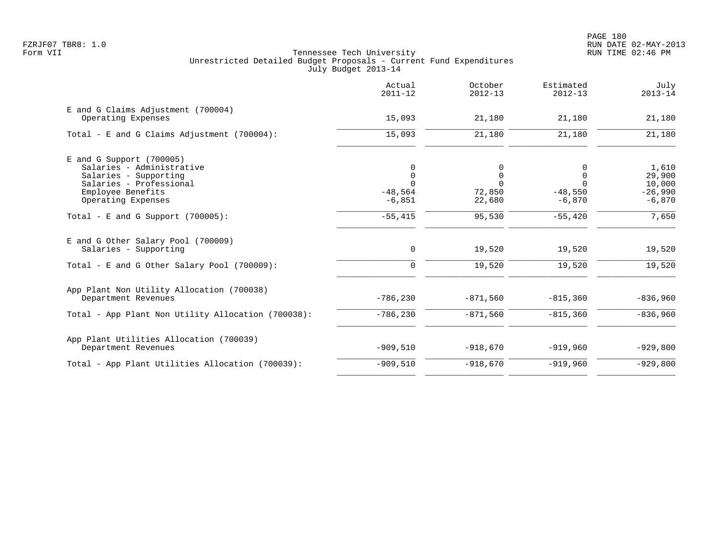|                                                                                  | Actual<br>$2011 - 12$             | October<br>$2012 - 13$       | Estimated<br>$2012 - 13$          | July<br>$2013 - 14$             |
|----------------------------------------------------------------------------------|-----------------------------------|------------------------------|-----------------------------------|---------------------------------|
| E and G Claims Adjustment (700004)<br>Operating Expenses                         | 15,093                            | 21,180                       | 21,180                            | 21,180                          |
| Total - E and G Claims Adjustment $(700004)$ :                                   | 15,093                            | 21,180                       | 21,180                            | 21,180                          |
| $E$ and G Support (700005)<br>Salaries - Administrative<br>Salaries - Supporting | 0<br>$\mathbf 0$                  | 0<br>0                       | 0<br>$\Omega$                     | 1,610<br>29,900                 |
| Salaries - Professional<br>Employee Benefits<br>Operating Expenses               | $\Omega$<br>$-48,564$<br>$-6,851$ | $\Omega$<br>72,850<br>22,680 | $\Omega$<br>$-48,550$<br>$-6,870$ | 10,000<br>$-26,990$<br>$-6,870$ |
| Total - E and G Support $(700005)$ :                                             | $-55,415$                         | 95,530                       | $-55,420$                         | 7,650                           |
| E and G Other Salary Pool (700009)<br>Salaries - Supporting                      | 0                                 | 19,520                       | 19,520                            | 19,520                          |
| Total - E and G Other Salary Pool (700009):                                      | $\mathbf 0$                       | 19,520                       | 19,520                            | 19,520                          |
| App Plant Non Utility Allocation (700038)<br>Department Revenues                 | $-786, 230$                       | $-871,560$                   | $-815,360$                        | $-836,960$                      |
| Total - App Plant Non Utility Allocation (700038):                               | $-786, 230$                       | $-871,560$                   | $-815, 360$                       | $-836,960$                      |
| App Plant Utilities Allocation (700039)<br>Department Revenues                   | $-909,510$                        | $-918,670$                   | $-919,960$                        | $-929,800$                      |
| Total - App Plant Utilities Allocation (700039):                                 | $-909,510$                        | $-918,670$                   | $-919,960$                        | $-929,800$                      |
|                                                                                  |                                   |                              |                                   |                                 |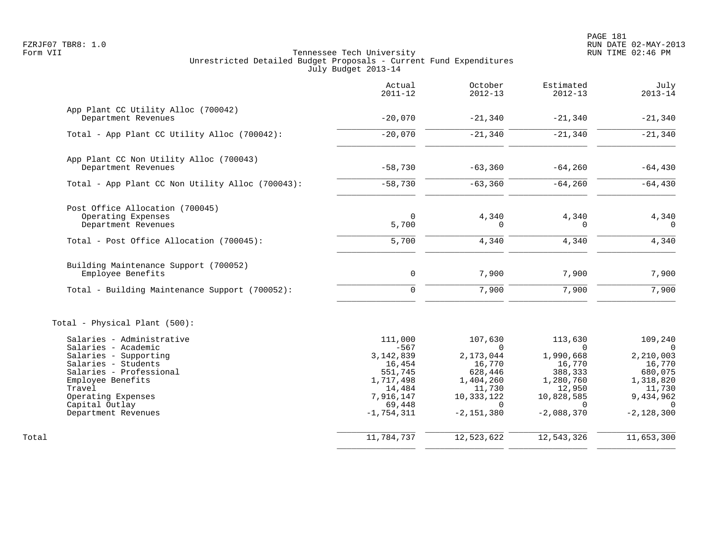PAGE 181 FZRJF07 TBR8: 1.0 RUN DATE 02-MAY-2013

|                                                                                                                                                                                                                           | Actual<br>$2011 - 12$                                                                                               | October<br>$2012 - 13$                                                                                                     | Estimated<br>$2012 - 13$                                                                                               | July<br>$2013 - 14$                                                                                                   |
|---------------------------------------------------------------------------------------------------------------------------------------------------------------------------------------------------------------------------|---------------------------------------------------------------------------------------------------------------------|----------------------------------------------------------------------------------------------------------------------------|------------------------------------------------------------------------------------------------------------------------|-----------------------------------------------------------------------------------------------------------------------|
| App Plant CC Utility Alloc (700042)<br>Department Revenues                                                                                                                                                                | $-20,070$                                                                                                           | $-21,340$                                                                                                                  | $-21,340$                                                                                                              | $-21,340$                                                                                                             |
| Total - App Plant CC Utility Alloc (700042):                                                                                                                                                                              | $-20,070$                                                                                                           | $-21,340$                                                                                                                  | $-21,340$                                                                                                              | $-21,340$                                                                                                             |
| App Plant CC Non Utility Alloc (700043)<br>Department Revenues                                                                                                                                                            | $-58,730$                                                                                                           | $-63,360$                                                                                                                  | $-64,260$                                                                                                              | $-64,430$                                                                                                             |
| Total - App Plant CC Non Utility Alloc (700043):                                                                                                                                                                          | $-58,730$                                                                                                           | $-63,360$                                                                                                                  | $-64, 260$                                                                                                             | $-64, 430$                                                                                                            |
| Post Office Allocation (700045)<br>Operating Expenses<br>Department Revenues                                                                                                                                              | $\Omega$<br>5,700                                                                                                   | 4,340<br>$\Omega$                                                                                                          | 4,340<br>$\Omega$                                                                                                      | 4,340<br>0                                                                                                            |
| Total - Post Office Allocation (700045):                                                                                                                                                                                  | 5,700                                                                                                               | 4,340                                                                                                                      | 4,340                                                                                                                  | 4,340                                                                                                                 |
| Building Maintenance Support (700052)<br>Employee Benefits                                                                                                                                                                | $\mathbf 0$                                                                                                         | 7,900                                                                                                                      | 7,900                                                                                                                  | 7,900                                                                                                                 |
| Total - Building Maintenance Support (700052):                                                                                                                                                                            | $\Omega$                                                                                                            | 7,900                                                                                                                      | 7,900                                                                                                                  | 7,900                                                                                                                 |
| Total - Physical Plant (500):                                                                                                                                                                                             |                                                                                                                     |                                                                                                                            |                                                                                                                        |                                                                                                                       |
| Salaries - Administrative<br>Salaries - Academic<br>Salaries - Supporting<br>Salaries - Students<br>Salaries - Professional<br>Employee Benefits<br>Travel<br>Operating Expenses<br>Capital Outlay<br>Department Revenues | 111,000<br>$-567$<br>3, 142, 839<br>16,454<br>551,745<br>1,717,498<br>14,484<br>7,916,147<br>69,448<br>$-1,754,311$ | 107,630<br>$\Omega$<br>2,173,044<br>16,770<br>628,446<br>1,404,260<br>11,730<br>10, 333, 122<br>$\Omega$<br>$-2, 151, 380$ | 113,630<br>$\Omega$<br>1,990,668<br>16,770<br>388,333<br>1,280,760<br>12,950<br>10,828,585<br>$\Omega$<br>$-2,088,370$ | 109,240<br>$\Omega$<br>2,210,003<br>16,770<br>680,075<br>1,318,820<br>11,730<br>9,434,962<br>$\Omega$<br>$-2,128,300$ |
| Total                                                                                                                                                                                                                     | 11,784,737                                                                                                          | 12,523,622                                                                                                                 | 12,543,326                                                                                                             | 11,653,300                                                                                                            |
|                                                                                                                                                                                                                           |                                                                                                                     |                                                                                                                            |                                                                                                                        |                                                                                                                       |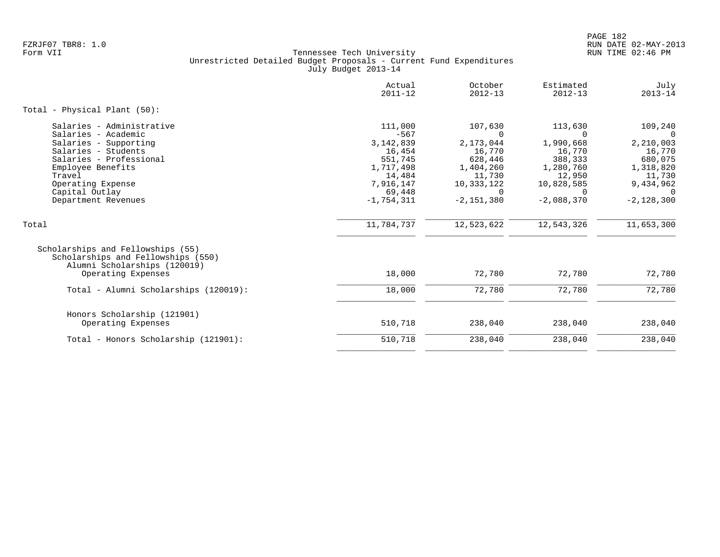|                                                                                                                                                                                                                          | Actual<br>$2011 - 12$                                                                                               | October<br>$2012 - 13$                                                                                                   | Estimated<br>$2012 - 13$                                                                                               | July<br>$2013 - 14$                                                                                                   |
|--------------------------------------------------------------------------------------------------------------------------------------------------------------------------------------------------------------------------|---------------------------------------------------------------------------------------------------------------------|--------------------------------------------------------------------------------------------------------------------------|------------------------------------------------------------------------------------------------------------------------|-----------------------------------------------------------------------------------------------------------------------|
| Total - Physical Plant (50):                                                                                                                                                                                             |                                                                                                                     |                                                                                                                          |                                                                                                                        |                                                                                                                       |
| Salaries - Administrative<br>Salaries - Academic<br>Salaries - Supporting<br>Salaries - Students<br>Salaries - Professional<br>Employee Benefits<br>Travel<br>Operating Expense<br>Capital Outlay<br>Department Revenues | 111,000<br>$-567$<br>3, 142, 839<br>16,454<br>551,745<br>1,717,498<br>14,484<br>7,916,147<br>69,448<br>$-1,754,311$ | 107,630<br>$\Omega$<br>2,173,044<br>16,770<br>628,446<br>1,404,260<br>11,730<br>10,333,122<br>$\Omega$<br>$-2, 151, 380$ | 113,630<br>$\Omega$<br>1,990,668<br>16,770<br>388,333<br>1,280,760<br>12,950<br>10,828,585<br>$\Omega$<br>$-2,088,370$ | 109,240<br>$\Omega$<br>2,210,003<br>16,770<br>680,075<br>1,318,820<br>11,730<br>9,434,962<br>$\Omega$<br>$-2,128,300$ |
| Total                                                                                                                                                                                                                    | 11,784,737                                                                                                          | 12,523,622                                                                                                               | 12,543,326                                                                                                             | 11,653,300                                                                                                            |
| Scholarships and Fellowships (55)<br>Scholarships and Fellowships (550)<br>Alumni Scholarships (120019)<br>Operating Expenses                                                                                            | 18,000                                                                                                              | 72,780                                                                                                                   | 72,780                                                                                                                 | 72,780                                                                                                                |
| Total - Alumni Scholarships (120019):                                                                                                                                                                                    | 18,000                                                                                                              | 72,780                                                                                                                   | 72,780                                                                                                                 | 72,780                                                                                                                |
| Honors Scholarship (121901)<br>Operating Expenses                                                                                                                                                                        | 510,718                                                                                                             | 238,040                                                                                                                  | 238,040                                                                                                                | 238,040                                                                                                               |
| Total - Honors Scholarship (121901):                                                                                                                                                                                     | 510,718                                                                                                             | 238,040                                                                                                                  | 238,040                                                                                                                | 238,040                                                                                                               |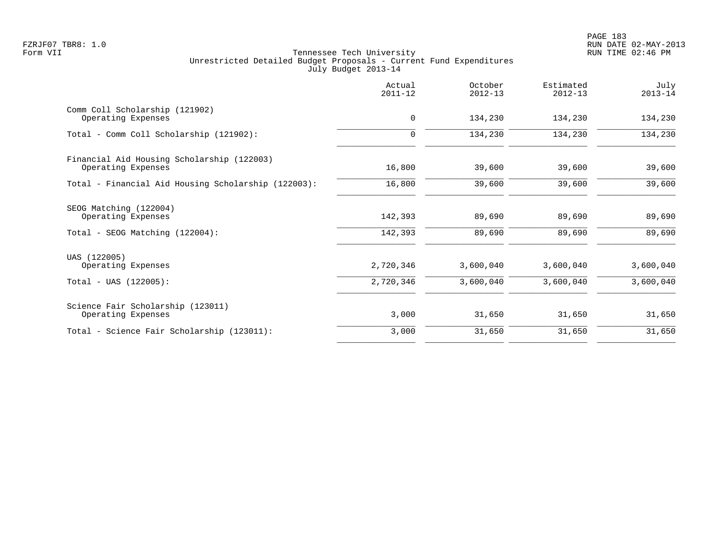PAGE 183 FZRJF07 TBR8: 1.0 RUN DATE 02-MAY-2013

|                                                                                 | Actual<br>$2011 - 12$  | October<br>$2012 - 13$ | Estimated<br>$2012 - 13$ | July<br>$2013 - 14$    |
|---------------------------------------------------------------------------------|------------------------|------------------------|--------------------------|------------------------|
| Comm Coll Scholarship (121902)<br>Operating Expenses                            | 0                      | 134,230                | 134,230                  | 134,230                |
| Total - Comm Coll Scholarship (121902):                                         | $\mathbf 0$            | 134,230                | 134,230                  | 134,230                |
| Financial Aid Housing Scholarship (122003)<br>Operating Expenses                | 16,800                 | 39,600                 | 39,600                   | 39,600                 |
| Total - Financial Aid Housing Scholarship (122003):                             | 16,800                 | 39,600                 | 39,600                   | 39,600                 |
| SEOG Matching (122004)<br>Operating Expenses<br>Total - SEOG Matching (122004): | 142,393<br>142,393     | 89,690<br>89,690       | 89,690<br>89,690         | 89,690<br>89,690       |
| UAS (122005)<br>Operating Expenses<br>$Total - UAS (122005):$                   | 2,720,346<br>2,720,346 | 3,600,040<br>3,600,040 | 3,600,040<br>3,600,040   | 3,600,040<br>3,600,040 |
| Science Fair Scholarship (123011)<br>Operating Expenses                         | 3,000                  | 31,650                 | 31,650                   | 31,650                 |
| Total - Science Fair Scholarship (123011):                                      | 3,000                  | 31,650                 | 31,650                   | 31,650                 |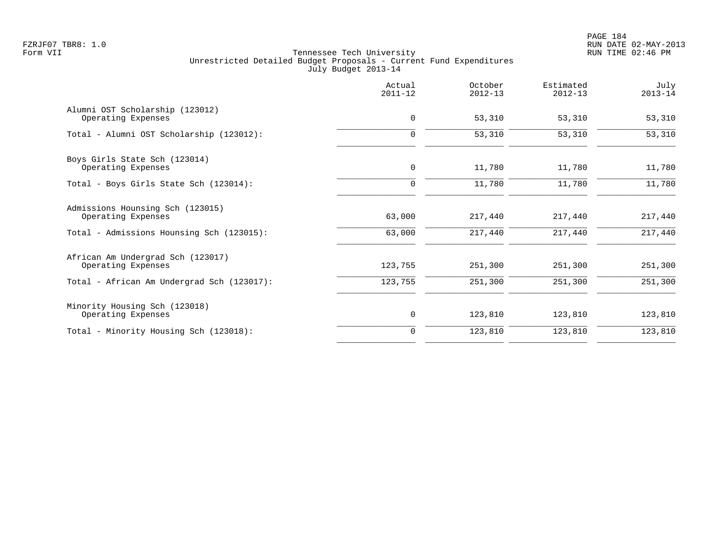PAGE 184 FZRJF07 TBR8: 1.0 RUN DATE 02-MAY-2013

|                                                         | Actual<br>$2011 - 12$ | October<br>$2012 - 13$ | Estimated<br>$2012 - 13$ | July<br>$2013 - 14$ |
|---------------------------------------------------------|-----------------------|------------------------|--------------------------|---------------------|
| Alumni OST Scholarship (123012)<br>Operating Expenses   | $\mathbf 0$           | 53,310                 | 53,310                   | 53,310              |
| Total - Alumni OST Scholarship (123012):                | 0                     | 53,310                 | 53,310                   | 53,310              |
| Boys Girls State Sch (123014)<br>Operating Expenses     | $\mathbf 0$           | 11,780                 | 11,780                   | 11,780              |
| Total - Boys Girls State Sch (123014):                  | 0                     | 11,780                 | 11,780                   | 11,780              |
| Admissions Hounsing Sch (123015)<br>Operating Expenses  | 63,000                | 217,440                | 217,440                  | 217,440             |
| Total - Admissions Hounsing Sch (123015):               | 63,000                | 217,440                | 217,440                  | 217,440             |
| African Am Undergrad Sch (123017)<br>Operating Expenses | 123,755               | 251,300                | 251,300                  | 251,300             |
| Total - African Am Undergrad Sch (123017):              | 123,755               | 251,300                | 251,300                  | 251,300             |
| Minority Housing Sch (123018)<br>Operating Expenses     | 0                     | 123,810                | 123,810                  | 123,810             |
| Total - Minority Housing Sch (123018):                  | $\Omega$              | 123,810                | 123,810                  | 123,810             |
|                                                         |                       |                        |                          |                     |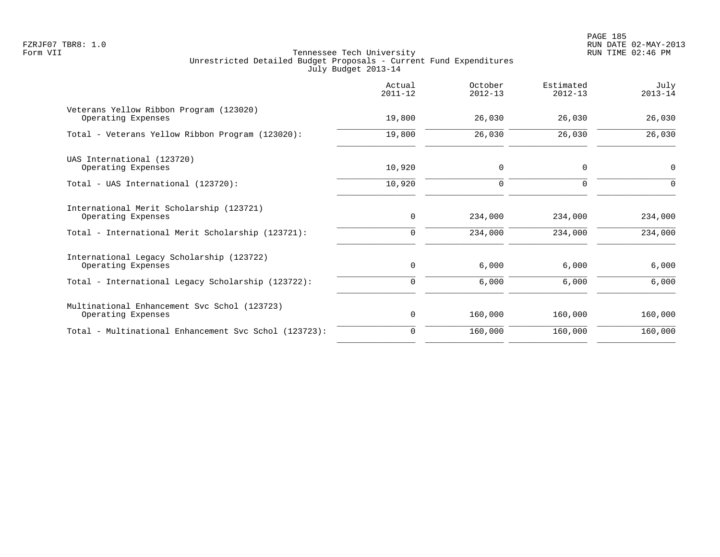PAGE 185 FZRJF07 TBR8: 1.0 RUN DATE 02-MAY-2013

| $2011 - 12$ | $2012 - 13$ | Estimated<br>$2012 - 13$ | July<br>$2013 - 14$ |
|-------------|-------------|--------------------------|---------------------|
| 19,800      | 26,030      | 26,030                   | 26,030              |
| 19,800      | 26,030      | 26,030                   | 26,030              |
| 10,920      | 0           | $\mathbf 0$              | 0                   |
| 10,920      | 0           | $\mathbf 0$              | $\Omega$            |
| $\mathbf 0$ | 234,000     | 234,000                  | 234,000             |
| $\mathbf 0$ | 234,000     | 234,000                  | 234,000             |
| 0           | 6,000       | 6,000                    | 6,000               |
| $\mathbf 0$ | 6,000       | 6,000                    | 6,000               |
| 0           | 160,000     | 160,000                  | 160,000             |
| $\mathbf 0$ | 160,000     | 160,000                  | 160,000             |
|             |             |                          |                     |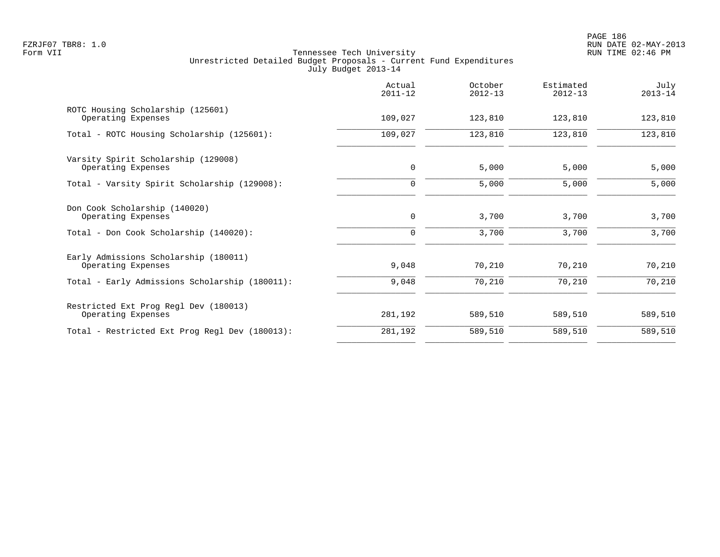|                                                             | Actual<br>$2011 - 12$ | October<br>$2012 - 13$ | Estimated<br>$2012 - 13$ | July<br>$2013 - 14$ |
|-------------------------------------------------------------|-----------------------|------------------------|--------------------------|---------------------|
| ROTC Housing Scholarship (125601)<br>Operating Expenses     | 109,027               | 123,810                | 123,810                  | 123,810             |
| Total - ROTC Housing Scholarship (125601):                  | 109,027               | 123,810                | 123,810                  | 123,810             |
| Varsity Spirit Scholarship (129008)<br>Operating Expenses   | $\mathbf 0$           | 5,000                  | 5,000                    | 5,000               |
| Total - Varsity Spirit Scholarship (129008):                | $\Omega$              | 5,000                  | 5,000                    | 5,000               |
| Don Cook Scholarship (140020)<br>Operating Expenses         | 0                     | 3,700                  | 3,700                    | 3,700               |
| Total - Don Cook Scholarship (140020):                      | 0                     | 3,700                  | 3,700                    | 3,700               |
| Early Admissions Scholarship (180011)<br>Operating Expenses | 9,048                 | 70,210                 | 70,210                   | 70,210              |
| Total - Early Admissions Scholarship (180011):              | 9,048                 | 70,210                 | 70,210                   | 70,210              |
| Restricted Ext Prog Regl Dev (180013)<br>Operating Expenses | 281,192               | 589,510                | 589,510                  | 589,510             |
| Total - Restricted Ext Prog Regl Dev (180013):              | 281,192               | 589,510                | 589,510                  | 589,510             |
|                                                             |                       |                        |                          |                     |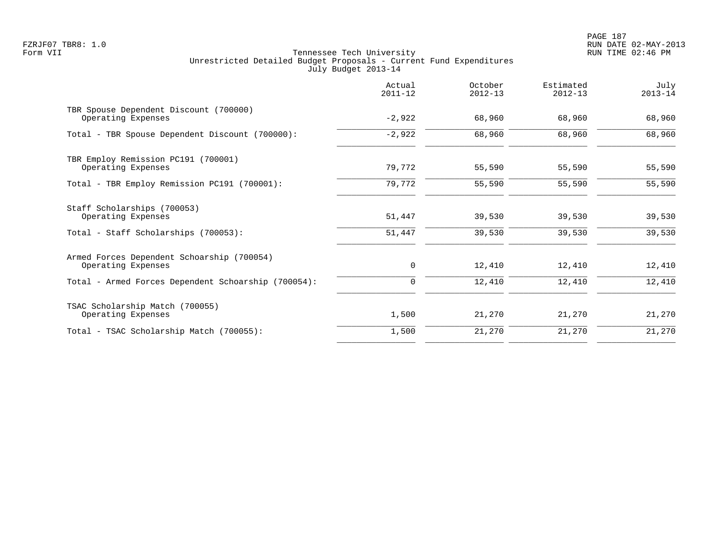PAGE 187 FZRJF07 TBR8: 1.0 RUN DATE 02-MAY-2013

|                                                                  | Actual<br>$2011 - 12$ | October<br>$2012 - 13$ | Estimated<br>$2012 - 13$ | July<br>$2013 - 14$ |
|------------------------------------------------------------------|-----------------------|------------------------|--------------------------|---------------------|
| TBR Spouse Dependent Discount (700000)<br>Operating Expenses     | $-2,922$              | 68,960                 | 68,960                   | 68,960              |
| Total - TBR Spouse Dependent Discount (700000):                  | $-2,922$              | 68,960                 | 68,960                   | 68,960              |
| TBR Employ Remission PC191 (700001)<br>Operating Expenses        | 79,772                | 55,590                 | 55,590                   | 55,590              |
| Total - TBR Employ Remission PC191 (700001):                     | 79,772                | 55,590                 | 55,590                   | 55,590              |
| Staff Scholarships (700053)<br>Operating Expenses                | 51,447                | 39,530                 | 39,530                   | 39,530              |
| Total - Staff Scholarships (700053):                             | 51,447                | 39,530                 | 39,530                   | 39,530              |
| Armed Forces Dependent Schoarship (700054)<br>Operating Expenses | 0                     | 12,410                 | 12,410                   | 12,410              |
| Total - Armed Forces Dependent Schoarship (700054):              | 0                     | 12,410                 | 12,410                   | 12,410              |
| TSAC Scholarship Match (700055)<br>Operating Expenses            | 1,500                 | 21,270                 | 21,270                   | 21,270              |
| Total - TSAC Scholarship Match (700055):                         | 1,500                 | 21,270                 | 21,270                   | 21,270              |
|                                                                  |                       |                        |                          |                     |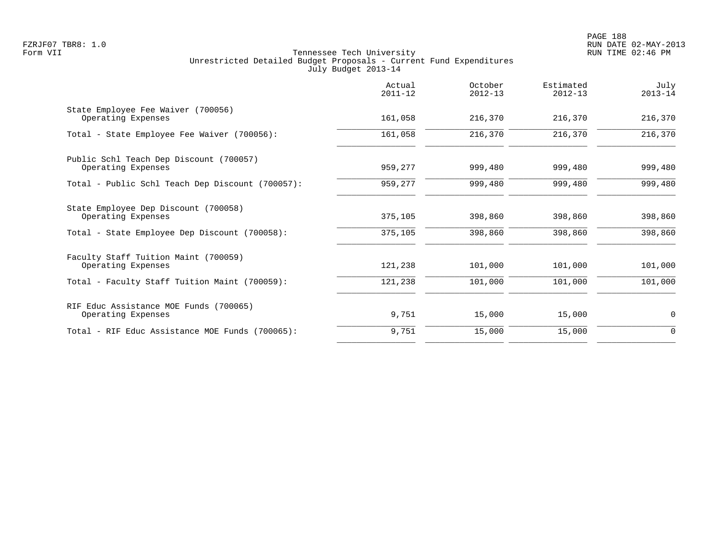|                                                               | Actual<br>$2011 - 12$ | October<br>$2012 - 13$ | Estimated<br>$2012 - 13$ | July<br>$2013 - 14$ |
|---------------------------------------------------------------|-----------------------|------------------------|--------------------------|---------------------|
| State Employee Fee Waiver (700056)<br>Operating Expenses      | 161,058               | 216,370                | 216,370                  | 216,370             |
| Total - State Employee Fee Waiver (700056):                   | 161,058               | 216,370                | 216,370                  | 216,370             |
| Public Schl Teach Dep Discount (700057)<br>Operating Expenses | 959,277               | 999,480                | 999,480                  | 999,480             |
| Total - Public Schl Teach Dep Discount (700057):              | 959,277               | 999,480                | 999,480                  | 999,480             |
| State Employee Dep Discount (700058)<br>Operating Expenses    | 375,105               | 398,860                | 398,860                  | 398,860             |
| Total - State Employee Dep Discount (700058):                 | 375,105               | 398,860                | 398,860                  | 398,860             |
| Faculty Staff Tuition Maint (700059)<br>Operating Expenses    | 121,238               | 101,000                | 101,000                  | 101,000             |
| Total - Faculty Staff Tuition Maint (700059):                 | 121,238               | 101,000                | 101,000                  | 101,000             |
| RIF Educ Assistance MOE Funds (700065)<br>Operating Expenses  | 9,751                 | 15,000                 | 15,000                   | $\mathbf 0$         |
| Total - RIF Educ Assistance MOE Funds (700065):               | 9,751                 | 15,000                 | 15,000                   | $\overline{0}$      |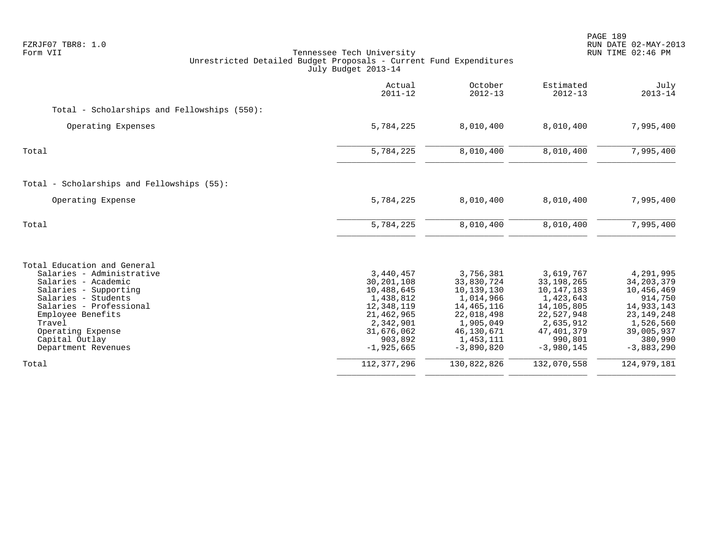| FZRJF07 TBR8: 1.0<br>Form VII<br>Unrestricted Detailed Budget Proposals - Current Fund Expenditures                                                                                                                                                     | Tennessee Tech University<br>July Budget 2013-14                                                                                     |                                                                                                                                          |                                                                                                                                          | PAGE 189<br>RUN DATE 02-MAY-2013<br>RUN TIME 02:46 PM                                                                                  |
|---------------------------------------------------------------------------------------------------------------------------------------------------------------------------------------------------------------------------------------------------------|--------------------------------------------------------------------------------------------------------------------------------------|------------------------------------------------------------------------------------------------------------------------------------------|------------------------------------------------------------------------------------------------------------------------------------------|----------------------------------------------------------------------------------------------------------------------------------------|
|                                                                                                                                                                                                                                                         | Actual<br>$2011 - 12$                                                                                                                | October<br>$2012 - 13$                                                                                                                   | Estimated<br>$2012 - 13$                                                                                                                 | July<br>$2013 - 14$                                                                                                                    |
| Total - Scholarships and Fellowships (550):                                                                                                                                                                                                             |                                                                                                                                      |                                                                                                                                          |                                                                                                                                          |                                                                                                                                        |
| Operating Expenses                                                                                                                                                                                                                                      | 5,784,225                                                                                                                            | 8,010,400                                                                                                                                | 8,010,400                                                                                                                                | 7,995,400                                                                                                                              |
| Total                                                                                                                                                                                                                                                   | 5,784,225                                                                                                                            | 8,010,400                                                                                                                                | 8,010,400                                                                                                                                | 7,995,400                                                                                                                              |
| Total - Scholarships and Fellowships (55):                                                                                                                                                                                                              |                                                                                                                                      |                                                                                                                                          |                                                                                                                                          |                                                                                                                                        |
| Operating Expense                                                                                                                                                                                                                                       | 5,784,225                                                                                                                            | 8,010,400                                                                                                                                | 8,010,400                                                                                                                                | 7,995,400                                                                                                                              |
| Total                                                                                                                                                                                                                                                   | 5,784,225                                                                                                                            | 8,010,400                                                                                                                                | 8,010,400                                                                                                                                | 7,995,400                                                                                                                              |
| Total Education and General<br>Salaries - Administrative<br>Salaries - Academic<br>Salaries - Supporting<br>Salaries - Students<br>Salaries - Professional<br>Employee Benefits<br>Travel<br>Operating Expense<br>Capital Outlay<br>Department Revenues | 3,440,457<br>30,201,108<br>10,488,645<br>1,438,812<br>12,348,119<br>21,462,965<br>2,342,901<br>31,676,062<br>903,892<br>$-1,925,665$ | 3,756,381<br>33,830,724<br>10,139,130<br>1,014,966<br>14, 465, 116<br>22,018,498<br>1,905,049<br>46,130,671<br>1,453,111<br>$-3,890,820$ | 3,619,767<br>33, 198, 265<br>10,147,183<br>1,423,643<br>14,105,805<br>22,527,948<br>2,635,912<br>47, 401, 379<br>990,801<br>$-3,980,145$ | 4,291,995<br>34, 203, 379<br>10,456,469<br>914,750<br>14,933,143<br>23, 149, 248<br>1,526,560<br>39,005,937<br>380,990<br>$-3,883,290$ |
| Total                                                                                                                                                                                                                                                   | 112, 377, 296                                                                                                                        | 130,822,826                                                                                                                              | 132,070,558                                                                                                                              | 124,979,181                                                                                                                            |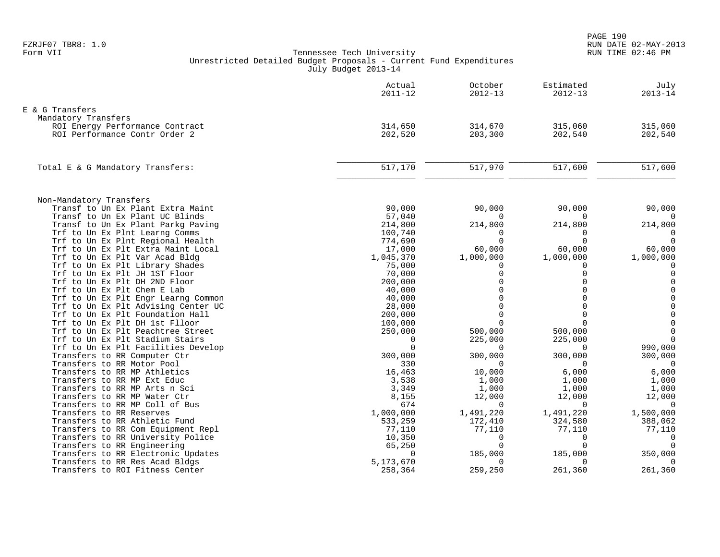|                                                                    | Actual<br>$2011 - 12$ | October<br>$2012 - 13$ | Estimated<br>$2012 - 13$ | July<br>$2013 - 14$        |
|--------------------------------------------------------------------|-----------------------|------------------------|--------------------------|----------------------------|
| E & G Transfers                                                    |                       |                        |                          |                            |
| Mandatory Transfers                                                |                       |                        |                          |                            |
| ROI Energy Performance Contract                                    | 314,650               | 314,670                | 315,060                  | 315,060                    |
| ROI Performance Contr Order 2                                      | 202,520               | 203,300                | 202,540                  | 202,540                    |
|                                                                    |                       |                        |                          |                            |
| Total E & G Mandatory Transfers:                                   | 517,170               | 517,970                | 517,600                  | 517,600                    |
|                                                                    |                       |                        |                          |                            |
| Non-Mandatory Transfers                                            |                       |                        |                          |                            |
| Transf to Un Ex Plant Extra Maint                                  | 90,000                | 90,000                 | 90,000                   | 90,000                     |
| Transf to Un Ex Plant UC Blinds                                    | 57,040                | $\Omega$               | $\Omega$                 | $\Omega$                   |
| Transf to Un Ex Plant Parkg Paving                                 | 214,800               | 214,800                | 214,800                  | 214,800                    |
| Trf to Un Ex Plnt Learng Comms                                     | 100,740               | $\Omega$               | $\Omega$                 | $\Omega$                   |
| Trf to Un Ex Plnt Regional Health                                  | 774,690               | $\Omega$               | $\Omega$                 | $\Omega$                   |
| Trf to Un Ex Plt Extra Maint Local                                 | 17,000                | 60,000                 | 60,000                   | 60,000                     |
| Trf to Un Ex Plt Var Acad Bldg                                     | 1,045,370             | 1,000,000              | 1,000,000                | 1,000,000                  |
| Trf to Un Ex Plt Library Shades                                    | 75,000                | 0                      | $\Omega$                 | 0                          |
| Trf to Un Ex Plt JH 1ST Floor                                      | 70,000                | $\Omega$               | $\Omega$<br>$\Omega$     | $\mathbf 0$                |
| Trf to Un Ex Plt DH 2ND Floor                                      | 200,000               | $\Omega$<br>$\Omega$   | $\cap$                   | $\mathbf 0$<br>$\mathbf 0$ |
| Trf to Un Ex Plt Chem E Lab<br>Trf to Un Ex Plt Engr Learng Common | 40,000<br>40,000      | $\Omega$               |                          | $\mathbf 0$                |
| Trf to Un Ex Plt Advising Center UC                                | 28,000                | $\Omega$               | $\Omega$                 | $\mathsf{O}$               |
| Trf to Un Ex Plt Foundation Hall                                   | 200,000               | $\Omega$               |                          | $\mathsf{O}\xspace$        |
| Trf to Un Ex Plt DH 1st Flloor                                     | 100,000               | $\Omega$               | $\cap$                   | $\mathbf 0$                |
| Trf to Un Ex Plt Peachtree Street                                  | 250,000               | 500,000                | 500,000                  | $\Omega$                   |
| Trf to Un Ex Plt Stadium Stairs                                    | $\Omega$              | 225,000                | 225,000                  | $\Omega$                   |
| Trf to Un Ex Plt Facilities Develop                                | $\Omega$              | $\Omega$               | $\Omega$                 | 990,000                    |
| Transfers to RR Computer Ctr                                       | 300,000               | 300,000                | 300,000                  | 300,000                    |
| Transfers to RR Motor Pool                                         | 330                   | $\Omega$               | $\Omega$                 | $\Omega$                   |
| Transfers to RR MP Athletics                                       | 16,463                | 10,000                 | 6,000                    | 6,000                      |
| Transfers to RR MP Ext Educ                                        | 3,538                 | 1,000                  | 1,000                    | 1,000                      |
| Transfers to RR MP Arts n Sci                                      | 3,349                 | 1,000                  | 1,000                    | 1,000                      |
| Transfers to RR MP Water Ctr                                       | 8,155                 | 12,000                 | 12,000                   | 12,000                     |
| Transfers to RR MP Coll of Bus                                     | 674                   | $\Omega$               | $\mathbf 0$              | $\overline{0}$             |
| Transfers to RR Reserves                                           | 1,000,000             | 1,491,220              | 1,491,220                | 1,500,000                  |
| Transfers to RR Athletic Fund                                      | 533,259               | 172,410                | 324,580                  | 388,062                    |
| Transfers to RR Com Equipment Repl                                 | 77,110                | 77,110                 | 77,110                   | 77,110                     |
| Transfers to RR University Police                                  | 10,350                | $\Omega$               | $\mathbf 0$              | $\mathbf 0$                |
| Transfers to RR Engineering                                        | 65,250                | $\Omega$               | $\Omega$                 | $\Omega$                   |
| Transfers to RR Electronic Updates                                 | $\cap$                | 185,000                | 185,000                  | 350,000                    |
| Transfers to RR Res Acad Bldgs                                     | 5,173,670             | $\Omega$               | $\Omega$                 | $\Omega$                   |
| Transfers to ROI Fitness Center                                    | 258,364               | 259,250                | 261,360                  | 261,360                    |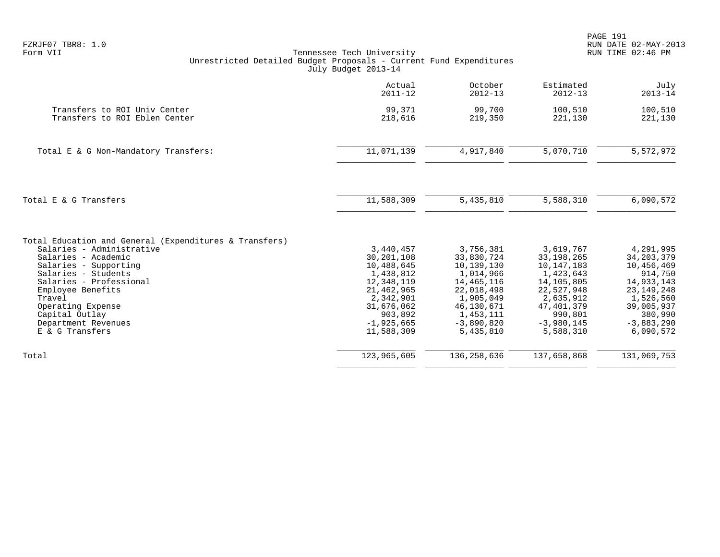| FZRJF07 TBR8: 1.0<br>Form VII                                                                                                                                                                                                                                                                         | Tennessee Tech University<br>Unrestricted Detailed Budget Proposals - Current Fund Expenditures<br>July Budget 2013-14                             |                                                                                                                                                       |                                                                                                                                                       | PAGE 191<br>RUN DATE 02-MAY-2013<br>RUN TIME 02:46 PM                                                                                               |
|-------------------------------------------------------------------------------------------------------------------------------------------------------------------------------------------------------------------------------------------------------------------------------------------------------|----------------------------------------------------------------------------------------------------------------------------------------------------|-------------------------------------------------------------------------------------------------------------------------------------------------------|-------------------------------------------------------------------------------------------------------------------------------------------------------|-----------------------------------------------------------------------------------------------------------------------------------------------------|
|                                                                                                                                                                                                                                                                                                       | Actual<br>$2011 - 12$                                                                                                                              | October<br>$2012 - 13$                                                                                                                                | Estimated<br>$2012 - 13$                                                                                                                              | July<br>$2013 - 14$                                                                                                                                 |
| Transfers to ROI Univ Center<br>Transfers to ROI Eblen Center                                                                                                                                                                                                                                         | 99,371<br>218,616                                                                                                                                  | 99,700<br>219,350                                                                                                                                     | 100,510<br>221,130                                                                                                                                    | 100,510<br>221,130                                                                                                                                  |
| Total E & G Non-Mandatory Transfers:                                                                                                                                                                                                                                                                  | 11,071,139                                                                                                                                         | 4,917,840                                                                                                                                             | 5,070,710                                                                                                                                             | 5,572,972                                                                                                                                           |
| Total E & G Transfers                                                                                                                                                                                                                                                                                 | 11,588,309                                                                                                                                         | 5,435,810                                                                                                                                             | 5,588,310                                                                                                                                             | 6,090,572                                                                                                                                           |
| Total Education and General (Expenditures & Transfers)<br>Salaries - Administrative<br>Salaries - Academic<br>Salaries - Supporting<br>Salaries - Students<br>Salaries - Professional<br>Employee Benefits<br>Travel<br>Operating Expense<br>Capital Outlay<br>Department Revenues<br>E & G Transfers | 3,440,457<br>30,201,108<br>10,488,645<br>1,438,812<br>12,348,119<br>21,462,965<br>2,342,901<br>31,676,062<br>903,892<br>$-1,925,665$<br>11,588,309 | 3,756,381<br>33,830,724<br>10,139,130<br>1,014,966<br>14, 465, 116<br>22,018,498<br>1,905,049<br>46,130,671<br>1,453,111<br>$-3,890,820$<br>5,435,810 | 3,619,767<br>33, 198, 265<br>10,147,183<br>1,423,643<br>14,105,805<br>22,527,948<br>2,635,912<br>47, 401, 379<br>990,801<br>$-3,980,145$<br>5,588,310 | 4,291,995<br>34, 203, 379<br>10,456,469<br>914,750<br>14,933,143<br>23, 149, 248<br>1,526,560<br>39,005,937<br>380,990<br>$-3,883,290$<br>6,090,572 |
| Total                                                                                                                                                                                                                                                                                                 | 123,965,605                                                                                                                                        | 136, 258, 636                                                                                                                                         | 137,658,868                                                                                                                                           | 131,069,753                                                                                                                                         |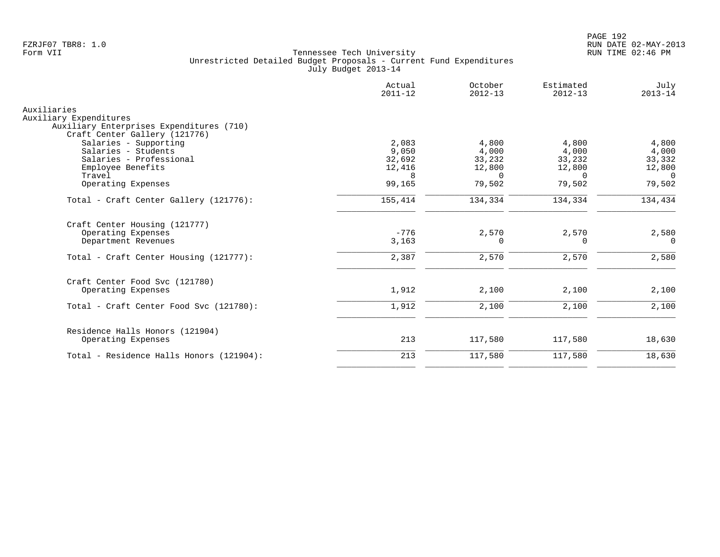| Actual<br>$2011 - 12$ | October<br>$2012 - 13$                                             | Estimated<br>$2012 - 13$                                            | July<br>$2013 - 14$                                                 |
|-----------------------|--------------------------------------------------------------------|---------------------------------------------------------------------|---------------------------------------------------------------------|
|                       |                                                                    |                                                                     |                                                                     |
|                       |                                                                    |                                                                     |                                                                     |
|                       |                                                                    |                                                                     |                                                                     |
|                       |                                                                    |                                                                     |                                                                     |
|                       | 4,800                                                              | 4,800                                                               | 4,800                                                               |
|                       |                                                                    |                                                                     | 4,000                                                               |
|                       |                                                                    |                                                                     | 33,332                                                              |
|                       |                                                                    |                                                                     | 12,800                                                              |
|                       |                                                                    |                                                                     | $\Omega$                                                            |
|                       |                                                                    |                                                                     | 79,502                                                              |
| 155,414               | 134,334                                                            | 134,334                                                             | 134,434                                                             |
|                       |                                                                    |                                                                     |                                                                     |
|                       |                                                                    |                                                                     | 2,580                                                               |
| 3,163                 | $\Omega$                                                           | 0                                                                   | $\Omega$                                                            |
| 2,387                 | 2,570                                                              | 2,570                                                               | 2,580                                                               |
|                       |                                                                    |                                                                     |                                                                     |
| 1,912                 | 2,100                                                              | 2,100                                                               | 2,100                                                               |
| 1,912                 | 2,100                                                              | 2,100                                                               | 2,100                                                               |
|                       |                                                                    |                                                                     |                                                                     |
| 213                   | 117,580                                                            | 117,580                                                             | 18,630                                                              |
|                       |                                                                    |                                                                     |                                                                     |
|                       |                                                                    |                                                                     | 18,630                                                              |
|                       | 2,083<br>9.050<br>32,692<br>12,416<br>8<br>99,165<br>$-776$<br>213 | 4,000<br>33,232<br>12,800<br>$\Omega$<br>79,502<br>2,570<br>117,580 | 4,000<br>33,232<br>12,800<br>$\Omega$<br>79,502<br>2,570<br>117,580 |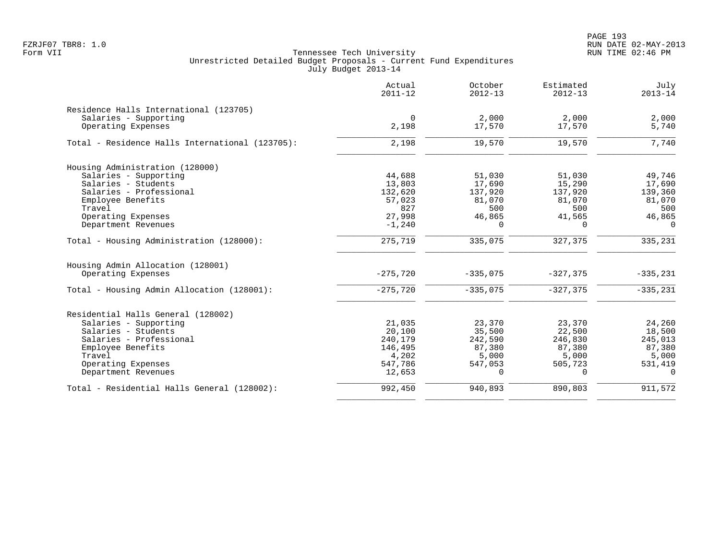PAGE 193 FZRJF07 TBR8: 1.0 RUN DATE 02-MAY-2013

|                                                 | Actual<br>$2011 - 12$ | October<br>$2012 - 13$ | Estimated<br>$2012 - 13$ | July<br>$2013 - 14$ |
|-------------------------------------------------|-----------------------|------------------------|--------------------------|---------------------|
| Residence Halls International (123705)          |                       |                        |                          |                     |
| Salaries - Supporting<br>Operating Expenses     | $\mathbf 0$<br>2,198  | 2,000<br>17,570        | 2,000<br>17,570          | 2,000<br>5,740      |
| Total - Residence Halls International (123705): | 2,198                 | 19,570                 | 19,570                   | 7,740               |
| Housing Administration (128000)                 |                       |                        |                          |                     |
| Salaries - Supporting                           | 44,688                | 51,030                 | 51,030                   | 49,746              |
| Salaries - Students                             | 13,803                | 17,690                 | 15,290                   | 17,690              |
| Salaries - Professional                         | 132,620               | 137,920                | 137,920                  | 139,360             |
| Employee Benefits                               | 57,023                | 81,070                 | 81,070                   | 81,070              |
| Travel                                          | 827                   | 500                    | 500                      | 500                 |
| Operating Expenses                              | 27,998                | 46,865                 | 41,565                   | 46,865              |
| Department Revenues                             | $-1,240$              | $\Omega$               | $\Omega$                 | $\Omega$            |
| Total - Housing Administration (128000):        | 275,719               | 335,075                | 327,375                  | 335,231             |
| Housing Admin Allocation (128001)               |                       |                        |                          |                     |
| Operating Expenses                              | $-275,720$            | $-335,075$             | $-327, 375$              | $-335,231$          |
| Total - Housing Admin Allocation (128001):      | $-275,720$            | $-335,075$             | $-327, 375$              | $-335,231$          |
| Residential Halls General (128002)              |                       |                        |                          |                     |
| Salaries - Supporting                           | 21,035                | 23,370                 | 23,370                   | 24,260              |
| Salaries - Students                             | 20,100                | 35,500                 | 22,500                   | 18,500              |
| Salaries - Professional                         | 240,179               | 242,590                | 246,830                  | 245,013             |
| Employee Benefits                               | 146,495               | 87,380                 | 87,380                   | 87,380              |
| Travel                                          | 4,202                 | 5,000                  | 5,000                    | 5,000               |
| Operating Expenses                              | 547,786               | 547,053                | 505,723                  | 531,419             |
| Department Revenues                             | 12,653                | $\Omega$               | $\Omega$                 | $\Omega$            |
| Total - Residential Halls General (128002):     | 992,450               | 940,893                | 890,803                  | 911,572             |
|                                                 |                       |                        |                          |                     |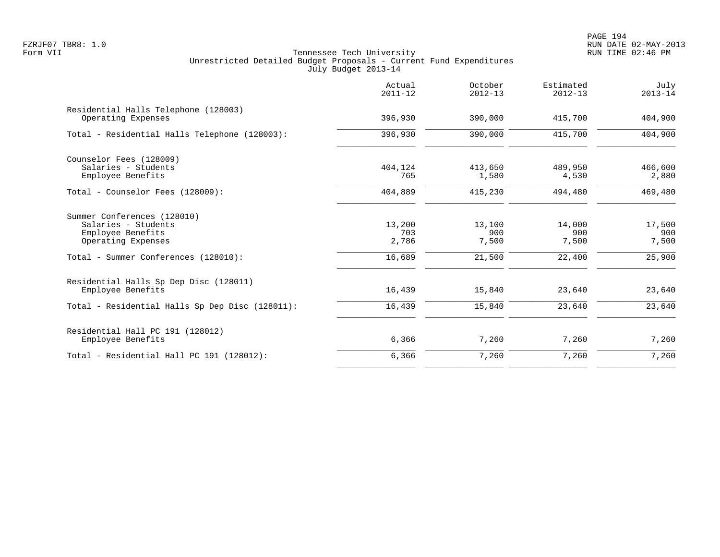|                                                                                               | Actual<br>$2011 - 12$  | October<br>$2012 - 13$ | Estimated<br>$2012 - 13$ | July<br>$2013 - 14$    |
|-----------------------------------------------------------------------------------------------|------------------------|------------------------|--------------------------|------------------------|
| Residential Halls Telephone (128003)<br>Operating Expenses                                    | 396,930                | 390,000                | 415,700                  | 404,900                |
| Total - Residential Halls Telephone (128003):                                                 | 396,930                | 390,000                | 415,700                  | 404,900                |
| Counselor Fees (128009)<br>Salaries - Students<br>Employee Benefits                           | 404,124<br>765         | 413,650<br>1,580       | 489,950<br>4,530         | 466,600<br>2,880       |
| Total - Counselor Fees (128009):                                                              | 404,889                | 415,230                | 494,480                  | 469,480                |
| Summer Conferences (128010)<br>Salaries - Students<br>Employee Benefits<br>Operating Expenses | 13,200<br>703<br>2,786 | 13,100<br>900<br>7,500 | 14,000<br>900<br>7,500   | 17,500<br>900<br>7,500 |
| Total - Summer Conferences (128010):                                                          | 16,689                 | 21,500                 | 22,400                   | 25,900                 |
| Residential Halls Sp Dep Disc (128011)<br>Employee Benefits                                   | 16,439                 | 15,840                 | 23,640                   | 23,640                 |
| Total - Residential Halls Sp Dep Disc (128011):                                               | 16,439                 | 15,840                 | 23,640                   | 23,640                 |
| Residential Hall PC 191 (128012)<br>Employee Benefits                                         | 6,366                  | 7,260                  | 7,260                    | 7,260                  |
| Total - Residential Hall PC 191 (128012):                                                     | 6,366                  | 7,260                  | 7,260                    | 7,260                  |
|                                                                                               |                        |                        |                          |                        |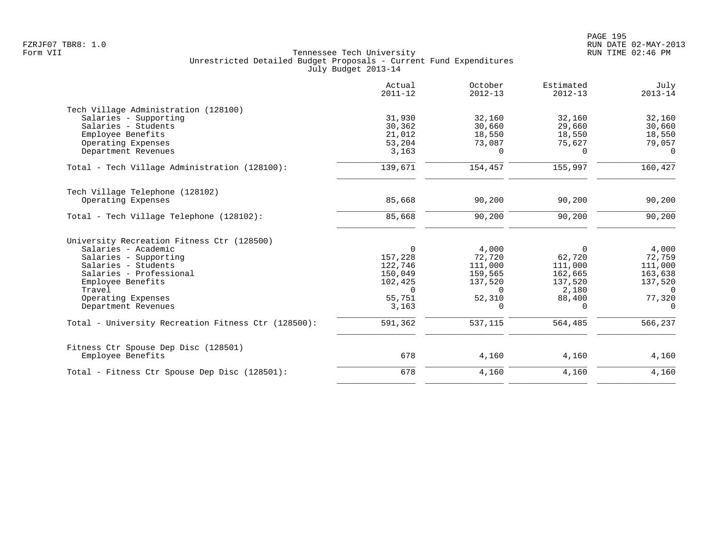|          |          |                  | $2013 - 14$    |
|----------|----------|------------------|----------------|
|          |          |                  |                |
| 31,930   | 32,160   | 32,160           | 32,160         |
| 30,362   | 30,660   | 29,660           | 30,660         |
| 21,012   | 18,550   | 18,550           | 18,550         |
| 53,204   | 73,087   |                  | 79,057         |
| 3,163    | $\Omega$ | $\Omega$         | $\Omega$       |
| 139,671  | 154,457  | 155,997          | 160,427        |
|          |          |                  |                |
| 85,668   | 90,200   | 90,200           | 90,200         |
| 85,668   | 90,200   | 90,200           | 90,200         |
|          |          |                  |                |
| $\Omega$ |          | $\Omega$         | 4,000          |
| 157,228  | 72,720   | 62,720           | 72,759         |
|          |          | 111,000          | 111,000        |
| 150,049  | 159,565  | 162,665          | 163,638        |
| 102,425  | 137,520  | 137,520          | 137,520        |
| $\Omega$ | $\Omega$ | 2,180            | $\overline{0}$ |
| 55,751   | 52,310   | 88,400           | 77,320         |
| 3,163    | 0        | 0                | 0              |
| 591,362  | 537,115  | 564,485          | 566,237        |
|          |          |                  |                |
| 678      | 4,160    | 4,160            | 4,160          |
| 678      | 4,160    | 4,160            | 4,160          |
|          | 122,746  | 4,000<br>111,000 | 75,627         |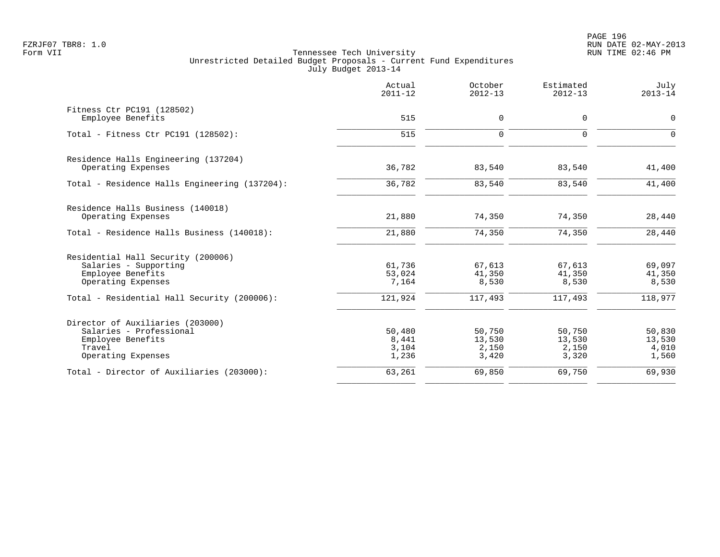PAGE 196 FZRJF07 TBR8: 1.0 RUN DATE 02-MAY-2013

|                                                                                                                  | Actual<br>$2011 - 12$             | October<br>$2012 - 13$             | Estimated<br>$2012 - 13$           | July<br>$2013 - 14$                |
|------------------------------------------------------------------------------------------------------------------|-----------------------------------|------------------------------------|------------------------------------|------------------------------------|
| Fitness Ctr PC191 (128502)<br>Employee Benefits                                                                  | 515                               | 0                                  | 0                                  | $\Omega$                           |
| Total - Fitness Ctr PC191 (128502):                                                                              | 515                               | $\Omega$                           | $\Omega$                           | $\Omega$                           |
| Residence Halls Engineering (137204)<br>Operating Expenses                                                       | 36,782                            | 83,540                             | 83,540                             | 41,400                             |
| Total - Residence Halls Engineering (137204):                                                                    | 36,782                            | 83,540                             | 83,540                             | 41,400                             |
| Residence Halls Business (140018)<br>Operating Expenses                                                          | 21,880                            | 74,350                             | 74,350                             | 28,440                             |
| Total - Residence Halls Business (140018):                                                                       | 21,880                            | 74,350                             | 74,350                             | 28,440                             |
| Residential Hall Security (200006)<br>Salaries - Supporting<br>Employee Benefits<br>Operating Expenses           | 61,736<br>53,024<br>7,164         | 67,613<br>41,350<br>8,530          | 67,613<br>41,350<br>8,530          | 69,097<br>41,350<br>8,530          |
| Total - Residential Hall Security (200006):                                                                      | 121,924                           | 117,493                            | 117,493                            | 118,977                            |
| Director of Auxiliaries (203000)<br>Salaries - Professional<br>Employee Benefits<br>Travel<br>Operating Expenses | 50,480<br>8,441<br>3,104<br>1,236 | 50,750<br>13,530<br>2,150<br>3,420 | 50,750<br>13,530<br>2,150<br>3,320 | 50,830<br>13,530<br>4,010<br>1,560 |
| Total - Director of Auxiliaries (203000):                                                                        | 63,261                            | 69,850                             | 69,750                             | 69,930                             |
|                                                                                                                  |                                   |                                    |                                    |                                    |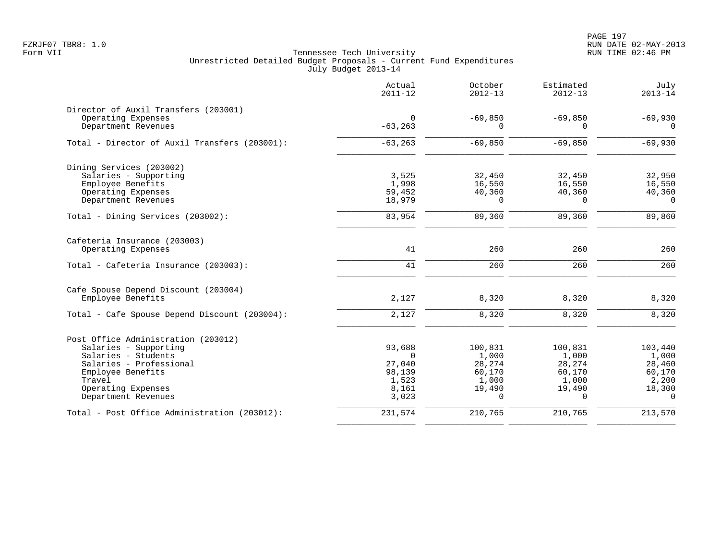PAGE 197 FZRJF07 TBR8: 1.0 RUN DATE 02-MAY-2013

|                                               | Actual<br>$2011 - 12$ | October<br>$2012 - 13$ | Estimated<br>$2012 - 13$ | July<br>$2013 - 14$ |
|-----------------------------------------------|-----------------------|------------------------|--------------------------|---------------------|
| Director of Auxil Transfers (203001)          |                       |                        |                          |                     |
| Operating Expenses                            | $\Omega$              | $-69,850$              | $-69,850$                | $-69,930$           |
| Department Revenues                           | $-63, 263$            | $\Omega$               | $\Omega$                 | $\Omega$            |
| Total - Director of Auxil Transfers (203001): | $-63, 263$            | $-69,850$              | $-69,850$                | $-69,930$           |
| Dining Services (203002)                      |                       |                        |                          |                     |
| Salaries - Supporting                         | 3,525                 | 32,450                 | 32,450                   | 32,950              |
| Employee Benefits                             | 1,998                 | 16,550                 | 16,550                   | 16,550              |
| Operating Expenses                            | 59,452                | 40,360                 | 40,360                   | 40,360              |
| Department Revenues                           | 18,979                | $\Omega$               | $\Omega$                 | $\Omega$            |
| Total - Dining Services (203002):             | 83,954                | 89,360                 | 89,360                   | 89,860              |
| Cafeteria Insurance (203003)                  |                       |                        |                          |                     |
| Operating Expenses                            | 41                    | 260                    | 260                      | 260                 |
| Total - Cafeteria Insurance (203003):         | 41                    | 260                    | 260                      | 260                 |
| Cafe Spouse Depend Discount (203004)          |                       |                        |                          |                     |
| Employee Benefits                             | 2,127                 | 8,320                  | 8,320                    | 8,320               |
| Total - Cafe Spouse Depend Discount (203004): | 2,127                 | 8,320                  | 8,320                    | 8,320               |
| Post Office Administration (203012)           |                       |                        |                          |                     |
| Salaries - Supporting                         | 93,688                | 100,831                | 100,831                  | 103,440             |
| Salaries - Students                           | $\Omega$              | 1,000                  | 1,000                    | 1,000               |
| Salaries - Professional                       | 27,040                | 28,274                 | 28,274                   | 28,460              |
| Employee Benefits                             | 98,139                | 60,170                 | 60,170                   | 60,170              |
| Travel                                        | 1,523                 | 1,000                  | 1,000                    | 2,200               |
| Operating Expenses                            | 8,161                 | 19,490                 | 19,490                   | 18,300              |
| Department Revenues                           | 3,023                 | $\Omega$               | $\Omega$                 | $\Omega$            |
| Total - Post Office Administration (203012):  | 231,574               | 210,765                | 210,765                  | 213,570             |
|                                               |                       |                        |                          |                     |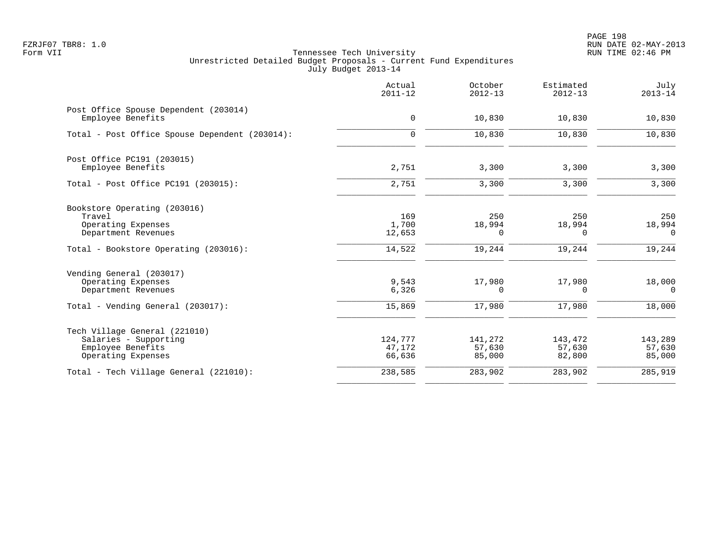PAGE 198 FZRJF07 TBR8: 1.0 RUN DATE 02-MAY-2013

|                                                                                                            | Actual<br>$2011 - 12$       | October<br>$2012 - 13$      | Estimated<br>$2012 - 13$    | July<br>$2013 - 14$         |
|------------------------------------------------------------------------------------------------------------|-----------------------------|-----------------------------|-----------------------------|-----------------------------|
| Post Office Spouse Dependent (203014)<br>Employee Benefits                                                 | 0                           | 10,830                      | 10,830                      | 10,830                      |
| Total - Post Office Spouse Dependent (203014):                                                             | $\Omega$                    | 10,830                      | 10,830                      | 10,830                      |
| Post Office PC191 (203015)<br>Employee Benefits                                                            | 2,751                       | 3,300                       | 3,300                       | 3,300                       |
| Total - Post Office PC191 (203015):                                                                        | 2,751                       | 3,300                       | 3,300                       | 3,300                       |
| Bookstore Operating (203016)<br>Travel<br>Operating Expenses<br>Department Revenues                        | 169<br>1,700<br>12,653      | 250<br>18,994<br>$\Omega$   | 250<br>18,994<br>0          | 250<br>18,994<br>$\Omega$   |
| Total - Bookstore Operating (203016):                                                                      | 14,522                      | 19,244                      | 19,244                      | 19,244                      |
| Vending General (203017)<br>Operating Expenses<br>Department Revenues<br>Total - Vending General (203017): | 9,543<br>6,326<br>15,869    | 17,980<br>0<br>17,980       | 17,980<br>0<br>17,980       | 18,000<br>0<br>18,000       |
|                                                                                                            |                             |                             |                             |                             |
| Tech Village General (221010)<br>Salaries - Supporting<br>Employee Benefits<br>Operating Expenses          | 124,777<br>47,172<br>66,636 | 141,272<br>57,630<br>85,000 | 143,472<br>57,630<br>82,800 | 143,289<br>57,630<br>85,000 |
| Total - Tech Village General (221010):                                                                     | 238,585                     | 283,902                     | 283,902                     | 285,919                     |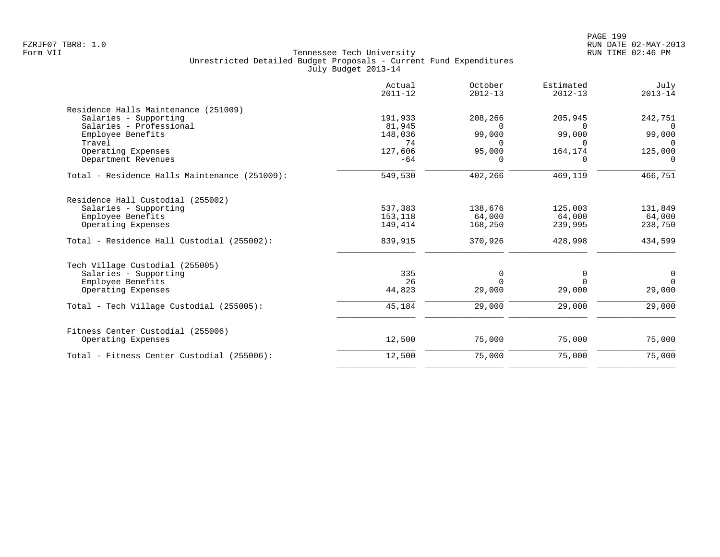|                                               | Actual<br>$2011 - 12$ | October<br>$2012 - 13$ | Estimated<br>$2012 - 13$ | July<br>$2013 - 14$ |
|-----------------------------------------------|-----------------------|------------------------|--------------------------|---------------------|
| Residence Halls Maintenance (251009)          |                       |                        |                          |                     |
| Salaries - Supporting                         | 191,933               | 208,266                | 205,945                  | 242,751             |
| Salaries - Professional                       | 81,945                | $\Omega$               | $\Omega$                 | $\Omega$            |
| Employee Benefits                             | 148,036               | 99,000                 | 99,000                   | 99,000              |
| Travel                                        | 74                    | $\Omega$               | $\Omega$                 | $\Omega$            |
| Operating Expenses                            | 127,606               | 95,000                 | 164,174                  | 125,000             |
| Department Revenues                           | $-64$                 | $\Omega$               | $\Omega$                 | $\Omega$            |
| Total - Residence Halls Maintenance (251009): | 549,530               | 402,266                | 469,119                  | 466,751             |
| Residence Hall Custodial (255002)             |                       |                        |                          |                     |
| Salaries - Supporting                         | 537,383               | 138,676                | 125,003                  | 131,849             |
| Employee Benefits                             | 153,118               | 64,000                 | 64,000                   | 64,000              |
| Operating Expenses                            | 149,414               | 168,250                | 239,995                  | 238,750             |
| Total - Residence Hall Custodial (255002):    | 839,915               | 370,926                | 428,998                  | 434,599             |
| Tech Village Custodial (255005)               |                       |                        |                          |                     |
| Salaries - Supporting                         | 335                   | $\Omega$               | 0                        | 0                   |
| Employee Benefits                             | 26                    | <sup>n</sup>           | $\Omega$                 | $\Omega$            |
| Operating Expenses                            | 44,823                | 29,000                 | 29,000                   | 29,000              |
| Total - Tech Village Custodial (255005):      | 45,184                | 29,000                 | 29,000                   | 29,000              |
| Fitness Center Custodial (255006)             |                       |                        |                          |                     |
| Operating Expenses                            | 12,500                | 75,000                 | 75,000                   | 75,000              |
| Total - Fitness Center Custodial (255006):    | 12,500                | 75,000                 | 75,000                   | 75,000              |
|                                               |                       |                        |                          |                     |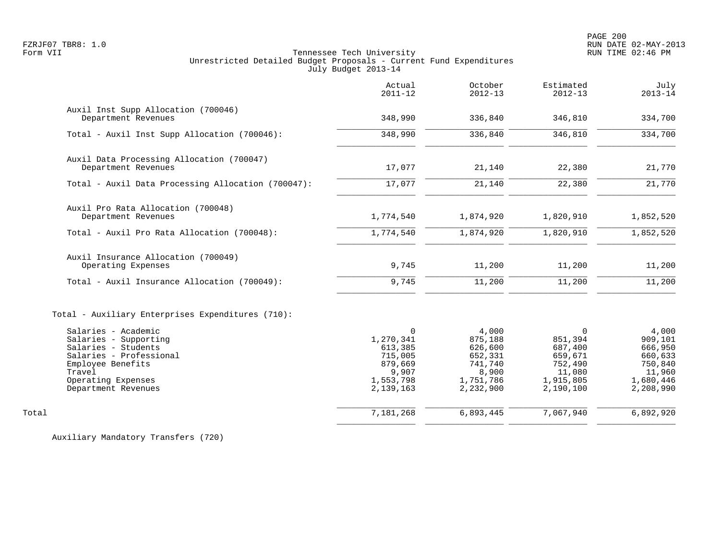PAGE 200

# FZRJF07 TBR8: 1.0 RUN DATE 02-MAY-2013 Tennessee Tech University Unrestricted Detailed Budget Proposals - Current Fund Expenditures July Budget 2013-14

|                                                                                                                                                                            | Actual<br>$2011 - 12$                                                                     | October<br>$2012 - 13$                                                               | Estimated<br>$2012 - 13$                                                                 | July<br>$2013 - 14$                                                                   |
|----------------------------------------------------------------------------------------------------------------------------------------------------------------------------|-------------------------------------------------------------------------------------------|--------------------------------------------------------------------------------------|------------------------------------------------------------------------------------------|---------------------------------------------------------------------------------------|
| Auxil Inst Supp Allocation (700046)<br>Department Revenues                                                                                                                 | 348,990                                                                                   | 336,840                                                                              | 346,810                                                                                  | 334,700                                                                               |
| Total - Auxil Inst Supp Allocation (700046):                                                                                                                               | 348,990                                                                                   | 336,840                                                                              | 346,810                                                                                  | 334,700                                                                               |
| Auxil Data Processing Allocation (700047)<br>Department Revenues                                                                                                           | 17,077                                                                                    | 21,140                                                                               | 22,380                                                                                   | 21,770                                                                                |
| Total - Auxil Data Processing Allocation (700047):                                                                                                                         | 17,077                                                                                    | 21,140                                                                               | 22,380                                                                                   | $\overline{21,770}$                                                                   |
| Auxil Pro Rata Allocation (700048)<br>Department Revenues                                                                                                                  | 1,774,540                                                                                 | 1,874,920                                                                            | 1,820,910                                                                                | 1,852,520                                                                             |
| Total - Auxil Pro Rata Allocation (700048):                                                                                                                                | 1,774,540                                                                                 | 1,874,920                                                                            | 1,820,910                                                                                | 1,852,520                                                                             |
| Auxil Insurance Allocation (700049)<br>Operating Expenses                                                                                                                  | 9,745                                                                                     | 11,200                                                                               | 11,200                                                                                   | 11,200                                                                                |
| Total - Auxil Insurance Allocation (700049):                                                                                                                               | 9,745                                                                                     | 11,200                                                                               | 11,200                                                                                   | 11,200                                                                                |
| Total - Auxiliary Enterprises Expenditures (710):                                                                                                                          |                                                                                           |                                                                                      |                                                                                          |                                                                                       |
| Salaries - Academic<br>Salaries - Supporting<br>Salaries - Students<br>Salaries - Professional<br>Employee Benefits<br>Travel<br>Operating Expenses<br>Department Revenues | $\Omega$<br>1,270,341<br>613,385<br>715,005<br>879,669<br>9,907<br>1,553,798<br>2,139,163 | 4,000<br>875,188<br>626,600<br>652,331<br>741,740<br>8,900<br>1,751,786<br>2,232,900 | $\Omega$<br>851,394<br>687,400<br>659,671<br>752,490<br>11,080<br>1,915,805<br>2,190,100 | 4,000<br>909,101<br>666,950<br>660,633<br>750,840<br>11,960<br>1,680,446<br>2,208,990 |
| Total                                                                                                                                                                      | 7,181,268                                                                                 | 6,893,445                                                                            | 7,067,940                                                                                | 6,892,920                                                                             |
|                                                                                                                                                                            |                                                                                           |                                                                                      |                                                                                          |                                                                                       |

Auxiliary Mandatory Transfers (720)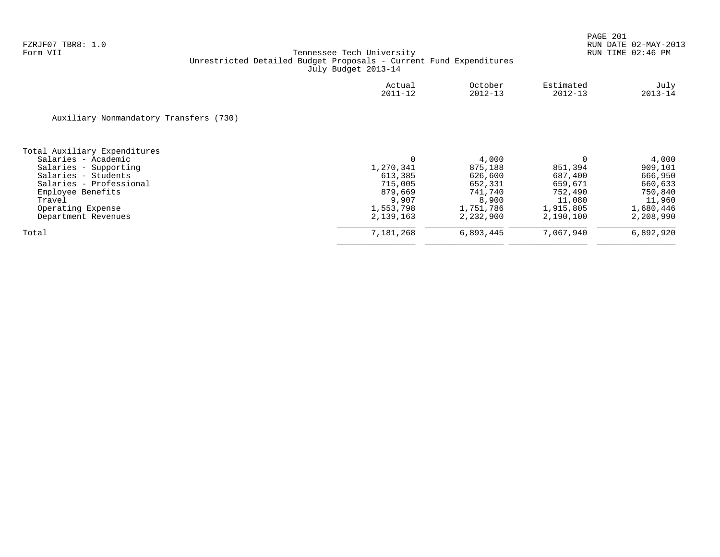|                                        | Actual<br>$2011 - 12$ | October<br>$2012 - 13$ | Estimated<br>$2012 - 13$ | July<br>$2013 - 14$ |
|----------------------------------------|-----------------------|------------------------|--------------------------|---------------------|
| Auxiliary Nonmandatory Transfers (730) |                       |                        |                          |                     |
| Total Auxiliary Expenditures           |                       |                        |                          |                     |
| Salaries - Academic                    | $\mathbf 0$           | 4,000                  |                          | 4,000               |
| Salaries - Supporting                  | 1,270,341             | 875,188                | 851,394                  | 909,101             |
| Salaries - Students                    | 613,385               | 626,600                | 687,400                  | 666,950             |
| Salaries - Professional                | 715,005               | 652,331                | 659,671                  | 660,633             |
| Employee Benefits                      | 879,669               | 741,740                | 752,490                  | 750,840             |
| Travel                                 | 9,907                 | 8,900                  | 11,080                   | 11,960              |
| Operating Expense                      | 1,553,798             | 1,751,786              | 1,915,805                | 1,680,446           |
| Department Revenues                    | 2,139,163             | 2,232,900              | 2,190,100                | 2,208,990           |
| Total                                  | 7,181,268             | 6,893,445              | 7,067,940                | 6,892,920           |
|                                        |                       |                        |                          |                     |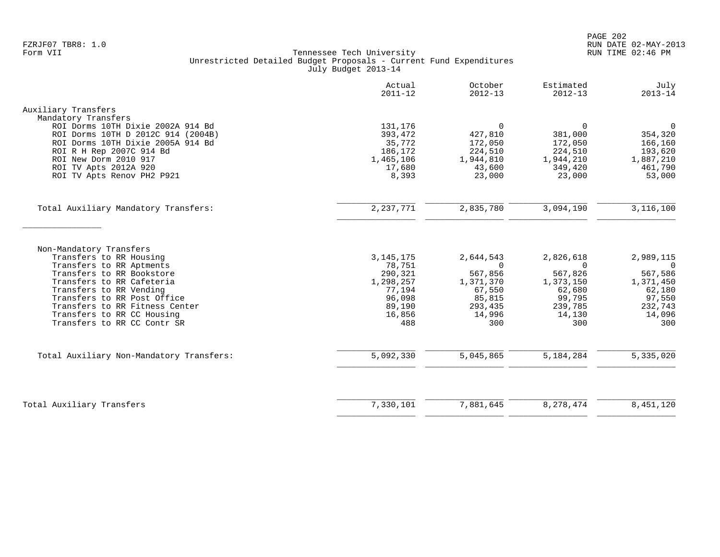|                                                           | Actual<br>$2011 - 12$ | October<br>$2012 - 13$ | Estimated<br>$2012 - 13$ | July<br>$2013 - 14$ |
|-----------------------------------------------------------|-----------------------|------------------------|--------------------------|---------------------|
| Auxiliary Transfers                                       |                       |                        |                          |                     |
| Mandatory Transfers<br>ROI Dorms 10TH Dixie 2002A 914 Bd  | 131,176               | 0                      | $\Omega$                 | 0                   |
| ROI Dorms 10TH D 2012C 914 (2004B)                        | 393,472               | 427,810                | 381,000                  | 354,320             |
| ROI Dorms 10TH Dixie 2005A 914 Bd                         | 35,772                | 172,050                | 172,050                  | 166,160             |
| ROI R H Rep 2007C 914 Bd                                  | 186,172               | 224,510                | 224,510                  | 193,620             |
| ROI New Dorm 2010 917                                     | 1,465,106             | 1,944,810              | 1,944,210                | 1,887,210           |
| ROI TV Apts 2012A 920<br>ROI TV Apts Renov PH2 P921       | 17,680<br>8,393       | 43,600<br>23,000       | 349,420<br>23,000        | 461,790<br>53,000   |
|                                                           |                       |                        |                          |                     |
| Total Auxiliary Mandatory Transfers:                      | 2, 237, 771           | 2,835,780              | 3,094,190                | 3,116,100           |
|                                                           |                       |                        |                          |                     |
|                                                           |                       |                        |                          |                     |
| Non-Mandatory Transfers<br>Transfers to RR Housing        | 3, 145, 175           | 2,644,543              | 2,826,618                | 2,989,115           |
| Transfers to RR Aptments                                  | 78,751                | $\Omega$               | $\Omega$                 | $\Omega$            |
| Transfers to RR Bookstore                                 | 290,321               | 567,856                | 567,826                  | 567,586             |
| Transfers to RR Cafeteria                                 | 1,298,257             | 1,371,370              | 1,373,150                | 1,371,450           |
| Transfers to RR Vending                                   | 77,194                | 67,550                 | 62,680                   | 62,180              |
| Transfers to RR Post Office                               | 96,098                | 85,815                 | 99,795                   | 97,550              |
| Transfers to RR Fitness Center                            | 89,190                | 293,435                | 239,785                  | 232,743             |
| Transfers to RR CC Housing<br>Transfers to RR CC Contr SR | 16,856<br>488         | 14,996<br>300          | 14,130<br>300            | 14,096<br>300       |
|                                                           |                       |                        |                          |                     |
| Total Auxiliary Non-Mandatory Transfers:                  | 5,092,330             | 5,045,865              | 5, 184, 284              | 5,335,020           |
|                                                           |                       |                        |                          |                     |
|                                                           |                       |                        |                          |                     |
| Total Auxiliary Transfers                                 | 7,330,101             | 7,881,645              | 8,278,474                | 8,451,120           |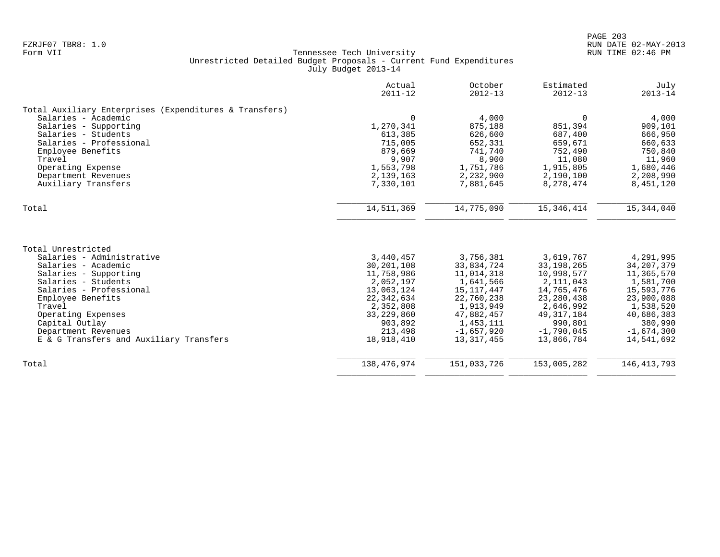|                                                        | Actual<br>$2011 - 12$ | October<br>$2012 - 13$ | Estimated<br>$2012 - 13$ | July<br>$2013 - 14$ |
|--------------------------------------------------------|-----------------------|------------------------|--------------------------|---------------------|
|                                                        |                       |                        |                          |                     |
| Total Auxiliary Enterprises (Expenditures & Transfers) |                       |                        |                          |                     |
| Salaries - Academic                                    | $\Omega$              | 4,000                  | $\Omega$                 | 4,000               |
| Salaries - Supporting                                  | 1,270,341             | 875,188                | 851,394                  | 909,101             |
| Salaries - Students                                    | 613,385               | 626,600                | 687,400                  | 666,950             |
| Salaries - Professional                                | 715,005               | 652,331                | 659,671                  | 660,633             |
| Employee Benefits                                      | 879,669               | 741,740                | 752,490                  | 750,840             |
| Travel                                                 | 9,907                 | 8,900                  | 11,080                   | 11,960              |
| Operating Expense                                      | 1,553,798             | 1,751,786              | 1,915,805                | 1,680,446           |
| Department Revenues                                    | 2,139,163             | 2,232,900              | 2,190,100                | 2,208,990           |
| Auxiliary Transfers                                    | 7,330,101             | 7,881,645              | 8,278,474                | 8,451,120           |
| Total                                                  | 14,511,369            | 14,775,090             | 15,346,414               | 15,344,040          |
|                                                        |                       |                        |                          |                     |
| Total Unrestricted                                     |                       |                        |                          |                     |
| Salaries - Administrative                              | 3,440,457             | 3,756,381              | 3,619,767                | 4,291,995           |
| Salaries - Academic                                    | 30,201,108            | 33,834,724             | 33, 198, 265             | 34, 207, 379        |
| Salaries - Supporting                                  | 11,758,986            | 11,014,318             | 10,998,577               | 11,365,570          |
| Salaries - Students                                    | 2,052,197             | 1,641,566              | 2, 111, 043              | 1,581,700           |
| Salaries - Professional                                | 13,063,124            | 15, 117, 447           | 14,765,476               | 15,593,776          |
| Employee Benefits                                      | 22,342,634            | 22,760,238             | 23, 280, 438             | 23,900,088          |
| Travel                                                 | 2,352,808             | 1,913,949              | 2,646,992                | 1,538,520           |
| Operating Expenses                                     | 33, 229, 860          | 47,882,457             | 49, 317, 184             | 40,686,383          |
| Capital Outlay                                         | 903,892               | 1,453,111              | 990,801                  | 380,990             |
| Department Revenues                                    | 213,498               | $-1,657,920$           | $-1,790,045$             | $-1,674,300$        |
| E & G Transfers and Auxiliary Transfers                | 18,918,410            | 13, 317, 455           | 13,866,784               | 14,541,692          |
| Total                                                  | 138, 476, 974         | 151,033,726            | 153,005,282              | 146, 413, 793       |
|                                                        |                       |                        |                          |                     |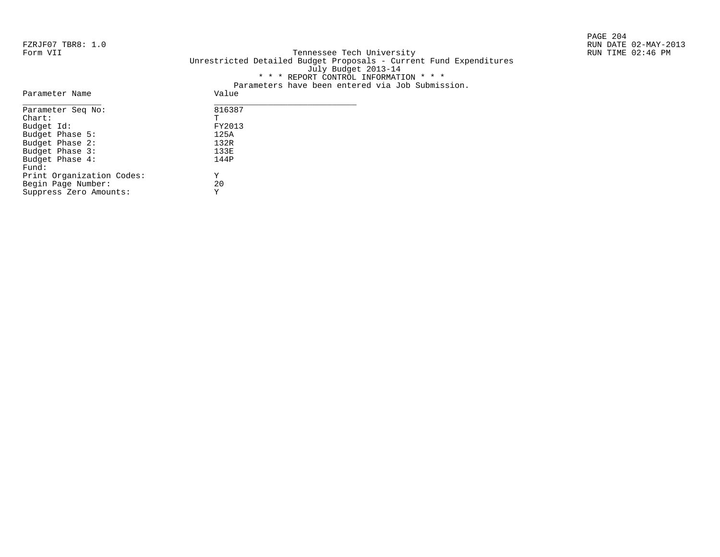PAGE 204

## FZRJF07 TBR8: 1.0 RUN DATE 02-MAY-2013 Tennessee Tech University Unrestricted Detailed Budget Proposals - Current Fund Expenditures July Budget 2013-14 \* \* \* REPORT CONTROL INFORMATION \* \* \* Parameters have been entered via Job Submission.

| Parameter Name            | Value  |
|---------------------------|--------|
| Parameter Seq No:         | 816387 |
| $chart$ :                 | Ͳ      |
| Budget Id:                | FY2013 |
| Budget Phase 5:           | 125A   |
| Budget Phase 2:           | 132R   |
| Budget Phase 3:           | 133E   |
| Budget Phase 4:           | 144P   |
| Fund:                     |        |
| Print Organization Codes: | Υ      |
| Begin Page Number:        | 20     |
| Suppress Zero Amounts:    | Υ      |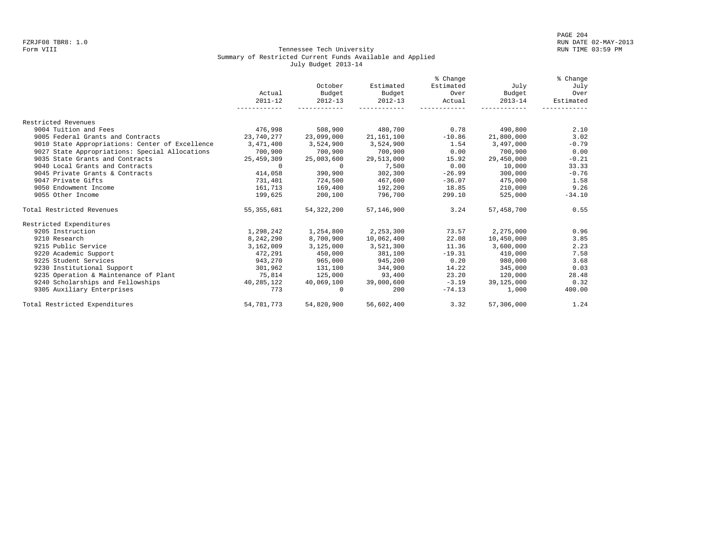#### Form VIII Tennessee Tech University RUN TIME 03:59 PM Summary of Restricted Current Funds Available and Applied July Budget 2013-14

|                                                 |              |              |             | % Change  |              | % Change  |
|-------------------------------------------------|--------------|--------------|-------------|-----------|--------------|-----------|
|                                                 |              | October      | Estimated   | Estimated | July         | July      |
|                                                 | Actual       | Budget       | Budget      | Over      | Budget       | Over      |
|                                                 | $2011 - 12$  | $2012 - 13$  | $2012 - 13$ | Actual    | $2013 - 14$  | Estimated |
|                                                 |              |              |             |           |              |           |
| Restricted Revenues                             |              |              |             |           |              |           |
| 9004 Tuition and Fees                           | 476,998      | 508,900      | 480,700     | 0.78      | 490,800      | 2.10      |
| 9005 Federal Grants and Contracts               | 23,740,277   | 23,099,000   | 21,161,100  | $-10.86$  | 21,800,000   | 3.02      |
| 9010 State Appropriations: Center of Excellence | 3,471,400    | 3,524,900    | 3,524,900   | 1.54      | 3,497,000    | $-0.79$   |
| 9027 State Appropriations: Special Allocations  | 700,900      | 700,900      | 700,900     | 0.00      | 700,900      | 0.00      |
| 9035 State Grants and Contracts                 | 25,459,309   | 25,003,600   | 29,513,000  | 15.92     | 29,450,000   | $-0.21$   |
| 9040 Local Grants and Contracts                 | $\Omega$     | $\Omega$     | 7,500       | 0.00      | 10,000       | 33.33     |
| 9045 Private Grants & Contracts                 | 414,058      | 390,900      | 302,300     | $-26.99$  | 300,000      | $-0.76$   |
| 9047 Private Gifts                              | 731,401      | 724,500      | 467,600     | $-36.07$  | 475,000      | 1.58      |
| 9050 Endowment Income                           | 161,713      | 169,400      | 192,200     | 18.85     | 210,000      | 9.26      |
| 9055 Other Income                               | 199,625      | 200,100      | 796,700     | 299.10    | 525,000      | $-34.10$  |
| Total Restricted Revenues                       | 55, 355, 681 | 54, 322, 200 | 57,146,900  | 3.24      | 57, 458, 700 | 0.55      |
| Restricted Expenditures                         |              |              |             |           |              |           |
| 9205 Instruction                                | 1,298,242    | 1,254,800    | 2,253,300   | 73.57     | 2,275,000    | 0.96      |
| 9210 Research                                   | 8,242,290    | 8,700,900    | 10,062,400  | 22.08     | 10,450,000   | 3.85      |
| 9215 Public Service                             | 3,162,009    | 3,125,000    | 3,521,300   | 11.36     | 3,600,000    | 2.23      |
| 9220 Academic Support                           | 472,291      | 450,000      | 381,100     | $-19.31$  | 410,000      | 7.58      |
| 9225 Student Services                           | 943,270      | 965,000      | 945,200     | 0.20      | 980,000      | 3.68      |
| 9230 Institutional Support                      | 301,962      | 131,100      | 344,900     | 14.22     | 345,000      | 0.03      |
| 9235 Operation & Maintenance of Plant           | 75,814       | 125,000      | 93,400      | 23.20     | 120,000      | 28.48     |
| 9240 Scholarships and Fellowships               | 40,285,122   | 40,069,100   | 39,000,600  | $-3.19$   | 39,125,000   | 0.32      |
| 9305 Auxiliary Enterprises                      | 773          | 0            | 200         | $-74.13$  | 1,000        | 400.00    |
| Total Restricted Expenditures                   | 54,781,773   | 54,820,900   | 56,602,400  | 3.32      | 57,306,000   | 1.24      |